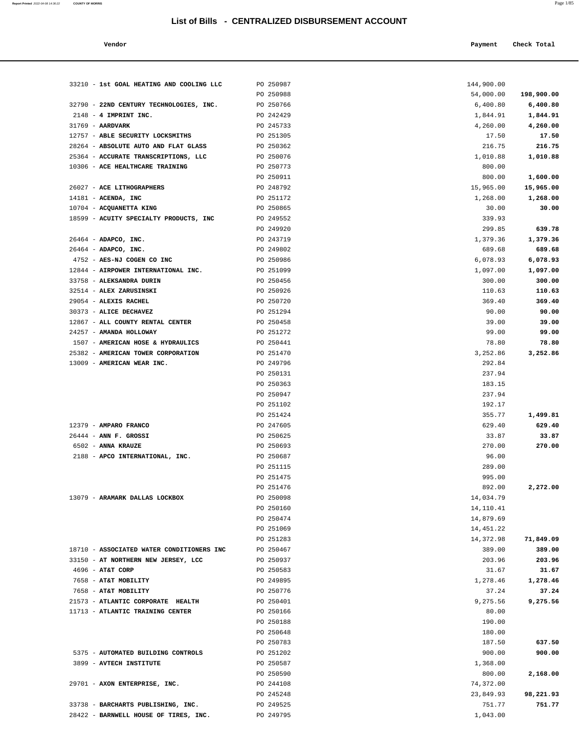#### **Vendor Payment Check Total**   $\blacksquare$  Payment Check Total **Payment** Check Total **Payment**

| 33210 - 1st GOAL HEATING AND COOLING LLC                          | PO 250987              | 144,900.00       |                    |
|-------------------------------------------------------------------|------------------------|------------------|--------------------|
|                                                                   | PO 250988              | 54,000.00        | 198,900.00         |
| 32790 - 22ND CENTURY TECHNOLOGIES, INC.                           | PO 250766              | 6,400.80         | 6,400.80           |
| $2148 - 4$ IMPRINT INC.                                           | PO 242429              | 1,844.91         | 1,844.91           |
| $31769$ - AARDVARK                                                | PO 245733              | 4,260.00         | 4,260.00           |
| 12757 - ABLE SECURITY LOCKSMITHS                                  | PO 251305              | 17.50            | 17.50              |
| 28264 - ABSOLUTE AUTO AND FLAT GLASS                              | PO 250362              | 216.75           | 216.75             |
| 25364 - ACCURATE TRANSCRIPTIONS, LLC                              | PO 250076              | 1,010.88         | 1,010.88           |
| 10306 - ACE HEALTHCARE TRAINING                                   | PO 250773              | 800.00           |                    |
|                                                                   | PO 250911              | 800.00           | 1,600.00           |
| 26027 - ACE LITHOGRAPHERS                                         | PO 248792              | 15,965.00        | 15,965.00          |
| 14181 - ACENDA, INC                                               | PO 251172              | 1,268.00         | 1,268.00           |
| 10704 - ACQUANETTA KING<br>18599 - ACUITY SPECIALTY PRODUCTS, INC | PO 250865<br>PO 249552 | 30.00            | 30.00              |
|                                                                   | PO 249920              | 339.93<br>299.85 | 639.78             |
| 26464 - ADAPCO, INC.                                              | PO 243719              | 1,379.36         | 1,379.36           |
| $26464$ - ADAPCO, INC.                                            | PO 249802              | 689.68           | 689.68             |
| 4752 - AES-NJ COGEN CO INC                                        | PO 250986              | 6,078.93         | 6,078.93           |
| 12844 - AIRPOWER INTERNATIONAL INC.                               | PO 251099              | 1,097.00         | 1,097.00           |
| 33758 - ALEKSANDRA DURIN                                          | PO 250456              | 300.00           | 300.00             |
| 32514 - ALEX ZARUSINSKI                                           | PO 250926              | 110.63           | 110.63             |
| 29054 - ALEXIS RACHEL                                             | PO 250720              | 369.40           | 369.40             |
| 30373 - ALICE DECHAVEZ                                            | PO 251294              | 90.00            | 90.00              |
| 12867 - ALL COUNTY RENTAL CENTER                                  | PO 250458              | 39.00            | 39.00              |
| 24257 - AMANDA HOLLOWAY                                           | PO 251272              | 99.00            | 99.00              |
| 1507 - AMERICAN HOSE & HYDRAULICS                                 | PO 250441              | 78.80            | 78.80              |
| 25382 - AMERICAN TOWER CORPORATION                                | PO 251470              | 3,252.86         | 3,252.86           |
| 13009 - AMERICAN WEAR INC.                                        | PO 249796              | 292.84           |                    |
|                                                                   | PO 250131              | 237.94           |                    |
|                                                                   | PO 250363              | 183.15           |                    |
|                                                                   | PO 250947              | 237.94           |                    |
|                                                                   | PO 251102              | 192.17           |                    |
| 12379 - AMPARO FRANCO                                             | PO 251424<br>PO 247605 | 355.77<br>629.40 | 1,499.81<br>629.40 |
| $26444$ - ANN F. GROSSI                                           | PO 250625              | 33.87            | 33.87              |
| 6502 - ANNA KRAUZE                                                | PO 250693              | 270.00           | 270.00             |
| 2188 - APCO INTERNATIONAL, INC.                                   | PO 250687              | 96.00            |                    |
|                                                                   | PO 251115              | 289.00           |                    |
|                                                                   | PO 251475              | 995.00           |                    |
|                                                                   | PO 251476              | 892.00           | 2,272.00           |
| 13079 - ARAMARK DALLAS LOCKBOX                                    | PO 250098              | 14,034.79        |                    |
|                                                                   | PO 250160              | 14,110.41        |                    |
|                                                                   | PO 250474              | 14,879.69        |                    |
|                                                                   | PO 251069              | 14,451.22        |                    |
|                                                                   | PO 251283              | 14,372.98        | 71,849.09          |
| 18710 - ASSOCIATED WATER CONDITIONERS INC                         | PO 250467              | 389.00           | 389.00             |
| 33150 - AT NORTHERN NEW JERSEY, LCC                               | PO 250937              | 203.96           | 203.96             |
| 4696 - AT&T CORP                                                  | PO 250583              | 31.67            | 31.67              |
| 7658 - AT&T MOBILITY                                              | PO 249895              | 1,278.46         | 1,278.46           |
| 7658 - AT&T MOBILITY                                              | PO 250776              | 37.24            | 37.24              |
| 21573 - ATLANTIC CORPORATE HEALTH                                 | PO 250401              | 9,275.56         | 9,275.56           |
| 11713 - ATLANTIC TRAINING CENTER                                  | PO 250166              | 80.00            |                    |
|                                                                   | PO 250188<br>PO 250648 | 190.00<br>180.00 |                    |
|                                                                   | PO 250783              | 187.50           | 637.50             |
| 5375 - AUTOMATED BUILDING CONTROLS                                | PO 251202              | 900.00           | 900.00             |
| 3899 - AVTECH INSTITUTE                                           | PO 250587              | 1,368.00         |                    |
|                                                                   | PO 250590              | 800.00           | 2,168.00           |
| 29701 - AXON ENTERPRISE, INC.                                     | PO 244108              | 74,372.00        |                    |
|                                                                   | PO 245248              | 23,849.93        | 98,221.93          |
| 33738 - BARCHARTS PUBLISHING, INC.                                | PO 249525              | 751.77           | 751.77             |
| 28422 - BARNWELL HOUSE OF TIRES, INC.                             | PO 249795              | 1,043.00         |                    |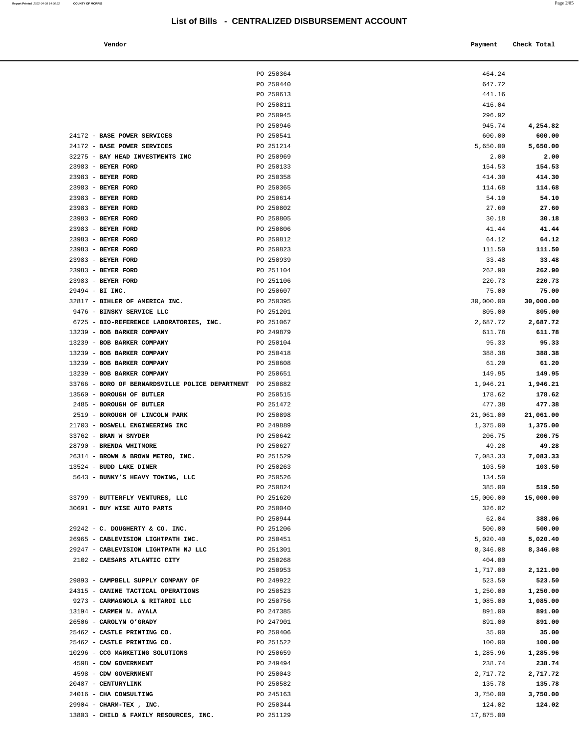| Vendor | Pavment | Check Total |
|--------|---------|-------------|
|        |         |             |

|                                                                       | PO 250364              | 464.24              |                     |
|-----------------------------------------------------------------------|------------------------|---------------------|---------------------|
|                                                                       | PO 250440              | 647.72              |                     |
|                                                                       | PO 250613              | 441.16              |                     |
|                                                                       | PO 250811              | 416.04              |                     |
|                                                                       | PO 250945              | 296.92              |                     |
|                                                                       | PO 250946              | 945.74              | 4,254.82            |
| 24172 - BASE POWER SERVICES                                           | PO 250541              | 600.00              | 600.00              |
| 24172 - BASE POWER SERVICES                                           | PO 251214              | 5,650.00            | 5,650.00            |
| 32275 - BAY HEAD INVESTMENTS INC                                      | PO 250969              | 2.00                | 2.00                |
| 23983 - BEYER FORD                                                    | PO 250133              | 154.53              | 154.53              |
| 23983 - BEYER FORD                                                    | PO 250358              | 414.30              | 414.30              |
| 23983 - BEYER FORD                                                    | PO 250365              | 114.68              | 114.68              |
| 23983 - BEYER FORD                                                    | PO 250614              | 54.10               | 54.10               |
| 23983 - BEYER FORD                                                    | PO 250802              | 27.60               | 27.60               |
| 23983 - BEYER FORD                                                    | PO 250805              | 30.18               | 30.18               |
| 23983 - BEYER FORD                                                    | PO 250806              | 41.44               | 41.44               |
| 23983 - BEYER FORD                                                    | PO 250812              | 64.12               | 64.12               |
| 23983 - BEYER FORD                                                    | PO 250823              | 111.50              | 111.50              |
| 23983 - BEYER FORD                                                    | PO 250939              | 33.48               | 33.48               |
| 23983 - BEYER FORD                                                    | PO 251104              | 262.90              | 262.90              |
| 23983 - BEYER FORD                                                    | PO 251106              | 220.73              | 220.73              |
| 29494 - BI INC.<br>32817 - BIHLER OF AMERICA INC.                     | PO 250607              | 75.00               | 75.00               |
| 9476 - BINSKY SERVICE LLC                                             | PO 250395<br>PO 251201 | 30,000.00<br>805.00 | 30,000.00<br>805.00 |
| 6725 - BIO-REFERENCE LABORATORIES, INC.                               | PO 251067              | 2,687.72            | 2,687.72            |
| 13239 - BOB BARKER COMPANY                                            | PO 249879              | 611.78              | 611.78              |
| 13239 - BOB BARKER COMPANY                                            | PO 250104              | 95.33               | 95.33               |
| 13239 - BOB BARKER COMPANY                                            | PO 250418              | 388.38              | 388.38              |
| 13239 - BOB BARKER COMPANY                                            | PO 250608              | 61.20               | 61.20               |
| 13239 - BOB BARKER COMPANY                                            | PO 250651              | 149.95              | 149.95              |
| 33766 - BORO OF BERNARDSVILLE POLICE DEPARTMENT PO 250882             |                        | 1,946.21            | 1,946.21            |
| 13560 - BOROUGH OF BUTLER                                             | PO 250515              | 178.62              | 178.62              |
| 2485 - BOROUGH OF BUTLER                                              | PO 251472              | 477.38              | 477.38              |
| 2519 - BOROUGH OF LINCOLN PARK                                        | PO 250898              | 21,061.00           | 21,061.00           |
| 21703 - BOSWELL ENGINEERING INC                                       | PO 249889              | 1,375.00            | 1,375.00            |
| 33762 - BRAN W SNYDER                                                 | PO 250642              | 206.75              | 206.75              |
| 28790 - BRENDA WHITMORE                                               | PO 250627              | 49.28               | 49.28               |
| 26314 - BROWN & BROWN METRO, INC.                                     | PO 251529              | 7,083.33            | 7,083.33            |
| 13524 - BUDD LAKE DINER                                               | PO 250263              | 103.50              | 103.50              |
| 5643 - BUNKY'S HEAVY TOWING, LLC                                      | PO 250526              | 134.50              |                     |
|                                                                       | PO 250824              | 385.00              | 519.50              |
| 33799 - BUTTERFLY VENTURES, LLC                                       | PO 251620              | 15,000.00           | 15,000.00           |
| 30691 - BUY WISE AUTO PARTS                                           | PO 250040              | 326.02              |                     |
|                                                                       | PO 250944              | 62.04               | 388.06              |
| 29242 - C. DOUGHERTY & CO. INC.<br>26965 - CABLEVISION LIGHTPATH INC. | PO 251206<br>PO 250451 | 500.00<br>5,020.40  | 500.00<br>5,020.40  |
| 29247 - CABLEVISION LIGHTPATH NJ LLC                                  | PO 251301              | 8,346.08            | 8,346.08            |
| 2102 - CAESARS ATLANTIC CITY                                          | PO 250268              | 404.00              |                     |
|                                                                       | PO 250953              | 1,717.00            | 2,121.00            |
| 29893 - CAMPBELL SUPPLY COMPANY OF                                    | PO 249922              | 523.50              | 523.50              |
| 24315 - CANINE TACTICAL OPERATIONS                                    | PO 250523              | 1,250.00            | 1,250.00            |
| 9273 - CARMAGNOLA & RITARDI LLC                                       | PO 250756              | 1,085.00            | 1,085.00            |
| 13194 - CARMEN N. AYALA                                               | PO 247385              | 891.00              | 891.00              |
| 26506 - CAROLYN O'GRADY                                               | PO 247901              | 891.00              | 891.00              |
| 25462 - CASTLE PRINTING CO.                                           | PO 250406              | 35.00               | 35.00               |
| 25462 - CASTLE PRINTING CO.                                           | PO 251522              | 100.00              | 100.00              |
| 10296 - CCG MARKETING SOLUTIONS                                       | PO 250659              | 1,285.96            | 1,285.96            |
| 4598 - CDW GOVERNMENT                                                 | PO 249494              | 238.74              | 238.74              |
| 4598 - CDW GOVERNMENT                                                 | PO 250043              | 2,717.72            | 2,717.72            |
| 20487 - CENTURYLINK                                                   | PO 250582              | 135.78              | 135.78              |
| 24016 - CHA CONSULTING                                                | PO 245163              | 3,750.00            | 3,750.00            |
| 29904 - CHARM-TEX, INC.                                               | PO 250344              | 124.02              | 124.02              |
| 13803 - CHILD & FAMILY RESOURCES, INC.                                | PO 251129              | 17,875.00           |                     |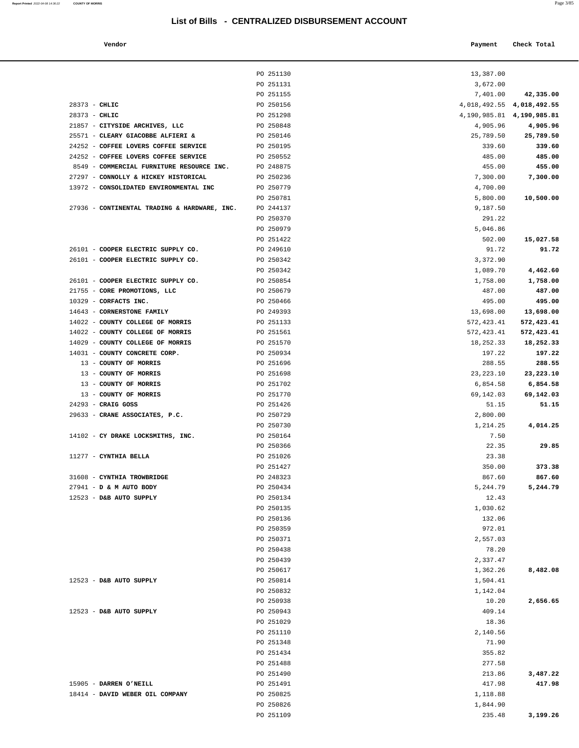| Report Printed 2022-04-08 14:36:22 | <b>COUNTY OF MORRIS</b>                      | List of Bills - CENTRALIZED DISBURSEMENT ACCOUNT |                      | Page 3/85                     |  |
|------------------------------------|----------------------------------------------|--------------------------------------------------|----------------------|-------------------------------|--|
|                                    | Vendor                                       |                                                  | Payment              | Check Total                   |  |
|                                    |                                              |                                                  |                      |                               |  |
|                                    |                                              | PO 251130                                        | 13,387.00            |                               |  |
|                                    |                                              | PO 251131<br>PO 251155                           | 3,672.00<br>7,401.00 | 42,335.00                     |  |
|                                    | $28373 - CHLIC$                              | PO 250156                                        | 4,018,492.55         | 4,018,492.55                  |  |
|                                    | $28373 - CHLIC$                              | PO 251298                                        |                      | 4, 190, 985.81 4, 190, 985.81 |  |
|                                    | 21857 - CITYSIDE ARCHIVES, LLC               | PO 250848                                        | 4,905.96             | 4,905.96                      |  |
|                                    | 25571 - CLEARY GIACOBBE ALFIERI &            | PO 250146                                        | 25,789.50            | 25,789.50                     |  |
|                                    | 24252 - COFFEE LOVERS COFFEE SERVICE         | PO 250195                                        | 339.60               | 339.60                        |  |
|                                    | 24252 - COFFEE LOVERS COFFEE SERVICE         | PO 250552                                        | 485.00               | 485.00                        |  |
|                                    | 8549 - COMMERCIAL FURNITURE RESOURCE INC.    | PO 248875                                        | 455.00               | 455.00                        |  |
|                                    | 27297 - CONNOLLY & HICKEY HISTORICAL         | PO 250236                                        | 7,300.00             | 7,300.00                      |  |
|                                    | 13972 - CONSOLIDATED ENVIRONMENTAL INC       | PO 250779                                        | 4,700.00             |                               |  |
|                                    |                                              | PO 250781                                        | 5,800.00             | 10,500.00                     |  |
|                                    | 27936 - CONTINENTAL TRADING & HARDWARE, INC. | PO 244137                                        | 9,187.50             |                               |  |
|                                    |                                              | PO 250370                                        | 291.22               |                               |  |
|                                    |                                              | PO 250979                                        | 5,046.86             |                               |  |
|                                    |                                              | PO 251422                                        | 502.00               | 15,027.58                     |  |
|                                    | 26101 - COOPER ELECTRIC SUPPLY CO.           | PO 249610                                        | 91.72                | 91.72                         |  |
|                                    | 26101 - COOPER ELECTRIC SUPPLY CO.           | PO 250342                                        | 3,372.90             |                               |  |
|                                    |                                              | PO 250342                                        | 1,089.70             | 4,462.60                      |  |
|                                    | 26101 - COOPER ELECTRIC SUPPLY CO.           | PO 250854                                        | 1,758.00             | 1,758.00                      |  |
|                                    | 21755 - CORE PROMOTIONS, LLC                 | PO 250679                                        | 487.00               | 487.00                        |  |
|                                    | 10329 - CORFACTS INC.                        | PO 250466                                        | 495.00               | 495.00                        |  |
|                                    | 14643 - CORNERSTONE FAMILY                   | PO 249393                                        | 13,698.00            | 13,698.00                     |  |
|                                    | 14022 - COUNTY COLLEGE OF MORRIS             | PO 251133                                        | 572, 423.41          | 572,423.41                    |  |
|                                    | 14022 - COUNTY COLLEGE OF MORRIS             | PO 251561                                        | 572, 423.41          | 572,423.41                    |  |
|                                    | 14029 - COUNTY COLLEGE OF MORRIS             | PO 251570                                        | 18,252.33            | 18,252.33                     |  |
|                                    | 14031 - COUNTY CONCRETE CORP.                | PO 250934                                        | 197.22               | 197.22                        |  |
|                                    | 13 - COUNTY OF MORRIS                        | PO 251696                                        | 288.55               | 288.55                        |  |
|                                    | 13 - COUNTY OF MORRIS                        | PO 251698                                        | 23, 223. 10          | 23,223.10                     |  |
|                                    | 13 - COUNTY OF MORRIS                        | PO 251702                                        | 6,854.58             | 6,854.58                      |  |
|                                    | 13 - COUNTY OF MORRIS                        | PO 251770                                        | 69,142.03            | 69,142.03                     |  |
|                                    | 24293 - CRAIG GOSS                           | PO 251426                                        | 51.15                | 51.15                         |  |
|                                    | 29633 - CRANE ASSOCIATES, P.C.               | PO 250729                                        | 2,800.00             |                               |  |
|                                    |                                              | PO 250730                                        | 1,214.25             | 4,014.25                      |  |
|                                    | 14102 - CY DRAKE LOCKSMITHS, INC.            | PO 250164                                        | 7.50                 |                               |  |
|                                    |                                              | PO 250366                                        | 22.35                | 29.85                         |  |
|                                    | 11277 - CYNTHIA BELLA                        | PO 251026                                        | 23.38                |                               |  |
|                                    |                                              | PO 251427                                        | 350.00               | 373.38                        |  |
|                                    | 31608 - CYNTHIA TROWBRIDGE                   | PO 248323                                        | 867.60               | 867.60                        |  |
|                                    | 27941 - D & M AUTO BODY                      | PO 250434                                        | 5,244.79             | 5,244.79                      |  |
|                                    | 12523 - D&B AUTO SUPPLY                      | PO 250134                                        | 12.43                |                               |  |

|                                                     | PO 251130 | 13,387.00                       |            |
|-----------------------------------------------------|-----------|---------------------------------|------------|
|                                                     | PO 251131 | 3,672.00                        |            |
|                                                     | PO 251155 | 7,401.00                        | 42,335.00  |
| 28373 - CHLIC                                       | PO 250156 | 4,018,492.55 4,018,492.55       |            |
| 28373 - CHLIC                                       | PO 251298 | 4, 190, 985. 81 4, 190, 985. 81 |            |
| 21857 - CITYSIDE ARCHIVES, LLC                      | PO 250848 | 4,905.96                        | 4,905.96   |
| 25571 - CLEARY GIACOBBE ALFIERI &                   | PO 250146 | 25,789.50                       | 25,789.50  |
| 24252 - COFFEE LOVERS COFFEE SERVICE                | PO 250195 | 339.60                          | 339.60     |
|                                                     |           |                                 |            |
| 24252 - COFFEE LOVERS COFFEE SERVICE                | PO 250552 | 485.00                          | 485.00     |
| 8549 - COMMERCIAL FURNITURE RESOURCE INC. PO 248875 |           | 455.00                          | 455.00     |
| 27297 - CONNOLLY & HICKEY HISTORICAL                | PO 250236 | 7,300.00                        | 7,300.00   |
| 13972 - CONSOLIDATED ENVIRONMENTAL INC              | PO 250779 | 4,700.00                        |            |
|                                                     | PO 250781 | 5,800.00                        | 10,500.00  |
| 27936 - CONTINENTAL TRADING & HARDWARE, INC.        | PO 244137 | 9,187.50                        |            |
|                                                     | PO 250370 | 291.22                          |            |
|                                                     | PO 250979 | 5,046.86                        |            |
|                                                     | PO 251422 | 502.00                          | 15,027.58  |
| 26101 - COOPER ELECTRIC SUPPLY CO.                  | PO 249610 | 91.72                           | 91.72      |
| 26101 - COOPER ELECTRIC SUPPLY CO.                  | PO 250342 | 3,372.90                        |            |
|                                                     | PO 250342 | 1,089.70                        | 4,462.60   |
| 26101 - COOPER ELECTRIC SUPPLY CO.                  | PO 250854 | 1,758.00                        | 1,758.00   |
| 21755 - CORE PROMOTIONS, LLC                        | PO 250679 | 487.00                          | 487.00     |
| 10329 - CORFACTS INC.                               | PO 250466 | 495.00                          | 495.00     |
| 14643 - CORNERSTONE FAMILY                          | PO 249393 | 13,698.00                       | 13,698.00  |
| 14022 - COUNTY COLLEGE OF MORRIS                    | PO 251133 | 572,423.41                      | 572,423.41 |
| 14022 - COUNTY COLLEGE OF MORRIS                    | PO 251561 | 572,423.41                      | 572,423.41 |
| 14029 - COUNTY COLLEGE OF MORRIS                    | PO 251570 | 18,252.33                       | 18,252.33  |
| 14031 - COUNTY CONCRETE CORP.                       | PO 250934 | 197.22                          | 197.22     |
| 13 - COUNTY OF MORRIS                               | PO 251696 | 288.55                          | 288.55     |
| 13 - COUNTY OF MORRIS                               | PO 251698 | 23, 223. 10                     | 23,223.10  |
| 13 - COUNTY OF MORRIS                               | PO 251702 | 6,854.58                        | 6,854.58   |
| 13 - COUNTY OF MORRIS                               | PO 251770 | 69,142.03                       | 69,142.03  |
| $24293$ - CRAIG GOSS                                | PO 251426 | 51.15                           | 51.15      |
| 29633 - CRANE ASSOCIATES, P.C.                      | PO 250729 | 2,800.00                        |            |
|                                                     | PO 250730 | 1,214.25                        | 4,014.25   |
| 14102 - CY DRAKE LOCKSMITHS, INC.                   | PO 250164 | 7.50                            |            |
|                                                     | PO 250366 | 22.35                           | 29.85      |
| 11277 - CYNTHIA BELLA                               | PO 251026 | 23.38                           |            |
|                                                     | PO 251427 | 350.00                          | 373.38     |
| 31608 - CYNTHIA TROWBRIDGE                          | PO 248323 | 867.60                          | 867.60     |
| 27941 - D & M AUTO BODY                             | PO 250434 | 5,244.79                        | 5,244.79   |
|                                                     |           |                                 |            |
| 12523 - D&B AUTO SUPPLY                             | PO 250134 | 12.43                           |            |
|                                                     | PO 250135 | 1,030.62                        |            |
|                                                     | PO 250136 | 132.06                          |            |
|                                                     | PO 250359 | 972.01                          |            |
|                                                     | PO 250371 | 2,557.03                        |            |
|                                                     | PO 250438 | 78.20                           |            |
|                                                     | PO 250439 | 2,337.47                        |            |
|                                                     | PO 250617 | 1,362.26                        | 8,482.08   |
| 12523 - D&B AUTO SUPPLY                             | PO 250814 | 1,504.41                        |            |
|                                                     | PO 250832 | 1,142.04                        |            |
|                                                     | PO 250938 | 10.20                           | 2,656.65   |
| $12523$ - D&B AUTO SUPPLY                           | PO 250943 | 409.14                          |            |
|                                                     | PO 251029 | 18.36                           |            |
|                                                     | PO 251110 | 2,140.56                        |            |
|                                                     | PO 251348 | 71.90                           |            |
|                                                     | PO 251434 | 355.82                          |            |
|                                                     | PO 251488 | 277.58                          |            |
|                                                     | PO 251490 | 213.86                          | 3,487.22   |
| 15905 - DARREN O'NEILL                              | PO 251491 | 417.98                          | 417.98     |
| 18414 - DAVID WEBER OIL COMPANY                     | PO 250825 | 1,118.88                        |            |
|                                                     | PO 250826 | 1,844.90                        |            |

PO 251109 235.48 **3,199.26**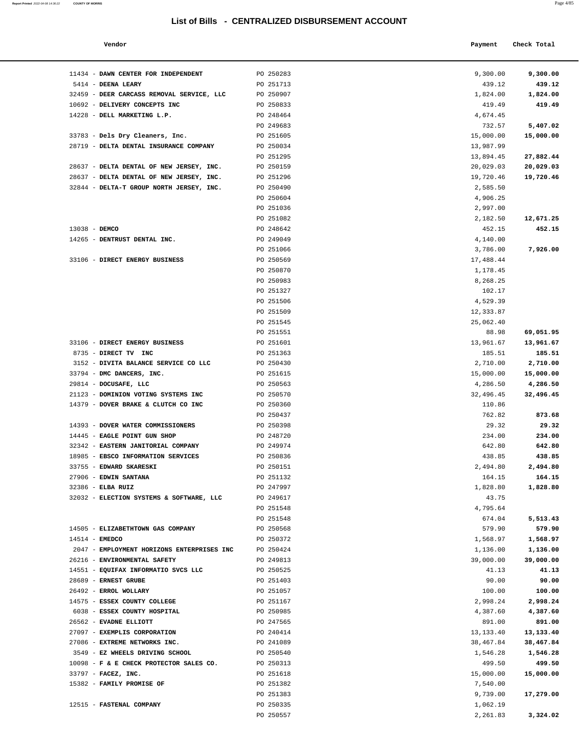| Report Printed 2022-04-08 14:36:22 COUNTY OF MORRIS |  |  |  |  | Page 4/85 |
|-----------------------------------------------------|--|--|--|--|-----------|
|-----------------------------------------------------|--|--|--|--|-----------|

| Vendor                            |           | Payment  | Check Total |
|-----------------------------------|-----------|----------|-------------|
|                                   |           |          |             |
| DAWN CENTER FOR INDEPENDENT       | PO 250283 | 9,300.00 | 9,300.00    |
| <b>DEENA LEARY</b>                | PO 251713 | 439.12   | 439.12      |
| DEER CARCASS REMOVAL SERVICE, LLC | PO 250907 | 1,824.00 | 1,824.00    |
| DELIVERY CONCEPTS INC             | PO 250833 | 419.49   | 419.49      |
| DELL MARKETING L.P.               | PO 248464 | 4,674.45 |             |
|                                   | PO 249683 | 732.57   | 5,407.02    |

| 11434 - DAWN CENTER FOR INDEPENDENT                          | PO 250283              | 9,300.00              | 9,300.00              |
|--------------------------------------------------------------|------------------------|-----------------------|-----------------------|
| 5414 - DEENA LEARY                                           | PO 251713              | 439.12                | 439.12                |
| 32459 - DEER CARCASS REMOVAL SERVICE, LLC                    | PO 250907              | 1,824.00              | 1,824.00              |
| 10692 - DELIVERY CONCEPTS INC                                | PO 250833              | 419.49                | 419.49                |
| 14228 - DELL MARKETING L.P.                                  | PO 248464              | 4,674.45              |                       |
|                                                              | PO 249683              | 732.57                | 5,407.02              |
| 33783 - Dels Dry Cleaners, Inc.                              | PO 251605              | 15,000.00             | 15,000.00             |
| 28719 - DELTA DENTAL INSURANCE COMPANY                       | PO 250034              | 13,987.99             |                       |
|                                                              | PO 251295              | 13,894.45             | 27,882.44             |
| 28637 - DELTA DENTAL OF NEW JERSEY, INC.                     | PO 250159              | 20,029.03             | 20,029.03             |
| 28637 - DELTA DENTAL OF NEW JERSEY, INC.                     | PO 251296              | 19,720.46             | 19,720.46             |
| 32844 - DELTA-T GROUP NORTH JERSEY, INC.                     | PO 250490              | 2,585.50              |                       |
|                                                              | PO 250604              | 4,906.25              |                       |
|                                                              | PO 251036              | 2,997.00              |                       |
|                                                              | PO 251082              | 2,182.50              | 12,671.25             |
| 13038 - DEMCO                                                | PO 248642              | 452.15                | 452.15                |
| 14265 - DENTRUST DENTAL INC.                                 | PO 249049              | 4,140.00              |                       |
|                                                              | PO 251066              | 3,786.00              | 7,926.00              |
| 33106 - DIRECT ENERGY BUSINESS                               | PO 250569              | 17,488.44             |                       |
|                                                              | PO 250870              | 1,178.45              |                       |
|                                                              | PO 250983              | 8,268.25              |                       |
|                                                              | PO 251327              | 102.17                |                       |
|                                                              | PO 251506              | 4,529.39              |                       |
|                                                              | PO 251509              | 12,333.87             |                       |
|                                                              | PO 251545              | 25,062.40             |                       |
|                                                              | PO 251551              | 88.98                 | 69,051.95             |
| 33106 - DIRECT ENERGY BUSINESS                               | PO 251601              | 13,961.67             | 13,961.67             |
| 8735 - DIRECT TV INC                                         | PO 251363              | 185.51                | 185.51                |
| 3152 - DIVITA BALANCE SERVICE CO LLC                         | PO 250430              | 2,710.00              | 2,710.00              |
| 33794 - DMC DANCERS, INC.                                    | PO 251615              | 15,000.00             | 15,000.00             |
| 29814 - DOCUSAFE, LLC                                        | PO 250563              | 4,286.50              | 4,286.50              |
| 21123 - DOMINION VOTING SYSTEMS INC                          | PO 250570              | 32,496.45             | 32,496.45             |
| 14379 - DOVER BRAKE & CLUTCH CO INC                          | PO 250360              | 110.86                |                       |
|                                                              | PO 250437              | 762.82                | 873.68                |
| 14393 - DOVER WATER COMMISSIONERS                            | PO 250398              | 29.32                 | 29.32                 |
| 14445 - EAGLE POINT GUN SHOP                                 | PO 248720              | 234.00                | 234.00                |
| 32342 - EASTERN JANITORIAL COMPANY                           | PO 249974              | 642.80                | 642.80                |
| 18985 - EBSCO INFORMATION SERVICES                           | PO 250836              | 438.85                | 438.85                |
| 33755 - EDWARD SKARESKI                                      | PO 250151              | 2,494.80              | 2,494.80              |
| 27906 - EDWIN SANTANA                                        | PO 251132              | 164.15                | 164.15                |
| 32386 - ELBA RUIZ                                            | PO 247997              | 1,828.80              | 1,828.80              |
| 32032 - ELECTION SYSTEMS & SOFTWARE, LLC                     | PO 249617              | 43.75                 |                       |
|                                                              | PO 251548              | 4,795.64              |                       |
| 14505 - ELIZABETHTOWN GAS COMPANY                            | PO 251548              | 674.04                | 5,513.43              |
|                                                              | PO 250568              | 579.90                | 579.90<br>1,568.97    |
| 14514 - EMEDCO<br>2047 - EMPLOYMENT HORIZONS ENTERPRISES INC | PO 250372              | 1,568.97              |                       |
| 26216 - ENVIRONMENTAL SAFETY                                 | PO 250424<br>PO 249813 | 1,136.00<br>39,000.00 | 1,136.00<br>39,000.00 |
| 14551 - EQUIFAX INFORMATIO SVCS LLC                          | PO 250525              | 41.13                 | 41.13                 |
| 28689 - ERNEST GRUBE                                         | PO 251403              | 90.00                 | 90.00                 |
| 26492 - ERROL WOLLARY                                        | PO 251057              | 100.00                | 100.00                |
| 14575 - ESSEX COUNTY COLLEGE                                 | PO 251167              | 2,998.24              | 2,998.24              |
| 6038 - ESSEX COUNTY HOSPITAL                                 | PO 250985              | 4,387.60              | 4,387.60              |
| 26562 - EVADNE ELLIOTT                                       | PO 247565              | 891.00                | 891.00                |
| 27097 - EXEMPLIS CORPORATION                                 | PO 240414              | 13, 133. 40           | 13,133.40             |
| 27086 - EXTREME NETWORKS INC.                                | PO 241089              | 38,467.84             | 38,467.84             |
| 3549 - EZ WHEELS DRIVING SCHOOL                              | PO 250540              | 1,546.28              | 1,546.28              |
| 10098 - F & E CHECK PROTECTOR SALES CO.                      | PO 250313              | 499.50                | 499.50                |
| 33797 - FACEZ, INC.                                          | PO 251618              | 15,000.00             | 15,000.00             |
| 15382 - FAMILY PROMISE OF                                    | PO 251382              | 7,540.00              |                       |
|                                                              | PO 251383              | 9,739.00              | 17,279.00             |
| 12515 - FASTENAL COMPANY                                     | PO 250335              | 1,062.19              |                       |
|                                                              | PO 250557              | 2,261.83              | 3,324.02              |
|                                                              |                        |                       |                       |
|                                                              |                        |                       |                       |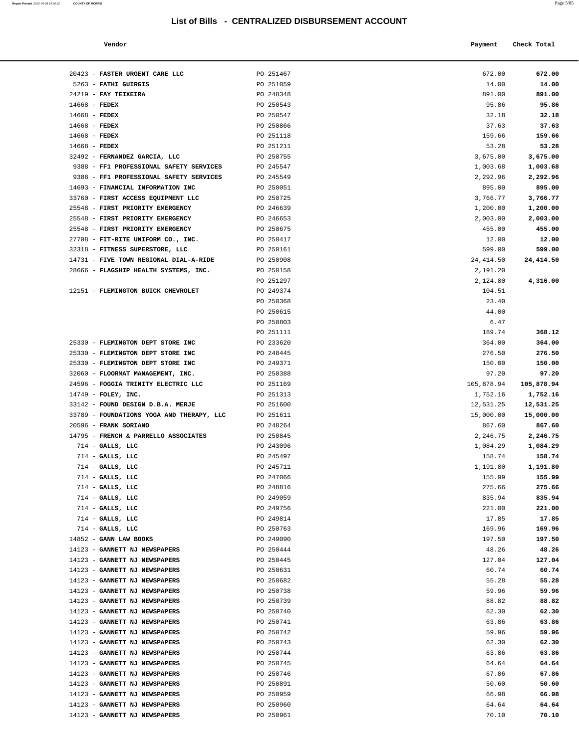**Report Printed** 2022-04-08 14:36:22 **COUNTY OF MORRIS** Page 5/85

#### **Vendor Check Total Payment Check Total**

| 20423 - FASTER URGENT CARE LLC<br>5263 - FATHI GUIRGIS                          | PO 251467<br>PO 251059 | 672.00<br>14.00        | 672.00<br>14.00     |
|---------------------------------------------------------------------------------|------------------------|------------------------|---------------------|
| 24219 - FAY TEIXEIRA                                                            | PO 248348              | 891.00                 | 891.00              |
| $14668$ - FEDEX                                                                 | PO 250543              | 95.86                  | 95.86               |
| $14668$ - FEDEX                                                                 | PO 250547              | 32.18                  | 32.18               |
| $14668$ - FEDEX                                                                 | PO 250866              | 37.63                  | 37.63               |
| $14668$ - FEDEX                                                                 | PO 251118              | 159.66                 | 159.66              |
| $14668$ - FEDEX                                                                 | PO 251211              | 53.28                  | 53.28               |
| 32492 - FERNANDEZ GARCIA, LLC                                                   | PO 250755              | 3,675.00               | 3,675.00            |
| 9388 - FF1 PROFESSIONAL SAFETY SERVICES                                         | PO 245547              | 1,003.68               | 1,003.68            |
| 9388 - FF1 PROFESSIONAL SAFETY SERVICES                                         | PO 245549              | 2,292.96               | 2,292.96            |
| 14693 - FINANCIAL INFORMATION INC                                               | PO 250051              | 895.00                 | 895.00              |
| 33760 - FIRST ACCESS EQUIPMENT LLC                                              | PO 250725              | 3,766.77               | 3,766.77            |
| 25548 - FIRST PRIORITY EMERGENCY                                                | PO 246639              | 1,200.00               | 1,200.00            |
| 25548 - FIRST PRIORITY EMERGENCY                                                | PO 246653              | 2,003.00               | 2,003.00            |
| 25548 - FIRST PRIORITY EMERGENCY                                                | PO 250675              | 455.00                 | 455.00              |
| 27708 - FIT-RITE UNIFORM CO., INC.                                              | PO 250417              | 12.00                  | 12.00               |
| 32318 - FITNESS SUPERSTORE, LLC                                                 | PO 250161<br>PO 250908 | 599.00                 | 599.00              |
| 14731 - FIVE TOWN REGIONAL DIAL-A-RIDE<br>28666 - FLAGSHIP HEALTH SYSTEMS, INC. | PO 250158              | 24, 414.50<br>2,191.20 | 24, 414.50          |
|                                                                                 | PO 251297              | 2,124.80               | 4,316.00            |
| 12151 - FLEMINGTON BUICK CHEVROLET                                              | PO 249374              | 104.51                 |                     |
|                                                                                 | PO 250368              | 23.40                  |                     |
|                                                                                 | PO 250615              | 44.00                  |                     |
|                                                                                 | PO 250803              | 6.47                   |                     |
|                                                                                 | PO 251111              | 189.74                 | 368.12              |
| 25330 - FLEMINGTON DEPT STORE INC                                               | PO 233620              | 364.00                 | 364.00              |
| 25330 - FLEMINGTON DEPT STORE INC                                               | PO 248445              | 276.50                 | 276.50              |
| 25330 - FLEMINGTON DEPT STORE INC                                               | PO 249371              | 150.00                 | 150.00              |
| 32060 - FLOORMAT MANAGEMENT, INC.                                               | PO 250388              | 97.20                  | 97.20               |
| 24596 - FOGGIA TRINITY ELECTRIC LLC                                             | PO 251169              | 105,878.94             | 105,878.94          |
| 14749 - FOLEY, INC.                                                             | PO 251313              | 1,752.16               | 1,752.16            |
| 33142 - FOUND DESIGN D.B.A. MERJE                                               | PO 251600              | 12,531.25              | 12,531.25           |
| 33789 - FOUNDATIONS YOGA AND THERAPY, LLC<br>20596 - FRANK SORIANO              | PO 251611<br>PO 248264 | 15,000.00<br>867.60    | 15,000.00<br>867.60 |
| 14795 - FRENCH & PARRELLO ASSOCIATES                                            | PO 250845              | 2,246.75               | 2,246.75            |
| $714$ - GALLS, LLC                                                              | PO 243096              | 1,084.29               | 1,084.29            |
| $714$ - GALLS, LLC                                                              | PO 245497              | 158.74                 | 158.74              |
| $714$ - GALLS, LLC                                                              | PO 245711              | 1,191.80               | 1,191.80            |
| $714$ - GALLS, LLC                                                              | PO 247066              | 155.99                 | 155.99              |
| $714$ - GALLS, LLC                                                              | PO 248816              | 275.66                 | 275.66              |
| $714$ - GALLS, LLC                                                              | PO 249059              | 835.94                 | 835.94              |
| $714$ - GALLS, LLC                                                              | PO 249756              | 221.00                 | 221.00              |
| $714$ - GALLS, LLC                                                              | PO 249814              | 17.85                  | 17.85               |
| $714$ - GALLS, LLC                                                              | PO 250763              | 169.96                 | 169.96              |
| 14852 - GANN LAW BOOKS                                                          | PO 249090              | 197.50                 | 197.50              |
| 14123 - GANNETT NJ NEWSPAPERS                                                   | PO 250444              | 48.26                  | 48.26               |
| 14123 - GANNETT NJ NEWSPAPERS                                                   | PO 250445              | 127.04                 | 127.04              |
| 14123 - GANNETT NJ NEWSPAPERS<br>14123 - GANNETT NJ NEWSPAPERS                  | PO 250631<br>PO 250682 | 60.74<br>55.28         | 60.74<br>55.28      |
| 14123 - GANNETT NJ NEWSPAPERS                                                   | PO 250738              | 59.96                  | 59.96               |
| 14123 - GANNETT NJ NEWSPAPERS                                                   | PO 250739              | 88.82                  | 88.82               |
| 14123 - GANNETT NJ NEWSPAPERS                                                   | PO 250740              | 62.30                  | 62.30               |
| 14123 - GANNETT NJ NEWSPAPERS                                                   | PO 250741              | 63.86                  | 63.86               |
| 14123 - GANNETT NJ NEWSPAPERS                                                   | PO 250742              | 59.96                  | 59.96               |
| 14123 - GANNETT NJ NEWSPAPERS                                                   | PO 250743              | 62.30                  | 62.30               |
| 14123 - GANNETT NJ NEWSPAPERS                                                   | PO 250744              | 63.86                  | 63.86               |
| 14123 - GANNETT NJ NEWSPAPERS                                                   | PO 250745              | 64.64                  | 64.64               |
| 14123 - GANNETT NJ NEWSPAPERS                                                   | PO 250746              | 67.86                  | 67.86               |
| 14123 - GANNETT NJ NEWSPAPERS                                                   | PO 250891              | 50.60                  | 50.60               |
| 14123 - GANNETT NJ NEWSPAPERS                                                   | PO 250959              | 66.98                  | 66.98               |
| 14123 - GANNETT NJ NEWSPAPERS                                                   | PO 250960              | 64.64                  | 64.64               |
| 14123 - GANNETT NJ NEWSPAPERS                                                   | PO 250961              | 70.10                  | 70.10               |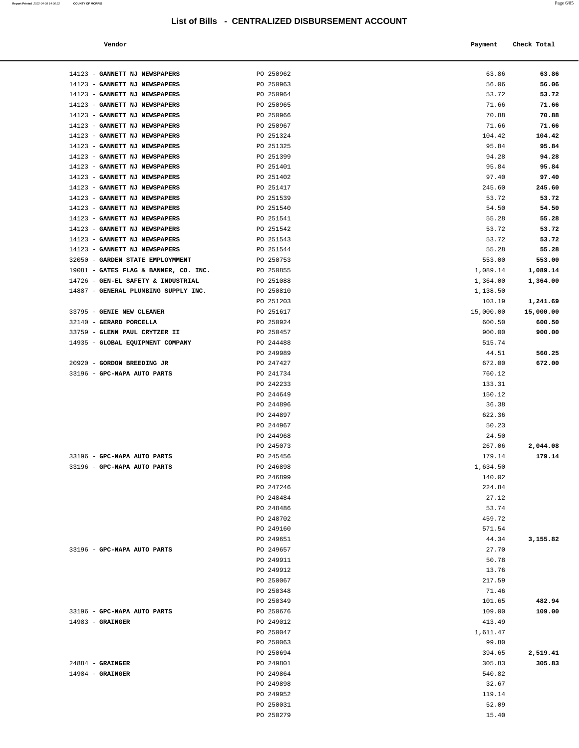| Vendor | Payment | Check Total |
|--------|---------|-------------|

| 14123 - GANNETT NJ NEWSPAPERS                                  | PO 250962              | 63.86            | 63.86            |
|----------------------------------------------------------------|------------------------|------------------|------------------|
| 14123 - GANNETT NJ NEWSPAPERS                                  | PO 250963              | 56.06            | 56.06            |
| 14123 - GANNETT NJ NEWSPAPERS                                  | PO 250964              | 53.72            | 53.72            |
| 14123 - GANNETT NJ NEWSPAPERS                                  | PO 250965              | 71.66            | 71.66            |
| 14123 - GANNETT NJ NEWSPAPERS                                  | PO 250966              | 70.88            | 70.88            |
| 14123 - GANNETT NJ NEWSPAPERS                                  | PO 250967              | 71.66            | 71.66            |
| 14123 - GANNETT NJ NEWSPAPERS                                  | PO 251324              | 104.42           | 104.42           |
| 14123 - GANNETT NJ NEWSPAPERS                                  | PO 251325              | 95.84            | 95.84            |
| 14123 - GANNETT NJ NEWSPAPERS                                  | PO 251399              | 94.28            | 94.28            |
| 14123 - GANNETT NJ NEWSPAPERS                                  | PO 251401              | 95.84            | 95.84            |
| 14123 - GANNETT NJ NEWSPAPERS                                  | PO 251402              | 97.40            | 97.40            |
| 14123 - GANNETT NJ NEWSPAPERS                                  | PO 251417              | 245.60           | 245.60           |
| 14123 - GANNETT NJ NEWSPAPERS                                  | PO 251539              | 53.72            | 53.72            |
| 14123 - GANNETT NJ NEWSPAPERS                                  | PO 251540              | 54.50            | 54.50            |
| 14123 - GANNETT NJ NEWSPAPERS<br>14123 - GANNETT NJ NEWSPAPERS | PO 251541<br>PO 251542 | 55.28<br>53.72   | 55.28<br>53.72   |
| 14123 - GANNETT NJ NEWSPAPERS                                  | PO 251543              | 53.72            | 53.72            |
| 14123 - GANNETT NJ NEWSPAPERS                                  | PO 251544              | 55.28            | 55.28            |
| 32050 - GARDEN STATE EMPLOYMMENT                               | PO 250753              | 553.00           | 553.00           |
| 19081 - GATES FLAG & BANNER, CO. INC.                          | PO 250855              | 1,089.14         | 1,089.14         |
| 14726 - GEN-EL SAFETY & INDUSTRIAL                             | PO 251088              | 1,364.00         | 1,364.00         |
| 14887 - GENERAL PLUMBING SUPPLY INC.                           | PO 250810              | 1,138.50         |                  |
|                                                                | PO 251203              | 103.19           | 1,241.69         |
| 33795 - GENIE NEW CLEANER                                      | PO 251617              | 15,000.00        | 15,000.00        |
| 32140 - GERARD PORCELLA                                        | PO 250924              | 600.50           | 600.50           |
| 33759 - GLENN PAUL CRYTZER II                                  | PO 250457              | 900.00           | 900.00           |
| 14935 - GLOBAL EQUIPMENT COMPANY                               | PO 244488              | 515.74           |                  |
|                                                                | PO 249989              | 44.51            | 560.25           |
| 20920 - GORDON BREEDING JR                                     | PO 247427              | 672.00           | 672.00           |
| 33196 - GPC-NAPA AUTO PARTS                                    | PO 241734              | 760.12           |                  |
|                                                                | PO 242233              | 133.31           |                  |
|                                                                | PO 244649              | 150.12           |                  |
|                                                                | PO 244896              | 36.38            |                  |
|                                                                | PO 244897              | 622.36           |                  |
|                                                                | PO 244967              | 50.23            |                  |
|                                                                | PO 244968<br>PO 245073 | 24.50<br>267.06  | 2,044.08         |
| 33196 - GPC-NAPA AUTO PARTS                                    | PO 245456              | 179.14           | 179.14           |
| 33196 - GPC-NAPA AUTO PARTS                                    | PO 246898              | 1,634.50         |                  |
|                                                                | PO 246899              | 140.02           |                  |
|                                                                | PO 247246              | 224.84           |                  |
|                                                                | PO 248484              | 27.12            |                  |
|                                                                | PO 248486              | 53.74            |                  |
|                                                                | PO 248702              | 459.72           |                  |
|                                                                | PO 249160              | 571.54           |                  |
|                                                                | PO 249651              | 44.34            | 3,155.82         |
| 33196 - GPC-NAPA AUTO PARTS                                    | PO 249657              | 27.70            |                  |
|                                                                | PO 249911              | 50.78            |                  |
|                                                                | PO 249912              | 13.76            |                  |
|                                                                | PO 250067              | 217.59           |                  |
|                                                                | PO 250348              | 71.46            |                  |
| 33196 - GPC-NAPA AUTO PARTS                                    | PO 250349<br>PO 250676 | 101.65<br>109.00 | 482.94<br>109.00 |
| $14983$ - GRAINGER                                             | PO 249012              | 413.49           |                  |
|                                                                | PO 250047              | 1,611.47         |                  |
|                                                                | PO 250063              | 99.80            |                  |
|                                                                | PO 250694              | 394.65           | 2,519.41         |
| $24884$ - GRAINGER                                             | PO 249801              | 305.83           | 305.83           |
| $14984$ - GRAINGER                                             | PO 249864              | 540.82           |                  |
|                                                                | PO 249898              | 32.67            |                  |
|                                                                | PO 249952              | 119.14           |                  |
|                                                                | PO 250031              | 52.09            |                  |
|                                                                | PO 250279              | 15.40            |                  |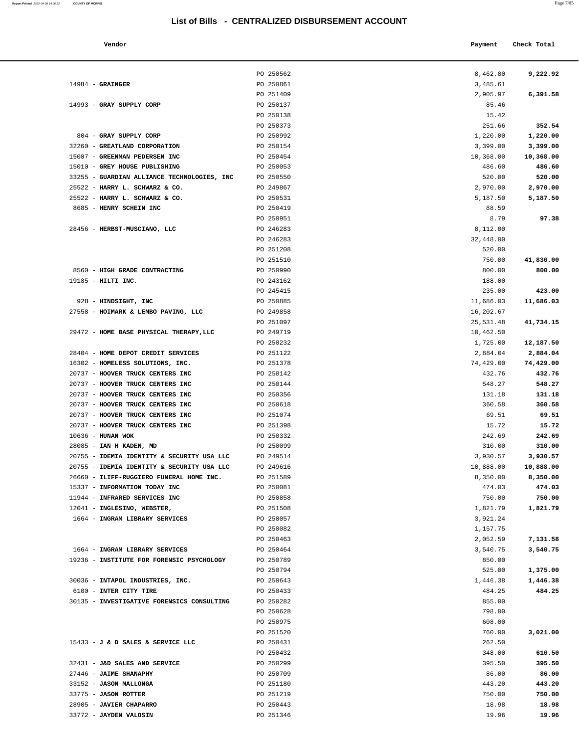**Vendor Check Total**   $\blacksquare$  **Payment** Check Total  $\blacksquare$ 

|                                                                        | PO 250562              | 8,462.80              | 9,222.92              |
|------------------------------------------------------------------------|------------------------|-----------------------|-----------------------|
| $14984$ - GRAINGER                                                     | PO 250861              | 3,485.61              |                       |
|                                                                        | PO 251409              | 2,905.97              | 6,391.58              |
| 14993 - GRAY SUPPLY CORP                                               | PO 250137              | 85.46                 |                       |
|                                                                        | PO 250138              | 15.42                 |                       |
|                                                                        | PO 250373              | 251.66                | 352.54                |
| 804 - GRAY SUPPLY CORP                                                 | PO 250992              | 1,220.00              | 1,220.00              |
| 32260 - GREATLAND CORPORATION<br>15007 - GREENMAN PEDERSEN INC         | PO 250154<br>PO 250454 | 3,399.00<br>10,368.00 | 3,399.00<br>10,368.00 |
| 15010 - GREY HOUSE PUBLISHING                                          | PO 250053              | 486.60                | 486.60                |
| 33255 - GUARDIAN ALLIANCE TECHNOLOGIES, INC                            | PO 250550              | 520.00                | 520.00                |
| 25522 - HARRY L. SCHWARZ & CO.                                         | PO 249867              | 2,970.00              | 2,970.00              |
| 25522 - HARRY L. SCHWARZ & CO.                                         | PO 250531              | 5,187.50              | 5,187.50              |
| 8685 - HENRY SCHEIN INC                                                | PO 250419              | 88.59                 |                       |
|                                                                        | PO 250951              | 8.79                  | 97.38                 |
| 28456 - HERBST-MUSCIANO, LLC                                           | PO 246283              | 8,112.00              |                       |
|                                                                        | PO 246283              | 32,448.00             |                       |
|                                                                        | PO 251208              | 520.00                |                       |
|                                                                        | PO 251510              | 750.00                | 41,830.00             |
| 8560 - HIGH GRADE CONTRACTING                                          | PO 250990              | 800.00                | 800.00                |
| 19185 - HILTI INC.                                                     | PO 243162              | 188.00                |                       |
|                                                                        | PO 245415              | 235.00                | 423.00                |
| 928 - HINDSIGHT, INC                                                   | PO 250885              | 11,686.03             | 11,686.03             |
| 27558 - HOIMARK & LEMBO PAVING, LLC                                    | PO 249858              | 16,202.67             |                       |
|                                                                        | PO 251097              | 25,531.48             | 41,734.15             |
| 29472 - HOME BASE PHYSICAL THERAPY, LLC                                | PO 249719              | 10,462.50             |                       |
|                                                                        | PO 250232              | 1,725.00              | 12,187.50             |
| 28404 - HOME DEPOT CREDIT SERVICES<br>16302 - HOMELESS SOLUTIONS, INC. | PO 251122<br>PO 251378 | 2,884.04<br>74,429.00 | 2,884.04<br>74,429.00 |
| 20737 - HOOVER TRUCK CENTERS INC                                       | PO 250142              | 432.76                | 432.76                |
| 20737 - HOOVER TRUCK CENTERS INC                                       | PO 250144              | 548.27                | 548.27                |
| 20737 - HOOVER TRUCK CENTERS INC                                       | PO 250356              | 131.18                | 131.18                |
| 20737 - HOOVER TRUCK CENTERS INC                                       | PO 250618              | 360.58                | 360.58                |
| 20737 - HOOVER TRUCK CENTERS INC                                       | PO 251074              | 69.51                 | 69.51                 |
| 20737 - HOOVER TRUCK CENTERS INC                                       | PO 251398              | 15.72                 | 15.72                 |
| $10636$ - HUNAN WOK                                                    | PO 250332              | 242.69                | 242.69                |
| 28085 - IAN H KADEN, MD                                                | PO 250099              | 310.00                | 310.00                |
| 20755 - IDEMIA IDENTITY & SECURITY USA LLC                             | PO 249514              | 3,930.57              | 3,930.57              |
| 20755 - IDEMIA IDENTITY & SECURITY USA LLC                             | PO 249616              | 10,888.00             | 10,888.00             |
| 26660 - ILIFF-RUGGIERO FUNERAL HOME INC.                               | PO 251589              | 8,350.00              | 8,350.00              |
| 15337 - INFORMATION TODAY INC                                          | PO 250081              | 474.03                | 474.03                |
| 11944 - INFRARED SERVICES INC                                          | PO 250858              | 750.00                | 750.00                |
| 12041 - INGLESINO, WEBSTER,<br>1664 - INGRAM LIBRARY SERVICES          | PO 251508<br>PO 250057 | 1,821.79<br>3,921.24  | 1,821.79              |
|                                                                        | PO 250082              | 1,157.75              |                       |
|                                                                        | PO 250463              | 2,052.59              | 7,131.58              |
| 1664 - INGRAM LIBRARY SERVICES                                         | PO 250464              | 3,540.75              | 3,540.75              |
| 19236 - INSTITUTE FOR FORENSIC PSYCHOLOGY                              | PO 250789              | 850.00                |                       |
|                                                                        | PO 250794              | 525.00                | 1,375.00              |
| 30036 - INTAPOL INDUSTRIES, INC.                                       | PO 250643              | 1,446.38              | 1,446.38              |
| 6100 - INTER CITY TIRE                                                 | PO 250433              | 484.25                | 484.25                |
| 30135 - INVESTIGATIVE FORENSICS CONSULTING                             | PO 250282              | 855.00                |                       |
|                                                                        | PO 250628              | 798.00                |                       |
|                                                                        | PO 250975              | 608.00                |                       |
|                                                                        | PO 251520              | 760.00                | 3,021.00              |
| 15433 - J & D SALES & SERVICE LLC                                      | PO 250431              | 262.50                |                       |
|                                                                        | PO 250432              | 348.00                | 610.50                |
| 32431 - J&D SALES AND SERVICE<br>27446 - JAIME SHANAPHY                | PO 250299<br>PO 250709 | 395.50<br>86.00       | 395.50<br>86.00       |
| 33152 - JASON MALLONGA                                                 | PO 251180              | 443.20                | 443.20                |
| 33775 - JASON ROTTER                                                   | PO 251219              | 750.00                | 750.00                |
| 28905 - JAVIER CHAPARRO                                                | PO 250443              | 18.98                 | 18.98                 |
| 33772 - JAYDEN VALOSIN                                                 | PO 251346              | 19.96                 | 19.96                 |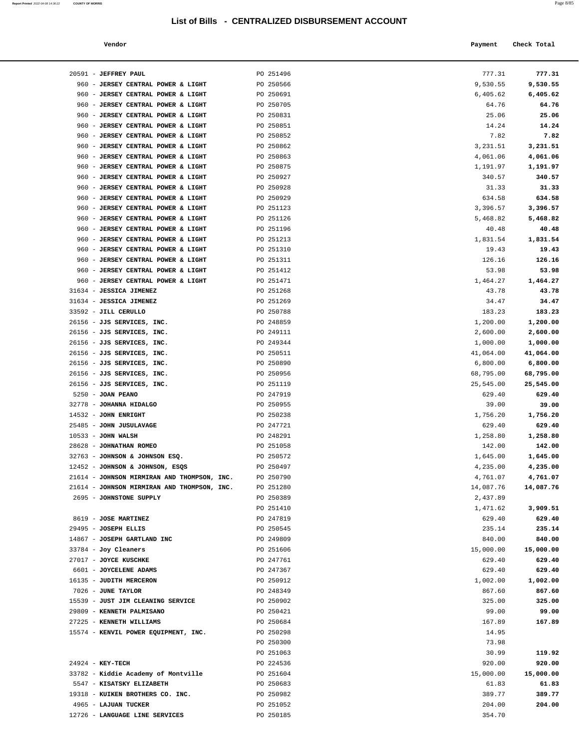**Report Printed** 2022-04-08 14:36:22 **COUNTY OF MORRIS** 

| Vendor |  | Payment Check Total |
|--------|--|---------------------|
|--------|--|---------------------|

| 20591 - JEFFREY PAUL                        | PO 251496              | 777.31    | 777.31    |
|---------------------------------------------|------------------------|-----------|-----------|
| 960 - JERSEY CENTRAL POWER & LIGHT          | PO 250566              | 9,530.55  | 9,530.55  |
| 960 - JERSEY CENTRAL POWER & LIGHT          | PO 250691              | 6,405.62  | 6,405.62  |
| 960 - JERSEY CENTRAL POWER & LIGHT          | PO 250705              | 64.76     | 64.76     |
| 960 - JERSEY CENTRAL POWER & LIGHT          | PO 250831              | 25.06     | 25.06     |
| 960 - JERSEY CENTRAL POWER & LIGHT          |                        |           |           |
|                                             | PO 250851              | 14.24     | 14.24     |
| 960 - JERSEY CENTRAL POWER & LIGHT          | PO 250852              | 7.82      | 7.82      |
| 960 - JERSEY CENTRAL POWER & LIGHT          | PO 250862<br>PO 250863 | 3,231.51  | 3,231.51  |
| 960 - JERSEY CENTRAL POWER & LIGHT          |                        | 4,061.06  | 4,061.06  |
| 960 - JERSEY CENTRAL POWER & LIGHT          | PO 250875              | 1,191.97  | 1,191.97  |
| 960 - JERSEY CENTRAL POWER & LIGHT          | PO 250927              | 340.57    | 340.57    |
| 960 - JERSEY CENTRAL POWER & LIGHT          | PO 250928              | 31.33     | 31.33     |
| 960 - JERSEY CENTRAL POWER & LIGHT          | PO 250929              | 634.58    | 634.58    |
| 960 - JERSEY CENTRAL POWER & LIGHT          | PO 251123              | 3,396.57  | 3,396.57  |
| 960 - JERSEY CENTRAL POWER & LIGHT          | PO 251126              | 5,468.82  | 5,468.82  |
| 960 - JERSEY CENTRAL POWER & LIGHT          | PO 251196              | 40.48     | 40.48     |
| 960 - JERSEY CENTRAL POWER & LIGHT          | PO 251213              | 1,831.54  | 1,831.54  |
| 960 - JERSEY CENTRAL POWER & LIGHT          | PO 251310              | 19.43     | 19.43     |
| 960 - JERSEY CENTRAL POWER & LIGHT          | PO 251311              | 126.16    | 126.16    |
| 960 - JERSEY CENTRAL POWER & LIGHT          | PO 251412              | 53.98     | 53.98     |
| 960 - JERSEY CENTRAL POWER & LIGHT          | PO 251471              | 1,464.27  | 1,464.27  |
| 31634 - JESSICA JIMENEZ                     | PO 251268              | 43.78     | 43.78     |
| 31634 - JESSICA JIMENEZ                     | PO 251269              | 34.47     | 34.47     |
| 33592 - JILL CERULLO                        | PO 250788              | 183.23    | 183.23    |
| 26156 - JJS SERVICES, INC.                  | PO 248859              | 1,200.00  | 1,200.00  |
| 26156 - JJS SERVICES, INC.                  | PO 249111              | 2,600.00  | 2,600.00  |
| 26156 - JJS SERVICES, INC.                  | PO 249344              | 1,000.00  | 1,000.00  |
| 26156 - JJS SERVICES, INC.                  | PO 250511              | 41,064.00 | 41,064.00 |
| 26156 - JJS SERVICES, INC.                  | PO 250890              | 6,800.00  | 6,800.00  |
| 26156 - JJS SERVICES, INC.                  | PO 250956              | 68,795.00 | 68,795.00 |
| 26156 - JJS SERVICES, INC.                  | PO 251119              | 25,545.00 | 25,545.00 |
| 5250 - JOAN PEANO                           | PO 247919              | 629.40    | 629.40    |
| 32778 - JOHANNA HIDALGO                     | PO 250955              | 39.00     | 39.00     |
| 14532 - JOHN ENRIGHT                        | PO 250238              | 1,756.20  | 1,756.20  |
| 25485 - JOHN JUSULAVAGE                     | PO 247721              | 629.40    | 629.40    |
| $10533 - JOHN WALSH$                        | PO 248291              | 1,258.80  | 1,258.80  |
| 28628 - JOHNATHAN ROMEO                     | PO 251058              | 142.00    | 142.00    |
| 32763 - JOHNSON & JOHNSON ESQ.              | PO 250572              | 1,645.00  | 1,645.00  |
| 12452 - JOHNSON & JOHNSON, ESQS             | PO 250497              | 4,235.00  | 4,235.00  |
| 21614 - JOHNSON MIRMIRAN AND THOMPSON, INC. | PO 250790              | 4,761.07  | 4,761.07  |
| 21614 - JOHNSON MIRMIRAN AND THOMPSON, INC. | PO 251280              | 14,087.76 | 14,087.76 |
| 2695 - JOHNSTONE SUPPLY                     | PO 250389              | 2,437.89  |           |
|                                             | PO 251410              | 1,471.62  | 3,909.51  |
| 8619 - JOSE MARTINEZ                        | PO 247819              | 629.40    | 629.40    |
| 29495 - JOSEPH ELLIS                        | PO 250545              | 235.14    | 235.14    |
| 14867 - JOSEPH GARTLAND INC                 | PO 249809              | 840.00    | 840.00    |
| 33784 - Joy Cleaners                        | PO 251606              | 15,000.00 | 15,000.00 |
| 27017 - JOYCE KUSCHKE                       | PO 247761              | 629.40    | 629.40    |
| 6601 - JOYCELENE ADAMS                      | PO 247367              | 629.40    | 629.40    |
| 16135 - JUDITH MERCERON                     | PO 250912              | 1,002.00  | 1,002.00  |
| 7026 - JUNE TAYLOR                          | PO 248349              | 867.60    | 867.60    |
| 15539 - JUST JIM CLEANING SERVICE           | PO 250902              | 325.00    | 325.00    |
| 29809 - KENNETH PALMISANO                   | PO 250421              | 99.00     | 99.00     |
| 27225 - KENNETH WILLIAMS                    | PO 250684              | 167.89    | 167.89    |
| 15574 - KENVIL POWER EQUIPMENT, INC.        | PO 250298              | 14.95     |           |
|                                             | PO 250300              | 73.98     |           |
|                                             | PO 251063              | 30.99     | 119.92    |
| 24924 - KEY-TECH                            | PO 224536              | 920.00    | 920.00    |
| 33782 - Kiddie Academy of Montville         | PO 251604              | 15,000.00 | 15,000.00 |
| 5547 - KISATSKY ELIZABETH                   | PO 250683              | 61.83     | 61.83     |
| 19318 - KUIKEN BROTHERS CO. INC.            | PO 250982              | 389.77    | 389.77    |
| 4965 - LAJUAN TUCKER                        | PO 251052              | 204.00    | 204.00    |
| 12726 - LANGUAGE LINE SERVICES              | PO 250185              | 354.70    |           |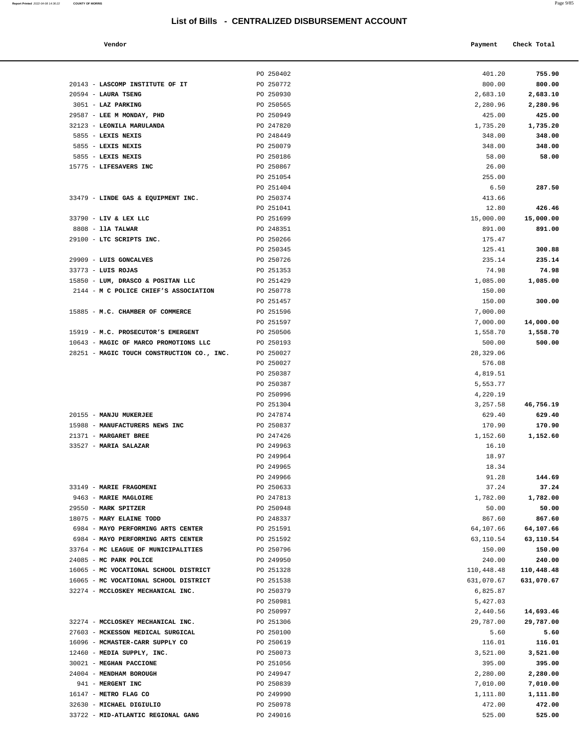| Report Printed 2022-04-08 14:36:22 | <b>COUNTY OF MORRIS</b> | Page 9/85 |
|------------------------------------|-------------------------|-----------|
|                                    |                         |           |

| Vendor | Payment Check Total |
|--------|---------------------|
|        |                     |

|                                                                          | PO 250402              | 401.20              | 755.90                 |
|--------------------------------------------------------------------------|------------------------|---------------------|------------------------|
| 20143 - LASCOMP INSTITUTE OF IT                                          | PO 250772              | 800.00              | 800.00                 |
| $20594$ - LAURA TSENG                                                    | PO 250930              | 2,683.10            | 2,683.10               |
| 3051 - LAZ PARKING                                                       | PO 250565              | 2,280.96            | 2,280.96               |
| 29587 - LEE M MONDAY, PHD                                                | PO 250949              | 425.00              | 425.00                 |
| 32123 - LEONILA MARULANDA                                                | PO 247820              | 1,735.20            | 1,735.20               |
| 5855 - LEXIS NEXIS                                                       | PO 248449              | 348.00              | 348.00                 |
| 5855 - LEXIS NEXIS                                                       | PO 250079              | 348.00              | 348.00                 |
| 5855 - LEXIS NEXIS                                                       | PO 250186              | 58.00               | 58.00                  |
| 15775 - LIFESAVERS INC                                                   | PO 250867              | 26.00               |                        |
|                                                                          | PO 251054              | 255.00              |                        |
|                                                                          | PO 251404              | 6.50                | 287.50                 |
| 33479 - LINDE GAS & EQUIPMENT INC.                                       | PO 250374              | 413.66              |                        |
|                                                                          | PO 251041              | 12.80               | 426.46                 |
| 33790 - LIV & LEX LLC                                                    | PO 251699              | 15,000.00           | 15,000.00              |
| 8808 - 11A TALWAR                                                        | PO 248351              | 891.00              | 891.00                 |
| 29100 - LTC SCRIPTS INC.                                                 | PO 250266              | 175.47              |                        |
|                                                                          | PO 250345              | 125.41              | 300.88                 |
| 29909 - LUIS GONCALVES                                                   | PO 250726              | 235.14              | 235.14                 |
| $33773 - LUIS$ ROJAS<br>15850 - LUM, DRASCO & POSITAN LLC                | PO 251353              | 74.98               | 74.98                  |
| 2144 - M C POLICE CHIEF'S ASSOCIATION                                    | PO 251429<br>PO 250778 | 1,085.00            | 1,085.00               |
|                                                                          | PO 251457              | 150.00<br>150.00    | 300.00                 |
| 15885 - M.C. CHAMBER OF COMMERCE                                         | PO 251596              | 7,000.00            |                        |
|                                                                          | PO 251597              | 7,000.00            | 14,000.00              |
| 15919 - M.C. PROSECUTOR'S EMERGENT                                       | PO 250506              | 1,558.70            | 1,558.70               |
| 10643 - MAGIC OF MARCO PROMOTIONS LLC                                    | PO 250193              | 500.00              | 500.00                 |
| 28251 - MAGIC TOUCH CONSTRUCTION CO., INC.                               | PO 250027              | 28,329.06           |                        |
|                                                                          | PO 250027              | 576.08              |                        |
|                                                                          | PO 250387              | 4,819.51            |                        |
|                                                                          | PO 250387              | 5,553.77            |                        |
|                                                                          | PO 250996              | 4,220.19            |                        |
|                                                                          | PO 251304              | 3,257.58            | 46,756.19              |
| 20155 - MANJU MUKERJEE                                                   | PO 247874              | 629.40              | 629.40                 |
| 15988 - MANUFACTURERS NEWS INC                                           | PO 250837              | 170.90              | 170.90                 |
| 21371 - MARGARET BREE                                                    | PO 247426              | 1,152.60            | 1,152.60               |
| 33527 - MARIA SALAZAR                                                    | PO 249963              | 16.10               |                        |
|                                                                          | PO 249964              | 18.97               |                        |
|                                                                          | PO 249965              | 18.34               |                        |
|                                                                          | PO 249966              | 91.28               | 144.69                 |
| 33149 - MARIE FRAGOMENI                                                  | PO 250633              | 37.24               | 37.24                  |
| 9463 - MARIE MAGLOIRE                                                    | PO 247813              | 1,782.00            | 1,782.00               |
| 29550 - MARK SPITZER                                                     | PO 250948              | 50.00               | 50.00                  |
| 18075 - MARY ELAINE TODD                                                 | PO 248337              | 867.60              | 867.60                 |
| 6984 - MAYO PERFORMING ARTS CENTER<br>6984 - MAYO PERFORMING ARTS CENTER | PO 251591<br>PO 251592 | 64,107.66           | 64,107.66<br>63,110.54 |
| 33764 - MC LEAGUE OF MUNICIPALITIES                                      | PO 250796              | 63,110.54<br>150.00 | 150.00                 |
| 24085 - MC PARK POLICE                                                   | PO 249950              | 240.00              | 240.00                 |
| 16065 - MC VOCATIONAL SCHOOL DISTRICT                                    | PO 251328              | 110,448.48          | 110,448.48             |
| 16065 - MC VOCATIONAL SCHOOL DISTRICT                                    | PO 251538              | 631,070.67          | 631,070.67             |
| 32274 - MCCLOSKEY MECHANICAL INC.                                        | PO 250379              | 6,825.87            |                        |
|                                                                          | PO 250981              | 5,427.03            |                        |
|                                                                          | PO 250997              | 2,440.56            | 14,693.46              |
| 32274 - MCCLOSKEY MECHANICAL INC.                                        | PO 251306              | 29,787.00           | 29,787.00              |
| 27603 - MCKESSON MEDICAL SURGICAL                                        | PO 250100              | 5.60                | 5.60                   |
| 16096 - MCMASTER-CARR SUPPLY CO                                          | PO 250619              | 116.01              | 116.01                 |
| 12460 - MEDIA SUPPLY, INC.                                               | PO 250073              | 3,521.00            | 3,521.00               |
| 30021 - MEGHAN PACCIONE                                                  | PO 251056              | 395.00              | 395.00                 |
| 24004 - MENDHAM BOROUGH                                                  | PO 249947              | 2,280.00            | 2,280.00               |
| 941 - MERGENT INC                                                        | PO 250839              | 7,010.00            | 7,010.00               |
| 16147 - METRO FLAG CO                                                    | PO 249990              | 1,111.80            | 1,111.80               |
| 32630 - MICHAEL DIGIULIO                                                 | PO 250978              | 472.00              | 472.00                 |
| 33722 - MID-ATLANTIC REGIONAL GANG                                       | PO 249016              | 525.00              | 525.00                 |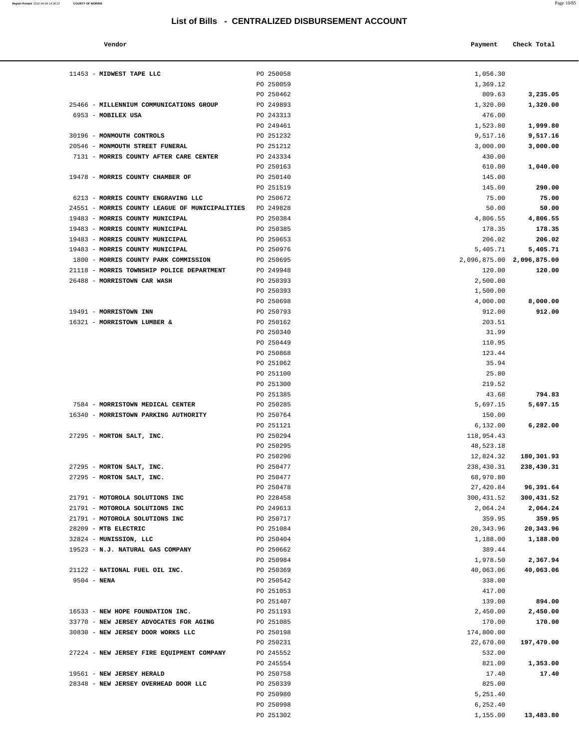**Report Printed** 2022-04-08 14:36:22 **COUNTY OF MORRIS** Page 10/85

| Vendor                                   |           | Payment    | Check Total               |
|------------------------------------------|-----------|------------|---------------------------|
| MIDWEST TAPE LLC                         | PO 250058 | 1,056.30   |                           |
|                                          | PO 250059 | 1,369.12   |                           |
|                                          | PO 250462 | 809.63     | 3,235.05                  |
| MILLENNIUM COMMUNICATIONS GROUP          | PO 249893 | 1,320.00   | 1,320.00                  |
| MOBILEX USA                              | PO 243313 | 476.00     |                           |
|                                          | PO 249461 | 1,523.80   | 1,999.80                  |
| MONMOUTH CONTROLS                        | PO 251232 | 9,517.16   | 9,517.16                  |
| <b>MONMOUTH STREET FUNERAL</b>           | PO 251212 | 3,000.00   | 3,000.00                  |
| MORRIS COUNTY AFTER CARE CENTER          | PO 243334 | 430.00     |                           |
|                                          | PO 250163 | 610.00     | 1,040.00                  |
| <b>MORRIS COUNTY CHAMBER OF</b>          | PO 250140 | 145.00     |                           |
|                                          | PO 251519 | 145.00     | 290.00                    |
| MORRIS COUNTY ENGRAVING LLC              | PO 250672 | 75.00      | 75.00                     |
| MORRIS COUNTY LEAGUE OF MUNICIPALITIES   | PO 249828 | 50.00      | 50.00                     |
| MORRIS COUNTY MUNICIPAL                  | PO 250384 | 4,806.55   | 4,806.55                  |
| MORRIS COUNTY MUNICIPAL                  | PO 250385 | 178.35     | 178.35                    |
| MORRIS COUNTY MUNICIPAL                  | PO 250653 | 206.02     | 206.02                    |
| MORRIS COUNTY MUNICIPAL                  | PO 250976 | 5,405.71   | 5,405.71                  |
| MORRIS COUNTY PARK COMMISSION            | PO 250695 |            | 2,096,875.00 2,096,875.00 |
| MORRIS TOWNSHIP POLICE DEPARTMENT        | PO 249948 | 120.00     | 120.00                    |
| <b>MORRISTOWN CAR WASH</b>               | PO 250393 | 2,500.00   |                           |
|                                          | PO 250393 | 1,500.00   |                           |
|                                          | PO 250698 | 4,000.00   | 8,000.00                  |
| <b>MORRISTOWN INN</b>                    | PO 250793 | 912.00     | 912.00                    |
| <b>MORRISTOWN LUMBER &amp;</b>           | PO 250162 | 203.51     |                           |
|                                          | PO 250340 | 31.99      |                           |
|                                          | PO 250449 | 110.95     |                           |
|                                          | PO 250868 | 123.44     |                           |
|                                          | PO 251062 | 35.94      |                           |
|                                          | PO 251100 | 25.80      |                           |
|                                          | PO 251300 | 219.52     |                           |
|                                          | PO 251385 | 43.68      | 794.83                    |
| MORRISTOWN MEDICAL CENTER                | PO 250285 | 5,697.15   | 5,697.15                  |
| <b>MORRISTOWN PARKING AUTHORITY</b>      | PO 250764 | 150.00     |                           |
|                                          | PO 251121 | 6,132.00   | 6,282.00                  |
| MORTON SALT, INC.                        | PO 250294 | 118,954.43 |                           |
|                                          | PO 250295 | 48,523.18  |                           |
|                                          | PO 250296 | 12,824.32  | 180,301.93                |
| MORTON SALT, INC.                        | PO 250477 | 238,430.31 | 238,430.31                |
| MORTON SALT, INC.                        | PO 250477 | 68,970.80  |                           |
|                                          | PO 250478 | 27,420.84  | 96,391.64                 |
| MOTOROLA SOLUTIONS INC                   | PO 228458 | 300,431.52 | 300,431.52                |
| MOTOROLA SOLUTIONS INC                   | PO 249613 | 2,064.24   | 2,064.24                  |
| MOTOROLA SOLUTIONS INC                   | PO 250717 | 359.95     | 359.95                    |
| <b>MTB ELECTRIC</b>                      | PO 251084 | 20,343.96  | 20,343.96                 |
| MUNISSION, LLC                           | PO 250404 | 1,188.00   | 1,188.00                  |
| <b>N.J. NATURAL GAS COMPANY</b>          | PO 250662 | 389.44     |                           |
|                                          | PO 250984 | 1,978.50   | 2,367.94                  |
| NATIONAL FUEL OIL INC.                   | PO 250369 | 40,063.06  | 40,063.06                 |
| <b>NENA</b>                              | PO 250542 | 338.00     |                           |
|                                          | PO 251053 | 417.00     |                           |
|                                          | PO 251407 | 139.00     | 894.00                    |
| NEW HOPE FOUNDATION INC.                 | PO 251193 | 2,450.00   | 2,450.00                  |
| NEW JERSEY ADVOCATES FOR AGING           | PO 251085 | 170.00     | 170.00                    |
| NEW JERSEY DOOR WORKS LLC                | PO 250198 | 174,800.00 |                           |
|                                          | PO 250231 | 22,670.00  | 197,470.00                |
| <b>NEW JERSEY FIRE EQUIPMENT COMPANY</b> | PO 245552 | 532.00     |                           |
|                                          | PO 245554 | 821.00     | 1,353.00                  |
| <b>NEW JERSEY HERALD</b>                 | PO 250758 | 17.40      | 17.40                     |
| NEW JERSEY OVERHEAD DOOR LLC             | PO 250339 | 825.00     |                           |
|                                          | PO 250980 | 5,251.40   |                           |
|                                          | PO 250998 | 6,252.40   |                           |

PO 251302 1,155.00 **13,483.80** 

| 11453 - MIDWEST TAPE LLC                                 | PO 250058              | 1,056.30                  |                     |
|----------------------------------------------------------|------------------------|---------------------------|---------------------|
|                                                          | PO 250059              | 1,369.12                  |                     |
|                                                          | PO 250462              | 809.63                    | 3,235.05            |
| 25466 - MILLENNIUM COMMUNICATIONS GROUP                  | PO 249893              | 1,320.00                  | 1,320.00            |
| 6953 - MOBILEX USA                                       | PO 243313              | 476.00                    |                     |
|                                                          | PO 249461              | 1,523.80                  | 1,999.80            |
| 30196 - MONMOUTH CONTROLS                                | PO 251232              | 9,517.16                  | 9,517.16            |
| 20546 - MONMOUTH STREET FUNERAL                          | PO 251212              | 3,000.00                  | 3,000.00            |
| 7131 - MORRIS COUNTY AFTER CARE CENTER                   | PO 243334              | 430.00                    |                     |
|                                                          | PO 250163              | 610.00                    | 1,040.00            |
| 19478 - MORRIS COUNTY CHAMBER OF                         | PO 250140              | 145.00                    |                     |
|                                                          | PO 251519              | 145.00                    | 290.00              |
| 6213 - MORRIS COUNTY ENGRAVING LLC                       | PO 250672              | 75.00                     | 75.00               |
| 24551 - MORRIS COUNTY LEAGUE OF MUNICIPALITIES PO 249828 |                        | 50.00                     | 50.00               |
| 19483 - MORRIS COUNTY MUNICIPAL                          | PO 250384              | 4,806.55                  | 4,806.55            |
| 19483 - MORRIS COUNTY MUNICIPAL                          | PO 250385              | 178.35                    | 178.35              |
| 19483 - MORRIS COUNTY MUNICIPAL                          | PO 250653              | 206.02                    | 206.02              |
| 19483 - MORRIS COUNTY MUNICIPAL                          | PO 250976              | 5,405.71                  | 5,405.71            |
| 1800 - MORRIS COUNTY PARK COMMISSION                     | PO 250695<br>PO 249948 | 2,096,875.00 2,096,875.00 | 120.00              |
| 21118 - MORRIS TOWNSHIP POLICE DEPARTMENT                | PO 250393              | 120.00                    |                     |
| 26488 - MORRISTOWN CAR WASH                              |                        | 2,500.00                  |                     |
|                                                          | PO 250393<br>PO 250698 | 1,500.00<br>4,000.00      | 8,000.00            |
| 19491 - MORRISTOWN INN                                   | PO 250793              | 912.00                    | 912.00              |
| 16321 - MORRISTOWN LUMBER &                              | PO 250162              | 203.51                    |                     |
|                                                          | PO 250340              | 31.99                     |                     |
|                                                          | PO 250449              | 110.95                    |                     |
|                                                          | PO 250868              | 123.44                    |                     |
|                                                          | PO 251062              | 35.94                     |                     |
|                                                          | PO 251100              | 25.80                     |                     |
|                                                          | PO 251300              | 219.52                    |                     |
|                                                          | PO 251385              | 43.68                     | 794.83              |
| 7584 - MORRISTOWN MEDICAL CENTER                         | PO 250285              | 5,697.15                  | 5,697.15            |
| 16340 - MORRISTOWN PARKING AUTHORITY                     | PO 250764              | 150.00                    |                     |
|                                                          | PO 251121              | 6,132.00                  | 6,282.00            |
| 27295 - MORTON SALT, INC.                                | PO 250294              | 118,954.43                |                     |
|                                                          | PO 250295              | 48,523.18                 |                     |
|                                                          | PO 250296              | 12,824.32                 | 180,301.93          |
| 27295 - MORTON SALT, INC.                                | PO 250477              | 238,430.31                | 238,430.31          |
| 27295 - MORTON SALT, INC.                                | PO 250477              | 68,970.80                 |                     |
|                                                          | PO 250478              |                           | 27,420.84 96,391.64 |
| 21791 - MOTOROLA SOLUTIONS INC                           | PO 228458              | 300, 431.52               | 300,431.52          |
| 21791 - MOTOROLA SOLUTIONS INC                           | PO 249613              | 2,064.24                  | 2,064.24            |
| 21791 - MOTOROLA SOLUTIONS INC                           | PO 250717              | 359.95                    | 359.95              |
| 28209 - MTB ELECTRIC                                     | PO 251084              | 20, 343.96                | 20,343.96           |
| 32824 - MUNISSION, LLC                                   | PO 250404              | 1,188.00                  | 1,188.00            |
| 19523 - N.J. NATURAL GAS COMPANY                         | PO 250662              | 389.44                    |                     |
|                                                          | PO 250984              | 1,978.50                  | 2,367.94            |
| 21122 - NATIONAL FUEL OIL INC.                           | PO 250369              | 40,063.06                 | 40,063.06           |
| $9504 - NENA$                                            | PO 250542              | 338.00                    |                     |
|                                                          | PO 251053              | 417.00                    |                     |
|                                                          | PO 251407              | 139.00                    | 894.00              |
| 16533 - NEW HOPE FOUNDATION INC.                         | PO 251193              | 2,450.00                  | 2,450.00            |
| 33770 - NEW JERSEY ADVOCATES FOR AGING                   | PO 251085              | 170.00                    | 170.00              |
| 30830 - NEW JERSEY DOOR WORKS LLC                        | PO 250198              | 174,800.00                |                     |
|                                                          | PO 250231              | 22,670.00                 | 197,470.00          |
| 27224 - NEW JERSEY FIRE EQUIPMENT COMPANY                | PO 245552              | 532.00                    |                     |
|                                                          | PO 245554              | 821.00                    | 1,353.00            |
| 19561 - NEW JERSEY HERALD                                | PO 250758              | 17.40                     | 17.40               |
| 28348 - NEW JERSEY OVERHEAD DOOR LLC                     | PO 250339<br>PO 250980 | 825.00<br>5,251.40        |                     |
|                                                          |                        |                           |                     |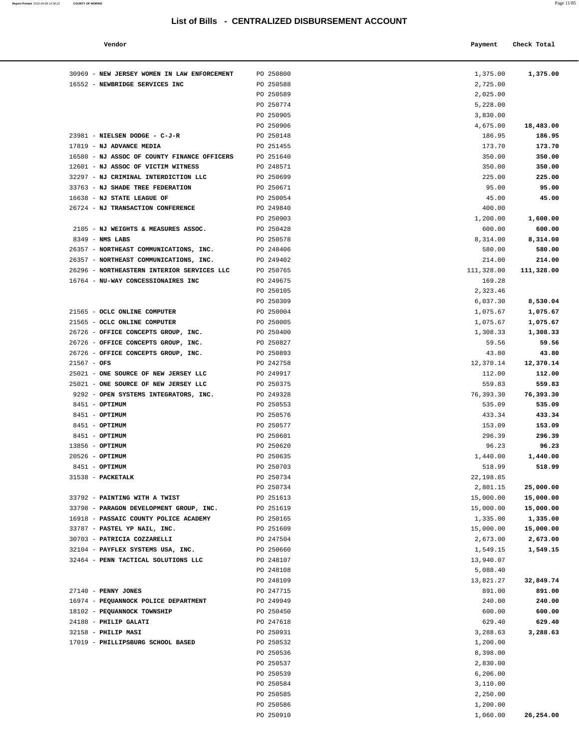#### **Report Printed** 2022-04-08 14:36:22 **COUNTY OF MORRIS** Page 11/85

### **List of Bills - CENTRALIZED DISBURSEMENT ACCOUNT**

30969 - **NEW JERSEY WOMEN IN LAW ENFORCEMENT** PO 250800 16552 - **NEWBRIDGE SERVICES INC** PO 250588

|                                     | List of Bills - CENTRALIZED DISBURSEMENT ACCOUNT |          |             |  |
|-------------------------------------|--------------------------------------------------|----------|-------------|--|
| Vendor                              |                                                  | Payment  | Check Total |  |
| NEW JERSEY WOMEN IN LAW ENFORCEMENT | PO 250800                                        | 1,375.00 | 1,375.00    |  |
| NEWBRIDGE SERVICES INC              | PO 250588                                        | 2,725.00 |             |  |
|                                     | PO 250589                                        | 2,025.00 |             |  |
|                                     | PO 250774                                        | 5,228.00 |             |  |
|                                     | PO 250905                                        | 3,830.00 |             |  |
|                                     | PO 250906                                        | 4,675.00 | 18,483.00   |  |
| NIELSEN DODGE - C-J-R               | PO 250148                                        | 186.95   | 186.95      |  |
| NJ ADVANCE MEDIA                    | PO 251455                                        | 173.70   | 173.70      |  |
| NJ ASSOC OF COUNTY FINANCE OFFICERS | PO 251640                                        | 350.00   | 350.00      |  |
| NJ ASSOC OF VICTIM WITNESS          | PO 248571                                        | 350.00   | 350.00      |  |
| NJ CRIMINAL INTERDICTION LLC        | PO 250699                                        | 225.00   | 225.00      |  |
|                                     |                                                  |          |             |  |

|                                                      | PO 250589              | 2,025.00         |                  |
|------------------------------------------------------|------------------------|------------------|------------------|
|                                                      | PO 250774              | 5,228.00         |                  |
|                                                      | PO 250905              | 3,830.00         |                  |
|                                                      | PO 250906              | 4,675.00         | 18,483.00        |
| 23981 - NIELSEN DODGE - C-J-R                        | PO 250148              | 186.95           | 186.95           |
| 17819 - NJ ADVANCE MEDIA                             | PO 251455              | 173.70           | 173.70           |
| 16580 - NJ ASSOC OF COUNTY FINANCE OFFICERS          | PO 251640              | 350.00           | 350.00           |
| 12601 - NJ ASSOC OF VICTIM WITNESS                   | PO 248571              | 350.00           | 350.00           |
| 32297 - NJ CRIMINAL INTERDICTION LLC                 | PO 250699              | 225.00           | 225.00           |
| 33763 - NJ SHADE TREE FEDERATION                     | PO 250671              | 95.00            | 95.00            |
| 16638 - NJ STATE LEAGUE OF                           | PO 250054              | 45.00            | 45.00            |
| 26724 - NJ TRANSACTION CONFERENCE                    | PO 249840              | 400.00           |                  |
|                                                      | PO 250903              | 1,200.00         | 1,600.00         |
| 2105 - NJ WEIGHTS & MEASURES ASSOC.                  | PO 250428              | 600.00           | 600.00           |
| $8349$ - NMS LABS                                    | PO 250578              | 8,314.00         | 8,314.00         |
| 26357 - NORTHEAST COMMUNICATIONS, INC.               | PO 248406              | 580.00           | 580.00           |
| 26357 - NORTHEAST COMMUNICATIONS, INC.               | PO 249402              | 214.00           | 214.00           |
| 26296 - NORTHEASTERN INTERIOR SERVICES LLC           | PO 250765              | 111,328.00       | 111,328.00       |
| 16764 - NU-WAY CONCESSIONAIRES INC                   | PO 249675              | 169.28           |                  |
|                                                      | PO 250105              | 2,323.46         |                  |
|                                                      | PO 250309              | 6,037.30         | 8,530.04         |
| 21565 - OCLC ONLINE COMPUTER                         | PO 250004              | 1,075.67         | 1,075.67         |
| 21565 - OCLC ONLINE COMPUTER                         | PO 250005              | 1,075.67         | 1,075.67         |
| 26726 - OFFICE CONCEPTS GROUP, INC.                  | PO 250400              | 1,308.33         | 1,308.33         |
| 26726 - OFFICE CONCEPTS GROUP, INC.                  | PO 250827              | 59.56            | 59.56            |
| 26726 - OFFICE CONCEPTS GROUP, INC.                  | PO 250893              | 43.80            | 43.80            |
| $21567 - OFS$                                        | PO 242758              | 12,370.14        | 12,370.14        |
| 25021 - ONE SOURCE OF NEW JERSEY LLC                 | PO 249917              | 112.00           | 112.00           |
| 25021 - ONE SOURCE OF NEW JERSEY LLC                 | PO 250375              | 559.83           | 559.83           |
| 9292 - OPEN SYSTEMS INTEGRATORS, INC.                | PO 249328              | 76,393.30        | 76,393.30        |
| 8451 - OPTIMUM                                       | PO 250553              | 535.09           | 535.09           |
| 8451 - OPTIMUM                                       | PO 250576              | 433.34           | 433.34           |
| 8451 - OPTIMUM                                       | PO 250577              | 153.09           | 153.09           |
| 8451 - OPTIMUM                                       | PO 250601              | 296.39           | 296.39           |
| 13856 - OPTIMUM                                      | PO 250620              | 96.23            | 96.23            |
| 20526 - OPTIMUM                                      | PO 250635              | 1,440.00         | 1,440.00         |
| 8451 - OPTIMUM                                       | PO 250703              | 518.99           | 518.99           |
| 31538 - PACKETALK                                    | PO 250734              | 22,198.85        |                  |
|                                                      | PO 250734              | 2,801.15         | 25,000.00        |
| 33792 - PAINTING WITH A TWIST                        | PO 251613              | 15,000.00        | 15,000.00        |
| 33798 - PARAGON DEVELOPMENT GROUP, INC.              | PO 251619              | 15,000.00        | 15,000.00        |
| 16918 - PASSAIC COUNTY POLICE ACADEMY                | PO 250165              | 1,335.00         | 1,335.00         |
| 33787 - PASTEL YP NAIL, INC.                         | PO 251609              | 15,000.00        | 15,000.00        |
| 30703 - PATRICIA COZZARELLI                          | PO 247504              | 2,673.00         | 2,673.00         |
| 32104 - PAYFLEX SYSTEMS USA, INC.                    | PO 250660              | 1,549.15         | 1,549.15         |
| 32464 - PENN TACTICAL SOLUTIONS LLC                  | PO 248107              | 13,940.07        |                  |
|                                                      | PO 248108              | 5,088.40         |                  |
|                                                      | PO 248109              | 13,821.27        | 32,849.74        |
| 27140 - PENNY JONES                                  | PO 247715              | 891.00           | 891.00           |
| 16974 - PEQUANNOCK POLICE DEPARTMENT                 |                        |                  | 240.00           |
|                                                      | PO 249949              | 240.00           |                  |
| 18102 - PEQUANNOCK TOWNSHIP<br>24188 - PHILIP GALATI | PO 250450<br>PO 247618 | 600.00<br>629.40 | 600.00<br>629.40 |
| 32158 - PHILIP MASI                                  |                        |                  | 3,288.63         |
| 17019 - PHILLIPSBURG SCHOOL BASED                    | PO 250931              | 3,288.63         |                  |
|                                                      | PO 250532              | 1,200.00         |                  |
|                                                      | PO 250536              | 8,398.00         |                  |
|                                                      | PO 250537              | 2,830.00         |                  |
|                                                      | PO 250539              | 6,206.00         |                  |
|                                                      | PO 250584              | 3,110.00         |                  |
|                                                      | PO 250585              | 2,250.00         |                  |
|                                                      | PO 250586              | 1,200.00         |                  |
|                                                      | PO 250910              | 1,060.00         | 26,254.00        |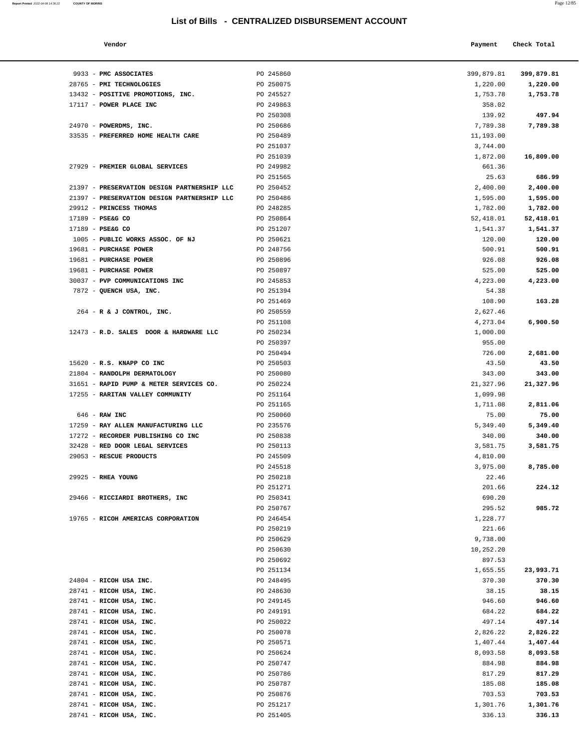9933 - **PMC ASSOCIATES PO 245860** 28765 - **PMI TECHNOLOGIES** PO 250075

**Report Printed** 2022-04-08 14:36:22 **COUNTY OF MORRIS** Page 12/85

| ś                                   |           |                                                  | Page 12/8   |  |
|-------------------------------------|-----------|--------------------------------------------------|-------------|--|
|                                     |           | List of Bills - CENTRALIZED DISBURSEMENT ACCOUNT |             |  |
| Vendor                              |           | Payment                                          | Check Total |  |
| PMC ASSOCIATES                      | PO 245860 | 399,879.81                                       | 399,879.81  |  |
| PMI TECHNOLOGIES                    | PO 250075 | 1,220.00                                         | 1,220.00    |  |
| POSITIVE PROMOTIONS, INC.           | PO 245527 | 1,753.78                                         | 1,753.78    |  |
| POWER PLACE INC                     | PO 249863 | 358.02                                           |             |  |
|                                     | PO 250308 | 139.92                                           | 497.94      |  |
| POWERDMS, INC.                      | PO 250686 | 7,789.38                                         | 7,789.38    |  |
| PREFERRED HOME HEALTH CARE          | PO 250489 | 11,193.00                                        |             |  |
|                                     | PO 251037 | 3,744.00                                         |             |  |
|                                     | PO 251039 | 1,872.00                                         | 16,809.00   |  |
| PREMIER GLOBAL SERVICES             | PO 249982 | 661.36                                           |             |  |
|                                     | PO 251565 | 25.63                                            | 686.99      |  |
| PRESERVATION DESIGN PARTNERSHIP LLC | PO 250452 | 2,400.00                                         | 2,400.00    |  |
| PRESERVATION DESIGN PARTNERSHIP LLC | PO 250486 | 1,595.00                                         | 1,595.00    |  |
| <b>PRINCESS THOMAS</b>              | PO 248285 | 1,782.00                                         | 1,782.00    |  |
| PSE&G CO                            | PO 250864 | 52,418.01                                        | 52,418.01   |  |
| PSE&G CO                            | PO 251207 | 1,541.37                                         | 1,541.37    |  |
| PUBLIC WORKS ASSOC. OF NJ           | PO 250621 | 120.00                                           | 120.00      |  |
| <b>PURCHASE POWER</b>               | PO 248756 | 500.91                                           | 500.91      |  |
| <b>PURCHASE POWER</b>               | PO 250896 | 926.08                                           | 926.08      |  |
| <b>PURCHASE POWER</b>               | PO 250897 | 525.00                                           | 525.00      |  |
| PVP COMMUNICATIONS INC              | PO 245853 | 4,223.00                                         | 4,223.00    |  |
| QUENCH USA, INC.                    | PO 251394 | 54.38                                            |             |  |
|                                     | PO 251469 | 108.90                                           | 163.28      |  |
| R & J CONTROL, INC.                 | PO 250559 | 2,627.46                                         |             |  |
|                                     | PO 251108 | 4,273.04                                         | 6,900.50    |  |
| R.D. SALES DOOR & HARDWARE LLC      | PO 250234 | 1,000.00                                         |             |  |
|                                     | PO 250397 | 955.00                                           |             |  |
|                                     | PO 250494 | 726.00                                           | 2,681.00    |  |
| R.S. KNAPP CO INC                   | PO 250503 | 43.50                                            | 43.50       |  |
| RANDOLPH DERMATOLOGY                | PO 250080 | 343.00                                           | 343.00      |  |
| RAPID PUMP & METER SERVICES CO.     | PO 250224 | 21,327.96                                        | 21,327.96   |  |
| RARITAN VALLEY COMMUNITY            | PO 251164 | 1,099.98                                         |             |  |
|                                     | PO 251165 | 1,711.08                                         | 2,811.06    |  |

| 13432 - POSITIVE PROMOTIONS, INC.           | PO 245527 | 1,753.78  | 1,753.78  |
|---------------------------------------------|-----------|-----------|-----------|
| 17117 - POWER PLACE INC                     | PO 249863 | 358.02    |           |
|                                             | PO 250308 | 139.92    | 497.94    |
| 24970 - POWERDMS, INC.                      | PO 250686 | 7,789.38  | 7,789.38  |
| 33535 - PREFERRED HOME HEALTH CARE          | PO 250489 | 11,193.00 |           |
|                                             | PO 251037 | 3,744.00  |           |
|                                             | PO 251039 | 1,872.00  | 16,809.00 |
| 27929 - PREMIER GLOBAL SERVICES             | PO 249982 | 661.36    |           |
|                                             | PO 251565 | 25.63     | 686.99    |
| 21397 - PRESERVATION DESIGN PARTNERSHIP LLC | PO 250452 | 2,400.00  | 2,400.00  |
| 21397 - PRESERVATION DESIGN PARTNERSHIP LLC | PO 250486 | 1,595.00  | 1,595.00  |
| 29912 - PRINCESS THOMAS                     | PO 248285 | 1,782.00  | 1,782.00  |
| 17189 - PSE&G CO                            | PO 250864 | 52,418.01 | 52,418.01 |
| 17189 - PSE&G CO                            | PO 251207 | 1,541.37  | 1,541.37  |
| 1005 - PUBLIC WORKS ASSOC. OF NJ            | PO 250621 | 120.00    | 120.00    |
| 19681 - PURCHASE POWER                      | PO 248756 | 500.91    | 500.91    |
| 19681 - PURCHASE POWER                      | PO 250896 | 926.08    | 926.08    |
| 19681 - PURCHASE POWER                      | PO 250897 | 525.00    | 525.00    |
| 30037 - PVP COMMUNICATIONS INC              | PO 245853 | 4,223.00  | 4,223.00  |
| 7872 - QUENCH USA, INC.                     | PO 251394 | 54.38     |           |
|                                             | PO 251469 | 108.90    | 163.28    |
| 264 - R & J CONTROL, INC.                   | PO 250559 | 2,627.46  |           |
|                                             | PO 251108 | 4,273.04  | 6,900.50  |
| 12473 - R.D. SALES DOOR & HARDWARE LLC      | PO 250234 | 1,000.00  |           |
|                                             | PO 250397 | 955.00    |           |
|                                             | PO 250494 | 726.00    | 2,681.00  |
| 15620 - R.S. KNAPP CO INC                   | PO 250503 | 43.50     | 43.50     |
| 21804 - RANDOLPH DERMATOLOGY                | PO 250080 | 343.00    | 343.00    |
| 31651 - RAPID PUMP & METER SERVICES CO.     | PO 250224 | 21,327.96 | 21,327.96 |
| 17255 - RARITAN VALLEY COMMUNITY            | PO 251164 | 1,099.98  |           |
|                                             | PO 251165 | 1,711.08  | 2,811.06  |
| 646 - RAW INC                               | PO 250060 | 75.00     | 75.00     |
| 17259 - RAY ALLEN MANUFACTURING LLC         | PO 235576 | 5,349.40  | 5,349.40  |
| 17272 - RECORDER PUBLISHING CO INC          | PO 250838 | 340.00    | 340.00    |
| 32428 - RED DOOR LEGAL SERVICES             | PO 250113 | 3,581.75  | 3,581.75  |
| 29053 - RESCUE PRODUCTS                     | PO 245509 | 4,810.00  |           |
|                                             | PO 245518 | 3,975.00  | 8,785.00  |
| 29925 - RHEA YOUNG                          | PO 250218 | 22.46     |           |
|                                             | PO 251271 | 201.66    | 224.12    |
| 29466 - RICCIARDI BROTHERS, INC             | PO 250341 | 690.20    |           |
|                                             | PO 250767 | 295.52    | 985.72    |
| 19765 - RICOH AMERICAS CORPORATION          | PO 246454 | 1,228.77  |           |
|                                             | PO 250219 | 221.66    |           |
|                                             | PO 250629 | 9,738.00  |           |
|                                             | PO 250630 | 10,252.20 |           |
|                                             | PO 250692 | 897.53    |           |
|                                             | PO 251134 | 1,655.55  | 23,993.71 |
| 24804 - RICOH USA INC.                      | PO 248495 | 370.30    | 370.30    |
| 28741 - RICOH USA, INC.                     | PO 248630 | 38.15     | 38.15     |
| 28741 - RICOH USA, INC.                     | PO 249145 | 946.60    | 946.60    |
| 28741 - RICOH USA, INC.                     | PO 249191 | 684.22    | 684.22    |
| 28741 - RICOH USA, INC.                     | PO 250022 | 497.14    | 497.14    |
| 28741 - RICOH USA, INC.                     | PO 250078 | 2,826.22  | 2,826.22  |
| 28741 - RICOH USA, INC.                     | PO 250571 | 1,407.44  | 1,407.44  |
| 28741 - RICOH USA, INC.                     | PO 250624 | 8,093.58  | 8,093.58  |
| 28741 - RICOH USA, INC.                     | PO 250747 | 884.98    | 884.98    |
| 28741 - RICOH USA, INC.                     | PO 250786 | 817.29    | 817.29    |
| 28741 - RICOH USA, INC.                     | PO 250787 | 185.08    | 185.08    |
| 28741 - RICOH USA, INC.                     | PO 250876 | 703.53    | 703.53    |
| 28741 - RICOH USA, INC.                     | PO 251217 | 1,301.76  | 1,301.76  |
| 28741 - RICOH USA, INC.                     | PO 251405 | 336.13    | 336.13    |
|                                             |           |           |           |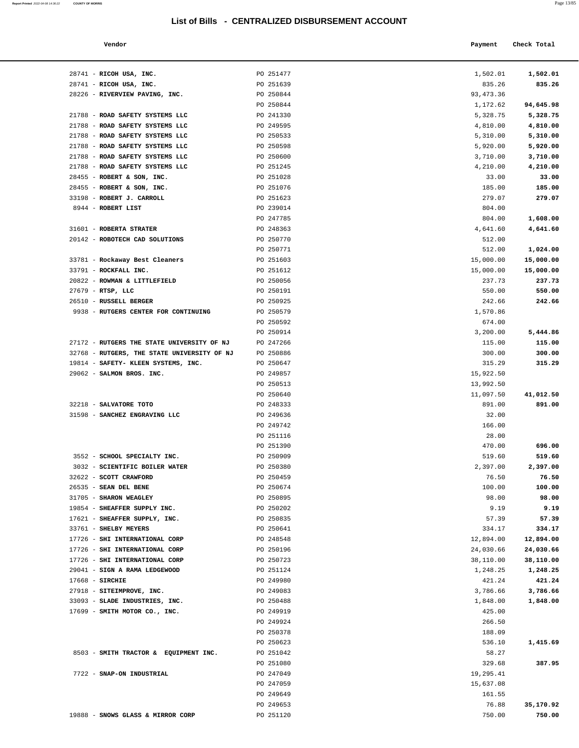**Report Printed 2022-04-08 14:36:22 COUNTY OF MORRIS** 

| Vendor                                     |                        | Payment            | Check Total       |  |
|--------------------------------------------|------------------------|--------------------|-------------------|--|
| RICOH USA, INC.                            | PO 251477              | 1,502.01           | 1,502.01          |  |
| RICOH USA, INC.                            | PO 251639              | 835.26             | 835.26            |  |
| RIVERVIEW PAVING, INC.                     | PO 250844              | 93, 473.36         |                   |  |
|                                            | PO 250844              | 1,172.62           | 94,645.98         |  |
| ROAD SAFETY SYSTEMS LLC                    | PO 241330              | 5,328.75           | 5,328.75          |  |
| ROAD SAFETY SYSTEMS LLC                    | PO 249595              | 4,810.00           | 4,810.00          |  |
| ROAD SAFETY SYSTEMS LLC                    | PO 250533              | 5,310.00           | 5,310.00          |  |
| ROAD SAFETY SYSTEMS LLC                    | PO 250598              | 5,920.00           | 5,920.00          |  |
| ROAD SAFETY SYSTEMS LLC                    | PO 250600              | 3,710.00           | 3,710.00          |  |
| ROAD SAFETY SYSTEMS LLC                    | PO 251245              | 4,210.00           | 4,210.00          |  |
| ROBERT & SON, INC.                         | PO 251028              | 33.00              | 33.00             |  |
| ROBERT & SON, INC.                         | PO 251076              | 185.00             | 185.00            |  |
| ROBERT J. CARROLL                          | PO 251623              | 279.07             | 279.07            |  |
| ROBERT LIST                                | PO 239014              | 804.00             |                   |  |
| <b>ROBERTA STRATER</b>                     | PO 247785<br>PO 248363 | 804.00<br>4,641.60 | 1,608.00          |  |
| ROBOTECH CAD SOLUTIONS                     | PO 250770              | 512.00             | 4,641.60          |  |
|                                            | PO 250771              | 512.00             | 1,024.00          |  |
| Rockaway Best Cleaners                     | PO 251603              | 15,000.00          | 15,000.00         |  |
| ROCKFALL INC.                              | PO 251612              | 15,000.00          | 15,000.00         |  |
| ROWMAN & LITTLEFIELD                       | PO 250056              | 237.73             | 237.73            |  |
| RTSP, LLC                                  | PO 250191              | 550.00             | 550.00            |  |
| RUSSELL BERGER                             | PO 250925              | 242.66             | 242.66            |  |
| RUTGERS CENTER FOR CONTINUING              | PO 250579              | 1,570.86           |                   |  |
|                                            | PO 250592              | 674.00             |                   |  |
|                                            | PO 250914              | 3,200.00           | 5,444.86          |  |
| <b>RUTGERS THE STATE UNIVERSITY OF NJ</b>  | PO 247266              | 115.00             | 115.00            |  |
| <b>RUTGERS, THE STATE UNIVERSITY OF NJ</b> | PO 250886              | 300.00             | 300.00            |  |
| SAFETY- KLEEN SYSTEMS, INC.                | PO 250647              | 315.29             | 315.29            |  |
| SALMON BROS. INC.                          | PO 249857              | 15,922.50          |                   |  |
|                                            | PO 250513              | 13,992.50          |                   |  |
|                                            | PO 250640              | 11,097.50          | 41,012.50         |  |
| <b>SALVATORE TOTO</b>                      | PO 248333              | 891.00             | 891.00            |  |
| SANCHEZ ENGRAVING LLC                      | PO 249636              | 32.00              |                   |  |
|                                            | PO 249742              | 166.00             |                   |  |
|                                            | PO 251116              | 28.00              |                   |  |
|                                            | PO 251390              | 470.00             | 696.00            |  |
| SCHOOL SPECIALTY INC.                      | PO 250909              | 519.60             | 519.60            |  |
| SCIENTIFIC BOILER WATER<br>SCOTT CRAWFORD  | PO 250380<br>PO 250459 | 2,397.00<br>76.50  | 2,397.00<br>76.50 |  |
| SEAN DEL BENE                              | PO 250674              | 100.00             | 100.00            |  |
| <b>SHARON WEAGLEY</b>                      | PO 250895              | 98.00              | 98.00             |  |
| SHEAFFER SUPPLY INC.                       | PO 250202              | 9.19               | 9.19              |  |
| SHEAFFER SUPPLY, INC.                      | PO 250835              | 57.39              | 57.39             |  |
| SHELBY MEYERS                              | PO 250641              | 334.17             | 334.17            |  |
| SHI INTERNATIONAL CORP                     | PO 248548              | 12,894.00          | 12,894.00         |  |
| SHI INTERNATIONAL CORP                     | PO 250196              | 24,030.66          | 24,030.66         |  |
| SHI INTERNATIONAL CORP                     | PO 250723              | 38,110.00          | 38,110.00         |  |
| SIGN A RAMA LEDGEWOOD                      | PO 251124              | 1,248.25           | 1,248.25          |  |
| SIRCHIE                                    | PO 249980              | 421.24             | 421.24            |  |
| SITEIMPROVE, INC.                          | PO 249083              | 3,786.66           | 3,786.66          |  |
| SLADE INDUSTRIES, INC.                     | PO 250488              | 1,848.00           | 1,848.00          |  |
| SMITH MOTOR CO., INC.                      | PO 249919              | 425.00             |                   |  |
|                                            | PO 249924              | 266.50             |                   |  |
|                                            | PO 250378              | 188.09             |                   |  |
|                                            | PO 250623              | 536.10             | 1,415.69          |  |
| SMITH TRACTOR & EQUIPMENT INC.             | PO 251042              | 58.27              |                   |  |
|                                            | PO 251080              | 329.68             | 387.95            |  |
| SNAP-ON INDUSTRIAL                         | PO 247049              | 19,295.41          |                   |  |
|                                            | PO 247059              | 15,637.08          |                   |  |

| 28741 - RICOH USA, INC.                                     | PO 251477              | 1,502.01           | 1,502.01           |
|-------------------------------------------------------------|------------------------|--------------------|--------------------|
| 28741 - RICOH USA, INC.                                     | PO 251639              | 835.26             | 835.26             |
| 28226 - RIVERVIEW PAVING, INC.                              | PO 250844              | 93, 473.36         |                    |
|                                                             | PO 250844              | 1,172.62           | 94,645.98          |
| 21788 - ROAD SAFETY SYSTEMS LLC                             | PO 241330              | 5,328.75           | 5,328.75           |
| 21788 - ROAD SAFETY SYSTEMS LLC                             | PO 249595              | 4,810.00           | 4,810.00           |
| 21788 - ROAD SAFETY SYSTEMS LLC                             | PO 250533              | 5,310.00           | 5,310.00           |
| 21788 - ROAD SAFETY SYSTEMS LLC                             | PO 250598              | 5,920.00           | 5,920.00           |
| 21788 - ROAD SAFETY SYSTEMS LLC                             | PO 250600              | 3,710.00           | 3,710.00           |
| 21788 - ROAD SAFETY SYSTEMS LLC                             | PO 251245              | 4,210.00           | 4,210.00           |
| 28455 - ROBERT & SON, INC.                                  | PO 251028              | 33.00              | 33.00              |
| 28455 - ROBERT & SON, INC.                                  | PO 251076              | 185.00             | 185.00             |
| 33198 - ROBERT J. CARROLL                                   | PO 251623              | 279.07             | 279.07             |
| 8944 - ROBERT LIST                                          | PO 239014              | 804.00             |                    |
|                                                             | PO 247785              | 804.00             | 1,608.00           |
| 31601 - ROBERTA STRATER                                     | PO 248363              | 4,641.60           | 4,641.60           |
| 20142 - ROBOTECH CAD SOLUTIONS                              | PO 250770              | 512.00             |                    |
|                                                             | PO 250771              | 512.00             | 1,024.00           |
| 33781 - Rockaway Best Cleaners                              | PO 251603              | 15,000.00          | 15,000.00          |
| 33791 - ROCKFALL INC.                                       | PO 251612              | 15,000.00          | 15,000.00          |
| 20822 - ROWMAN & LITTLEFIELD                                | PO 250056              | 237.73             | 237.73             |
| $27679$ - RTSP, LLC                                         | PO 250191              | 550.00             | 550.00             |
| 26510 - RUSSELL BERGER                                      | PO 250925              | 242.66             | 242.66             |
| 9938 - RUTGERS CENTER FOR CONTINUING                        | PO 250579              | 1,570.86           |                    |
|                                                             | PO 250592              | 674.00             |                    |
|                                                             | PO 250914              | 3,200.00           | 5,444.86           |
| 27172 - RUTGERS THE STATE UNIVERSITY OF NJ                  | PO 247266              | 115.00             | 115.00             |
| 32768 - RUTGERS, THE STATE UNIVERSITY OF NJ                 | PO 250886              | 300.00             | 300.00             |
| 19814 - SAFETY- KLEEN SYSTEMS, INC.                         | PO 250647              | 315.29             | 315.29             |
| 29062 - SALMON BROS. INC.                                   | PO 249857              | 15,922.50          |                    |
|                                                             | PO 250513              | 13,992.50          |                    |
|                                                             | PO 250640              | 11,097.50          | 41,012.50          |
| 32218 - SALVATORE TOTO                                      | PO 248333              | 891.00             | 891.00             |
| 31598 - SANCHEZ ENGRAVING LLC                               | PO 249636              | 32.00              |                    |
|                                                             | PO 249742              | 166.00             |                    |
|                                                             | PO 251116              | 28.00              |                    |
|                                                             | PO 251390              | 470.00             | 696.00             |
| 3552 - SCHOOL SPECIALTY INC.                                | PO 250909              | 519.60             | 519.60             |
| 3032 - SCIENTIFIC BOILER WATER                              | PO 250380              | 2,397.00           | 2,397.00           |
| 32622 - SCOTT CRAWFORD                                      | PO 250459              | 76.50              | 76.50              |
| 26535 - SEAN DEL BENE                                       | PO 250674              | 100.00             | 100.00             |
| 31705 - SHARON WEAGLEY                                      | PO 250895              | 98.00              | 98.00              |
| 19854 - SHEAFFER SUPPLY INC.                                | PO 250202              | 9.19               | 9.19               |
| 17621 - SHEAFFER SUPPLY, INC.                               | PO 250835              | 57.39              | 57.39              |
| 33761 - SHELBY MEYERS                                       | PO 250641              | 334.17             | 334.17             |
| 17726 - SHI INTERNATIONAL CORP                              | PO 248548              | 12,894.00          | 12,894.00          |
| 17726 - SHI INTERNATIONAL CORP                              | PO 250196              | 24,030.66          | 24,030.66          |
| 17726 - SHI INTERNATIONAL CORP                              | PO 250723              | 38,110.00          | 38,110.00          |
| 29041 - SIGN A RAMA LEDGEWOOD                               | PO 251124<br>PO 249980 | 1,248.25           | 1,248.25           |
| $17668$ - SIRCHIE                                           |                        | 421.24             | 421.24<br>3,786.66 |
| 27918 - SITEIMPROVE, INC.<br>33093 - SLADE INDUSTRIES, INC. | PO 249083<br>PO 250488 | 3,786.66           |                    |
| 17699 - SMITH MOTOR CO., INC.                               | PO 249919              | 1,848.00<br>425.00 | 1,848.00           |
|                                                             | PO 249924              | 266.50             |                    |
|                                                             | PO 250378              | 188.09             |                    |
|                                                             | PO 250623              | 536.10             | 1,415.69           |
| 8503 - SMITH TRACTOR & EQUIPMENT INC.                       | PO 251042              | 58.27              |                    |
|                                                             | PO 251080              | 329.68             | 387.95             |
| 7722 - SNAP-ON INDUSTRIAL                                   | PO 247049              | 19,295.41          |                    |
|                                                             | PO 247059              | 15,637.08          |                    |
|                                                             | PO 249649              | 161.55             |                    |
|                                                             | PO 249653              | 76.88              | 35,170.92          |
| 19888 - SNOWS GLASS & MIRROR CORP                           | PO 251120              | 750.00             | 750.00             |
|                                                             |                        |                    |                    |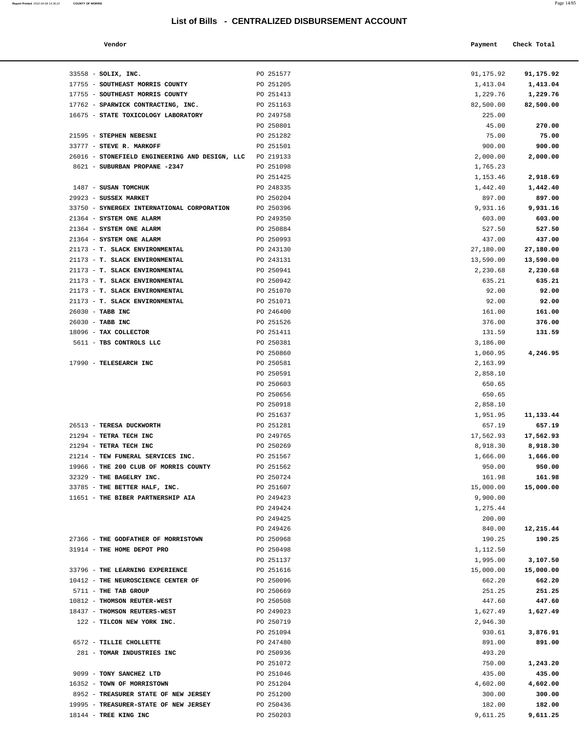**Report Printed**  2022-04-08 14:36:22 **COUNTY OF MORRIS** 

| a. | M.<br>$\sim$ |
|----|--------------|
|----|--------------|

| 91,175.92 | 91,175.92   |
|-----------|-------------|
| 1,413.04  | 1,413.04    |
| 1,229.76  | 1,229.76    |
|           |             |
| 82,500.00 | 82,500.00   |
| 225.00    |             |
| 45.00     | 270.00      |
| 75.00     | 75.00       |
| 900.00    | 900.00      |
| 2,000.00  | 2,000.00    |
| 1,765.23  |             |
|           |             |
| 1,153.46  | 2,918.69    |
| 1,442.40  | 1,442.40    |
| 897.00    | 897.00      |
| 9,931.16  | 9,931.16    |
| 603.00    | 603.00      |
| 527.50    | 527.50      |
| 437.00    | 437.00      |
|           |             |
| 27,180.00 | 27,180.00   |
| 13,590.00 | 13,590.00   |
| 2,230.68  | 2,230.68    |
| 635.21    | 635.21      |
| 92.00     | 92.00       |
| 92.00     | 92.00       |
| 161.00    | 161.00      |
|           |             |
| 376.00    | 376.00      |
| 131.59    | 131.59      |
| 3,186.00  |             |
| 1,060.95  | 4,246.95    |
| 2,163.99  |             |
| 2,858.10  |             |
| 650.65    |             |
|           |             |
| 650.65    |             |
| 2,858.10  |             |
| 1,951.95  | 11, 133. 44 |
| 657.19    | 657.19      |
| 17,562.93 | 17,562.93   |
| 8,918.30  | 8,918.30    |
| 1,666.00  | 1,666.00    |
| 950.00    |             |
|           | 950.00      |
| 161.98    | 161.98      |
| 15,000.00 | 15,000.00   |
| 9,900.00  |             |
| 1,275.44  |             |
| 200.00    |             |
| 840.00    | 12,215.44   |
| 190.25    | 190.25      |
| 1,112.50  |             |
| 1,995.00  | 3,107.50    |
|           |             |
| 15,000.00 | 15,000.00   |
| 662.20    | 662.20      |
| 251.25    | 251.25      |
| 447.60    | 447.60      |
| 1,627.49  | 1,627.49    |
| 2,946.30  |             |
| 930.61    | 3,876.91    |
|           |             |
| 891.00    | 891.00      |
| 493.20    |             |
| 750.00    | 1,243.20    |
| 435.00    | 435.00      |
| 4,602.00  | 4,602.00    |
| 300.00    | 300.00      |
| 182.00    | 182.00      |
| 9,611.25  | 9,611.25    |
|           |             |
|           |             |
|           |             |

| Vendor                                         |           | Payment   | Check Total |
|------------------------------------------------|-----------|-----------|-------------|
|                                                |           |           |             |
|                                                |           |           |             |
| 33558 - SOLIX, INC.                            | PO 251577 | 91,175.92 | 91,175.92   |
| 17755 - SOUTHEAST MORRIS COUNTY                | PO 251205 | 1,413.04  | 1,413.04    |
| 17755 - SOUTHEAST MORRIS COUNTY                | PO 251413 | 1,229.76  | 1,229.76    |
| 17762 - SPARWICK CONTRACTING, INC.             | PO 251163 | 82,500.00 | 82,500.00   |
| 16675 - STATE TOXICOLOGY LABORATORY            | PO 249758 | 225.00    |             |
|                                                | PO 250801 | 45.00     | 270.00      |
| 21595 - STEPHEN NEBESNI                        | PO 251282 | 75.00     | 75.00       |
| 33777 - STEVE R. MARKOFF                       | PO 251501 | 900.00    | 900.00      |
| 26016 - STONEFIELD ENGINEERING AND DESIGN, LLC | PO 219133 | 2,000.00  | 2,000.00    |
| 8621 - SUBURBAN PROPANE -2347                  | PO 251098 | 1,765.23  |             |
|                                                | PO 251425 | 1,153.46  | 2,918.69    |
| 1487 - SUSAN TOMCHUK                           | PO 248335 | 1,442.40  | 1,442.40    |
| 29923 - SUSSEX MARKET                          | PO 250204 | 897.00    | 897.00      |
| 33750 - SYNERGEX INTERNATIONAL CORPORATION     | PO 250396 | 9,931.16  | 9,931.16    |
| 21364 - SYSTEM ONE ALARM                       | PO 249350 | 603.00    | 603.00      |
| 21364 - SYSTEM ONE ALARM                       | PO 250884 | 527.50    | 527.50      |
| 21364 - SYSTEM ONE ALARM                       | PO 250993 | 437.00    | 437.00      |
| 21173 - T. SLACK ENVIRONMENTAL                 | PO 243130 | 27,180.00 | 27,180.00   |
| 21173 - T. SLACK ENVIRONMENTAL                 | PO 243131 | 13,590.00 | 13,590.00   |
| 21173 - T. SLACK ENVIRONMENTAL                 | PO 250941 | 2,230.68  | 2,230.68    |
| 21173 - T. SLACK ENVIRONMENTAL                 | PO 250942 | 635.21    | 635.21      |
| 21173 - T. SLACK ENVIRONMENTAL                 | PO 251070 | 92.00     | 92.00       |
| 21173 - T. SLACK ENVIRONMENTAL                 | PO 251071 | 92.00     | 92.00       |
| 26030 - TABB INC                               | PO 246400 | 161.00    | 161.00      |
| 26030 - TABB INC                               | PO 251526 | 376.00    | 376.00      |
| 18096 - TAX COLLECTOR                          | PO 251411 | 131.59    | 131.59      |
| 5611 - TBS CONTROLS LLC                        | PO 250381 | 3,186.00  |             |
|                                                | PO 250860 | 1,060.95  |             |
|                                                | PO 250581 |           | 4,246.95    |
| 17990 - TELESEARCH INC                         |           | 2,163.99  |             |
|                                                | PO 250591 | 2,858.10  |             |
|                                                | PO 250603 | 650.65    |             |
|                                                | PO 250656 | 650.65    |             |
|                                                | PO 250918 | 2,858.10  |             |
|                                                | PO 251637 | 1,951.95  | 11, 133. 44 |
| 26513 - TERESA DUCKWORTH                       | PO 251281 | 657.19    | 657.19      |
| 21294 - TETRA TECH INC                         | PO 249765 | 17,562.93 | 17,562.93   |
| 21294 - TETRA TECH INC                         | PO 250269 | 8,918.30  | 8,918.30    |
| 21214 - TEW FUNERAL SERVICES INC.              | PO 251567 | 1,666.00  | 1,666.00    |
| 19966 - THE 200 CLUB OF MORRIS COUNTY          | PO 251562 | 950.00    | 950.00      |
| 32329 - THE BAGELRY INC.                       | PO 250724 | 161.98    | 161.98      |
| 33785 - THE BETTER HALF, INC.                  | PO 251607 | 15,000.00 | 15,000.00   |
| 11651 - THE BIBER PARTNERSHIP AIA              | PO 249423 | 9,900.00  |             |
|                                                | PO 249424 | 1,275.44  |             |
|                                                | PO 249425 | 200.00    |             |
|                                                | PO 249426 | 840.00    | 12,215.44   |
| 27366 - THE GODFATHER OF MORRISTOWN            | PO 250968 | 190.25    | 190.25      |
| 31914 - THE HOME DEPOT PRO                     | PO 250498 | 1,112.50  |             |
|                                                | PO 251137 | 1,995.00  | 3,107.50    |
| 33796 - THE LEARNING EXPERIENCE                | PO 251616 | 15,000.00 | 15,000.00   |
| 10412 - THE NEUROSCIENCE CENTER OF             | PO 250096 | 662.20    | 662.20      |
| 5711 - THE TAB GROUP                           | PO 250669 | 251.25    | 251.25      |
| 10812 - THOMSON REUTER-WEST                    | PO 250508 | 447.60    | 447.60      |
| 18437 - THOMSON REUTERS-WEST                   | PO 249023 | 1,627.49  | 1,627.49    |
| 122 - TILCON NEW YORK INC.                     | PO 250719 | 2,946.30  |             |
|                                                | PO 251094 | 930.61    | 3,876.91    |
| 6572 - TILLIE CHOLLETTE                        | PO 247480 | 891.00    | 891.00      |
| 281 - TOMAR INDUSTRIES INC                     | PO 250936 | 493.20    |             |
|                                                | PO 251072 | 750.00    | 1,243.20    |
| 9099 - TONY SANCHEZ LTD                        | PO 251046 | 435.00    | 435.00      |
| 16352 - TOWN OF MORRISTOWN                     | PO 251204 | 4,602.00  | 4,602.00    |
| 8952 - TREASURER STATE OF NEW JERSEY           | PO 251200 | 300.00    | 300.00      |
| 19995 - TREASURER-STATE OF NEW JERSEY          | PO 250436 | 182.00    | 182.00      |
| 18144 - TREE KING INC                          | PO 250203 | 9,611.25  | 9,611.25    |
|                                                |           |           |             |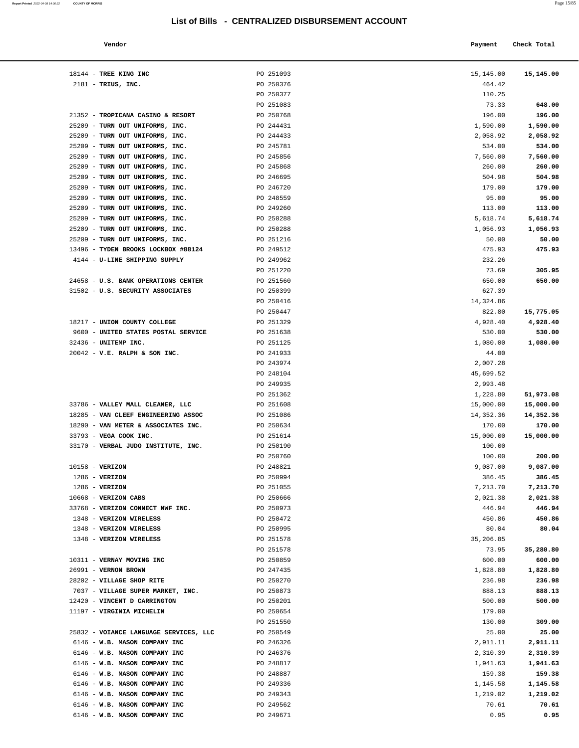| Vendor                              |           | Payment   | Check Total |
|-------------------------------------|-----------|-----------|-------------|
| 18144 - TREE KING INC               | PO 251093 | 15,145.00 | 15,145.00   |
| $2181$ - TRIUS, INC.                | PO 250376 | 464.42    |             |
|                                     | PO 250377 | 110.25    |             |
|                                     | PO 251083 | 73.33     | 648.00      |
| 21352 - TROPICANA CASINO & RESORT   | PO 250768 | 196.00    | 196.00      |
| 25209 - TURN OUT UNIFORMS, INC.     | PO 244431 | 1,590.00  | 1,590.00    |
| 25209 - TURN OUT UNIFORMS, INC.     | PO 244433 | 2,058.92  | 2,058.92    |
| 25209 - TURN OUT UNIFORMS, INC.     | PO 245781 | 534.00    | 534.00      |
| 25209 - TURN OUT UNIFORMS, INC.     | PO 245856 | 7,560.00  | 7,560.00    |
| 25209 - TURN OUT UNIFORMS, INC.     | PO 245868 | 260.00    | 260.00      |
| 25209 - TURN OUT UNIFORMS, INC.     | PO 246695 | 504.98    | 504.98      |
| 25209 - TURN OUT UNIFORMS, INC.     | PO 246720 | 179.00    | 179.00      |
| 25209 - TURN OUT UNIFORMS, INC.     | PO 248559 | 95.00     | 95.00       |
| 25209 - TURN OUT UNIFORMS, INC.     | PO 249260 | 113.00    | 113.00      |
| 25209 - TURN OUT UNIFORMS, INC.     | PO 250288 | 5,618.74  | 5,618.74    |
| 25209 - TURN OUT UNIFORMS, INC.     | PO 250288 | 1,056.93  | 1,056.93    |
| 25209 - TURN OUT UNIFORMS, INC.     | PO 251216 | 50.00     | 50.00       |
| 13496 - TYDEN BROOKS LOCKBOX #88124 | PO 249512 | 475.93    | 475.93      |
| 4144 - U-LINE SHIPPING SUPPLY       | PO 249962 | 232.26    |             |
|                                     | PO 251220 | 73.69     | 305.95      |
| 24658 - U.S. BANK OPERATIONS CENTER | PO 251560 | 650.00    | 650.00      |
| 31502 - U.S. SECURITY ASSOCIATES    | PO 250399 | 627.39    |             |
|                                     | PO 250416 | 14,324.86 |             |
|                                     | PO 250447 | 822.80    | 15,775.05   |
| 18217 - UNION COUNTY COLLEGE        | PO 251329 | 4,928.40  | 4,928.40    |
| 9600 - UNITED STATES POSTAL SERVICE | PO 251638 | 530.00    | 530.00      |
| 32436 - UNITEMP INC.                | PO 251125 | 1,080.00  | 1,080.00    |
| $20042 - V.E. RALPH & SON INC.$     | PO 241933 | 44.00     |             |
|                                     | PO 243974 | 2,007.28  |             |
|                                     | PO 248104 | 45,699.52 |             |
|                                     | PO 249935 | 2,993.48  |             |
|                                     | PO 251362 | 1,228.80  | 51,973.08   |
| 33786 - VALLEY MALL CLEANER, LLC    | PO 251608 | 15,000.00 | 15,000.00   |
| 18285 - VAN CLEEF ENGINEERING ASSOC | PO 251086 | 14,352.36 | 14,352.36   |
| 18290 - VAN METER & ASSOCIATES INC. | PO 250634 | 170.00    | 170.00      |
| 33793 - VEGA COOK INC.              | PO 251614 | 15,000.00 | 15,000.00   |
| 33170 - VERBAL JUDO INSTITUTE, INC. | PO 250190 | 100.00    |             |
|                                     | PO 250760 | 100.00    | 200.00      |
| 10158 - VERIZON                     | PO 248821 | 9,087.00  | 9,087.00    |
| $1286$ - VERIZON                    | PO 250994 | 386.45    | 386.45      |
| $1286$ - VERIZON                    | PO 251055 | 7,213.70  | 7,213.70    |
| 10668 - VERIZON CABS                | PO 250666 | 2,021.38  | 2,021.38    |
| 33768 - VERIZON CONNECT NWF INC.    | PO 250973 | 446.94    | 446.94      |
| 1348 - VERIZON WIRELESS             | PO 250472 | 450.86    | 450.86      |
| 1348 - VERIZON WIRELESS             | PO 250995 | 80.04     | 80.04       |
| 1348 - VERIZON WIRELESS             | PO 251578 | 35,206.85 |             |
|                                     | PO 251578 | 73.95     | 35,280.80   |
| 10311 - VERNAY MOVING INC           | PO 250859 | 600.00    | 600.00      |
| 26991 - VERNON BROWN                | PO 247435 | 1,828.80  | 1,828.80    |
| 28202 - VILLAGE SHOP RITE           | PO 250270 | 236.98    | 236.98      |
| 7037 - VILLAGE SUPER MARKET, INC.   | PO 250873 | 888.13    | 888.13      |
| 12420 - VINCENT D CARRINGTON        | PO 250201 | 500.00    | 500.00      |
| 11197 - VIRGINIA MICHELIN           | PO 250654 | 179.00    |             |
|                                     | PO 251550 | 130.00    | 309.00      |

| 309.00   | 130.00   | PO 251550                                           |  |
|----------|----------|-----------------------------------------------------|--|
| 25.00    | 25.00    | PO 250549<br>25832 - VOIANCE LANGUAGE SERVICES, LLC |  |
| 2,911.11 | 2,911.11 | PO 246326<br>6146 - W.B. MASON COMPANY INC          |  |
| 2,310.39 | 2,310.39 | PO 246376<br>6146 - W.B. MASON COMPANY INC          |  |
| 1,941.63 | 1,941.63 | PO 248817<br>6146 - W.B. MASON COMPANY INC          |  |
| 159.38   | 159.38   | PO 248887<br>6146 - W.B. MASON COMPANY INC          |  |
| 1,145.58 | 1,145.58 | PO 249336<br>6146 - W.B. MASON COMPANY INC          |  |
| 1,219.02 | 1,219.02 | PO 249343<br>6146 - W.B. MASON COMPANY INC          |  |
| 70.61    | 70.61    | 6146 - W.B. MASON COMPANY INC<br>PO 249562          |  |
| 0.95     | 0.95     | PO 249671<br>6146 - W.B. MASON COMPANY INC          |  |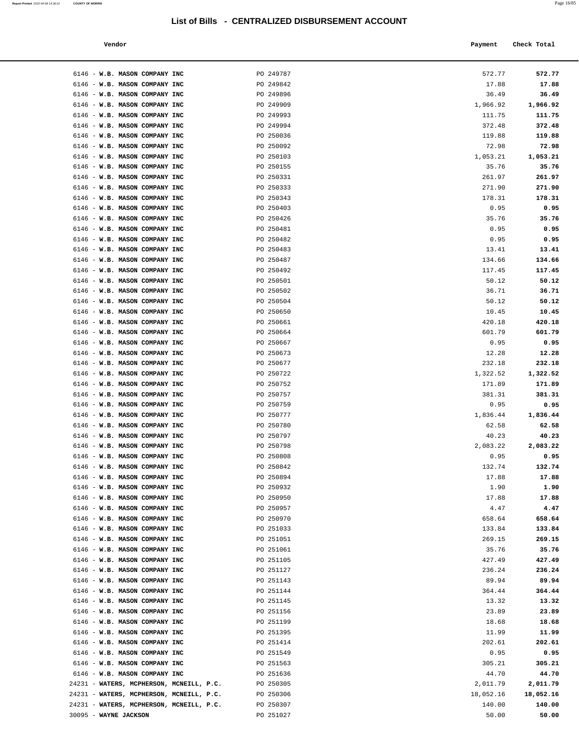| Vendor | Payment Check Total<br>_____ |
|--------|------------------------------|
|        |                              |

| 6146 - W.B. MASON COMPANY INC                                     | PO 249787              | 572.77          | 572.77          |
|-------------------------------------------------------------------|------------------------|-----------------|-----------------|
| 6146 - W.B. MASON COMPANY INC                                     | PO 249842              | 17.88           | 17.88           |
| 6146 - W.B. MASON COMPANY INC                                     | PO 249896              | 36.49           | 36.49           |
| 6146 - W.B. MASON COMPANY INC                                     | PO 249909              | 1,966.92        | 1,966.92        |
| 6146 - W.B. MASON COMPANY INC                                     | PO 249993              | 111.75          | 111.75          |
| 6146 - W.B. MASON COMPANY INC                                     | PO 249994              | 372.48          | 372.48          |
| 6146 - W.B. MASON COMPANY INC                                     | PO 250036              | 119.88          | 119.88          |
| 6146 - W.B. MASON COMPANY INC                                     | PO 250092              | 72.98           | 72.98           |
| 6146 - W.B. MASON COMPANY INC                                     | PO 250103              | 1,053.21        | 1,053.21        |
| 6146 - W.B. MASON COMPANY INC                                     | PO 250155              | 35.76           | 35.76           |
| 6146 - W.B. MASON COMPANY INC                                     | PO 250331              | 261.97          | 261.97          |
| 6146 - W.B. MASON COMPANY INC                                     | PO 250333              | 271.90          | 271.90          |
| 6146 - W.B. MASON COMPANY INC                                     | PO 250343              | 178.31          | 178.31          |
| 6146 - W.B. MASON COMPANY INC                                     | PO 250403              | 0.95            | 0.95            |
| 6146 - W.B. MASON COMPANY INC<br>6146 - W.B. MASON COMPANY INC    | PO 250426<br>PO 250481 | 35.76<br>0.95   | 35.76<br>0.95   |
| 6146 - W.B. MASON COMPANY INC                                     | PO 250482              | 0.95            | 0.95            |
| 6146 - W.B. MASON COMPANY INC                                     | PO 250483              | 13.41           | 13.41           |
| 6146 - W.B. MASON COMPANY INC                                     | PO 250487              | 134.66          | 134.66          |
| 6146 - W.B. MASON COMPANY INC                                     | PO 250492              | 117.45          | 117.45          |
| 6146 - W.B. MASON COMPANY INC                                     | PO 250501              | 50.12           | 50.12           |
| 6146 - W.B. MASON COMPANY INC                                     | PO 250502              | 36.71           | 36.71           |
| 6146 - W.B. MASON COMPANY INC                                     | PO 250504              | 50.12           | 50.12           |
| 6146 - W.B. MASON COMPANY INC                                     | PO 250650              | 10.45           | 10.45           |
| 6146 - W.B. MASON COMPANY INC                                     | PO 250661              | 420.18          | 420.18          |
| 6146 - W.B. MASON COMPANY INC                                     | PO 250664              | 601.79          | 601.79          |
| 6146 - W.B. MASON COMPANY INC                                     | PO 250667              | 0.95            | 0.95            |
| 6146 - W.B. MASON COMPANY INC<br>6146 - W.B. MASON COMPANY INC    | PO 250673<br>PO 250677 | 12.28<br>232.18 | 12.28<br>232.18 |
| 6146 - W.B. MASON COMPANY INC                                     | PO 250722              | 1,322.52        | 1,322.52        |
| 6146 - W.B. MASON COMPANY INC                                     | PO 250752              | 171.89          | 171.89          |
| 6146 - W.B. MASON COMPANY INC                                     | PO 250757              | 381.31          | 381.31          |
| 6146 - W.B. MASON COMPANY INC                                     | PO 250759              | 0.95            | 0.95            |
| 6146 - W.B. MASON COMPANY INC                                     | PO 250777              | 1,836.44        | 1,836.44        |
| 6146 - W.B. MASON COMPANY INC                                     | PO 250780              | 62.58           | 62.58           |
| 6146 - W.B. MASON COMPANY INC                                     | PO 250797              | 40.23           | 40.23           |
| 6146 - W.B. MASON COMPANY INC                                     | PO 250798              | 2,083.22        | 2,083.22        |
| 6146 - W.B. MASON COMPANY INC                                     | PO 250808              | 0.95            | 0.95            |
| 6146 - W.B. MASON COMPANY INC                                     | PO 250842<br>PO 250894 | 132.74<br>17.88 | 132.74<br>17.88 |
| 6146 - W.B. MASON COMPANY INC<br>6146 - W.B. MASON COMPANY INC    | PO 250932              | 1.90            | 1.90            |
| 6146 - W.B. MASON COMPANY INC                                     | PO 250950              | 17.88           | 17.88           |
| 6146 - W.B. MASON COMPANY INC                                     | PO 250957              | 4.47            | 4.47            |
| 6146 - W.B. MASON COMPANY INC                                     | PO 250970              | 658.64          | 658.64          |
| 6146 - W.B. MASON COMPANY INC                                     | PO 251033              | 133.84          | 133.84          |
| 6146 - W.B. MASON COMPANY INC                                     | PO 251051              | 269.15          | 269.15          |
| 6146 - W.B. MASON COMPANY INC                                     | PO 251061              | 35.76           | 35.76           |
| 6146 - W.B. MASON COMPANY INC                                     | PO 251105              | 427.49          | 427.49          |
| 6146 - W.B. MASON COMPANY INC                                     | PO 251127              | 236.24          | 236.24          |
| 6146 - W.B. MASON COMPANY INC<br>6146 - W.B. MASON COMPANY INC    | PO 251143<br>PO 251144 | 89.94<br>364.44 | 89.94<br>364.44 |
| 6146 - W.B. MASON COMPANY INC                                     | PO 251145              | 13.32           | 13.32           |
| 6146 - W.B. MASON COMPANY INC                                     | PO 251156              | 23.89           | 23.89           |
| 6146 - W.B. MASON COMPANY INC                                     | PO 251199              | 18.68           | 18.68           |
| 6146 - W.B. MASON COMPANY INC                                     | PO 251395              | 11.99           | 11.99           |
| 6146 - W.B. MASON COMPANY INC                                     | PO 251414              | 202.61          | 202.61          |
| 6146 - W.B. MASON COMPANY INC                                     | PO 251549              | 0.95            | 0.95            |
| 6146 - W.B. MASON COMPANY INC                                     | PO 251563              | 305.21          | 305.21          |
| 6146 - W.B. MASON COMPANY INC                                     | PO 251636              | 44.70           | 44.70           |
| 24231 - WATERS, MCPHERSON, MCNEILL, P.C.                          | PO 250305              | 2,011.79        | 2,011.79        |
| 24231 - WATERS, MCPHERSON, MCNEILL, P.C.                          | PO 250306              | 18,052.16       | 18,052.16       |
| 24231 - WATERS, MCPHERSON, MCNEILL, P.C.<br>30095 - WAYNE JACKSON | PO 250307<br>PO 251027 | 140.00<br>50.00 | 140.00<br>50.00 |
|                                                                   |                        |                 |                 |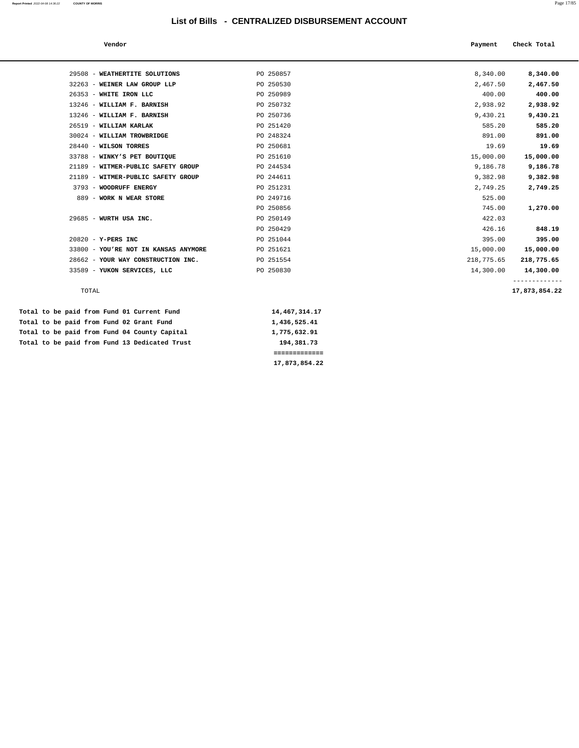| Vendor                               |           | Payment    | Check Total |
|--------------------------------------|-----------|------------|-------------|
|                                      |           |            |             |
| 29508 - WEATHERTITE SOLUTIONS        | PO 250857 | 8,340.00   | 8,340.00    |
| 32263 - WEINER LAW GROUP LLP         | PO 250530 | 2,467.50   | 2,467.50    |
| 26353 - WHITE IRON LLC               | PO 250989 | 400.00     | 400.00      |
| 13246 - WILLIAM F. BARNISH           | PO 250732 | 2,938.92   | 2,938.92    |
| 13246 - WILLIAM F. BARNISH           | PO 250736 | 9,430.21   | 9,430.21    |
| 26519 - WILLIAM KARLAK               | PO 251420 | 585.20     | 585.20      |
| 30024 - WILLIAM TROWBRIDGE           | PO 248324 | 891.00     | 891.00      |
| 28440 - WILSON TORRES                | PO 250681 | 19.69      | 19.69       |
| 33788 - WINKY'S PET BOUTIQUE         | PO 251610 | 15,000.00  | 15,000.00   |
| 21189 - WITMER-PUBLIC SAFETY GROUP   | PO 244534 | 9,186.78   | 9,186.78    |
| 21189 - WITMER-PUBLIC SAFETY GROUP   | PO 244611 | 9,382.98   | 9,382.98    |
| 3793 - WOODRUFF ENERGY               | PO 251231 | 2,749.25   | 2,749.25    |
| 889 - WORK N WEAR STORE              | PO 249716 | 525.00     |             |
|                                      | PO 250856 | 745.00     | 1,270.00    |
| 29685 - WURTH USA INC.               | PO 250149 | 422.03     |             |
|                                      | PO 250429 | 426.16     | 848.19      |
| $20820 - Y - PERS$ INC               | PO 251044 | 395.00     | 395.00      |
| 33800 - YOU'RE NOT IN KANSAS ANYMORE | PO 251621 | 15,000.00  | 15,000.00   |
| 28662 - YOUR WAY CONSTRUCTION INC.   | PO 251554 | 218,775.65 | 218,775.65  |
| 33589 - YUKON SERVICES, LLC          | PO 250830 | 14,300.00  | 14,300.00   |
|                                      |           |            |             |

TOTAL **17,873,854.22**

|  |  |  |  | Total to be paid from Fund 01 Current Fund    | 14,467,314.17 |
|--|--|--|--|-----------------------------------------------|---------------|
|  |  |  |  | Total to be paid from Fund 02 Grant Fund      | 1,436,525.41  |
|  |  |  |  | Total to be paid from Fund 04 County Capital  | 1,775,632.91  |
|  |  |  |  | Total to be paid from Fund 13 Dedicated Trust | 194,381.73    |
|  |  |  |  |                                               |               |
|  |  |  |  |                                               | 17,873,854.22 |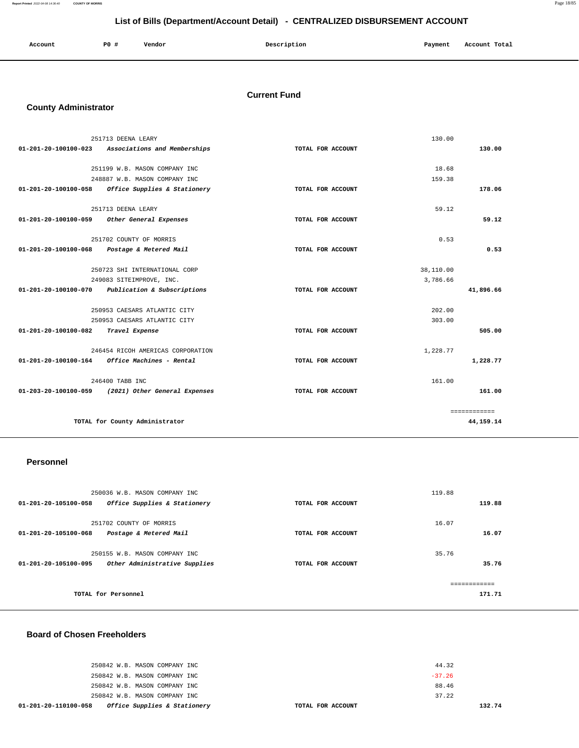**Report Printed** 2022-04-08 14:36:40 **COUNTY OF MORRIS** Page 18/85

# **List of Bills (Department/Account Detail) - CENTRALIZED DISBURSEMENT ACCOUNT**

| Account | <b>PO #</b> | Vendor | Description | Payment | Account Total |
|---------|-------------|--------|-------------|---------|---------------|
|         |             |        |             |         |               |

# **Current Fund**

# **County Administrator**

|                      | 251713 DEENA LEARY                                | 130.00            |              |
|----------------------|---------------------------------------------------|-------------------|--------------|
| 01-201-20-100100-023 | Associations and Memberships                      | TOTAL FOR ACCOUNT | 130.00       |
|                      |                                                   |                   |              |
|                      | 251199 W.B. MASON COMPANY INC                     | 18.68             |              |
|                      | 248887 W.B. MASON COMPANY INC                     | 159.38            |              |
|                      | 01-201-20-100100-058 Office Supplies & Stationery | TOTAL FOR ACCOUNT | 178.06       |
|                      | 251713 DEENA LEARY                                | 59.12             |              |
| 01-201-20-100100-059 | Other General Expenses                            | TOTAL FOR ACCOUNT | 59.12        |
|                      | 251702 COUNTY OF MORRIS                           | 0.53              |              |
| 01-201-20-100100-068 | Postage & Metered Mail                            | TOTAL FOR ACCOUNT | 0.53         |
|                      |                                                   |                   |              |
|                      | 250723 SHI INTERNATIONAL CORP                     | 38,110.00         |              |
|                      | 249083 SITEIMPROVE, INC.                          | 3.786.66          |              |
| 01-201-20-100100-070 | Publication & Subscriptions                       | TOTAL FOR ACCOUNT | 41,896.66    |
|                      | 250953 CAESARS ATLANTIC CITY                      | 202.00            |              |
|                      | 250953 CAESARS ATLANTIC CITY                      | 303.00            |              |
| 01-201-20-100100-082 | Travel Expense                                    | TOTAL FOR ACCOUNT | 505.00       |
|                      | 246454 RICOH AMERICAS CORPORATION                 | 1,228.77          |              |
| 01-201-20-100100-164 | Office Machines - Rental                          | TOTAL FOR ACCOUNT | 1,228.77     |
|                      | 246400 TABB INC                                   | 161.00            |              |
| 01-203-20-100100-059 | (2021) Other General Expenses                     | TOTAL FOR ACCOUNT | 161.00       |
|                      |                                                   |                   |              |
|                      |                                                   |                   | ============ |
|                      | TOTAL for County Administrator                    |                   | 44, 159. 14  |
|                      |                                                   |                   |              |

#### **Personnel**

| 250036 W.B. MASON COMPANY INC<br>01-201-20-105100-058<br>Office Supplies & Stationery  | TOTAL FOR ACCOUNT | 119.88<br>119.88        |
|----------------------------------------------------------------------------------------|-------------------|-------------------------|
| 251702 COUNTY OF MORRIS<br>Postage & Metered Mail<br>01-201-20-105100-068              | TOTAL FOR ACCOUNT | 16.07<br>16.07          |
| 250155 W.B. MASON COMPANY INC<br>Other Administrative Supplies<br>01-201-20-105100-095 | TOTAL FOR ACCOUNT | 35.76<br>35.76          |
| TOTAL for Personnel                                                                    |                   | -------------<br>171.71 |

### **Board of Chosen Freeholders**

| Office Supplies & Stationery<br>01-201-20-110100-058 | TOTAL FOR ACCOUNT |          | 13 |
|------------------------------------------------------|-------------------|----------|----|
| 250842 W.B. MASON COMPANY INC                        |                   | 37.22    |    |
| 250842 W.B. MASON COMPANY INC                        |                   | 88.46    |    |
| 250842 W.B. MASON COMPANY INC                        |                   | $-37.26$ |    |
| 250842 W.B. MASON COMPANY INC                        |                   | 44.32    |    |
|                                                      |                   |          |    |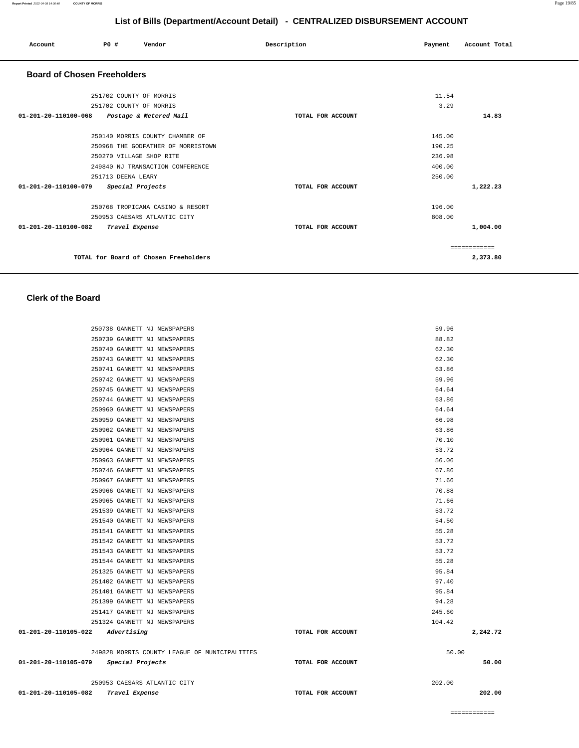| 250967 GANNETT NJ NEWSPAPERS                  |                   | 71.66    |
|-----------------------------------------------|-------------------|----------|
| 250966 GANNETT NJ NEWSPAPERS                  |                   | 70.88    |
| 250965 GANNETT NJ NEWSPAPERS                  |                   | 71.66    |
| 251539 GANNETT NJ NEWSPAPERS                  |                   | 53.72    |
| 251540 GANNETT NJ NEWSPAPERS                  |                   | 54.50    |
| 251541 GANNETT NJ NEWSPAPERS                  |                   | 55.28    |
| 251542 GANNETT NJ NEWSPAPERS                  |                   | 53.72    |
| 251543 GANNETT NJ NEWSPAPERS                  |                   | 53.72    |
| 251544 GANNETT NJ NEWSPAPERS                  |                   | 55.28    |
| 251325 GANNETT NJ NEWSPAPERS                  |                   | 95.84    |
| 251402 GANNETT NJ NEWSPAPERS                  |                   | 97.40    |
| 251401 GANNETT NJ NEWSPAPERS                  |                   | 95.84    |
| 251399 GANNETT NJ NEWSPAPERS                  |                   | 94.28    |
| 251417 GANNETT NJ NEWSPAPERS                  |                   | 245.60   |
| 251324 GANNETT NJ NEWSPAPERS                  |                   | 104.42   |
| $01 - 201 - 20 - 110105 - 022$ Advertising    | TOTAL FOR ACCOUNT | 2,242.72 |
| 249828 MORRIS COUNTY LEAGUE OF MUNICIPALITIES |                   | 50.00    |
| 01-201-20-110105-079<br>Special Projects      | TOTAL FOR ACCOUNT | 50.00    |
| 250953 CAESARS ATLANTIC CITY                  |                   | 202.00   |
| 01-201-20-110105-082<br>Travel Expense        | TOTAL FOR ACCOUNT | 202.00   |
|                                               |                   |          |

#### **Clerk of the Board**

| <b>Board of Chosen Freeholders</b>                       |                   |              |
|----------------------------------------------------------|-------------------|--------------|
| 251702 COUNTY OF MORRIS                                  |                   | 11.54        |
| 251702 COUNTY OF MORRIS                                  |                   | 3.29         |
| $01 - 201 - 20 - 110100 - 068$<br>Postage & Metered Mail | TOTAL FOR ACCOUNT | 14.83        |
| 250140 MORRIS COUNTY CHAMBER OF                          |                   | 145.00       |
| 250968 THE GODFATHER OF MORRISTOWN                       |                   | 190.25       |
| 250270 VILLAGE SHOP RITE                                 | 236.98            |              |
| 249840 NJ TRANSACTION CONFERENCE                         |                   | 400.00       |
| 251713 DEENA LEARY                                       |                   | 250.00       |
| 01-201-20-110100-079<br>Special Projects                 | TOTAL FOR ACCOUNT | 1,222.23     |
| 250768 TROPICANA CASINO & RESORT                         |                   | 196.00       |
| 250953 CAESARS ATLANTIC CITY                             |                   | 808.00       |
| $01 - 201 - 20 - 110100 - 082$<br>Travel Expense         | TOTAL FOR ACCOUNT | 1,004.00     |
|                                                          |                   | ------------ |
| TOTAL for Board of Chosen Freeholders                    |                   | 2,373.80     |

250738 GANNETT NJ NEWSPAPERS 59.96 250739 GANNETT NJ NEWSPAPERS 88.82 250740 GANNETT NJ NEWSPAPERS 62.30 250743 GANNETT NJ NEWSPAPERS 62.30 250741 GANNETT NJ NEWSPAPERS 63.86 250742 GANNETT NJ NEWSPAPERS 59.96 250745 GANNETT NJ NEWSPAPERS 64.64 250744 GANNETT NJ NEWSPAPERS 63.86 250960 GANNETT NJ NEWSPAPERS 64.64 250959 GANNETT NJ NEWSPAPERS 66.98 250962 GANNETT NJ NEWSPAPERS 63.86 250961 GANNETT NJ NEWSPAPERS 70.10 250964 GANNETT NJ NEWSPAPERS 53.72 250963 GANNETT NJ NEWSPAPERS 56.06 250746 GANNETT NJ NEWSPAPERS 67.86

**List of Bills (Department/Account Detail) - CENTRALIZED DISBURSEMENT ACCOUNT**

 **Account P0 # Vendor Description Payment Account Total**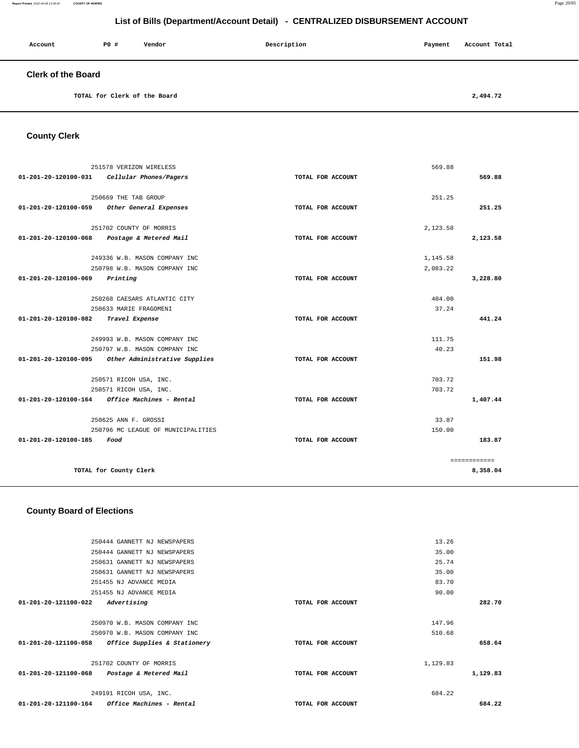**Report Printed** 2022-04-08 14:36:40 **COUNTY OF MORRIS** Page 20/85

# **List of Bills (Department/Account Detail) - CENTRALIZED DISBURSEMENT ACCOUNT**

| Account                   | PO# | Vendor | Description | Payment | Account Total |
|---------------------------|-----|--------|-------------|---------|---------------|
| <b>Clerk of the Board</b> |     |        |             |         |               |

**TOTAL for Clerk of the Board [2,494.72](https://2,494.72)** 

**County Clerk** 

|                      | 251578 VERIZON WIRELESS                            |                   | 569.88   |              |
|----------------------|----------------------------------------------------|-------------------|----------|--------------|
| 01-201-20-120100-031 | Cellular Phones/Pagers                             | TOTAL FOR ACCOUNT |          | 569.88       |
|                      |                                                    |                   |          |              |
|                      | 250669 THE TAB GROUP                               |                   | 251.25   |              |
| 01-201-20-120100-059 | Other General Expenses                             | TOTAL FOR ACCOUNT |          | 251.25       |
|                      | 251702 COUNTY OF MORRIS                            |                   | 2,123.58 |              |
|                      | 01-201-20-120100-068 Postage & Metered Mail        | TOTAL FOR ACCOUNT |          | 2,123.58     |
|                      | 249336 W.B. MASON COMPANY INC                      |                   | 1,145.58 |              |
|                      | 250798 W.B. MASON COMPANY INC                      |                   | 2.083.22 |              |
| 01-201-20-120100-069 | Printing                                           | TOTAL FOR ACCOUNT |          | 3,228.80     |
|                      |                                                    |                   |          |              |
|                      | 250268 CAESARS ATLANTIC CITY                       |                   | 404.00   |              |
|                      | 250633 MARIE FRAGOMENI                             |                   | 37.24    |              |
| 01-201-20-120100-082 | Travel Expense                                     | TOTAL FOR ACCOUNT |          | 441.24       |
|                      | 249993 W.B. MASON COMPANY INC                      |                   | 111.75   |              |
|                      | 250797 W.B. MASON COMPANY INC                      |                   | 40.23    |              |
|                      | 01-201-20-120100-095 Other Administrative Supplies | TOTAL FOR ACCOUNT |          | 151.98       |
|                      | 250571 RICOH USA, INC.                             |                   | 703.72   |              |
|                      | 250571 RICOH USA, INC.                             |                   | 703.72   |              |
| 01-201-20-120100-164 | Office Machines - Rental                           | TOTAL FOR ACCOUNT |          | 1,407.44     |
|                      | 250625 ANN F. GROSSI                               |                   | 33.87    |              |
|                      | 250796 MC LEAGUE OF MUNICIPALITIES                 |                   | 150.00   |              |
| 01-201-20-120100-185 | Food                                               | TOTAL FOR ACCOUNT |          | 183.87       |
|                      |                                                    |                   |          |              |
|                      |                                                    |                   |          | ============ |
|                      | TOTAL for County Clerk                             |                   |          | 8,358.04     |
|                      |                                                    |                   |          |              |

#### **County Board of Elections**

|                      | $01-201-20-121100-164$ Office Machines - Rental | TOTAL FOR ACCOUNT |          | 684.22   |
|----------------------|-------------------------------------------------|-------------------|----------|----------|
|                      | 249191 RICOH USA, INC.                          |                   | 684.22   |          |
| 01-201-20-121100-068 | Postage & Metered Mail                          | TOTAL FOR ACCOUNT |          | 1,129.83 |
|                      | 251702 COUNTY OF MORRIS                         |                   | 1,129.83 |          |
| 01-201-20-121100-058 | Office Supplies & Stationery                    | TOTAL FOR ACCOUNT |          | 658.64   |
|                      | 250970 W.B. MASON COMPANY INC                   |                   | 510.68   |          |
|                      | 250970 W.B. MASON COMPANY INC                   |                   | 147.96   |          |
| 01-201-20-121100-022 | Advertising                                     | TOTAL FOR ACCOUNT |          | 282.70   |
|                      | 251455 NJ ADVANCE MEDIA                         |                   | 90.00    |          |
|                      | 251455 NJ ADVANCE MEDIA                         |                   | 83.70    |          |
|                      | 250631 GANNETT NJ NEWSPAPERS                    |                   | 35.00    |          |
|                      | 250631 GANNETT NJ NEWSPAPERS                    |                   | 25.74    |          |
|                      | 250444 GANNETT NJ NEWSPAPERS                    |                   | 35.00    |          |
|                      | 250444 GANNETT NJ NEWSPAPERS                    |                   | 13.26    |          |
|                      |                                                 |                   |          |          |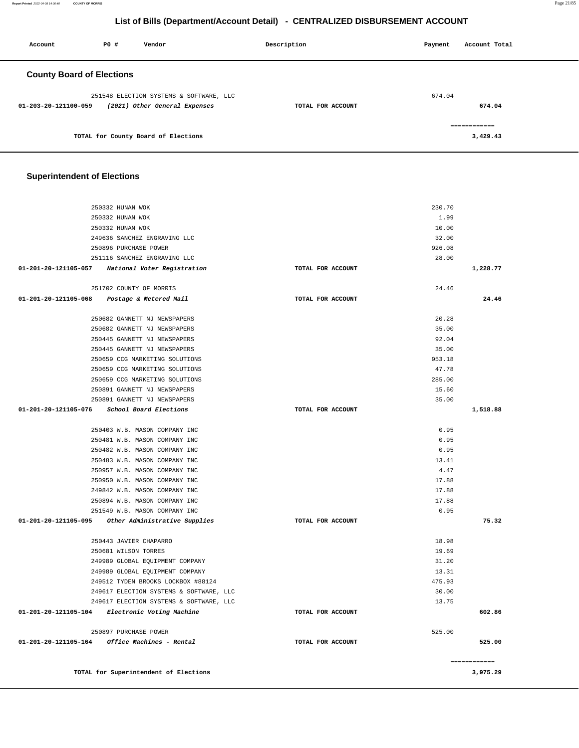**Report Printed** 2022-04-08 14:36:40 **COUNTY OF MORRIS** Page 21/85

# **List of Bills (Department/Account Detail) - CENTRALIZED DISBURSEMENT ACCOUNT**

| Account                          | PO# | Vendor                                  | Description       | Payment | Account Total |
|----------------------------------|-----|-----------------------------------------|-------------------|---------|---------------|
| <b>County Board of Elections</b> |     |                                         |                   |         |               |
|                                  |     | 251548 ELECTION SYSTEMS & SOFTWARE, LLC |                   | 674.04  |               |
| $01 - 203 - 20 - 121100 - 059$   |     | (2021) Other General Expenses           | TOTAL FOR ACCOUNT |         | 674.04        |
|                                  |     |                                         |                   |         | ------------- |
|                                  |     | TOTAL for County Board of Elections     |                   |         | 3,429.43      |

### **Superintendent of Elections**

| 250332 HUNAN WOK                                               |                   | 230.70        |
|----------------------------------------------------------------|-------------------|---------------|
| 250332 HUNAN WOK                                               |                   | 1.99          |
| 250332 HUNAN WOK                                               |                   | 10.00         |
| 249636 SANCHEZ ENGRAVING LLC                                   |                   | 32.00         |
| 250896 PURCHASE POWER                                          |                   | 926.08        |
| 251116 SANCHEZ ENGRAVING LLC                                   |                   | 28.00         |
| 01-201-20-121105-057 National Voter Registration               | TOTAL FOR ACCOUNT | 1,228.77      |
|                                                                |                   |               |
| 251702 COUNTY OF MORRIS                                        |                   | 24.46         |
| 01-201-20-121105-068 Postage & Metered Mail                    | TOTAL FOR ACCOUNT | 24.46         |
| 250682 GANNETT NJ NEWSPAPERS                                   |                   | 20.28         |
| 250682 GANNETT NJ NEWSPAPERS                                   |                   | 35.00         |
| 250445 GANNETT NJ NEWSPAPERS                                   |                   | 92.04         |
| 250445 GANNETT NJ NEWSPAPERS                                   |                   | 35.00         |
| 250659 CCG MARKETING SOLUTIONS                                 |                   | 953.18        |
| 250659 CCG MARKETING SOLUTIONS                                 |                   | 47.78         |
| 250659 CCG MARKETING SOLUTIONS                                 |                   | 285.00        |
| 250891 GANNETT NJ NEWSPAPERS                                   |                   | 15.60         |
| 250891 GANNETT NJ NEWSPAPERS                                   |                   | 35.00         |
| 01-201-20-121105-076 School Board Elections                    | TOTAL FOR ACCOUNT | 1,518.88      |
|                                                                |                   |               |
| 250403 W.B. MASON COMPANY INC                                  |                   | 0.95          |
| 250481 W.B. MASON COMPANY INC                                  |                   | 0.95          |
| 250482 W.B. MASON COMPANY INC<br>250483 W.B. MASON COMPANY INC |                   | 0.95<br>13.41 |
| 250957 W.B. MASON COMPANY INC                                  |                   | 4.47          |
| 250950 W.B. MASON COMPANY INC                                  |                   | 17.88         |
| 249842 W.B. MASON COMPANY INC                                  |                   | 17.88         |
| 250894 W.B. MASON COMPANY INC                                  |                   | 17.88         |
| 251549 W.B. MASON COMPANY INC                                  |                   | 0.95          |
| 01-201-20-121105-095 Other Administrative Supplies             | TOTAL FOR ACCOUNT | 75.32         |
|                                                                |                   |               |
| 250443 JAVIER CHAPARRO                                         |                   | 18.98         |
| 250681 WILSON TORRES                                           |                   | 19.69         |
| 249989 GLOBAL EQUIPMENT COMPANY                                |                   | 31.20         |
| 249989 GLOBAL EQUIPMENT COMPANY                                |                   | 13.31         |
| 249512 TYDEN BROOKS LOCKBOX #88124                             |                   | 475.93        |
| 249617 ELECTION SYSTEMS & SOFTWARE, LLC                        |                   | 30.00         |
| 249617 ELECTION SYSTEMS & SOFTWARE, LLC                        |                   | 13.75         |
| 01-201-20-121105-104 Electronic Voting Machine                 | TOTAL FOR ACCOUNT | 602.86        |
| 250897 PURCHASE POWER                                          |                   | 525.00        |
| 01-201-20-121105-164 Office Machines - Rental                  | TOTAL FOR ACCOUNT | 525.00        |
|                                                                |                   |               |
|                                                                |                   | ============  |
| TOTAL for Superintendent of Elections                          |                   | 3,975.29      |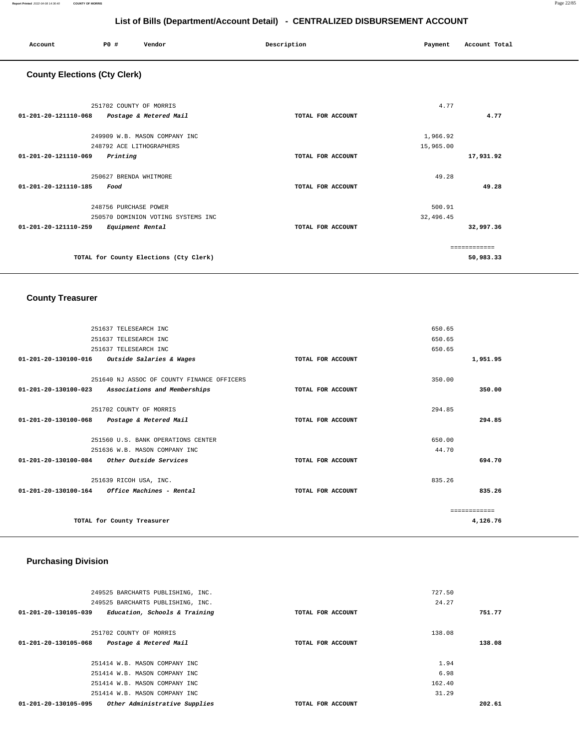| Account | P0 # | Vendor | Description | Payment | Account Total |
|---------|------|--------|-------------|---------|---------------|
|         |      |        |             |         |               |

# **County Elections (Cty Clerk)**

| 251702 COUNTY OF MORRIS<br>01-201-20-121110-068 | TOTAL FOR ACCOUNT | 4.77         | 4.77      |
|-------------------------------------------------|-------------------|--------------|-----------|
| Postage & Metered Mail                          |                   |              |           |
| 249909 W.B. MASON COMPANY INC                   |                   | 1,966.92     |           |
| 248792 ACE LITHOGRAPHERS                        |                   | 15,965.00    |           |
| 01-201-20-121110-069<br>Printing                | TOTAL FOR ACCOUNT |              | 17,931.92 |
|                                                 |                   |              |           |
| 250627 BRENDA WHITMORE                          |                   | 49.28        |           |
| $01 - 201 - 20 - 121110 - 185$<br>Food          | TOTAL FOR ACCOUNT |              | 49.28     |
|                                                 |                   |              |           |
| 248756 PURCHASE POWER                           |                   | 500.91       |           |
| 250570 DOMINION VOTING SYSTEMS INC              |                   | 32,496.45    |           |
| 01-201-20-121110-259<br>Equipment Rental        | TOTAL FOR ACCOUNT |              | 32,997.36 |
|                                                 |                   |              |           |
|                                                 |                   | ------------ |           |
| TOTAL for County Elections (Cty Clerk)          |                   |              | 50,983.33 |
|                                                 |                   |              |           |

### **County Treasurer**

|                                | 251637 TELESEARCH INC                         |                   | 650.65        |
|--------------------------------|-----------------------------------------------|-------------------|---------------|
|                                | 251637 TELESEARCH INC                         |                   | 650.65        |
|                                | 251637 TELESEARCH INC                         |                   | 650.65        |
|                                | 01-201-20-130100-016 Outside Salaries & Wages | TOTAL FOR ACCOUNT | 1,951.95      |
|                                |                                               |                   |               |
|                                | 251640 NJ ASSOC OF COUNTY FINANCE OFFICERS    |                   | 350.00        |
| $01 - 201 - 20 - 130100 - 023$ | Associations and Memberships                  | TOTAL FOR ACCOUNT | 350.00        |
|                                |                                               |                   |               |
|                                | 251702 COUNTY OF MORRIS                       |                   | 294.85        |
|                                | 01-201-20-130100-068 Postage & Metered Mail   | TOTAL FOR ACCOUNT | 294.85        |
|                                |                                               |                   |               |
|                                | 251560 U.S. BANK OPERATIONS CENTER            |                   | 650.00        |
|                                | 251636 W.B. MASON COMPANY INC                 |                   | 44.70         |
| 01-201-20-130100-084           | Other Outside Services                        | TOTAL FOR ACCOUNT | 694.70        |
|                                |                                               |                   |               |
|                                | 251639 RICOH USA, INC.                        |                   | 835.26        |
|                                | 01-201-20-130100-164 Office Machines - Rental | TOTAL FOR ACCOUNT | 835.26        |
|                                |                                               |                   | ------------- |
|                                |                                               |                   |               |
|                                | TOTAL for County Treasurer                    |                   | 4,126.76      |
|                                |                                               |                   |               |

# **Purchasing Division**

| 249525 BARCHARTS PUBLISHING, INC.                               |                   | 727.50 |
|-----------------------------------------------------------------|-------------------|--------|
| 249525 BARCHARTS PUBLISHING, INC.                               |                   | 24.27  |
| 01-201-20-130105-039<br>Education, Schools & Training           | TOTAL FOR ACCOUNT | 751.77 |
|                                                                 |                   |        |
| 251702 COUNTY OF MORRIS                                         |                   | 138.08 |
| Postage & Metered Mail<br>01-201-20-130105-068                  | TOTAL FOR ACCOUNT | 138.08 |
|                                                                 |                   |        |
| 251414 W.B. MASON COMPANY INC                                   |                   | 1.94   |
| 251414 W.B. MASON COMPANY INC                                   |                   | 6.98   |
| 251414 W.B. MASON COMPANY INC                                   |                   | 162.40 |
| 251414 W.B. MASON COMPANY INC                                   |                   | 31.29  |
| $01 - 201 - 20 - 130105 - 095$<br>Other Administrative Supplies | TOTAL FOR ACCOUNT | 202.61 |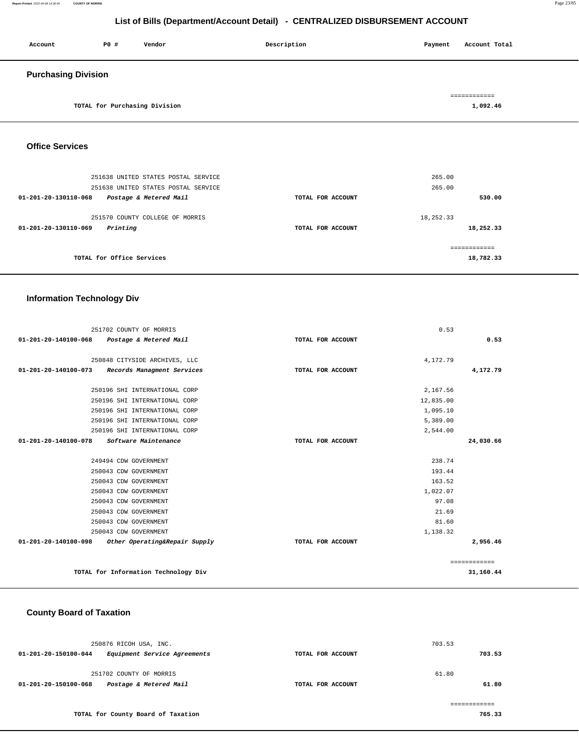#### **Report Printed** 2022-04-08 14:36:40 **COUNTY OF MORRIS** Page 23/85

# **List of Bills (Department/Account Detail) - CENTRALIZED DISBURSEMENT ACCOUNT**

| Account                    | P0 # | Vendor | Description | Payment | Account Total |
|----------------------------|------|--------|-------------|---------|---------------|
| <b>Purchasing Division</b> |      |        |             |         | ============  |

**TOTAL for Purchasing Division [1,092.46](https://1,092.46)** 

### **Office Services**

| 251638 UNITED STATES POSTAL SERVICE            |                   | 265.00    |
|------------------------------------------------|-------------------|-----------|
| 251638 UNITED STATES POSTAL SERVICE            |                   | 265.00    |
| Postage & Metered Mail<br>01-201-20-130110-068 | TOTAL FOR ACCOUNT | 530.00    |
| 251570 COUNTY COLLEGE OF MORRIS                |                   | 18,252.33 |
| Printing<br>01-201-20-130110-069               | TOTAL FOR ACCOUNT | 18,252.33 |
|                                                |                   |           |
|                                                |                   |           |
| TOTAL for Office Services                      |                   | 18,782.33 |
|                                                |                   |           |

# **Information Technology Div**

|                      | 251702 COUNTY OF MORRIS              |                   | 0.53      |              |
|----------------------|--------------------------------------|-------------------|-----------|--------------|
| 01-201-20-140100-068 | Postage & Metered Mail               | TOTAL FOR ACCOUNT |           | 0.53         |
|                      |                                      |                   |           |              |
|                      | 250848 CITYSIDE ARCHIVES, LLC        |                   | 4,172.79  |              |
| 01-201-20-140100-073 | Records Managment Services           | TOTAL FOR ACCOUNT |           | 4,172.79     |
|                      | 250196 SHI INTERNATIONAL CORP        |                   | 2,167.56  |              |
|                      | 250196 SHI INTERNATIONAL CORP        |                   | 12,835.00 |              |
|                      | 250196 SHI INTERNATIONAL CORP        |                   | 1,095.10  |              |
|                      | 250196 SHI INTERNATIONAL CORP        |                   | 5,389.00  |              |
|                      | 250196 SHI INTERNATIONAL CORP        |                   | 2,544.00  |              |
| 01-201-20-140100-078 | Software Maintenance                 | TOTAL FOR ACCOUNT |           | 24,030.66    |
|                      |                                      |                   |           |              |
|                      | 249494 CDW GOVERNMENT                |                   | 238.74    |              |
|                      | 250043 CDW GOVERNMENT                |                   | 193.44    |              |
|                      | 250043 CDW GOVERNMENT                |                   | 163.52    |              |
|                      | 250043 CDW GOVERNMENT                |                   | 1,022.07  |              |
|                      | 250043 CDW GOVERNMENT                |                   | 97.08     |              |
|                      | 250043 CDW GOVERNMENT                |                   | 21.69     |              |
|                      | 250043 CDW GOVERNMENT                |                   | 81.60     |              |
|                      | 250043 CDW GOVERNMENT                |                   | 1,138.32  |              |
| 01-201-20-140100-098 | Other Operating&Repair Supply        | TOTAL FOR ACCOUNT |           | 2,956.46     |
|                      |                                      |                   |           |              |
|                      |                                      |                   |           | ============ |
|                      | TOTAL for Information Technology Div |                   |           | 31,160.44    |

#### **County Board of Taxation**

| 250876 RICOH USA, INC.                               |                   | 703.53 |
|------------------------------------------------------|-------------------|--------|
| Equipment Service Agreements<br>01-201-20-150100-044 | TOTAL FOR ACCOUNT | 703.53 |
| 251702 COUNTY OF MORRIS                              |                   | 61.80  |
| Postage & Metered Mail<br>01-201-20-150100-068       | TOTAL FOR ACCOUNT | 61.80  |
|                                                      |                   |        |
| TOTAL for County Board of Taxation                   |                   | 765.33 |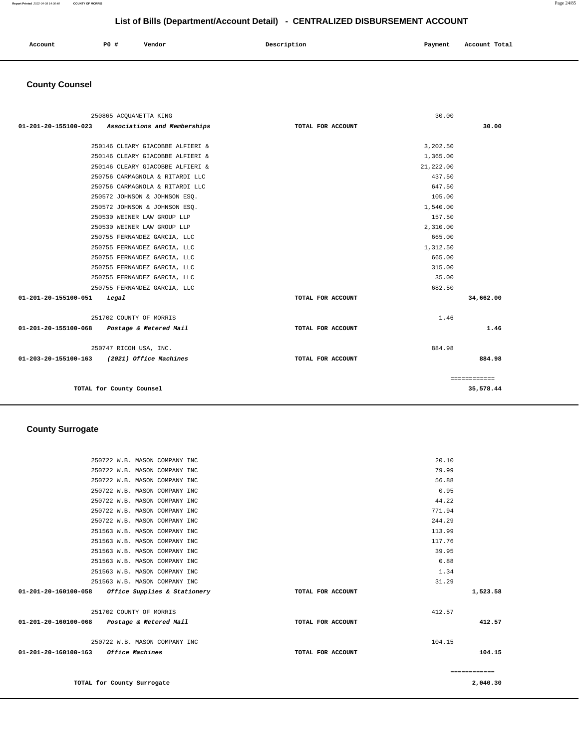**Report Printed** 2022-04-08 14:36:40 **COUNTY OF MORRIS** Page 24/85

# **List of Bills (Department/Account Detail) - CENTRALIZED DISBURSEMENT ACCOUNT**

| Account<br>. | PO# | Vendor | Description | Payment | Account Total |
|--------------|-----|--------|-------------|---------|---------------|
|              |     |        |             |         |               |

# **County Counsel**

| 250865 ACOUANETTA KING                            |                   | 30.00     |              |
|---------------------------------------------------|-------------------|-----------|--------------|
| 01-201-20-155100-023 Associations and Memberships | TOTAL FOR ACCOUNT |           | 30.00        |
|                                                   |                   |           |              |
| 250146 CLEARY GIACOBBE ALFIERI &                  |                   | 3,202.50  |              |
| 250146 CLEARY GIACOBBE ALFIERI &                  |                   | 1,365.00  |              |
| 250146 CLEARY GIACOBBE ALFIERI &                  |                   | 21,222.00 |              |
| 250756 CARMAGNOLA & RITARDI LLC                   |                   | 437.50    |              |
| 250756 CARMAGNOLA & RITARDI LLC                   |                   | 647.50    |              |
| 250572 JOHNSON & JOHNSON ESO.                     |                   | 105.00    |              |
| 250572 JOHNSON & JOHNSON ESQ.                     |                   | 1,540.00  |              |
| 250530 WEINER LAW GROUP LLP                       |                   | 157.50    |              |
| 250530 WEINER LAW GROUP LLP                       |                   | 2,310.00  |              |
| 250755 FERNANDEZ GARCIA, LLC                      |                   | 665.00    |              |
| 250755 FERNANDEZ GARCIA, LLC                      |                   | 1,312.50  |              |
| 250755 FERNANDEZ GARCIA, LLC                      |                   | 665.00    |              |
| 250755 FERNANDEZ GARCIA, LLC                      |                   | 315.00    |              |
| 250755 FERNANDEZ GARCIA, LLC                      |                   | 35.00     |              |
| 250755 FERNANDEZ GARCIA, LLC                      |                   | 682.50    |              |
| 01-201-20-155100-051<br>Legal                     | TOTAL FOR ACCOUNT |           | 34,662.00    |
| 251702 COUNTY OF MORRIS                           |                   | 1.46      |              |
| 01-201-20-155100-068 Postage & Metered Mail       | TOTAL FOR ACCOUNT |           | 1.46         |
| 250747 RICOH USA, INC.                            |                   | 884.98    |              |
| 01-203-20-155100-163 (2021) Office Machines       | TOTAL FOR ACCOUNT |           | 884.98       |
|                                                   |                   |           | ============ |
| TOTAL for County Counsel                          |                   |           | 35,578.44    |

# **County Surrogate**

|                                      | TOTAL FOR ACCOUNT                                                                                                                                                                                                                                                                                                                                                                                                                                                                                                                                                                                         |                   | 104.15                            |
|--------------------------------------|-----------------------------------------------------------------------------------------------------------------------------------------------------------------------------------------------------------------------------------------------------------------------------------------------------------------------------------------------------------------------------------------------------------------------------------------------------------------------------------------------------------------------------------------------------------------------------------------------------------|-------------------|-----------------------------------|
|                                      |                                                                                                                                                                                                                                                                                                                                                                                                                                                                                                                                                                                                           | 104.15            |                                   |
|                                      | TOTAL FOR ACCOUNT                                                                                                                                                                                                                                                                                                                                                                                                                                                                                                                                                                                         |                   | 412.57                            |
|                                      |                                                                                                                                                                                                                                                                                                                                                                                                                                                                                                                                                                                                           | 412.57            |                                   |
|                                      |                                                                                                                                                                                                                                                                                                                                                                                                                                                                                                                                                                                                           |                   | 1,523.58                          |
|                                      |                                                                                                                                                                                                                                                                                                                                                                                                                                                                                                                                                                                                           | 31.29             |                                   |
|                                      |                                                                                                                                                                                                                                                                                                                                                                                                                                                                                                                                                                                                           | 1.34              |                                   |
|                                      |                                                                                                                                                                                                                                                                                                                                                                                                                                                                                                                                                                                                           | 0.88              |                                   |
|                                      |                                                                                                                                                                                                                                                                                                                                                                                                                                                                                                                                                                                                           | 39.95             |                                   |
|                                      |                                                                                                                                                                                                                                                                                                                                                                                                                                                                                                                                                                                                           | 117.76            |                                   |
|                                      |                                                                                                                                                                                                                                                                                                                                                                                                                                                                                                                                                                                                           | 113.99            |                                   |
|                                      |                                                                                                                                                                                                                                                                                                                                                                                                                                                                                                                                                                                                           |                   |                                   |
|                                      |                                                                                                                                                                                                                                                                                                                                                                                                                                                                                                                                                                                                           |                   |                                   |
|                                      |                                                                                                                                                                                                                                                                                                                                                                                                                                                                                                                                                                                                           |                   |                                   |
|                                      |                                                                                                                                                                                                                                                                                                                                                                                                                                                                                                                                                                                                           | 56.88             |                                   |
|                                      |                                                                                                                                                                                                                                                                                                                                                                                                                                                                                                                                                                                                           | 79.99             |                                   |
|                                      |                                                                                                                                                                                                                                                                                                                                                                                                                                                                                                                                                                                                           | 20.10             |                                   |
| 01-201-20-160100-163 Office Machines | 250722 W.B. MASON COMPANY INC<br>250722 W.B. MASON COMPANY INC<br>250722 W.B. MASON COMPANY INC<br>250722 W.B. MASON COMPANY INC<br>250722 W.B. MASON COMPANY INC<br>250722 W.B. MASON COMPANY INC<br>250722 W.B. MASON COMPANY INC<br>251563 W.B. MASON COMPANY INC<br>251563 W.B. MASON COMPANY INC<br>251563 W.B. MASON COMPANY INC<br>251563 W.B. MASON COMPANY INC<br>251563 W.B. MASON COMPANY INC<br>251563 W.B. MASON COMPANY INC<br>01-201-20-160100-058 Office Supplies & Stationery<br>251702 COUNTY OF MORRIS<br>01-201-20-160100-068 Postage & Metered Mail<br>250722 W.B. MASON COMPANY INC | TOTAL FOR ACCOUNT | 0.95<br>44.22<br>771.94<br>244.29 |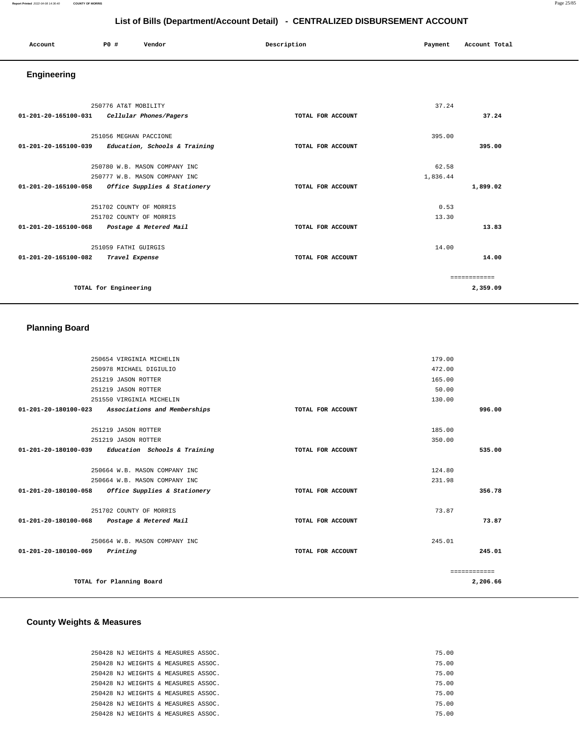#### **Report Printed** 2022-04-08 14:36:40 **COUNTY OF MORRIS** Page 25/85

# **List of Bills (Department/Account Detail) - CENTRALIZED DISBURSEMENT ACCOUNT**

| Account | <b>PO #</b> | Vendor | Description | Payment | Account Total |
|---------|-------------|--------|-------------|---------|---------------|
|         |             |        |             |         |               |

# **Engineering**

|                                | 250776 AT&T MOBILITY                        |                   | 37.24    |               |
|--------------------------------|---------------------------------------------|-------------------|----------|---------------|
|                                | 01-201-20-165100-031 Cellular Phones/Pagers | TOTAL FOR ACCOUNT |          | 37.24         |
|                                | 251056 MEGHAN PACCIONE                      |                   | 395.00   |               |
| $01 - 201 - 20 - 165100 - 039$ | Education, Schools & Training               | TOTAL FOR ACCOUNT |          | 395.00        |
|                                | 250780 W.B. MASON COMPANY INC               |                   | 62.58    |               |
|                                | 250777 W.B. MASON COMPANY INC               |                   | 1,836.44 |               |
| 01-201-20-165100-058           | Office Supplies & Stationery                | TOTAL FOR ACCOUNT |          | 1,899.02      |
|                                | 251702 COUNTY OF MORRIS                     |                   | 0.53     |               |
|                                | 251702 COUNTY OF MORRIS                     |                   | 13.30    |               |
| 01-201-20-165100-068           | Postage & Metered Mail                      | TOTAL FOR ACCOUNT |          | 13.83         |
|                                | 251059 FATHI GUIRGIS                        |                   | 14.00    |               |
| 01-201-20-165100-082           | Travel Expense                              | TOTAL FOR ACCOUNT |          | 14.00         |
|                                |                                             |                   |          | ------------- |
|                                | TOTAL for Engineering                       |                   |          | 2,359.09      |
|                                |                                             |                   |          |               |

# **Planning Board**

| 250654 VIRGINIA MICHELIN |                                                     | 179.00            |        |              |
|--------------------------|-----------------------------------------------------|-------------------|--------|--------------|
| 250978 MICHAEL DIGIULIO  | 472.00                                              |                   |        |              |
|                          | 251219 JASON ROTTER                                 |                   | 165.00 |              |
|                          | 251219 JASON ROTTER                                 |                   | 50.00  |              |
|                          | 251550 VIRGINIA MICHELIN                            |                   | 130.00 |              |
| 01-201-20-180100-023     | Associations and Memberships                        | TOTAL FOR ACCOUNT |        | 996.00       |
|                          | 251219 JASON ROTTER                                 |                   | 185.00 |              |
|                          | 251219 JASON ROTTER                                 |                   | 350.00 |              |
|                          | $01-201-20-180100-039$ Education Schools & Training | TOTAL FOR ACCOUNT |        | 535.00       |
|                          | 250664 W.B. MASON COMPANY INC                       |                   | 124.80 |              |
|                          | 250664 W.B. MASON COMPANY INC                       |                   | 231.98 |              |
|                          | 01-201-20-180100-058 Office Supplies & Stationery   | TOTAL FOR ACCOUNT |        | 356.78       |
|                          | 251702 COUNTY OF MORRIS                             |                   | 73.87  |              |
|                          | 01-201-20-180100-068 Postage & Metered Mail         | TOTAL FOR ACCOUNT |        | 73.87        |
|                          | 250664 W.B. MASON COMPANY INC                       |                   | 245.01 |              |
| 01-201-20-180100-069     | Printing                                            | TOTAL FOR ACCOUNT |        | 245.01       |
|                          |                                                     |                   |        | ============ |
|                          | TOTAL for Planning Board                            |                   |        | 2,206.66     |
|                          |                                                     |                   |        |              |

# **County Weights & Measures**

| 250428 NJ WEIGHTS & MEASURES ASSOC. | 75.00 |
|-------------------------------------|-------|
| 250428 NJ WEIGHTS & MEASURES ASSOC. | 75.00 |
| 250428 NJ WEIGHTS & MEASURES ASSOC. | 75.00 |
| 250428 NJ WEIGHTS & MEASURES ASSOC. | 75.00 |
| 250428 NJ WEIGHTS & MEASURES ASSOC. | 75.00 |
| 250428 NJ WEIGHTS & MEASURES ASSOC. | 75.00 |
| 250428 NJ WEIGHTS & MEASURES ASSOC. | 75.00 |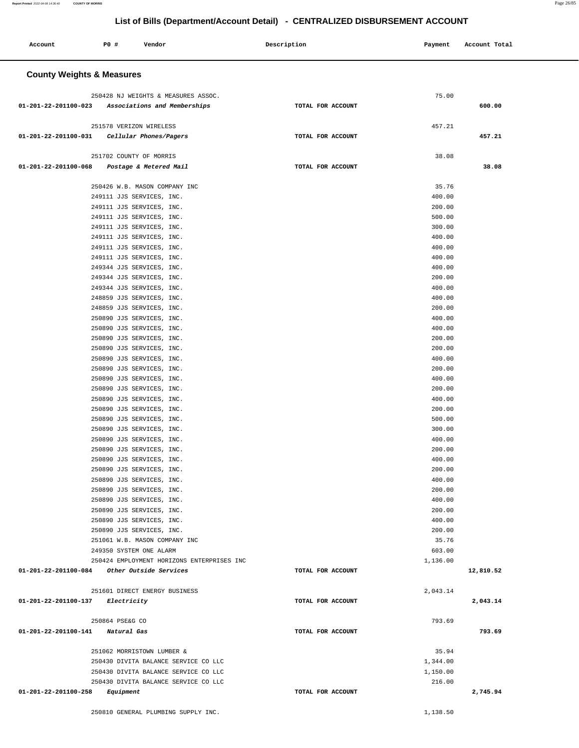**List of Bills (Department/Account Detail) - CENTRALIZED DISBURSEMENT ACCOUNT Account P0 # Vendor Description Payment Account Total County Weights & Measures** 250428 NJ WEIGHTS & MEASURES ASSOC. 75.00  **01-201-22-201100-023 Associations and Memberships TOTAL FOR ACCOUNT 600.00** 251578 VERIZON WIRELESS 457.21  **01-201-22-201100-031 Cellular Phones/Pagers TOTAL FOR ACCOUNT 457.21** 251702 COUNTY OF MORRIS 38.08  **01-201-22-201100-068 Postage & Metered Mail TOTAL FOR ACCOUNT 38.08** 250426 W.B. MASON COMPANY INC 35.76 249111 JJS SERVICES, INC. 400.00 249111 JJS SERVICES, INC. 200.00 249111 JJS SERVICES, INC. 500.00 249111 JJS SERVICES, INC. 300.00 249111 JJS SERVICES, INC. 400.00 249111 JJS SERVICES, INC. 400.00 249111 JJS SERVICES, INC. 400.00 249344 JJS SERVICES, INC. 400.00 249344 JJS SERVICES, INC. 200.00 249344 JJS SERVICES, INC. 400.00 248859 JJS SERVICES, INC. 400.00 248859 JJS SERVICES, INC. 200.00 250890 JJS SERVICES, INC. 400.00 250890 JJS SERVICES, INC. 400.00 250890 JJS SERVICES, INC. 200.00 250890 JJS SERVICES, INC. 200.00 250890 JJS SERVICES, INC. 400.00 250890 JJS SERVICES, INC. 200.00 250890 JJS SERVICES, INC. 400.00 250890 JJS SERVICES, INC. 200.00 250890 JJS SERVICES, INC. 400.00 250890 JJS SERVICES, INC. 200.00 250890 JJS SERVICES, INC. 500.00 250890 JJS SERVICES, INC. 300.00 250890 JJS SERVICES, INC. 400.00 250890 JJS SERVICES, INC. 200.00 250890 JJS SERVICES, INC. 400.00 250890 JJS SERVICES, INC. 200.00 250890 JJS SERVICES, INC. 400.00 250890 JJS SERVICES, INC. 200.00 250890 JJS SERVICES, INC. 400.00 250890 JJS SERVICES, INC. 200.00 250890 JJS SERVICES, INC. 400.00 250890 JJS SERVICES, INC. 200.00 251061 W.B. MASON COMPANY INC 35.76 249350 SYSTEM ONE ALARM 603.00 250424 EMPLOYMENT HORIZONS ENTERPRISES INC 1,136.00  **01-201-22-201100-084 Other Outside Services TOTAL FOR ACCOUNT 12,810.52** 251601 DIRECT ENERGY BUSINESS 2,043.14  **01-201-22-201100-137 Electricity TOTAL FOR ACCOUNT 2,043.14** 250864 PSE&G CO 793.69  **01-201-22-201100-141 Natural Gas TOTAL FOR ACCOUNT 793.69** 251062 MORRISTOWN LUMBER & 35.94 250430 DIVITA BALANCE SERVICE CO LLC 1,344.00 250430 DIVITA BALANCE SERVICE CO LLC 1,150.00 250430 DIVITA BALANCE SERVICE CO LLC 216.00  **01-201-22-201100-258 Equipment TOTAL FOR ACCOUNT [2,745.94](https://2,745.94)** 

250810 GENERAL PLUMBING SUPPLY INC. 250810 1,138.50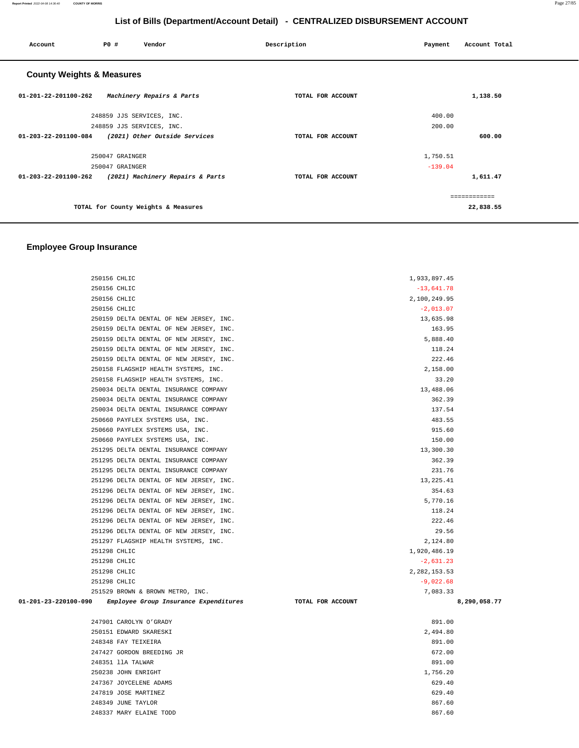| P0 #<br>Account                      | Vendor                           | Description       | Payment  | Account Total |  |  |
|--------------------------------------|----------------------------------|-------------------|----------|---------------|--|--|
| <b>County Weights &amp; Measures</b> |                                  |                   |          |               |  |  |
| 01-201-22-201100-262                 | Machinery Repairs & Parts        | TOTAL FOR ACCOUNT |          | 1,138.50      |  |  |
| 248859 JJS SERVICES, INC.            |                                  |                   | 400.00   |               |  |  |
| 248859 JJS SERVICES, INC.            |                                  |                   | 200.00   |               |  |  |
| 01-203-22-201100-084                 | (2021) Other Outside Services    | TOTAL FOR ACCOUNT |          | 600.00        |  |  |
| 250047 GRAINGER                      |                                  |                   | 1,750.51 |               |  |  |
| 250047 GRAINGER                      |                                  | $-139.04$         |          |               |  |  |
| 01-203-22-201100-262                 | (2021) Machinery Repairs & Parts | TOTAL FOR ACCOUNT |          | 1,611.47      |  |  |
|                                      |                                  |                   |          | ------------  |  |  |
| TOTAL for County Weights & Measures  |                                  |                   |          | 22,838.55     |  |  |

### **Employee Group Insurance**

| 250156 CHLIC         |                                         |                   | 1,933,897.45   |              |
|----------------------|-----------------------------------------|-------------------|----------------|--------------|
|                      | 250156 CHLIC                            |                   | $-13,641.78$   |              |
|                      | 250156 CHLIC                            |                   | 2,100,249.95   |              |
|                      | 250156 CHLIC                            |                   | $-2,013.07$    |              |
|                      | 250159 DELTA DENTAL OF NEW JERSEY, INC. |                   | 13,635.98      |              |
|                      | 250159 DELTA DENTAL OF NEW JERSEY, INC. |                   | 163.95         |              |
|                      | 250159 DELTA DENTAL OF NEW JERSEY, INC. |                   | 5,888.40       |              |
|                      | 250159 DELTA DENTAL OF NEW JERSEY, INC. |                   | 118.24         |              |
|                      | 250159 DELTA DENTAL OF NEW JERSEY, INC. |                   | 222.46         |              |
|                      | 250158 FLAGSHIP HEALTH SYSTEMS, INC.    |                   | 2,158.00       |              |
|                      | 250158 FLAGSHIP HEALTH SYSTEMS, INC.    |                   | 33.20          |              |
|                      | 250034 DELTA DENTAL INSURANCE COMPANY   |                   | 13,488.06      |              |
|                      | 250034 DELTA DENTAL INSURANCE COMPANY   |                   | 362.39         |              |
|                      | 250034 DELTA DENTAL INSURANCE COMPANY   |                   | 137.54         |              |
|                      | 250660 PAYFLEX SYSTEMS USA, INC.        |                   | 483.55         |              |
|                      | 250660 PAYFLEX SYSTEMS USA, INC.        |                   | 915.60         |              |
|                      | 250660 PAYFLEX SYSTEMS USA, INC.        |                   | 150.00         |              |
|                      | 251295 DELTA DENTAL INSURANCE COMPANY   |                   | 13,300.30      |              |
|                      | 251295 DELTA DENTAL INSURANCE COMPANY   |                   | 362.39         |              |
|                      | 251295 DELTA DENTAL INSURANCE COMPANY   |                   | 231.76         |              |
|                      | 251296 DELTA DENTAL OF NEW JERSEY, INC. |                   | 13, 225.41     |              |
|                      | 251296 DELTA DENTAL OF NEW JERSEY, INC. |                   | 354.63         |              |
|                      | 251296 DELTA DENTAL OF NEW JERSEY, INC. |                   | 5,770.16       |              |
|                      | 251296 DELTA DENTAL OF NEW JERSEY, INC. |                   | 118.24         |              |
|                      | 251296 DELTA DENTAL OF NEW JERSEY, INC. |                   | 222.46         |              |
|                      | 251296 DELTA DENTAL OF NEW JERSEY, INC. |                   | 29.56          |              |
|                      | 251297 FLAGSHIP HEALTH SYSTEMS, INC.    |                   | 2,124.80       |              |
|                      | 251298 CHLIC                            |                   | 1,920,486.19   |              |
|                      | 251298 CHLIC                            |                   | $-2,631.23$    |              |
|                      | 251298 CHLIC                            |                   | 2, 282, 153.53 |              |
|                      | 251298 CHLIC                            |                   | $-9,022.68$    |              |
|                      | 251529 BROWN & BROWN METRO, INC.        |                   | 7,083.33       |              |
| 01-201-23-220100-090 | Employee Group Insurance Expenditures   | TOTAL FOR ACCOUNT |                | 8,290,058.77 |
|                      | 247901 CAROLYN O'GRADY                  |                   | 891.00         |              |
|                      | 250151 EDWARD SKARESKI                  |                   | 2,494.80       |              |
|                      | 248348 FAY TEIXEIRA                     |                   | 891.00         |              |
|                      | 247427 GORDON BREEDING JR               |                   | 672.00         |              |
|                      | 248351 llA TALWAR                       |                   | 891.00         |              |
|                      | 250238 JOHN ENRIGHT                     |                   | 1,756.20       |              |
|                      | 247367 JOYCELENE ADAMS                  |                   | 629.40         |              |
|                      | 247819 JOSE MARTINEZ                    |                   | 629.40         |              |
|                      | 248349 JUNE TAYLOR                      |                   | 867.60         |              |
|                      | 248337 MARY ELAINE TODD                 |                   | 867.60         |              |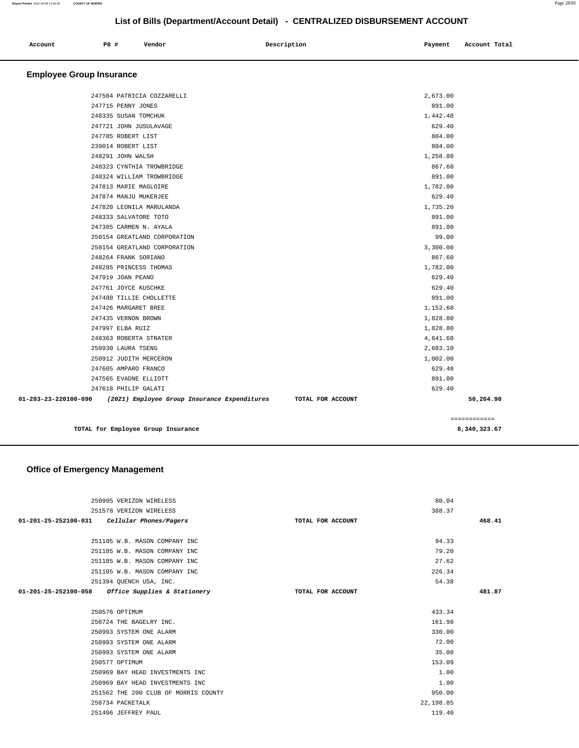| Account                         | PO# | Vendor | Description | Payment | Account Total |
|---------------------------------|-----|--------|-------------|---------|---------------|
| <b>Employee Group Insurance</b> |     |        |             |         |               |

| 01-203-23-220100-090 | (2021) Employee Group Insurance Expenditures<br>TOTAL FOR ACCOUNT |          | 50,264.90 |
|----------------------|-------------------------------------------------------------------|----------|-----------|
|                      | 247618 PHILIP GALATI                                              | 629.40   |           |
|                      | 247565 EVADNE ELLIOTT                                             | 891.00   |           |
|                      | 247605 AMPARO FRANCO                                              | 629.40   |           |
|                      | 250912 JUDITH MERCERON                                            | 1,002.00 |           |
|                      | 250930 LAURA TSENG                                                | 2,683.10 |           |
|                      | 248363 ROBERTA STRATER                                            | 4,641.60 |           |
|                      | 247997 ELBA RUIZ                                                  | 1,828.80 |           |
|                      | 247435 VERNON BROWN                                               | 1,828.80 |           |
|                      | 247426 MARGARET BREE                                              | 1,152.60 |           |
|                      | 247480 TILLIE CHOLLETTE                                           | 891.00   |           |
|                      | 247761 JOYCE KUSCHKE                                              | 629.40   |           |
|                      | 247919 JOAN PEANO                                                 | 629.40   |           |
|                      | 248285 PRINCESS THOMAS                                            | 1,782.00 |           |
|                      | 248264 FRANK SORIANO                                              | 867.60   |           |
|                      | 250154 GREATLAND CORPORATION                                      | 3,300.00 |           |
|                      | 250154 GREATLAND CORPORATION                                      | 99.00    |           |
|                      | 247385 CARMEN N. AYALA                                            | 891.00   |           |
|                      | 248333 SALVATORE TOTO                                             | 891.00   |           |
|                      | 247820 LEONILA MARULANDA                                          | 1,735.20 |           |
|                      | 247874 MANJU MUKERJEE                                             | 629.40   |           |
|                      | 247813 MARIE MAGLOIRE                                             | 1,782.00 |           |
|                      | 248324 WILLIAM TROWBRIDGE                                         | 891.00   |           |
|                      | 248323 CYNTHIA TROWBRIDGE                                         | 867.60   |           |
|                      | 248291 JOHN WALSH                                                 | 1,258.80 |           |
|                      | 239014 ROBERT LIST                                                | 804.00   |           |
|                      | 247785 ROBERT LIST                                                | 804.00   |           |
|                      | 247721 JOHN JUSULAVAGE                                            | 629.40   |           |
|                      | 248335 SUSAN TOMCHUK                                              | 1,442.40 |           |
|                      | 247715 PENNY JONES                                                | 891.00   |           |
|                      | 247504 PATRICIA COZZARELLI                                        | 2,673.00 |           |

**TOTAL for Employee Group Insurance 8,340,323.67**

============

### **Office of Emergency Management**

| 250995 VERIZON WIRELESS                             |                   | 80.04     |        |
|-----------------------------------------------------|-------------------|-----------|--------|
| 251578 VERIZON WIRELESS                             |                   | 388.37    |        |
| 01-201-25-252100-031 Cellular Phones/Pagers         | TOTAL FOR ACCOUNT |           | 468.41 |
|                                                     |                   |           |        |
| 251105 W.B. MASON COMPANY INC                       |                   | 94.33     |        |
| 251105 W.B. MASON COMPANY INC                       |                   | 79.20     |        |
| 251105 W.B. MASON COMPANY INC                       |                   | 27.62     |        |
| 251105 W.B. MASON COMPANY INC                       |                   | 226.34    |        |
| 251394 QUENCH USA, INC.                             |                   | 54.38     |        |
| $01-201-25-252100-058$ Office Supplies & Stationery | TOTAL FOR ACCOUNT |           | 481.87 |
|                                                     |                   |           |        |
| 250576 OPTIMUM                                      |                   | 433.34    |        |
| 250724 THE BAGELRY INC.                             |                   | 161.98    |        |
| 250993 SYSTEM ONE ALARM                             |                   | 330.00    |        |
| 250993 SYSTEM ONE ALARM                             |                   | 72.00     |        |
| 250993 SYSTEM ONE ALARM                             |                   | 35.00     |        |
| 250577 OPTIMUM                                      |                   | 153.09    |        |
| 250969 BAY HEAD INVESTMENTS INC                     |                   | 1.00      |        |
| 250969 BAY HEAD INVESTMENTS INC                     |                   | 1.00      |        |
| 251562 THE 200 CLUB OF MORRIS COUNTY                |                   | 950.00    |        |
| 250734 PACKETALK                                    |                   | 22,198.85 |        |
| 251496 JEFFREY PAUL                                 |                   | 119.40    |        |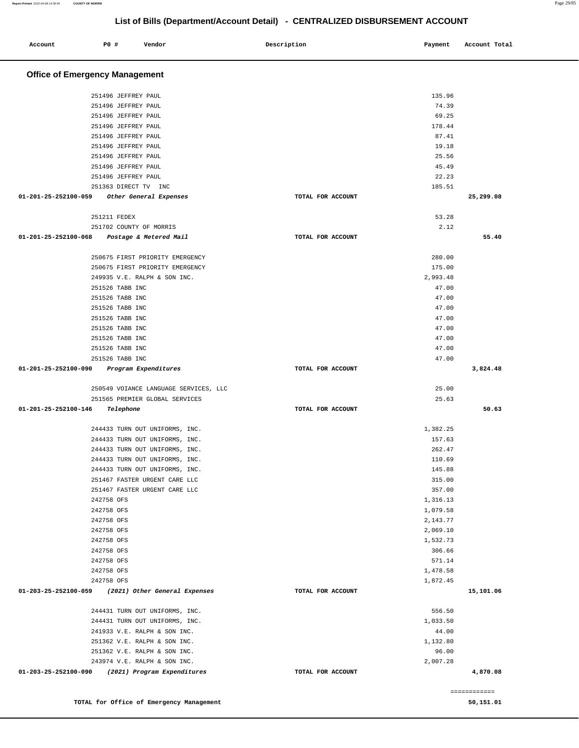| Account                               | P0 #                                       | Vendor                                                          | Description |                   | Payment          | Account Total |
|---------------------------------------|--------------------------------------------|-----------------------------------------------------------------|-------------|-------------------|------------------|---------------|
|                                       |                                            |                                                                 |             |                   |                  |               |
| <b>Office of Emergency Management</b> |                                            |                                                                 |             |                   |                  |               |
|                                       | 251496 JEFFREY PAUL                        |                                                                 |             |                   | 135.96           |               |
|                                       | 251496 JEFFREY PAUL                        |                                                                 |             |                   | 74.39            |               |
|                                       | 251496 JEFFREY PAUL                        |                                                                 |             |                   | 69.25            |               |
|                                       | 251496 JEFFREY PAUL                        |                                                                 |             |                   | 178.44           |               |
|                                       | 251496 JEFFREY PAUL                        |                                                                 |             |                   | 87.41            |               |
|                                       | 251496 JEFFREY PAUL                        |                                                                 |             |                   | 19.18            |               |
|                                       | 251496 JEFFREY PAUL<br>251496 JEFFREY PAUL |                                                                 |             |                   | 25.56<br>45.49   |               |
|                                       | 251496 JEFFREY PAUL                        |                                                                 |             |                   | 22.23            |               |
|                                       | 251363 DIRECT TV INC                       |                                                                 |             |                   | 185.51           |               |
| 01-201-25-252100-059                  |                                            | Other General Expenses                                          |             | TOTAL FOR ACCOUNT |                  | 25,299.08     |
|                                       | 251211 FEDEX                               |                                                                 |             |                   | 53.28            |               |
|                                       |                                            | 251702 COUNTY OF MORRIS                                         |             |                   | 2.12             |               |
| $01 - 201 - 25 - 252100 - 068$        |                                            | Postage & Metered Mail                                          |             | TOTAL FOR ACCOUNT |                  | 55.40         |
|                                       |                                            |                                                                 |             |                   |                  |               |
|                                       |                                            | 250675 FIRST PRIORITY EMERGENCY                                 |             |                   | 280.00<br>175.00 |               |
|                                       |                                            | 250675 FIRST PRIORITY EMERGENCY<br>249935 V.E. RALPH & SON INC. |             |                   | 2,993.48         |               |
|                                       | 251526 TABB INC                            |                                                                 |             |                   | 47.00            |               |
|                                       | 251526 TABB INC                            |                                                                 |             |                   | 47.00            |               |
|                                       | 251526 TABB INC                            |                                                                 |             |                   | 47.00            |               |
|                                       | 251526 TABB INC                            |                                                                 |             |                   | 47.00            |               |
|                                       | 251526 TABB INC                            |                                                                 |             |                   | 47.00            |               |
|                                       | 251526 TABB INC                            |                                                                 |             |                   | 47.00            |               |
|                                       | 251526 TABB INC                            |                                                                 |             |                   | 47.00            |               |
|                                       | 251526 TABB INC                            |                                                                 |             |                   | 47.00            |               |
| 01-201-25-252100-090                  |                                            | Program Expenditures                                            |             | TOTAL FOR ACCOUNT |                  | 3,824.48      |
|                                       |                                            | 250549 VOIANCE LANGUAGE SERVICES, LLC                           |             |                   | 25.00            |               |
|                                       |                                            | 251565 PREMIER GLOBAL SERVICES                                  |             |                   | 25.63            |               |
| 01-201-25-252100-146                  | Telephone                                  |                                                                 |             | TOTAL FOR ACCOUNT |                  | 50.63         |
|                                       |                                            | 244433 TURN OUT UNIFORMS, INC.                                  |             |                   | 1,382.25         |               |
|                                       |                                            | 244433 TURN OUT UNIFORMS, INC.                                  |             |                   | 157.63           |               |
|                                       |                                            | 244433 TURN OUT UNIFORMS, INC.                                  |             |                   | 262.47           |               |
|                                       |                                            | 244433 TURN OUT UNIFORMS, INC.                                  |             |                   | 110.69           |               |
|                                       |                                            | 244433 TURN OUT UNIFORMS, INC.                                  |             |                   | 145.88           |               |
|                                       |                                            | 251467 FASTER URGENT CARE LLC<br>251467 FASTER URGENT CARE LLC  |             |                   | 315.00<br>357.00 |               |
|                                       | 242758 OFS                                 |                                                                 |             |                   | 1,316.13         |               |
|                                       | 242758 OFS                                 |                                                                 |             |                   | 1,079.58         |               |
|                                       | 242758 OFS                                 |                                                                 |             |                   | 2,143.77         |               |
|                                       | 242758 OFS                                 |                                                                 |             |                   | 2,069.10         |               |
|                                       | 242758 OFS                                 |                                                                 |             |                   | 1,532.73         |               |
|                                       | 242758 OFS                                 |                                                                 |             |                   | 306.66           |               |
|                                       | 242758 OFS                                 |                                                                 |             |                   | 571.14           |               |
|                                       | 242758 OFS                                 |                                                                 |             |                   | 1,478.58         |               |
|                                       | 242758 OFS                                 |                                                                 |             |                   | 1,872.45         |               |
| 01-203-25-252100-059                  |                                            | (2021) Other General Expenses                                   |             | TOTAL FOR ACCOUNT |                  | 15,101.06     |
|                                       |                                            | 244431 TURN OUT UNIFORMS, INC.                                  |             |                   | 556.50           |               |
|                                       |                                            | 244431 TURN OUT UNIFORMS, INC.                                  |             |                   | 1,033.50         |               |
|                                       |                                            | 241933 V.E. RALPH & SON INC.                                    |             |                   | 44.00            |               |
|                                       |                                            | 251362 V.E. RALPH & SON INC.                                    |             |                   | 1,132.80         |               |
|                                       |                                            | 251362 V.E. RALPH & SON INC.                                    |             |                   | 96.00            |               |
| 01-203-25-252100-090                  |                                            | 243974 V.E. RALPH & SON INC.<br>(2021) Program Expenditures     |             | TOTAL FOR ACCOUNT | 2,007.28         | 4,870.08      |
|                                       |                                            |                                                                 |             |                   |                  |               |

**TOTAL for Office of Emergency Management 50,151.01** 

============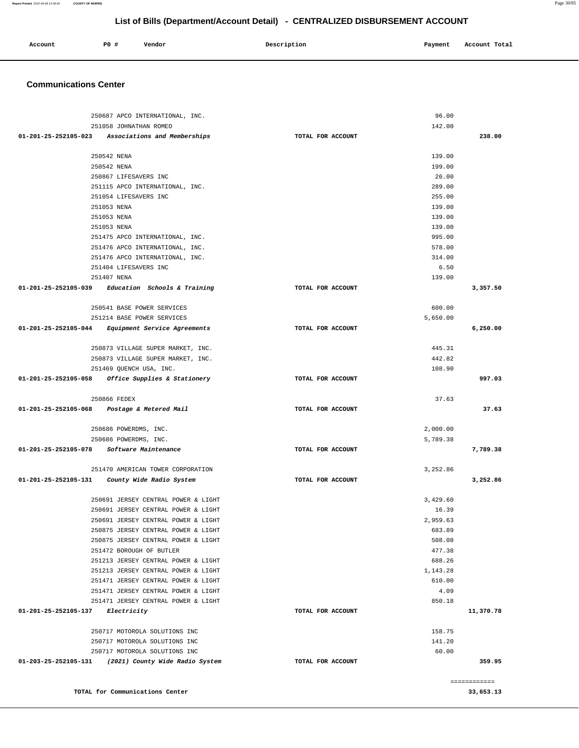| Account<br>. | <b>PO #</b><br>__ | Vendor | Description | Payment | Account Total |
|--------------|-------------------|--------|-------------|---------|---------------|
|              |                   |        |             |         |               |

#### **Communications Center**

| 250687 APCO INTERNATIONAL, INC.                      |                   | 96.00    |              |
|------------------------------------------------------|-------------------|----------|--------------|
| 251058 JOHNATHAN ROMEO                               |                   | 142.00   |              |
| 01-201-25-252105-023 Associations and Memberships    | TOTAL FOR ACCOUNT |          | 238.00       |
| 250542 NENA                                          |                   | 139.00   |              |
| 250542 NENA                                          |                   | 199.00   |              |
| 250867 LIFESAVERS INC                                |                   | 26.00    |              |
| 251115 APCO INTERNATIONAL, INC.                      |                   | 289.00   |              |
| 251054 LIFESAVERS INC                                |                   | 255.00   |              |
| 251053 NENA                                          |                   | 139.00   |              |
| 251053 NENA                                          |                   | 139.00   |              |
| 251053 NENA                                          |                   | 139.00   |              |
| 251475 APCO INTERNATIONAL, INC.                      |                   | 995.00   |              |
| 251476 APCO INTERNATIONAL, INC.                      |                   | 578.00   |              |
| 251476 APCO INTERNATIONAL, INC.                      |                   | 314.00   |              |
| 251404 LIFESAVERS INC                                |                   | 6.50     |              |
| 251407 NENA                                          |                   | 139.00   |              |
| $01-201-25-252105-039$ Education Schools & Training  | TOTAL FOR ACCOUNT |          | 3,357.50     |
|                                                      |                   |          |              |
| 250541 BASE POWER SERVICES                           |                   | 600.00   |              |
| 251214 BASE POWER SERVICES                           |                   | 5,650,00 |              |
| 01-201-25-252105-044 Equipment Service Agreements    | TOTAL FOR ACCOUNT |          | 6,250.00     |
| 250873 VILLAGE SUPER MARKET, INC.                    |                   | 445.31   |              |
| 250873 VILLAGE SUPER MARKET, INC.                    |                   | 442.82   |              |
| 251469 QUENCH USA, INC.                              |                   | 108.90   |              |
| 01-201-25-252105-058 Office Supplies & Stationery    | TOTAL FOR ACCOUNT |          | 997.03       |
|                                                      |                   |          |              |
| 250866 FEDEX                                         | TOTAL FOR ACCOUNT | 37.63    | 37.63        |
| 01-201-25-252105-068 Postage & Metered Mail          |                   |          |              |
| 250686 POWERDMS, INC.                                |                   | 2,000.00 |              |
| 250686 POWERDMS, INC.                                |                   | 5,789.38 |              |
| 01-201-25-252105-078 Software Maintenance            | TOTAL FOR ACCOUNT |          | 7,789.38     |
| 251470 AMERICAN TOWER CORPORATION                    |                   | 3,252.86 |              |
| 01-201-25-252105-131  County Wide Radio System       | TOTAL FOR ACCOUNT |          | 3,252.86     |
|                                                      |                   |          |              |
| 250691 JERSEY CENTRAL POWER & LIGHT                  |                   | 3,429.60 |              |
| 250691 JERSEY CENTRAL POWER & LIGHT                  |                   | 16.39    |              |
| 250691 JERSEY CENTRAL POWER & LIGHT                  |                   | 2,959.63 |              |
| 250875 JERSEY CENTRAL POWER & LIGHT                  |                   | 683.89   |              |
| 250875 JERSEY CENTRAL POWER & LIGHT                  |                   | 508.08   |              |
| 251472 BOROUGH OF BUTLER                             |                   | 477.38   |              |
| 251213 JERSEY CENTRAL POWER & LIGHT                  |                   | 688.26   |              |
| 251213 JERSEY CENTRAL POWER & LIGHT                  |                   | 1,143.28 |              |
| 251471 JERSEY CENTRAL POWER & LIGHT                  |                   | 610.00   |              |
| 251471 JERSEY CENTRAL POWER & LIGHT                  |                   | 4.09     |              |
| 251471 JERSEY CENTRAL POWER & LIGHT                  |                   | 850.18   |              |
| 01-201-25-252105-137 Electricity                     | TOTAL FOR ACCOUNT |          | 11,370.78    |
| 250717 MOTOROLA SOLUTIONS INC                        |                   | 158.75   |              |
| 250717 MOTOROLA SOLUTIONS INC                        |                   | 141.20   |              |
| 250717 MOTOROLA SOLUTIONS INC                        |                   | 60.00    |              |
| 01-203-25-252105-131 (2021) County Wide Radio System | TOTAL FOR ACCOUNT |          | 359.95       |
|                                                      |                   |          | ============ |
| TOTAL for Communications Center                      |                   |          | 33,653.13    |

**Report Printed** 2022-04-08 14:36:40 **COUNTY OF MORRIS** Page 30/85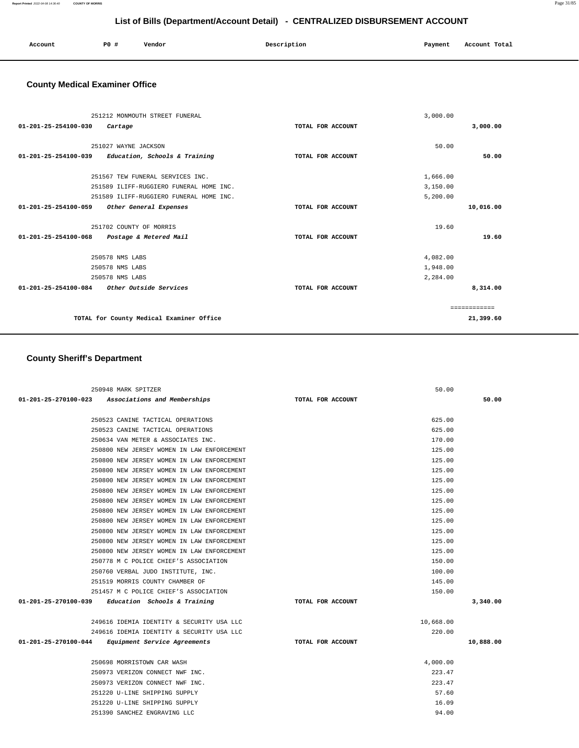| Account | PO# | Vendor | Description | Payment | Account Total |
|---------|-----|--------|-------------|---------|---------------|
|         |     |        |             |         |               |
|         |     |        |             |         |               |

# **County Medical Examiner Office**

| 3,000.00     |
|--------------|
|              |
|              |
| 50.00        |
|              |
|              |
|              |
|              |
| 10,016.00    |
|              |
|              |
| 19.60        |
|              |
|              |
|              |
| 8,314.00     |
|              |
| ============ |
| 21,399.60    |
|              |

# **County Sheriff's Department**

| 250948 MARK SPITZER                                  |                   | 50.00     |           |
|------------------------------------------------------|-------------------|-----------|-----------|
| 01-201-25-270100-023 Associations and Memberships    | TOTAL FOR ACCOUNT |           | 50.00     |
| 250523 CANINE TACTICAL OPERATIONS                    |                   | 625.00    |           |
| 250523 CANINE TACTICAL OPERATIONS                    |                   | 625.00    |           |
| 250634 VAN METER & ASSOCIATES INC.                   |                   | 170.00    |           |
| 250800 NEW JERSEY WOMEN IN LAW ENFORCEMENT           |                   | 125.00    |           |
| 250800 NEW JERSEY WOMEN IN LAW ENFORCEMENT           |                   | 125.00    |           |
| 250800 NEW JERSEY WOMEN IN LAW ENFORCEMENT           |                   | 125.00    |           |
| 250800 NEW JERSEY WOMEN IN LAW ENFORCEMENT           |                   | 125.00    |           |
| 250800 NEW JERSEY WOMEN IN LAW ENFORCEMENT           |                   | 125.00    |           |
| 250800 NEW JERSEY WOMEN IN LAW ENFORCEMENT           |                   | 125.00    |           |
| 250800 NEW JERSEY WOMEN IN LAW ENFORCEMENT           |                   | 125.00    |           |
| 250800 NEW JERSEY WOMEN IN LAW ENFORCEMENT           |                   | 125.00    |           |
| 250800 NEW JERSEY WOMEN IN LAW ENFORCEMENT           |                   | 125.00    |           |
| 250800 NEW JERSEY WOMEN IN LAW ENFORCEMENT           |                   | 125.00    |           |
| 250800 NEW JERSEY WOMEN IN LAW ENFORCEMENT           |                   | 125.00    |           |
| 250778 M C POLICE CHIEF'S ASSOCIATION                |                   | 150.00    |           |
| 250760 VERBAL JUDO INSTITUTE, INC.                   |                   | 100.00    |           |
| 251519 MORRIS COUNTY CHAMBER OF                      |                   | 145.00    |           |
| 251457 M C POLICE CHIEF'S ASSOCIATION                |                   | 150.00    |           |
| $01-201-25-270100-039$ Education Schools & Training  | TOTAL FOR ACCOUNT |           | 3,340.00  |
| 249616 IDEMIA IDENTITY & SECURITY USA LLC            |                   | 10,668.00 |           |
| 249616 IDEMIA IDENTITY & SECURITY USA LLC            |                   | 220.00    |           |
| 01-201-25-270100-044<br>Equipment Service Agreements | TOTAL FOR ACCOUNT |           | 10,888.00 |
| 250698 MORRISTOWN CAR WASH                           |                   | 4,000.00  |           |
| 250973 VERIZON CONNECT NWF INC.                      |                   | 223.47    |           |
| 250973 VERIZON CONNECT NWF INC.                      |                   | 223.47    |           |
| 251220 U-LINE SHIPPING SUPPLY                        |                   | 57.60     |           |
| 251220 U-LINE SHIPPING SUPPLY                        |                   | 16.09     |           |
| 251390 SANCHEZ ENGRAVING LLC                         |                   | 94.00     |           |
|                                                      |                   |           |           |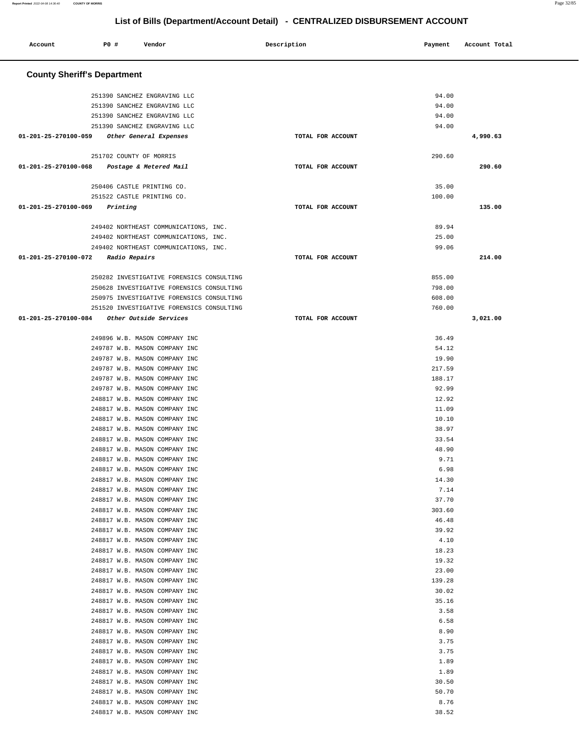| Account                            | P0 #                    | Vendor                                                         | Description       | Payment        | Account Total |  |
|------------------------------------|-------------------------|----------------------------------------------------------------|-------------------|----------------|---------------|--|
| <b>County Sheriff's Department</b> |                         |                                                                |                   |                |               |  |
|                                    |                         | 251390 SANCHEZ ENGRAVING LLC                                   |                   | 94.00          |               |  |
|                                    |                         | 251390 SANCHEZ ENGRAVING LLC                                   |                   | 94.00          |               |  |
|                                    |                         | 251390 SANCHEZ ENGRAVING LLC                                   |                   | 94.00          |               |  |
|                                    |                         | 251390 SANCHEZ ENGRAVING LLC                                   |                   | 94.00          |               |  |
| 01-201-25-270100-059               |                         | Other General Expenses                                         | TOTAL FOR ACCOUNT |                | 4,990.63      |  |
|                                    | 251702 COUNTY OF MORRIS |                                                                |                   | 290.60         |               |  |
| 01-201-25-270100-068               |                         | Postage & Metered Mail                                         | TOTAL FOR ACCOUNT |                | 290.60        |  |
|                                    |                         |                                                                |                   |                |               |  |
|                                    |                         | 250406 CASTLE PRINTING CO.                                     |                   | 35.00          |               |  |
|                                    |                         | 251522 CASTLE PRINTING CO.                                     |                   | 100.00         |               |  |
| 01-201-25-270100-069               | Printing                |                                                                | TOTAL FOR ACCOUNT |                | 135.00        |  |
|                                    |                         | 249402 NORTHEAST COMMUNICATIONS, INC.                          |                   | 89.94          |               |  |
|                                    |                         | 249402 NORTHEAST COMMUNICATIONS, INC.                          |                   | 25.00          |               |  |
|                                    |                         | 249402 NORTHEAST COMMUNICATIONS, INC.                          |                   | 99.06          |               |  |
| 01-201-25-270100-072               | <i>Radio Repairs</i>    |                                                                | TOTAL FOR ACCOUNT |                | 214.00        |  |
|                                    |                         | 250282 INVESTIGATIVE FORENSICS CONSULTING                      |                   | 855.00         |               |  |
|                                    |                         | 250628 INVESTIGATIVE FORENSICS CONSULTING                      |                   | 798.00         |               |  |
|                                    |                         | 250975 INVESTIGATIVE FORENSICS CONSULTING                      |                   | 608.00         |               |  |
|                                    |                         | 251520 INVESTIGATIVE FORENSICS CONSULTING                      |                   | 760.00         |               |  |
| 01-201-25-270100-084               |                         | Other Outside Services                                         | TOTAL FOR ACCOUNT |                | 3,021.00      |  |
|                                    |                         | 249896 W.B. MASON COMPANY INC                                  |                   | 36.49          |               |  |
|                                    |                         | 249787 W.B. MASON COMPANY INC                                  |                   | 54.12          |               |  |
|                                    |                         | 249787 W.B. MASON COMPANY INC                                  |                   | 19.90          |               |  |
|                                    |                         | 249787 W.B. MASON COMPANY INC                                  |                   | 217.59         |               |  |
|                                    |                         | 249787 W.B. MASON COMPANY INC                                  |                   | 188.17         |               |  |
|                                    |                         | 249787 W.B. MASON COMPANY INC<br>248817 W.B. MASON COMPANY INC |                   | 92.99<br>12.92 |               |  |
|                                    |                         | 248817 W.B. MASON COMPANY INC                                  |                   | 11.09          |               |  |
|                                    |                         | 248817 W.B. MASON COMPANY INC                                  |                   | 10.10          |               |  |
|                                    |                         | 248817 W.B. MASON COMPANY INC                                  |                   | 38.97          |               |  |
|                                    |                         | 248817 W.B. MASON COMPANY INC                                  |                   | 33.54          |               |  |
|                                    |                         | 248817 W.B. MASON COMPANY INC                                  |                   | 48.90          |               |  |
|                                    |                         | 248817 W.B. MASON COMPANY INC<br>248817 W.B. MASON COMPANY INC |                   | 9.71<br>6.98   |               |  |
|                                    |                         | 248817 W.B. MASON COMPANY INC                                  |                   | 14.30          |               |  |
|                                    |                         | 248817 W.B. MASON COMPANY INC                                  |                   | 7.14           |               |  |
|                                    |                         | 248817 W.B. MASON COMPANY INC                                  |                   | 37.70          |               |  |
|                                    |                         | 248817 W.B. MASON COMPANY INC                                  |                   | 303.60         |               |  |
|                                    |                         | 248817 W.B. MASON COMPANY INC                                  |                   | 46.48          |               |  |
|                                    |                         | 248817 W.B. MASON COMPANY INC<br>248817 W.B. MASON COMPANY INC |                   | 39.92<br>4.10  |               |  |
|                                    |                         | 248817 W.B. MASON COMPANY INC                                  |                   | 18.23          |               |  |
|                                    |                         | 248817 W.B. MASON COMPANY INC                                  |                   | 19.32          |               |  |
|                                    |                         | 248817 W.B. MASON COMPANY INC                                  |                   | 23.00          |               |  |
|                                    |                         | 248817 W.B. MASON COMPANY INC                                  |                   | 139.28         |               |  |
|                                    |                         | 248817 W.B. MASON COMPANY INC                                  |                   | 30.02          |               |  |
|                                    |                         | 248817 W.B. MASON COMPANY INC<br>248817 W.B. MASON COMPANY INC |                   | 35.16<br>3.58  |               |  |
|                                    |                         | 248817 W.B. MASON COMPANY INC                                  |                   | 6.58           |               |  |
|                                    |                         | 248817 W.B. MASON COMPANY INC                                  |                   | 8.90           |               |  |
|                                    |                         | 248817 W.B. MASON COMPANY INC                                  |                   | 3.75           |               |  |
|                                    |                         | 248817 W.B. MASON COMPANY INC                                  |                   | 3.75           |               |  |
|                                    |                         | 248817 W.B. MASON COMPANY INC                                  |                   | 1.89           |               |  |
|                                    |                         | 248817 W.B. MASON COMPANY INC<br>248817 W.B. MASON COMPANY INC |                   | 1.89<br>30.50  |               |  |
|                                    |                         | 248817 W.B. MASON COMPANY INC                                  |                   | 50.70          |               |  |
|                                    |                         | 248817 W.B. MASON COMPANY INC                                  |                   | 8.76           |               |  |
|                                    |                         | 248817 W.B. MASON COMPANY INC                                  |                   | 38.52          |               |  |
|                                    |                         |                                                                |                   |                |               |  |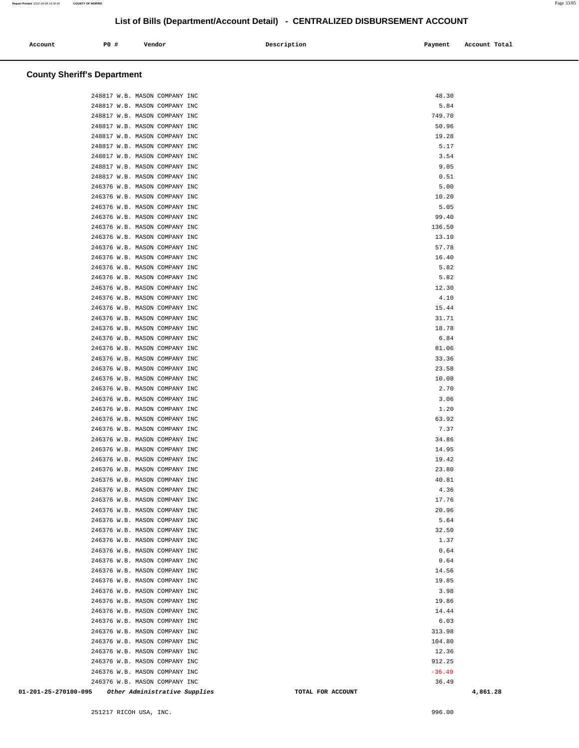| Account | PO# | Vendor | Description | Payment | Account Total |
|---------|-----|--------|-------------|---------|---------------|
|         |     |        |             |         |               |

### **County Sheriff's Department**

| 01-201-25-270100-095 |                                                                | Other Administrative Supplies |  |  | TOTAL FOR ACCOUNT |                | 4,861.28 |
|----------------------|----------------------------------------------------------------|-------------------------------|--|--|-------------------|----------------|----------|
|                      | 246376 W.B. MASON COMPANY INC                                  |                               |  |  |                   | 36.49          |          |
|                      | 246376 W.B. MASON COMPANY INC                                  |                               |  |  |                   | $-36.49$       |          |
|                      | 246376 W.B. MASON COMPANY INC                                  |                               |  |  |                   | 912.25         |          |
|                      | 246376 W.B. MASON COMPANY INC                                  |                               |  |  |                   | 12.36          |          |
|                      | 246376 W.B. MASON COMPANY INC                                  |                               |  |  |                   | 104.80         |          |
|                      | 246376 W.B. MASON COMPANY INC<br>246376 W.B. MASON COMPANY INC |                               |  |  |                   | 6.03<br>313.98 |          |
|                      | 246376 W.B. MASON COMPANY INC                                  |                               |  |  |                   | 14.44          |          |
|                      | 246376 W.B. MASON COMPANY INC                                  |                               |  |  |                   | 19.86          |          |
|                      | 246376 W.B. MASON COMPANY INC                                  |                               |  |  |                   | 3.98           |          |
|                      | 246376 W.B. MASON COMPANY INC                                  |                               |  |  |                   | 19.85          |          |
|                      | 246376 W.B. MASON COMPANY INC                                  |                               |  |  |                   | 14.56          |          |
|                      | 246376 W.B. MASON COMPANY INC                                  |                               |  |  |                   | 0.64           |          |
|                      | 246376 W.B. MASON COMPANY INC                                  |                               |  |  |                   | 0.64           |          |
|                      | 246376 W.B. MASON COMPANY INC                                  |                               |  |  |                   | 1.37           |          |
|                      | 246376 W.B. MASON COMPANY INC                                  |                               |  |  |                   | 32.50          |          |
|                      | 246376 W.B. MASON COMPANY INC                                  |                               |  |  |                   | 5.64           |          |
|                      | 246376 W.B. MASON COMPANY INC<br>246376 W.B. MASON COMPANY INC |                               |  |  |                   | 17.76<br>20.96 |          |
|                      | 246376 W.B. MASON COMPANY INC                                  |                               |  |  |                   | 4.36           |          |
|                      | 246376 W.B. MASON COMPANY INC                                  |                               |  |  |                   | 40.81          |          |
|                      | 246376 W.B. MASON COMPANY INC                                  |                               |  |  |                   | 23.80          |          |
|                      | 246376 W.B. MASON COMPANY INC                                  |                               |  |  |                   | 19.42          |          |
|                      | 246376 W.B. MASON COMPANY INC                                  |                               |  |  |                   | 14.95          |          |
|                      | 246376 W.B. MASON COMPANY INC                                  |                               |  |  |                   | 34.86          |          |
|                      | 246376 W.B. MASON COMPANY INC                                  |                               |  |  |                   | 7.37           |          |
|                      | 246376 W.B. MASON COMPANY INC                                  |                               |  |  |                   | 63.92          |          |
|                      | 246376 W.B. MASON COMPANY INC                                  |                               |  |  |                   | 1.20           |          |
|                      | 246376 W.B. MASON COMPANY INC                                  |                               |  |  |                   | 3.06           |          |
|                      | 246376 W.B. MASON COMPANY INC                                  |                               |  |  |                   | 2.70           |          |
|                      | 246376 W.B. MASON COMPANY INC                                  |                               |  |  |                   | 10.08          |          |
|                      | 246376 W.B. MASON COMPANY INC                                  |                               |  |  |                   | 23.58          |          |
|                      | 246376 W.B. MASON COMPANY INC<br>246376 W.B. MASON COMPANY INC |                               |  |  |                   | 81.06<br>33.36 |          |
|                      | 246376 W.B. MASON COMPANY INC                                  |                               |  |  |                   | 6.84           |          |
|                      | 246376 W.B. MASON COMPANY INC                                  |                               |  |  |                   | 18.78          |          |
|                      | 246376 W.B. MASON COMPANY INC                                  |                               |  |  |                   | 31.71          |          |
|                      | 246376 W.B. MASON COMPANY INC                                  |                               |  |  |                   | 15.44          |          |
|                      | 246376 W.B. MASON COMPANY INC                                  |                               |  |  |                   | 4.10           |          |
|                      | 246376 W.B. MASON COMPANY INC                                  |                               |  |  |                   | 12.30          |          |
|                      | 246376 W.B. MASON COMPANY INC                                  |                               |  |  |                   | 5.82           |          |
|                      | 246376 W.B. MASON COMPANY INC                                  |                               |  |  |                   | 5.82           |          |
|                      | 246376 W.B. MASON COMPANY INC                                  |                               |  |  |                   | 16.40          |          |
|                      | 246376 W.B. MASON COMPANY INC                                  |                               |  |  |                   | 57.78          |          |
|                      | 246376 W.B. MASON COMPANY INC                                  |                               |  |  |                   | 13.10          |          |
|                      | 246376 W.B. MASON COMPANY INC                                  |                               |  |  |                   | 136.50         |          |
|                      | 246376 W.B. MASON COMPANY INC                                  |                               |  |  |                   | 5.05<br>99.40  |          |
|                      | 246376 W.B. MASON COMPANY INC                                  |                               |  |  |                   |                |          |
|                      | 246376 W.B. MASON COMPANY INC<br>246376 W.B. MASON COMPANY INC |                               |  |  |                   | 5.00<br>10.20  |          |
|                      | 248817 W.B. MASON COMPANY INC                                  |                               |  |  |                   | 0.51           |          |
|                      | 248817 W.B. MASON COMPANY INC                                  |                               |  |  |                   | 9.05           |          |
|                      | 248817 W.B. MASON COMPANY INC                                  |                               |  |  |                   | 3.54           |          |
|                      | 248817 W.B. MASON COMPANY INC                                  |                               |  |  |                   | 5.17           |          |
|                      | 248817 W.B. MASON COMPANY INC                                  |                               |  |  |                   | 19.28          |          |
|                      | 248817 W.B. MASON COMPANY INC                                  |                               |  |  |                   | 50.96          |          |
|                      | 248817 W.B. MASON COMPANY INC                                  |                               |  |  |                   | 749.70         |          |
|                      | 248817 W.B. MASON COMPANY INC                                  |                               |  |  |                   | 5.84           |          |
|                      | 248817 W.B. MASON COMPANY INC                                  |                               |  |  |                   | 48.30          |          |
|                      |                                                                |                               |  |  |                   |                |          |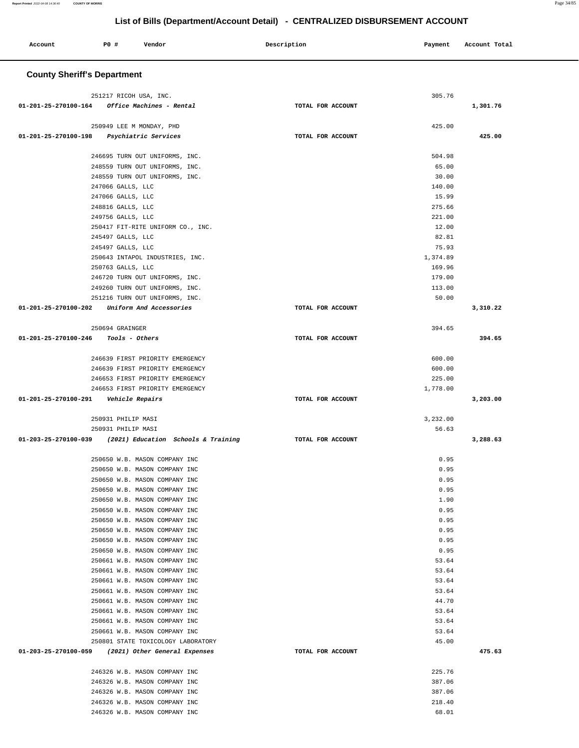| Account              | <b>PO #</b> | Vendor | Description | Payment | Account Total |
|----------------------|-------------|--------|-------------|---------|---------------|
| __________<br>$\sim$ |             |        |             |         |               |

# **County Sheriff's Department**

| 251217 RICOH USA, INC.                                         |                   | 305.76         |          |
|----------------------------------------------------------------|-------------------|----------------|----------|
| 01-201-25-270100-164 Office Machines - Rental                  | TOTAL FOR ACCOUNT |                | 1,301.76 |
|                                                                |                   |                |          |
| 250949 LEE M MONDAY, PHD                                       |                   | 425.00         |          |
| 01-201-25-270100-198 Psychiatric Services                      | TOTAL FOR ACCOUNT |                | 425.00   |
|                                                                |                   |                |          |
| 246695 TURN OUT UNIFORMS, INC.                                 |                   | 504.98         |          |
| 248559 TURN OUT UNIFORMS, INC.                                 |                   | 65.00          |          |
| 248559 TURN OUT UNIFORMS, INC.                                 |                   | 30.00          |          |
| 247066 GALLS, LLC                                              |                   | 140.00         |          |
| 247066 GALLS, LLC                                              |                   | 15.99          |          |
| 248816 GALLS, LLC                                              |                   | 275.66         |          |
| 249756 GALLS, LLC                                              |                   | 221.00         |          |
| 250417 FIT-RITE UNIFORM CO., INC.                              |                   | 12.00          |          |
| 245497 GALLS, LLC                                              |                   | 82.81          |          |
| 245497 GALLS, LLC                                              |                   | 75.93          |          |
| 250643 INTAPOL INDUSTRIES, INC.                                |                   | 1,374.89       |          |
| 250763 GALLS, LLC                                              |                   | 169.96         |          |
| 246720 TURN OUT UNIFORMS, INC.                                 |                   | 179.00         |          |
| 249260 TURN OUT UNIFORMS, INC.                                 |                   | 113.00         |          |
| 251216 TURN OUT UNIFORMS, INC.                                 |                   | 50.00          |          |
| 01-201-25-270100-202 Uniform And Accessories                   | TOTAL FOR ACCOUNT |                | 3,310.22 |
|                                                                |                   |                |          |
| 250694 GRAINGER                                                |                   | 394.65         |          |
| 01-201-25-270100-246  Tools - Others                           | TOTAL FOR ACCOUNT |                | 394.65   |
|                                                                |                   |                |          |
| 246639 FIRST PRIORITY EMERGENCY                                |                   | 600.00         |          |
| 246639 FIRST PRIORITY EMERGENCY                                |                   | 600.00         |          |
| 246653 FIRST PRIORITY EMERGENCY                                |                   | 225.00         |          |
| 246653 FIRST PRIORITY EMERGENCY                                |                   | 1,778.00       |          |
| 01-201-25-270100-291    Vehicle Repairs                        | TOTAL FOR ACCOUNT |                | 3,203.00 |
|                                                                |                   |                |          |
| 250931 PHILIP MASI                                             |                   | 3,232.00       |          |
| 250931 PHILIP MASI                                             |                   | 56.63          |          |
| 01-203-25-270100-039 (2021) Education Schools & Training       | TOTAL FOR ACCOUNT |                | 3,288.63 |
|                                                                |                   |                |          |
| 250650 W.B. MASON COMPANY INC                                  |                   | 0.95           |          |
| 250650 W.B. MASON COMPANY INC<br>250650 W.B. MASON COMPANY INC |                   | 0.95           |          |
|                                                                |                   | 0.95           |          |
| 250650 W.B. MASON COMPANY INC                                  |                   | 0.95<br>1.90   |          |
| 250650 W.B. MASON COMPANY INC<br>250650 W.B. MASON COMPANY INC |                   | 0.95           |          |
| 250650 W.B. MASON COMPANY INC                                  |                   | 0.95           |          |
| 250650 W.B. MASON COMPANY INC                                  |                   | 0.95           |          |
| 250650 W.B. MASON COMPANY INC                                  |                   | 0.95           |          |
|                                                                |                   |                |          |
|                                                                |                   |                |          |
| 250650 W.B. MASON COMPANY INC                                  |                   | 0.95           |          |
| 250661 W.B. MASON COMPANY INC                                  |                   | 53.64          |          |
| 250661 W.B. MASON COMPANY INC                                  |                   | 53.64          |          |
| 250661 W.B. MASON COMPANY INC                                  |                   | 53.64          |          |
| 250661 W.B. MASON COMPANY INC<br>250661 W.B. MASON COMPANY INC |                   | 53.64<br>44.70 |          |
| 250661 W.B. MASON COMPANY INC                                  |                   | 53.64          |          |
| 250661 W.B. MASON COMPANY INC                                  |                   | 53.64          |          |
| 250661 W.B. MASON COMPANY INC                                  |                   | 53.64          |          |
| 250801 STATE TOXICOLOGY LABORATORY                             |                   | 45.00          |          |
| 01-203-25-270100-059 (2021) Other General Expenses             | TOTAL FOR ACCOUNT |                | 475.63   |
|                                                                |                   |                |          |
| 246326 W.B. MASON COMPANY INC                                  |                   | 225.76         |          |
| 246326 W.B. MASON COMPANY INC                                  |                   | 387.06         |          |
| 246326 W.B. MASON COMPANY INC                                  |                   | 387.06         |          |
| 246326 W.B. MASON COMPANY INC                                  |                   | 218.40         |          |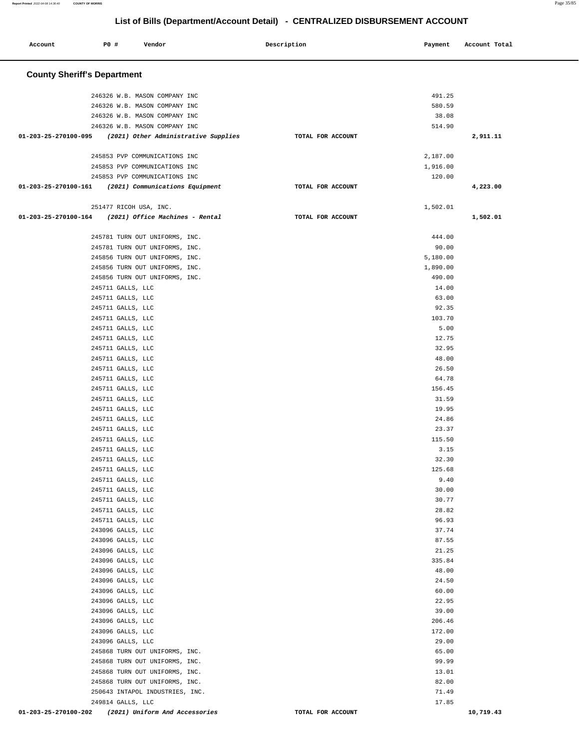۳

| Account                                             | P0 #                                   | Vendor                          |                                      | Description       | Payment        | Account Total |
|-----------------------------------------------------|----------------------------------------|---------------------------------|--------------------------------------|-------------------|----------------|---------------|
| <b>County Sheriff's Department</b>                  |                                        |                                 |                                      |                   |                |               |
|                                                     |                                        |                                 |                                      |                   |                |               |
|                                                     |                                        | 246326 W.B. MASON COMPANY INC   |                                      |                   | 491.25         |               |
|                                                     |                                        | 246326 W.B. MASON COMPANY INC   |                                      |                   | 580.59         |               |
|                                                     |                                        | 246326 W.B. MASON COMPANY INC   |                                      |                   | 38.08          |               |
| 01-203-25-270100-095                                |                                        | 246326 W.B. MASON COMPANY INC   | (2021) Other Administrative Supplies | TOTAL FOR ACCOUNT | 514.90         | 2,911.11      |
|                                                     |                                        |                                 |                                      |                   |                |               |
|                                                     |                                        | 245853 PVP COMMUNICATIONS INC   |                                      |                   | 2,187.00       |               |
|                                                     |                                        | 245853 PVP COMMUNICATIONS INC   |                                      |                   | 1,916.00       |               |
|                                                     |                                        | 245853 PVP COMMUNICATIONS INC   |                                      |                   | 120.00         |               |
| 01-203-25-270100-161                                |                                        | (2021) Communications Equipment |                                      | TOTAL FOR ACCOUNT |                | 4,223.00      |
|                                                     |                                        |                                 |                                      |                   |                |               |
| 01-203-25-270100-164                                | 251477 RICOH USA, INC.                 | (2021) Office Machines - Rental |                                      | TOTAL FOR ACCOUNT | 1,502.01       | 1,502.01      |
|                                                     |                                        |                                 |                                      |                   |                |               |
|                                                     |                                        | 245781 TURN OUT UNIFORMS, INC.  |                                      |                   | 444.00         |               |
|                                                     |                                        | 245781 TURN OUT UNIFORMS, INC.  |                                      |                   | 90.00          |               |
|                                                     |                                        | 245856 TURN OUT UNIFORMS, INC.  |                                      |                   | 5,180.00       |               |
|                                                     |                                        | 245856 TURN OUT UNIFORMS, INC.  |                                      |                   | 1,890.00       |               |
|                                                     |                                        | 245856 TURN OUT UNIFORMS, INC.  |                                      |                   | 490.00         |               |
|                                                     | 245711 GALLS, LLC                      |                                 |                                      |                   | 14.00          |               |
|                                                     | 245711 GALLS, LLC                      |                                 |                                      |                   | 63.00          |               |
|                                                     | 245711 GALLS, LLC                      |                                 |                                      |                   | 92.35          |               |
|                                                     | 245711 GALLS, LLC                      |                                 |                                      |                   | 103.70         |               |
|                                                     | 245711 GALLS, LLC                      |                                 |                                      |                   | 5.00           |               |
|                                                     | 245711 GALLS, LLC                      |                                 |                                      |                   | 12.75          |               |
|                                                     | 245711 GALLS, LLC                      |                                 |                                      |                   | 32.95          |               |
|                                                     | 245711 GALLS, LLC                      |                                 |                                      |                   | 48.00          |               |
|                                                     | 245711 GALLS, LLC                      |                                 |                                      |                   | 26.50          |               |
|                                                     | 245711 GALLS, LLC                      |                                 |                                      |                   | 64.78          |               |
|                                                     | 245711 GALLS, LLC                      |                                 |                                      |                   | 156.45         |               |
|                                                     | 245711 GALLS, LLC                      |                                 |                                      |                   | 31.59          |               |
|                                                     | 245711 GALLS, LLC<br>245711 GALLS, LLC |                                 |                                      |                   | 19.95<br>24.86 |               |
|                                                     | 245711 GALLS, LLC                      |                                 |                                      |                   | 23.37          |               |
|                                                     | 245711 GALLS, LLC                      |                                 |                                      |                   | 115.50         |               |
|                                                     | 245711 GALLS, LLC                      |                                 |                                      |                   | 3.15           |               |
|                                                     | 245711 GALLS, LLC                      |                                 |                                      |                   | 32.30          |               |
|                                                     | 245711 GALLS, LLC                      |                                 |                                      |                   | 125.68         |               |
|                                                     | 245711 GALLS, LLC                      |                                 |                                      |                   | 9.40           |               |
|                                                     | 245711 GALLS, LLC                      |                                 |                                      |                   | 30.00          |               |
|                                                     | 245711 GALLS, LLC                      |                                 |                                      |                   | 30.77          |               |
|                                                     | 245711 GALLS, LLC                      |                                 |                                      |                   | 28.82          |               |
|                                                     | 245711 GALLS, LLC                      |                                 |                                      |                   | 96.93          |               |
|                                                     | 243096 GALLS, LLC                      |                                 |                                      |                   | 37.74          |               |
|                                                     | 243096 GALLS, LLC                      |                                 |                                      |                   | 87.55          |               |
|                                                     | 243096 GALLS, LLC                      |                                 |                                      |                   | 21.25          |               |
|                                                     | 243096 GALLS, LLC                      |                                 |                                      |                   | 335.84         |               |
|                                                     | 243096 GALLS, LLC                      |                                 |                                      |                   | 48.00          |               |
|                                                     | 243096 GALLS, LLC                      |                                 |                                      |                   | 24.50          |               |
|                                                     | 243096 GALLS, LLC                      |                                 |                                      |                   | 60.00          |               |
|                                                     | 243096 GALLS, LLC                      |                                 |                                      |                   | 22.95<br>39.00 |               |
|                                                     | 243096 GALLS, LLC<br>243096 GALLS, LLC |                                 |                                      |                   | 206.46         |               |
|                                                     | 243096 GALLS, LLC                      |                                 |                                      |                   | 172.00         |               |
|                                                     | 243096 GALLS, LLC                      |                                 |                                      |                   | 29.00          |               |
|                                                     |                                        | 245868 TURN OUT UNIFORMS, INC.  |                                      |                   | 65.00          |               |
|                                                     |                                        | 245868 TURN OUT UNIFORMS, INC.  |                                      |                   | 99.99          |               |
|                                                     |                                        | 245868 TURN OUT UNIFORMS, INC.  |                                      |                   | 13.01          |               |
|                                                     |                                        | 245868 TURN OUT UNIFORMS, INC.  |                                      |                   | 82.00          |               |
|                                                     |                                        | 250643 INTAPOL INDUSTRIES, INC. |                                      |                   | 71.49          |               |
|                                                     | 249814 GALLS, LLC                      |                                 |                                      |                   | 17.85          |               |
| 01-203-25-270100-202 (2021) Uniform And Accessories |                                        |                                 |                                      | TOTAL FOR ACCOUNT |                | 10,719.43     |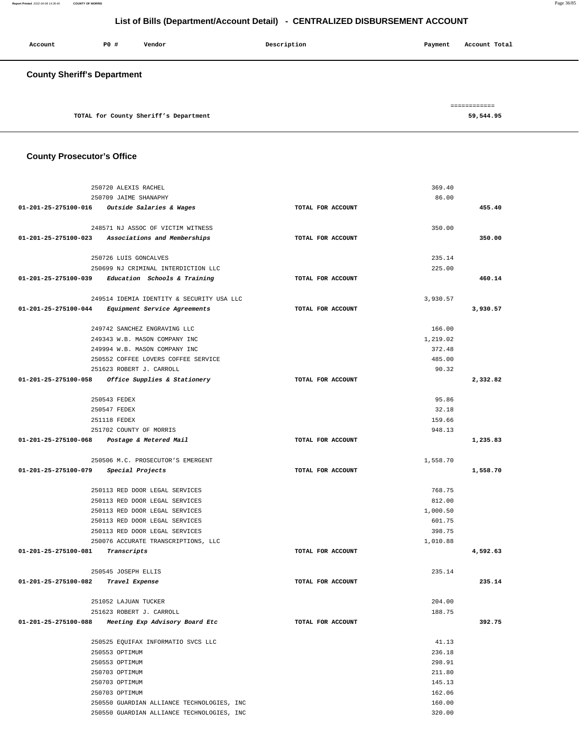**Report Printed** 2022-04-08 14:36:40 **COUNTY OF MORRIS** Page 36/85

320.00

# **List of Bills (Department/Account Detail) - CENTRALIZED DISBURSEMENT ACCOUNT**

| Account                            | PO# | Vendor                                | Description | Account Total<br>Payment  |
|------------------------------------|-----|---------------------------------------|-------------|---------------------------|
| <b>County Sheriff's Department</b> |     |                                       |             |                           |
|                                    |     | TOTAL for County Sheriff's Department |             | ============<br>59,544.95 |

#### **County Prosecutor's Office**

|                      | 250720 ALEXIS RACHEL                                                   |                   | 369.40   |          |
|----------------------|------------------------------------------------------------------------|-------------------|----------|----------|
|                      | 250709 JAIME SHANAPHY                                                  |                   | 86.00    |          |
|                      | 01-201-25-275100-016 Outside Salaries & Wages                          | TOTAL FOR ACCOUNT |          | 455.40   |
|                      |                                                                        |                   |          |          |
|                      | 248571 NJ ASSOC OF VICTIM WITNESS                                      |                   | 350.00   |          |
|                      | 01-201-25-275100-023 Associations and Memberships                      | TOTAL FOR ACCOUNT |          | 350.00   |
|                      | 250726 LUIS GONCALVES                                                  |                   | 235.14   |          |
|                      | 250699 NJ CRIMINAL INTERDICTION LLC                                    |                   | 225.00   |          |
|                      | $01-201-25-275100-039$ Education Schools & Training                    | TOTAL FOR ACCOUNT |          | 460.14   |
|                      |                                                                        |                   |          |          |
|                      | 249514 IDEMIA IDENTITY & SECURITY USA LLC                              |                   | 3,930.57 |          |
|                      | 01-201-25-275100-044 Equipment Service Agreements                      | TOTAL FOR ACCOUNT |          | 3,930.57 |
|                      | 249742 SANCHEZ ENGRAVING LLC                                           |                   | 166.00   |          |
|                      | 249343 W.B. MASON COMPANY INC                                          |                   | 1,219.02 |          |
|                      | 249994 W.B. MASON COMPANY INC                                          |                   | 372.48   |          |
|                      | 250552 COFFEE LOVERS COFFEE SERVICE                                    |                   | 485.00   |          |
|                      | 251623 ROBERT J. CARROLL                                               |                   | 90.32    |          |
|                      | 01-201-25-275100-058 Office Supplies & Stationery                      | TOTAL FOR ACCOUNT |          | 2,332.82 |
|                      |                                                                        |                   |          |          |
|                      | 250543 FEDEX                                                           |                   | 95.86    |          |
|                      | 250547 FEDEX                                                           |                   | 32.18    |          |
|                      | 251118 FEDEX                                                           |                   | 159.66   |          |
|                      | 251702 COUNTY OF MORRIS<br>01-201-25-275100-068 Postage & Metered Mail | TOTAL FOR ACCOUNT | 948.13   | 1,235.83 |
|                      |                                                                        |                   |          |          |
|                      | 250506 M.C. PROSECUTOR'S EMERGENT                                      |                   | 1,558.70 |          |
| 01-201-25-275100-079 | Special Projects                                                       | TOTAL FOR ACCOUNT |          | 1,558.70 |
|                      | 250113 RED DOOR LEGAL SERVICES                                         |                   | 768.75   |          |
|                      | 250113 RED DOOR LEGAL SERVICES                                         |                   | 812.00   |          |
|                      | 250113 RED DOOR LEGAL SERVICES                                         |                   | 1,000.50 |          |
|                      | 250113 RED DOOR LEGAL SERVICES                                         |                   | 601.75   |          |
|                      | 250113 RED DOOR LEGAL SERVICES                                         |                   | 398.75   |          |
|                      | 250076 ACCURATE TRANSCRIPTIONS, LLC                                    |                   | 1,010.88 |          |
| 01-201-25-275100-081 | Transcripts                                                            | TOTAL FOR ACCOUNT |          | 4,592.63 |
|                      | 250545 JOSEPH ELLIS                                                    |                   | 235.14   |          |
| 01-201-25-275100-082 | Travel Expense                                                         | TOTAL FOR ACCOUNT |          | 235.14   |
|                      |                                                                        |                   |          |          |
|                      | 251052 LAJUAN TUCKER                                                   |                   | 204.00   |          |
|                      | 251623 ROBERT J. CARROLL                                               |                   | 188.75   |          |
| 01-201-25-275100-088 | Meeting Exp Advisory Board Etc                                         | TOTAL FOR ACCOUNT |          | 392.75   |
|                      | 250525 EQUIFAX INFORMATIO SVCS LLC                                     |                   | 41.13    |          |
|                      | 250553 OPTIMUM                                                         |                   | 236.18   |          |
|                      | 250553 OPTIMUM                                                         |                   | 298.91   |          |
|                      | 250703 OPTIMUM                                                         |                   | 211.80   |          |
|                      | 250703 OPTIMUM                                                         |                   | 145.13   |          |
|                      | 250703 OPTIMUM                                                         |                   | 162.06   |          |
|                      | 250550 GUARDIAN ALLIANCE TECHNOLOGIES, INC                             |                   | 160.00   |          |

250550 GUARDIAN ALLIANCE TECHNOLOGIES, INC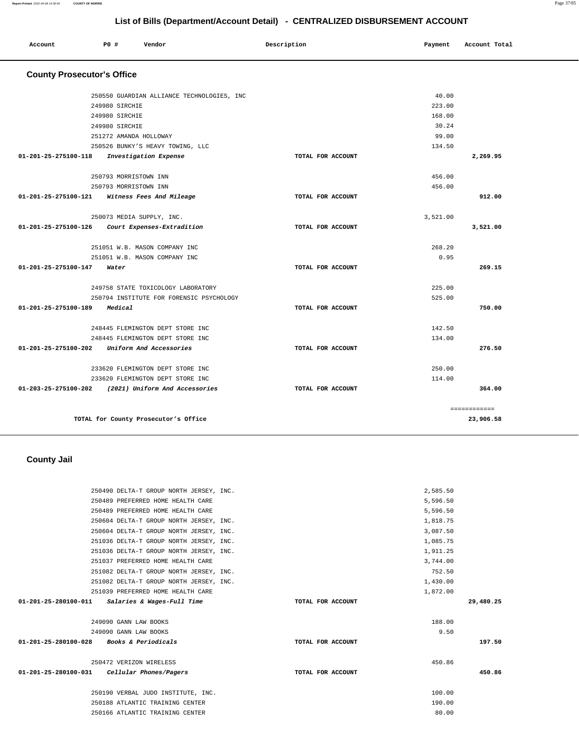#### 250604 DELTA-T GROUP NORTH JERSEY, INC. 251036 DELTA-T GROUP NORTH JERSEY, INC. 251036 DELTA-T GROUP NORTH JERSEY, INC. 251037 PREFERRED HOME HEALTH CARE 251082 DELTA-T GROUP NORTH JERSEY, INC. 251082 DELTA-T GROUP NORTH JERSEY, INC. 251039 PREFERRED HOME HEALTH CARE **01-201-25-280100-011 Salaries & Wages-Full Time TOTAL FOR ACCOUNT**  3,087.50 1,085.75 1,911.25 3,744.00 752.50 1,430.00 1,872.00 **29,480.25** 249090 GANN LAW BOOKS 249090 GANN LAW BOOKS **01-201-25-280100-028 Books & Periodicals TOTAL FOR ACCOUNT**  188.00 9.50 **197.50** 250472 VERIZON WIRELESS **01-201-25-280100-031 Cellular Phones/Pagers TOTAL FOR ACCOUNT**  450.86 **450.86** 250190 VERBAL JUDO INSTITUTE, INC. 100.00 250188 ATLANTIC TRAINING CENTER 190.00 250166 ATLANTIC TRAINING CENTER 80.00

2,585.50 5,596.50 5,596.50 1,818.75

#### **County Jail**

250490 DELTA-T GROUP NORTH JERSEY, INC. 250489 PREFERRED HOME HEALTH CARE 250489 PREFERRED HOME HEALTH CARE 250604 DELTA-T GROUP NORTH JERSEY, INC.

| Account                           | PO# |                | Vendor                                     | Description |                   | Payment  | Account Total |
|-----------------------------------|-----|----------------|--------------------------------------------|-------------|-------------------|----------|---------------|
| <b>County Prosecutor's Office</b> |     |                |                                            |             |                   |          |               |
|                                   |     |                | 250550 GUARDIAN ALLIANCE TECHNOLOGIES, INC |             |                   | 40.00    |               |
|                                   |     | 249980 SIRCHIE |                                            |             |                   | 223.00   |               |
|                                   |     | 249980 SIRCHIE |                                            |             |                   | 168.00   |               |
|                                   |     | 249980 SIRCHIE |                                            |             |                   | 30.24    |               |
|                                   |     |                | 251272 AMANDA HOLLOWAY                     |             |                   | 99.00    |               |
|                                   |     |                | 250526 BUNKY'S HEAVY TOWING, LLC           |             |                   | 134.50   |               |
| $01 - 201 - 25 - 275100 - 118$    |     |                | Investigation Expense                      |             | TOTAL FOR ACCOUNT |          | 2,269.95      |
|                                   |     |                | 250793 MORRISTOWN INN                      |             |                   | 456.00   |               |
|                                   |     |                | 250793 MORRISTOWN INN                      |             |                   | 456.00   |               |
| 01-201-25-275100-121              |     |                | Witness Fees And Mileage                   |             | TOTAL FOR ACCOUNT |          | 912.00        |
|                                   |     |                | 250073 MEDIA SUPPLY, INC.                  |             |                   | 3,521.00 |               |
| 01-201-25-275100-126              |     |                | Court Expenses-Extradition                 |             | TOTAL FOR ACCOUNT |          | 3,521.00      |
|                                   |     |                | 251051 W.B. MASON COMPANY INC              |             |                   | 268.20   |               |
|                                   |     |                | 251051 W.B. MASON COMPANY INC              |             |                   | 0.95     |               |
| $01 - 201 - 25 - 275100 - 147$    |     | Water          |                                            |             | TOTAL FOR ACCOUNT |          | 269.15        |
|                                   |     |                | 249758 STATE TOXICOLOGY LABORATORY         |             |                   | 225.00   |               |
|                                   |     |                | 250794 INSTITUTE FOR FORENSIC PSYCHOLOGY   |             |                   | 525.00   |               |
| 01-201-25-275100-189              |     | Medical        |                                            |             | TOTAL FOR ACCOUNT |          | 750.00        |
|                                   |     |                | 248445 FLEMINGTON DEPT STORE INC           |             |                   | 142.50   |               |
|                                   |     |                | 248445 FLEMINGTON DEPT STORE INC.          |             |                   | 134.00   |               |
| 01-201-25-275100-202              |     |                | Uniform And Accessories                    |             | TOTAL FOR ACCOUNT |          | 276.50        |
|                                   |     |                | 233620 FLEMINGTON DEPT STORE INC           |             |                   | 250.00   |               |
|                                   |     |                | 233620 FLEMINGTON DEPT STORE INC           |             |                   | 114.00   |               |
| 01-203-25-275100-202              |     |                | (2021) Uniform And Accessories             |             | TOTAL FOR ACCOUNT |          | 364.00        |
|                                   |     |                |                                            |             |                   |          | ============  |
|                                   |     |                | TOTAL for County Prosecutor's Office       |             |                   |          | 23,906.58     |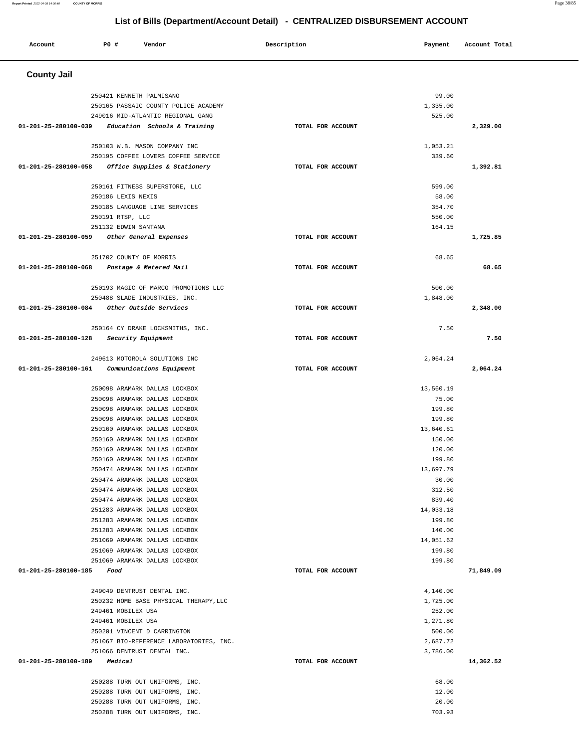| Account                        | P0 #                    | Vendor                                                                | Description       | Payment             | Account Total |
|--------------------------------|-------------------------|-----------------------------------------------------------------------|-------------------|---------------------|---------------|
| <b>County Jail</b>             |                         |                                                                       |                   |                     |               |
|                                |                         | 250421 KENNETH PALMISANO                                              |                   | 99.00               |               |
|                                |                         | 250165 PASSAIC COUNTY POLICE ACADEMY                                  |                   | 1,335.00            |               |
|                                |                         | 249016 MID-ATLANTIC REGIONAL GANG                                     |                   | 525.00              |               |
| 01-201-25-280100-039           |                         | Education Schools & Training                                          | TOTAL FOR ACCOUNT |                     | 2,329.00      |
|                                |                         |                                                                       |                   |                     |               |
|                                |                         | 250103 W.B. MASON COMPANY INC                                         |                   | 1,053.21            |               |
| 01-201-25-280100-058           |                         | 250195 COFFEE LOVERS COFFEE SERVICE<br>Office Supplies & Stationery   | TOTAL FOR ACCOUNT | 339.60              | 1,392.81      |
|                                |                         |                                                                       |                   |                     |               |
|                                |                         | 250161 FITNESS SUPERSTORE, LLC                                        |                   | 599.00              |               |
|                                | 250186 LEXIS NEXIS      |                                                                       |                   | 58.00               |               |
|                                |                         | 250185 LANGUAGE LINE SERVICES                                         |                   | 354.70              |               |
|                                | 250191 RTSP, LLC        |                                                                       |                   | 550.00              |               |
|                                | 251132 EDWIN SANTANA    |                                                                       |                   | 164.15              |               |
| 01-201-25-280100-059           |                         | Other General Expenses                                                | TOTAL FOR ACCOUNT |                     | 1,725.85      |
|                                | 251702 COUNTY OF MORRIS |                                                                       |                   | 68.65               |               |
| $01 - 201 - 25 - 280100 - 068$ |                         | Postage & Metered Mail                                                | TOTAL FOR ACCOUNT |                     | 68.65         |
|                                |                         |                                                                       |                   | 500.00              |               |
|                                |                         | 250193 MAGIC OF MARCO PROMOTIONS LLC<br>250488 SLADE INDUSTRIES, INC. |                   | 1,848.00            |               |
| 01-201-25-280100-084           |                         | Other Outside Services                                                | TOTAL FOR ACCOUNT |                     | 2,348.00      |
|                                |                         |                                                                       |                   |                     |               |
|                                |                         | 250164 CY DRAKE LOCKSMITHS, INC.                                      |                   | 7.50                |               |
| 01-201-25-280100-128           |                         | Security Equipment                                                    | TOTAL FOR ACCOUNT |                     | 7.50          |
|                                |                         | 249613 MOTOROLA SOLUTIONS INC                                         |                   | 2,064.24            |               |
| 01-201-25-280100-161           |                         | Communications Equipment                                              | TOTAL FOR ACCOUNT |                     | 2,064.24      |
|                                |                         |                                                                       |                   |                     |               |
|                                |                         | 250098 ARAMARK DALLAS LOCKBOX                                         |                   | 13,560.19           |               |
|                                |                         | 250098 ARAMARK DALLAS LOCKBOX                                         |                   | 75.00               |               |
|                                |                         | 250098 ARAMARK DALLAS LOCKBOX<br>250098 ARAMARK DALLAS LOCKBOX        |                   | 199.80<br>199.80    |               |
|                                |                         | 250160 ARAMARK DALLAS LOCKBOX                                         |                   | 13,640.61           |               |
|                                |                         | 250160 ARAMARK DALLAS LOCKBOX                                         |                   | 150.00              |               |
|                                |                         | 250160 ARAMARK DALLAS LOCKBOX                                         |                   | 120.00              |               |
|                                |                         | 250160 ARAMARK DALLAS LOCKBOX                                         |                   | 199.80              |               |
|                                |                         | 250474 ARAMARK DALLAS LOCKBOX                                         |                   | 13,697.79           |               |
|                                |                         | 250474 ARAMARK DALLAS LOCKBOX                                         |                   | 30.00               |               |
|                                |                         | 250474 ARAMARK DALLAS LOCKBOX                                         |                   | 312.50              |               |
|                                |                         | 250474 ARAMARK DALLAS LOCKBOX                                         |                   | 839.40              |               |
|                                |                         | 251283 ARAMARK DALLAS LOCKBOX<br>251283 ARAMARK DALLAS LOCKBOX        |                   | 14,033.18<br>199.80 |               |
|                                |                         | 251283 ARAMARK DALLAS LOCKBOX                                         |                   | 140.00              |               |
|                                |                         | 251069 ARAMARK DALLAS LOCKBOX                                         |                   | 14,051.62           |               |
|                                |                         | 251069 ARAMARK DALLAS LOCKBOX                                         |                   | 199.80              |               |
|                                |                         | 251069 ARAMARK DALLAS LOCKBOX                                         |                   | 199.80              |               |
| 01-201-25-280100-185           | Food                    |                                                                       | TOTAL FOR ACCOUNT |                     | 71,849.09     |
|                                |                         | 249049 DENTRUST DENTAL INC.                                           |                   | 4,140.00            |               |
|                                |                         | 250232 HOME BASE PHYSICAL THERAPY, LLC                                |                   | 1,725.00            |               |
|                                | 249461 MOBILEX USA      |                                                                       |                   | 252.00              |               |
|                                | 249461 MOBILEX USA      |                                                                       |                   | 1,271.80            |               |
|                                |                         | 250201 VINCENT D CARRINGTON                                           |                   | 500.00              |               |
|                                |                         | 251067 BIO-REFERENCE LABORATORIES, INC.                               |                   | 2,687.72            |               |
|                                |                         | 251066 DENTRUST DENTAL INC.                                           |                   | 3,786.00            |               |
| 01-201-25-280100-189           | Medical                 |                                                                       | TOTAL FOR ACCOUNT |                     | 14,362.52     |
|                                |                         | 250288 TURN OUT UNIFORMS, INC.                                        |                   | 68.00               |               |
|                                |                         | 250288 TURN OUT UNIFORMS, INC.                                        |                   | 12.00               |               |
|                                |                         | 250288 TURN OUT UNIFORMS, INC.                                        |                   | 20.00               |               |
|                                |                         | 250288 TURN OUT UNIFORMS, INC.                                        |                   | 703.93              |               |

**Report Printed** 2022-04-08 14:36:40 **COUNTY OF MORRIS** Page 38/85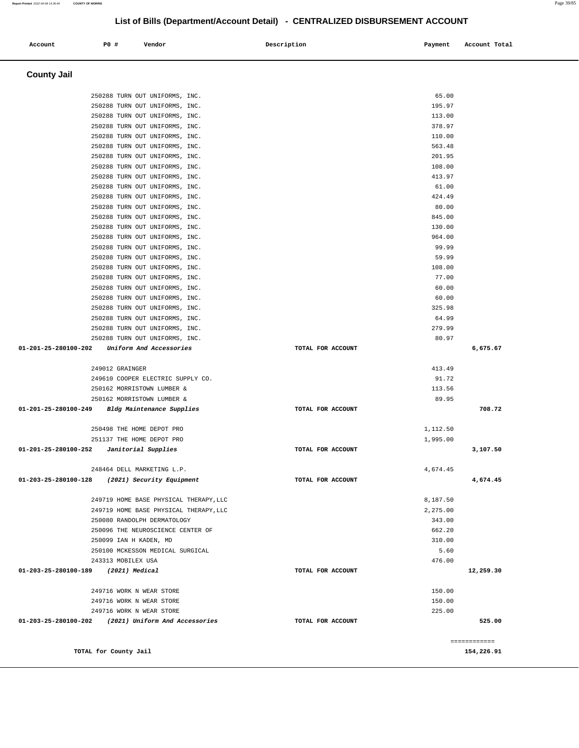| <b>County Jail</b>                                               |                               |              |
|------------------------------------------------------------------|-------------------------------|--------------|
| 250288 TURN OUT UNIFORMS, INC.                                   | 65.00                         |              |
| 250288 TURN OUT UNIFORMS, INC.                                   | 195.97                        |              |
| 250288 TURN OUT UNIFORMS, INC.                                   | 113.00                        |              |
| 250288 TURN OUT UNIFORMS, INC.                                   | 378.97                        |              |
| 250288 TURN OUT UNIFORMS, INC.                                   | 110.00                        |              |
| 250288 TURN OUT UNIFORMS, INC.                                   | 563.48                        |              |
| 250288 TURN OUT UNIFORMS, INC.                                   | 201.95                        |              |
| 250288 TURN OUT UNIFORMS, INC.                                   | 108.00                        |              |
| 250288 TURN OUT UNIFORMS, INC.                                   | 413.97                        |              |
| 250288 TURN OUT UNIFORMS, INC.                                   | 61.00                         |              |
| 250288 TURN OUT UNIFORMS, INC.                                   | 424.49                        |              |
| 250288 TURN OUT UNIFORMS, INC.                                   | 80.00                         |              |
| 250288 TURN OUT UNIFORMS, INC.                                   | 845.00                        |              |
| 250288 TURN OUT UNIFORMS, INC.                                   | 130.00<br>964.00              |              |
| 250288 TURN OUT UNIFORMS, INC.<br>250288 TURN OUT UNIFORMS, INC. | 99.99                         |              |
| 250288 TURN OUT UNIFORMS, INC.                                   | 59.99                         |              |
| 250288 TURN OUT UNIFORMS, INC.                                   | 108.00                        |              |
| 250288 TURN OUT UNIFORMS, INC.                                   | 77.00                         |              |
| 250288 TURN OUT UNIFORMS, INC.                                   | 60.00                         |              |
| 250288 TURN OUT UNIFORMS, INC.                                   | 60.00                         |              |
| 250288 TURN OUT UNIFORMS, INC.                                   | 325.98                        |              |
| 250288 TURN OUT UNIFORMS, INC.                                   | 64.99                         |              |
| 250288 TURN OUT UNIFORMS, INC.                                   | 279.99                        |              |
| 250288 TURN OUT UNIFORMS, INC.                                   | 80.97                         |              |
| 01-201-25-280100-202<br>Uniform And Accessories                  | TOTAL FOR ACCOUNT             | 6,675.67     |
| 249012 GRAINGER                                                  | 413.49                        |              |
| 249610 COOPER ELECTRIC SUPPLY CO.                                | 91.72                         |              |
| 250162 MORRISTOWN LUMBER &                                       | 113.56                        |              |
| 250162 MORRISTOWN LUMBER &                                       | 89.95                         |              |
| 01-201-25-280100-249<br>Bldg Maintenance Supplies                | TOTAL FOR ACCOUNT             | 708.72       |
|                                                                  |                               |              |
| 250498 THE HOME DEPOT PRO<br>251137 THE HOME DEPOT PRO           | 1,112.50                      |              |
| 01-201-25-280100-252<br>Janitorial Supplies                      | 1,995.00<br>TOTAL FOR ACCOUNT | 3,107.50     |
|                                                                  |                               |              |
| 248464 DELL MARKETING L.P.                                       | 4.674.45                      |              |
| 01-203-25-280100-128<br>(2021) Security Equipment                | TOTAL FOR ACCOUNT             | 4,674.45     |
| 249719 HOME BASE PHYSICAL THERAPY, LLC                           | 8,187.50                      |              |
| 249719 HOME BASE PHYSICAL THERAPY, LLC                           | 2,275.00                      |              |
| 250080 RANDOLPH DERMATOLOGY                                      | 343.00                        |              |
| 250096 THE NEUROSCIENCE CENTER OF                                | 662.20                        |              |
| 250099 IAN H KADEN, MD                                           | 310.00                        |              |
| 250100 MCKESSON MEDICAL SURGICAL                                 | 5.60                          |              |
| 243313 MOBILEX USA                                               | 476.00                        |              |
| 01-203-25-280100-189<br>(2021) Medical                           | TOTAL FOR ACCOUNT             | 12,259.30    |
| 249716 WORK N WEAR STORE                                         | 150.00                        |              |
| 249716 WORK N WEAR STORE                                         | 150.00                        |              |
| 249716 WORK N WEAR STORE                                         | 225.00                        |              |
| 01-203-25-280100-202 (2021) Uniform And Accessories              | TOTAL FOR ACCOUNT             | 525.00       |
|                                                                  |                               |              |
|                                                                  |                               | ============ |
| TOTAL for County Jail                                            |                               | 154,226.91   |

Account 20 **P** Pomdor Payment Recount Potal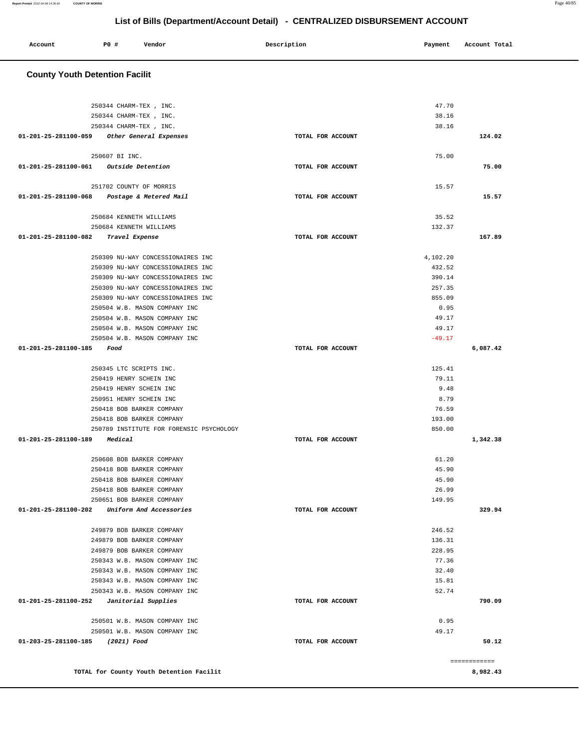| <b>County Youth Detention Facilit</b>            |                   |          |              |
|--------------------------------------------------|-------------------|----------|--------------|
|                                                  |                   |          |              |
| 250344 CHARM-TEX , INC.                          |                   | 47.70    |              |
| 250344 CHARM-TEX, INC.                           |                   | 38.16    |              |
| 250344 CHARM-TEX, INC.                           |                   | 38.16    |              |
| 01-201-25-281100-059<br>Other General Expenses   | TOTAL FOR ACCOUNT |          | 124.02       |
| 250607 BI INC.                                   |                   | 75.00    |              |
| <i>Outside Detention</i><br>01-201-25-281100-061 | TOTAL FOR ACCOUNT |          | 75.00        |
| 251702 COUNTY OF MORRIS                          |                   | 15.57    |              |
| 01-201-25-281100-068<br>Postage & Metered Mail   | TOTAL FOR ACCOUNT |          | 15.57        |
| 250684 KENNETH WILLIAMS                          |                   | 35.52    |              |
| 250684 KENNETH WILLIAMS                          |                   | 132.37   |              |
| 01-201-25-281100-082<br>Travel Expense           | TOTAL FOR ACCOUNT |          | 167.89       |
| 250309 NU-WAY CONCESSIONAIRES INC                |                   | 4,102.20 |              |
| 250309 NU-WAY CONCESSIONAIRES INC                |                   | 432.52   |              |
| 250309 NU-WAY CONCESSIONAIRES INC                |                   | 390.14   |              |
| 250309 NU-WAY CONCESSIONAIRES INC                |                   | 257.35   |              |
| 250309 NU-WAY CONCESSIONAIRES INC                |                   | 855.09   |              |
| 250504 W.B. MASON COMPANY INC                    |                   | 0.95     |              |
| 250504 W.B. MASON COMPANY INC                    |                   | 49.17    |              |
| 250504 W.B. MASON COMPANY INC                    |                   | 49.17    |              |
| 250504 W.B. MASON COMPANY INC                    |                   | $-49.17$ |              |
| 01-201-25-281100-185<br>Food                     | TOTAL FOR ACCOUNT |          | 6,087.42     |
| 250345 LTC SCRIPTS INC.                          |                   | 125.41   |              |
| 250419 HENRY SCHEIN INC                          |                   | 79.11    |              |
| 250419 HENRY SCHEIN INC                          |                   | 9.48     |              |
| 250951 HENRY SCHEIN INC                          |                   | 8.79     |              |
| 250418 BOB BARKER COMPANY                        |                   | 76.59    |              |
| 250418 BOB BARKER COMPANY                        |                   | 193.00   |              |
| 250789 INSTITUTE FOR FORENSIC PSYCHOLOGY         |                   | 850.00   |              |
| 01-201-25-281100-189<br>Medical                  | TOTAL FOR ACCOUNT |          | 1,342.38     |
| 250608 BOB BARKER COMPANY                        |                   | 61.20    |              |
| 250418 BOB BARKER COMPANY                        |                   | 45.90    |              |
| 250418 BOB BARKER COMPANY                        |                   | 45.90    |              |
| 250418 BOB BARKER COMPANY                        |                   | 26.99    |              |
| 250651 BOB BARKER COMPANY                        |                   | 149.95   |              |
| 01-201-25-281100-202<br>Uniform And Accessories  | TOTAL FOR ACCOUNT |          | 329.94       |
| 249879 BOB BARKER COMPANY                        |                   | 246.52   |              |
| 249879 BOB BARKER COMPANY                        |                   | 136.31   |              |
| 249879 BOB BARKER COMPANY                        |                   | 228.95   |              |
| 250343 W.B. MASON COMPANY INC                    |                   | 77.36    |              |
| 250343 W.B. MASON COMPANY INC                    |                   | 32.40    |              |
| 250343 W.B. MASON COMPANY INC                    |                   | 15.81    |              |
| 250343 W.B. MASON COMPANY INC                    |                   | 52.74    |              |
| 01-201-25-281100-252<br>Janitorial Supplies      | TOTAL FOR ACCOUNT |          | 790.09       |
| 250501 W.B. MASON COMPANY INC                    |                   | 0.95     |              |
| 250501 W.B. MASON COMPANY INC                    |                   | 49.17    |              |
| 01-203-25-281100-185<br>(2021) Food              | TOTAL FOR ACCOUNT |          | 50.12        |
|                                                  |                   |          | ============ |
| TOTAL for County Youth Detention Facilit         |                   |          | 8,982.43     |

 **Account P0 # Vendor Description Payment Account Total**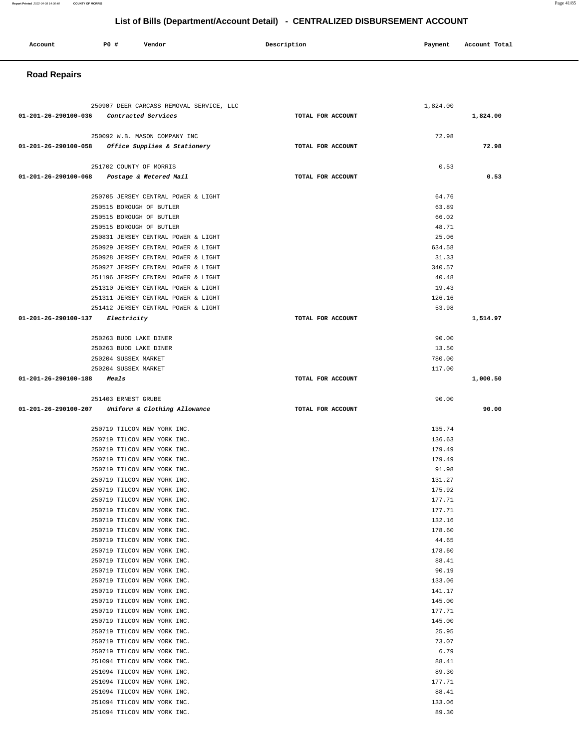| Account | P0 # | Vendor | Description | Payment | Account Total |
|---------|------|--------|-------------|---------|---------------|
|         |      |        |             |         |               |

# **Road Repairs**

| 250907 DEER CARCASS REMOVAL SERVICE, LLC                                           |                   | 1,824.00         |          |
|------------------------------------------------------------------------------------|-------------------|------------------|----------|
| 01-201-26-290100-036 Contracted Services                                           | TOTAL FOR ACCOUNT |                  | 1,824.00 |
|                                                                                    |                   |                  |          |
| 250092 W.B. MASON COMPANY INC<br>01-201-26-290100-058 Office Supplies & Stationery | TOTAL FOR ACCOUNT | 72.98            | 72.98    |
|                                                                                    |                   |                  |          |
| 251702 COUNTY OF MORRIS                                                            |                   | 0.53             |          |
| 01-201-26-290100-068 Postage & Metered Mail                                        | TOTAL FOR ACCOUNT |                  | 0.53     |
| 250705 JERSEY CENTRAL POWER & LIGHT                                                |                   | 64.76            |          |
| 250515 BOROUGH OF BUTLER                                                           |                   | 63.89            |          |
| 250515 BOROUGH OF BUTLER                                                           |                   | 66.02            |          |
| 250515 BOROUGH OF BUTLER                                                           |                   | 48.71            |          |
| 250831 JERSEY CENTRAL POWER & LIGHT                                                |                   | 25.06            |          |
| 250929 JERSEY CENTRAL POWER & LIGHT                                                |                   | 634.58           |          |
| 250928 JERSEY CENTRAL POWER & LIGHT                                                |                   | 31.33            |          |
| 250927 JERSEY CENTRAL POWER & LIGHT                                                |                   | 340.57           |          |
| 251196 JERSEY CENTRAL POWER & LIGHT                                                |                   | 40.48            |          |
| 251310 JERSEY CENTRAL POWER & LIGHT                                                |                   | 19.43            |          |
| 251311 JERSEY CENTRAL POWER & LIGHT<br>251412 JERSEY CENTRAL POWER & LIGHT         |                   | 126.16<br>53.98  |          |
| 01-201-26-290100-137 Electricity                                                   | TOTAL FOR ACCOUNT |                  | 1,514.97 |
|                                                                                    |                   |                  |          |
| 250263 BUDD LAKE DINER                                                             |                   | 90.00            |          |
| 250263 BUDD LAKE DINER                                                             |                   | 13.50            |          |
| 250204 SUSSEX MARKET                                                               |                   | 780.00           |          |
| 250204 SUSSEX MARKET                                                               |                   | 117.00           |          |
| 01-201-26-290100-188<br>Meals                                                      | TOTAL FOR ACCOUNT |                  | 1,000.50 |
| 251403 ERNEST GRUBE                                                                |                   | 90.00            |          |
| 01-201-26-290100-207 Uniform & Clothing Allowance                                  | TOTAL FOR ACCOUNT |                  | 90.00    |
|                                                                                    |                   |                  |          |
|                                                                                    |                   |                  |          |
| 250719 TILCON NEW YORK INC.                                                        |                   | 135.74           |          |
| 250719 TILCON NEW YORK INC.                                                        |                   | 136.63           |          |
| 250719 TILCON NEW YORK INC.                                                        |                   | 179.49           |          |
| 250719 TILCON NEW YORK INC.                                                        |                   | 179.49           |          |
| 250719 TILCON NEW YORK INC.                                                        |                   | 91.98            |          |
| 250719 TILCON NEW YORK INC.<br>250719 TILCON NEW YORK INC.                         |                   | 131.27<br>175.92 |          |
| 250719 TILCON NEW YORK INC.                                                        |                   | 177.71           |          |
| 250719 TILCON NEW YORK INC.                                                        |                   | 177.71           |          |
| 250719 TILCON NEW YORK INC.                                                        |                   | 132.16           |          |
| 250719 TILCON NEW YORK INC.                                                        |                   | 178.60           |          |
| 250719 TILCON NEW YORK INC.                                                        |                   | 44.65            |          |
| 250719 TILCON NEW YORK INC.                                                        |                   | 178.60           |          |
| 250719 TILCON NEW YORK INC.                                                        |                   | 88.41            |          |
| 250719 TILCON NEW YORK INC.                                                        |                   | 90.19            |          |
| 250719 TILCON NEW YORK INC.                                                        |                   | 133.06           |          |
| 250719 TILCON NEW YORK INC.                                                        |                   | 141.17           |          |
| 250719 TILCON NEW YORK INC.<br>250719 TILCON NEW YORK INC.                         |                   | 145.00<br>177.71 |          |
| 250719 TILCON NEW YORK INC.                                                        |                   | 145.00           |          |
| 250719 TILCON NEW YORK INC.                                                        |                   | 25.95            |          |
| 250719 TILCON NEW YORK INC.                                                        |                   | 73.07            |          |
| 250719 TILCON NEW YORK INC.                                                        |                   | 6.79             |          |
| 251094 TILCON NEW YORK INC.                                                        |                   | 88.41            |          |
| 251094 TILCON NEW YORK INC.                                                        |                   | 89.30            |          |
| 251094 TILCON NEW YORK INC.                                                        |                   | 177.71           |          |
| 251094 TILCON NEW YORK INC.                                                        |                   | 88.41            |          |
| 251094 TILCON NEW YORK INC.<br>251094 TILCON NEW YORK INC.                         |                   | 133.06<br>89.30  |          |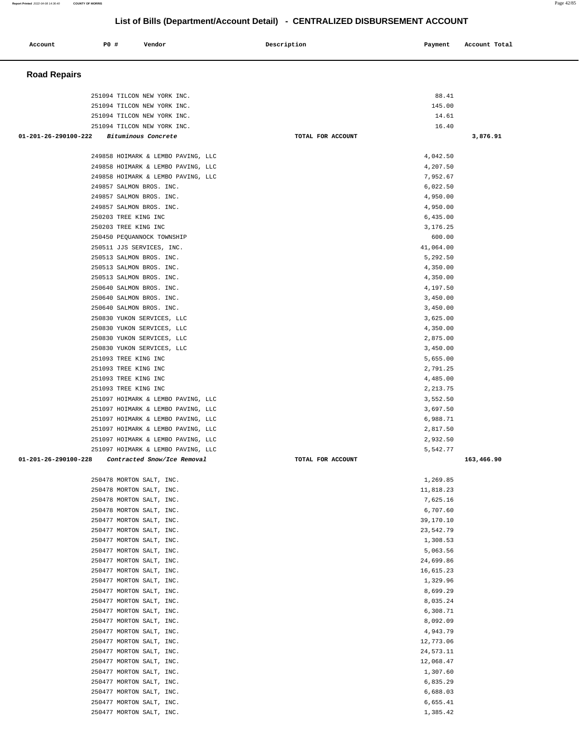| Account                        | <b>PO #</b>                                          | Vendor                                                     | Description       | Payment               | Account Total |
|--------------------------------|------------------------------------------------------|------------------------------------------------------------|-------------------|-----------------------|---------------|
| <b>Road Repairs</b>            |                                                      |                                                            |                   |                       |               |
|                                |                                                      |                                                            |                   |                       |               |
|                                |                                                      | 251094 TILCON NEW YORK INC.<br>251094 TILCON NEW YORK INC. |                   | 88.41<br>145.00       |               |
|                                |                                                      | 251094 TILCON NEW YORK INC.                                |                   | 14.61                 |               |
|                                |                                                      | 251094 TILCON NEW YORK INC.                                |                   | 16.40                 |               |
| $01 - 201 - 26 - 290100 - 222$ |                                                      | Bituminous Concrete                                        | TOTAL FOR ACCOUNT |                       | 3,876.91      |
|                                |                                                      | 249858 HOIMARK & LEMBO PAVING, LLC                         |                   | 4,042.50              |               |
|                                |                                                      | 249858 HOIMARK & LEMBO PAVING, LLC                         |                   | 4,207.50              |               |
|                                |                                                      | 249858 HOIMARK & LEMBO PAVING, LLC                         |                   | 7,952.67              |               |
|                                | 249857 SALMON BROS. INC.                             |                                                            |                   | 6,022.50              |               |
|                                | 249857 SALMON BROS. INC.<br>249857 SALMON BROS. INC. |                                                            |                   | 4,950.00<br>4,950.00  |               |
|                                | 250203 TREE KING INC                                 |                                                            |                   | 6,435.00              |               |
|                                | 250203 TREE KING INC                                 |                                                            |                   | 3, 176. 25            |               |
|                                |                                                      | 250450 PEQUANNOCK TOWNSHIP                                 |                   | 600.00                |               |
|                                | 250511 JJS SERVICES, INC.                            |                                                            |                   | 41,064.00             |               |
|                                | 250513 SALMON BROS. INC.                             |                                                            |                   | 5,292.50              |               |
|                                | 250513 SALMON BROS. INC.                             |                                                            |                   | 4,350.00              |               |
|                                | 250513 SALMON BROS. INC.                             |                                                            |                   | 4,350.00              |               |
|                                | 250640 SALMON BROS. INC.<br>250640 SALMON BROS. INC. |                                                            |                   | 4,197.50<br>3,450.00  |               |
|                                | 250640 SALMON BROS. INC.                             |                                                            |                   | 3,450.00              |               |
|                                |                                                      | 250830 YUKON SERVICES, LLC                                 |                   | 3,625.00              |               |
|                                |                                                      | 250830 YUKON SERVICES, LLC                                 |                   | 4,350.00              |               |
|                                |                                                      | 250830 YUKON SERVICES, LLC                                 |                   | 2,875.00              |               |
|                                |                                                      | 250830 YUKON SERVICES, LLC                                 |                   | 3,450.00              |               |
|                                | 251093 TREE KING INC                                 |                                                            |                   | 5,655.00              |               |
|                                | 251093 TREE KING INC                                 |                                                            |                   | 2,791.25              |               |
|                                | 251093 TREE KING INC<br>251093 TREE KING INC         |                                                            |                   | 4,485.00<br>2, 213.75 |               |
|                                |                                                      | 251097 HOIMARK & LEMBO PAVING, LLC                         |                   | 3,552.50              |               |
|                                |                                                      | 251097 HOIMARK & LEMBO PAVING, LLC                         |                   | 3,697.50              |               |
|                                |                                                      | 251097 HOIMARK & LEMBO PAVING, LLC                         |                   | 6,988.71              |               |
|                                |                                                      | 251097 HOIMARK & LEMBO PAVING, LLC                         |                   | 2,817.50              |               |
|                                |                                                      | 251097 HOIMARK & LEMBO PAVING, LLC                         |                   | 2,932.50              |               |
|                                |                                                      | 251097 HOIMARK & LEMBO PAVING, LLC                         |                   | 5,542.77              |               |
| 01-201-26-290100-228           |                                                      | Contracted Snow/Ice Removal                                | TOTAL FOR ACCOUNT |                       | 163,466.90    |
|                                | 250478 MORTON SALT, INC.                             |                                                            |                   | 1,269.85              |               |
|                                | 250478 MORTON SALT, INC.                             |                                                            |                   | 11,818.23             |               |
|                                | 250478 MORTON SALT, INC.                             |                                                            |                   | 7,625.16              |               |
|                                | 250478 MORTON SALT, INC.<br>250477 MORTON SALT, INC. |                                                            |                   | 6,707.60<br>39,170.10 |               |
|                                | 250477 MORTON SALT, INC.                             |                                                            |                   | 23,542.79             |               |
|                                | 250477 MORTON SALT, INC.                             |                                                            |                   | 1,308.53              |               |
|                                | 250477 MORTON SALT, INC.                             |                                                            |                   | 5,063.56              |               |
|                                | 250477 MORTON SALT, INC.                             |                                                            |                   | 24,699.86             |               |
|                                | 250477 MORTON SALT, INC.                             |                                                            |                   | 16,615.23             |               |
|                                | 250477 MORTON SALT, INC.                             |                                                            |                   | 1,329.96              |               |
|                                | 250477 MORTON SALT, INC.                             |                                                            |                   | 8,699.29              |               |
|                                | 250477 MORTON SALT, INC.<br>250477 MORTON SALT, INC. |                                                            |                   | 8,035.24<br>6,308.71  |               |
|                                | 250477 MORTON SALT, INC.                             |                                                            |                   | 8,092.09              |               |
|                                | 250477 MORTON SALT, INC.                             |                                                            |                   | 4,943.79              |               |
|                                | 250477 MORTON SALT, INC.                             |                                                            |                   | 12,773.06             |               |
|                                | 250477 MORTON SALT, INC.                             |                                                            |                   | 24,573.11             |               |
|                                | 250477 MORTON SALT, INC.                             |                                                            |                   | 12,068.47             |               |
|                                | 250477 MORTON SALT, INC.                             |                                                            |                   | 1,307.60              |               |
|                                | 250477 MORTON SALT, INC.                             |                                                            |                   | 6,835.29              |               |
|                                | 250477 MORTON SALT, INC.<br>250477 MORTON SALT, INC. |                                                            |                   | 6,688.03<br>6,655.41  |               |
|                                | 250477 MORTON SALT, INC.                             |                                                            |                   | 1,385.42              |               |
|                                |                                                      |                                                            |                   |                       |               |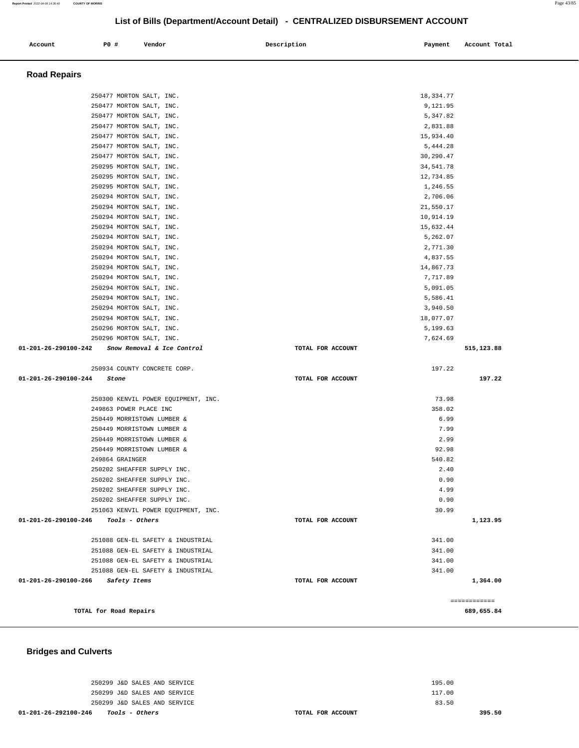# **01-201-26-292100-246 Tools - Others TOTAL FOR ACCOUNT**

250299 J&D SALES AND SERVICE 250299 J&D SALES AND SERVICE 250299 J&D SALES AND SERVICE

195.00 117.00 83.50

**395.50** 

#### **Bridges and Culverts**

| 250294 MORTON SALT, INC.                          |                   | 10,914.19 |              |
|---------------------------------------------------|-------------------|-----------|--------------|
| 250294 MORTON SALT, INC.                          |                   | 15,632.44 |              |
| 250294 MORTON SALT, INC.                          |                   | 5,262.07  |              |
| 250294 MORTON SALT, INC.                          |                   | 2,771.30  |              |
| 250294 MORTON SALT, INC.                          |                   | 4,837.55  |              |
| 250294 MORTON SALT, INC.                          |                   | 14,867.73 |              |
| 250294 MORTON SALT, INC.                          |                   | 7,717.89  |              |
| 250294 MORTON SALT, INC.                          |                   | 5,091.05  |              |
| 250294 MORTON SALT, INC.                          |                   | 5,586.41  |              |
| 250294 MORTON SALT, INC.                          |                   | 3,940.50  |              |
| 250294 MORTON SALT, INC.                          |                   | 18,077.07 |              |
| 250296 MORTON SALT, INC.                          |                   | 5,199.63  |              |
| 250296 MORTON SALT, INC.                          |                   | 7.624.69  |              |
| $01-201-26-290100-242$ Snow Removal & Ice Control | TOTAL FOR ACCOUNT |           | 515,123.88   |
| 250934 COUNTY CONCRETE CORP.                      |                   | 197.22    |              |
| $01 - 201 - 26 - 290100 - 244$<br>Stone           | TOTAL FOR ACCOUNT |           | 197.22       |
| 250300 KENVIL POWER EOUIPMENT, INC.               |                   | 73.98     |              |
| 249863 POWER PLACE INC                            |                   | 358.02    |              |
| 250449 MORRISTOWN LUMBER &                        |                   | 6.99      |              |
| 250449 MORRISTOWN LUMBER &                        |                   | 7.99      |              |
| 250449 MORRISTOWN LUMBER &                        |                   | 2.99      |              |
| 250449 MORRISTOWN LUMBER &                        |                   | 92.98     |              |
| 249864 GRAINGER                                   |                   | 540.82    |              |
| 250202 SHEAFFER SUPPLY INC.                       |                   | 2.40      |              |
| 250202 SHEAFFER SUPPLY INC.                       |                   | 0.90      |              |
| 250202 SHEAFFER SUPPLY INC.                       |                   | 4.99      |              |
| 250202 SHEAFFER SUPPLY INC.                       |                   | 0.90      |              |
| 251063 KENVIL POWER EOUIPMENT, INC.               |                   | 30.99     |              |
| 01-201-26-290100-246<br>Tools - Others            | TOTAL FOR ACCOUNT |           | 1,123.95     |
| 251088 GEN-EL SAFETY & INDUSTRIAL                 |                   | 341.00    |              |
| 251088 GEN-EL SAFETY & INDUSTRIAL                 |                   | 341.00    |              |
| 251088 GEN-EL SAFETY & INDUSTRIAL                 |                   | 341.00    |              |
| 251088 GEN-EL SAFETY & INDUSTRIAL                 |                   | 341.00    |              |
| 01-201-26-290100-266 Safety Items                 | TOTAL FOR ACCOUNT |           | 1,364.00     |
|                                                   |                   |           | ============ |
| TOTAL for Road Repairs                            |                   |           | 689,655.84   |

| Account             | P0 # |                 | Vendor                              | Description       | Payment     | Account Total |
|---------------------|------|-----------------|-------------------------------------|-------------------|-------------|---------------|
|                     |      |                 |                                     |                   |             |               |
| <b>Road Repairs</b> |      |                 |                                     |                   |             |               |
|                     |      |                 |                                     |                   |             |               |
|                     |      |                 | 250477 MORTON SALT, INC.            |                   | 18, 334. 77 |               |
|                     |      |                 | 250477 MORTON SALT, INC.            |                   | 9,121.95    |               |
|                     |      |                 | 250477 MORTON SALT, INC.            |                   | 5,347.82    |               |
|                     |      |                 | 250477 MORTON SALT, INC.            |                   | 2,831.88    |               |
|                     |      |                 | 250477 MORTON SALT, INC.            |                   | 15,934.40   |               |
|                     |      |                 | 250477 MORTON SALT, INC.            |                   | 5,444.28    |               |
|                     |      |                 | 250477 MORTON SALT, INC.            |                   | 30,290.47   |               |
|                     |      |                 | 250295 MORTON SALT, INC.            |                   | 34,541.78   |               |
|                     |      |                 | 250295 MORTON SALT, INC.            |                   | 12,734.85   |               |
|                     |      |                 | 250295 MORTON SALT, INC.            |                   | 1,246.55    |               |
|                     |      |                 | 250294 MORTON SALT, INC.            |                   | 2,706.06    |               |
|                     |      |                 | 250294 MORTON SALT, INC.            |                   | 21,550.17   |               |
|                     |      |                 | 250294 MORTON SALT, INC.            |                   | 10,914.19   |               |
|                     |      |                 | 250294 MORTON SALT, INC.            |                   | 15,632.44   |               |
|                     |      |                 | 250294 MORTON SALT, INC.            |                   | 5,262.07    |               |
|                     |      |                 | 250294 MORTON SALT, INC.            |                   | 2,771.30    |               |
|                     |      |                 | 250294 MORTON SALT, INC.            |                   | 4,837.55    |               |
|                     |      |                 | 250294 MORTON SALT, INC.            |                   | 14,867.73   |               |
|                     |      |                 | 250294 MORTON SALT, INC.            |                   | 7,717.89    |               |
|                     |      |                 | 250294 MORTON SALT, INC.            |                   | 5,091.05    |               |
|                     |      |                 | 250294 MORTON SALT, INC.            |                   | 5,586.41    |               |
|                     |      |                 | 250294 MORTON SALT, INC.            |                   | 3,940.50    |               |
|                     |      |                 | 250294 MORTON SALT, INC.            |                   | 18,077.07   |               |
|                     |      |                 | 250296 MORTON SALT, INC.            |                   | 5,199.63    |               |
|                     |      |                 | 250296 MORTON SALT, INC.            |                   | 7,624.69    |               |
| 1-201-26-290100-242 |      |                 | Snow Removal & Ice Control          | TOTAL FOR ACCOUNT |             | 515,123.88    |
|                     |      |                 | 250934 COUNTY CONCRETE CORP.        |                   | 197.22      |               |
| 1-201-26-290100-244 |      | Stone           |                                     | TOTAL FOR ACCOUNT |             | 197.22        |
|                     |      |                 | 250300 KENVIL POWER EQUIPMENT, INC. |                   | 73.98       |               |
|                     |      |                 | 249863 POWER PLACE INC              |                   | 358.02      |               |
|                     |      |                 | 250449 MORRISTOWN LUMBER &          |                   | 6.99        |               |
|                     |      |                 | 250449 MORRISTOWN LUMBER &          |                   | 7.99        |               |
|                     |      |                 | 250449 MORRISTOWN LUMBER &          |                   | 2.99        |               |
|                     |      |                 | 250449 MORRISTOWN LUMBER &          |                   | 92.98       |               |
|                     |      | 249864 GRAINGER |                                     |                   | 540.82      |               |
|                     |      |                 | 250202 SHEAFFER SUPPLY INC.         |                   | 2.40        |               |
|                     |      |                 | 250202 SHEAFFER SUPPLY INC.         |                   | 0.90        |               |
|                     |      |                 | 250202 SHEAFFER SUPPLY INC.         |                   | 4.99        |               |
|                     |      |                 | 250202 SHEAFFER SUPPLY INC.         |                   | 0.90        |               |
|                     |      |                 | 251063 KENVIL POWER EQUIPMENT, INC. |                   | 30.99       |               |
| 1-201-26-290100-246 |      | Tools - Others  |                                     | TOTAL FOR ACCOUNT |             | 1,123.95      |
|                     |      |                 | 251088 GEN-EL SAFETY & INDUSTRIAL   |                   | 341.00      |               |
|                     |      |                 |                                     |                   |             |               |

**List of Bills (Department/Account Detail) - CENTRALIZED DISBURSEMENT ACCOUNT**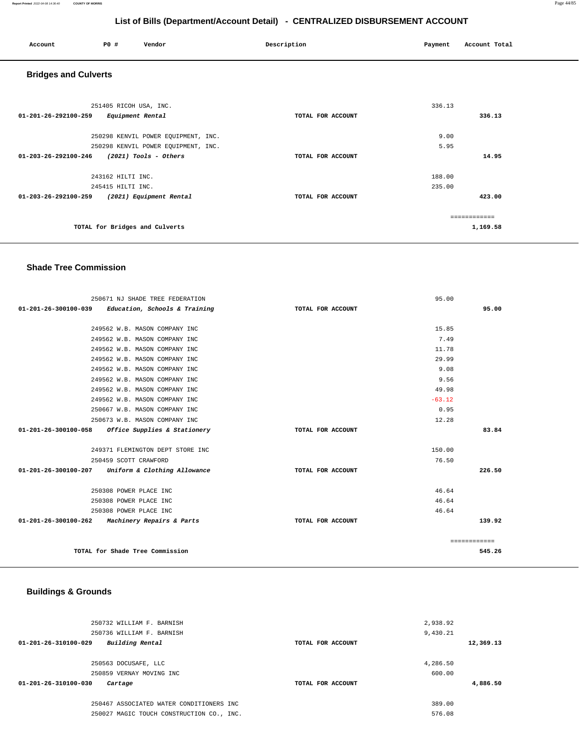#### **Report Printed** 2022-04-08 14:36:40 **COUNTY OF MORRIS** Page 44/85

# **List of Bills (Department/Account Detail) - CENTRALIZED DISBURSEMENT ACCOUNT**

| Account                     | PO#                                        | Vendor                                                                     | Description       | Payment          | Account Total            |  |  |
|-----------------------------|--------------------------------------------|----------------------------------------------------------------------------|-------------------|------------------|--------------------------|--|--|
| <b>Bridges and Culverts</b> |                                            |                                                                            |                   |                  |                          |  |  |
| 01-201-26-292100-259        | 251405 RICOH USA, INC.<br>Equipment Rental |                                                                            | TOTAL FOR ACCOUNT | 336.13           | 336.13                   |  |  |
|                             |                                            | 250298 KENVIL POWER EQUIPMENT, INC.<br>250298 KENVIL POWER EQUIPMENT, INC. |                   | 9.00<br>5.95     |                          |  |  |
| 01-203-26-292100-246        |                                            | $(2021)$ Tools - Others                                                    | TOTAL FOR ACCOUNT |                  | 14.95                    |  |  |
|                             | 243162 HILTI INC.<br>245415 HILTI INC.     |                                                                            |                   | 188.00<br>235.00 |                          |  |  |
| 01-203-26-292100-259        |                                            | (2021) Equipment Rental                                                    | TOTAL FOR ACCOUNT |                  | 423.00                   |  |  |
|                             | TOTAL for Bridges and Culverts             |                                                                            |                   |                  | ============<br>1,169.58 |  |  |

#### **Shade Tree Commission**

|                      | 250671 NJ SHADE TREE FEDERATION                      |                   | 95.00    |              |
|----------------------|------------------------------------------------------|-------------------|----------|--------------|
|                      | $01-201-26-300100-039$ Education, Schools & Training | TOTAL FOR ACCOUNT |          | 95.00        |
|                      |                                                      |                   |          |              |
|                      | 249562 W.B. MASON COMPANY INC                        |                   | 15.85    |              |
|                      | 249562 W.B. MASON COMPANY INC                        |                   | 7.49     |              |
|                      | 249562 W.B. MASON COMPANY INC                        |                   | 11.78    |              |
|                      | 249562 W.B. MASON COMPANY INC                        |                   | 29.99    |              |
|                      | 249562 W.B. MASON COMPANY INC                        |                   | 9.08     |              |
|                      | 249562 W.B. MASON COMPANY INC                        |                   | 9.56     |              |
|                      | 249562 W.B. MASON COMPANY INC                        |                   | 49.98    |              |
|                      | 249562 W.B. MASON COMPANY INC                        |                   | $-63.12$ |              |
|                      | 250667 W.B. MASON COMPANY INC                        |                   | 0.95     |              |
|                      | 250673 W.B. MASON COMPANY INC                        |                   | 12.28    |              |
| 01-201-26-300100-058 | Office Supplies & Stationery                         | TOTAL FOR ACCOUNT |          | 83.84        |
|                      | 249371 FLEMINGTON DEPT STORE INC                     |                   | 150.00   |              |
|                      | 250459 SCOTT CRAWFORD                                |                   | 76.50    |              |
|                      | 01-201-26-300100-207 Uniform & Clothing Allowance    | TOTAL FOR ACCOUNT |          | 226.50       |
|                      | 250308 POWER PLACE INC                               |                   | 46.64    |              |
|                      | 250308 POWER PLACE INC                               |                   | 46.64    |              |
|                      | 250308 POWER PLACE INC                               |                   | 46.64    |              |
|                      | $01-201-26-300100-262$ Machinery Repairs & Parts     | TOTAL FOR ACCOUNT |          | 139.92       |
|                      |                                                      |                   |          | ============ |
|                      | TOTAL for Shade Tree Commission                      |                   |          | 545.26       |

# **Buildings & Grounds**

| 250732 WILLIAM F. BARNISH<br>250736 WILLIAM F. BARNISH |                   | 2,938.92<br>9,430.21 |           |
|--------------------------------------------------------|-------------------|----------------------|-----------|
| Building Rental<br>01-201-26-310100-029                | TOTAL FOR ACCOUNT |                      | 12,369.13 |
|                                                        |                   |                      |           |
| 250563 DOCUSAFE, LLC                                   |                   | 4,286.50             |           |
| 250859 VERNAY MOVING INC                               |                   | 600.00               |           |
| 01-201-26-310100-030<br>Cartage                        | TOTAL FOR ACCOUNT |                      | 4,886.50  |
|                                                        |                   |                      |           |
| 250467 ASSOCIATED WATER CONDITIONERS INC               |                   | 389.00               |           |
| 250027 MAGIC TOUCH CONSTRUCTION CO., INC.              |                   | 576.08               |           |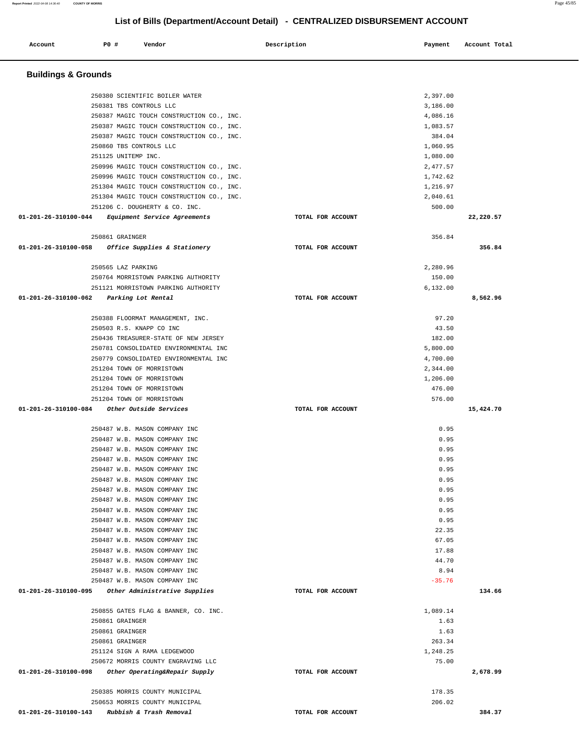| <b>PO #</b><br>Account<br>Vendor                                 | Description       | Payment              | Account Total |
|------------------------------------------------------------------|-------------------|----------------------|---------------|
|                                                                  |                   |                      |               |
| <b>Buildings &amp; Grounds</b>                                   |                   |                      |               |
| 250380 SCIENTIFIC BOILER WATER                                   |                   | 2,397.00             |               |
| 250381 TBS CONTROLS LLC                                          |                   | 3,186.00             |               |
| 250387 MAGIC TOUCH CONSTRUCTION CO., INC.                        |                   | 4,086.16             |               |
| 250387 MAGIC TOUCH CONSTRUCTION CO., INC.                        |                   | 1,083.57             |               |
| 250387 MAGIC TOUCH CONSTRUCTION CO., INC.                        |                   | 384.04               |               |
| 250860 TBS CONTROLS LLC                                          |                   | 1,060.95             |               |
| 251125 UNITEMP INC.<br>250996 MAGIC TOUCH CONSTRUCTION CO., INC. |                   | 1,080.00<br>2,477.57 |               |
| 250996 MAGIC TOUCH CONSTRUCTION CO., INC.                        |                   | 1,742.62             |               |
| 251304 MAGIC TOUCH CONSTRUCTION CO., INC.                        |                   | 1,216.97             |               |
| 251304 MAGIC TOUCH CONSTRUCTION CO., INC.                        |                   | 2,040.61             |               |
| 251206 C. DOUGHERTY & CO. INC.                                   |                   | 500.00               |               |
| 01-201-26-310100-044<br>Equipment Service Agreements             | TOTAL FOR ACCOUNT |                      | 22,220.57     |
| 250861 GRAINGER                                                  |                   | 356.84               |               |
| 01-201-26-310100-058<br>Office Supplies & Stationery             | TOTAL FOR ACCOUNT |                      | 356.84        |
| 250565 LAZ PARKING                                               |                   | 2,280.96             |               |
| 250764 MORRISTOWN PARKING AUTHORITY                              |                   | 150.00               |               |
| 251121 MORRISTOWN PARKING AUTHORITY                              |                   | 6,132.00             |               |
| $01 - 201 - 26 - 310100 - 062$<br>Parking Lot Rental             | TOTAL FOR ACCOUNT |                      | 8,562.96      |
| 250388 FLOORMAT MANAGEMENT, INC.                                 |                   | 97.20                |               |
| 250503 R.S. KNAPP CO INC                                         |                   | 43.50                |               |
| 250436 TREASURER-STATE OF NEW JERSEY                             |                   | 182.00               |               |
| 250781 CONSOLIDATED ENVIRONMENTAL INC                            |                   | 5,800.00             |               |
| 250779 CONSOLIDATED ENVIRONMENTAL INC                            |                   | 4,700.00             |               |
| 251204 TOWN OF MORRISTOWN                                        |                   | 2,344.00             |               |
| 251204 TOWN OF MORRISTOWN                                        |                   | 1,206.00             |               |
| 251204 TOWN OF MORRISTOWN<br>251204 TOWN OF MORRISTOWN           |                   | 476.00<br>576.00     |               |
| $01 - 201 - 26 - 310100 - 084$<br>Other Outside Services         | TOTAL FOR ACCOUNT |                      | 15,424.70     |
|                                                                  |                   | 0.95                 |               |
| 250487 W.B. MASON COMPANY INC<br>250487 W.B. MASON COMPANY INC   |                   | 0.95                 |               |
| 250487 W.B. MASON COMPANY INC                                    |                   | 0.95                 |               |
| 250487 W.B. MASON COMPANY INC                                    |                   | 0.95                 |               |
| 250487 W.B. MASON COMPANY INC                                    |                   | 0.95                 |               |
| 250487 W.B. MASON COMPANY INC                                    |                   | 0.95                 |               |
| 250487 W.B. MASON COMPANY INC                                    |                   | 0.95                 |               |
| 250487 W.B. MASON COMPANY INC                                    |                   | 0.95                 |               |
| 250487 W.B. MASON COMPANY INC                                    |                   | 0.95                 |               |
| 250487 W.B. MASON COMPANY INC                                    |                   | 0.95                 |               |
| 250487 W.B. MASON COMPANY INC<br>250487 W.B. MASON COMPANY INC   |                   | 22.35<br>67.05       |               |
| 250487 W.B. MASON COMPANY INC                                    |                   | 17.88                |               |
| 250487 W.B. MASON COMPANY INC                                    |                   | 44.70                |               |
| 250487 W.B. MASON COMPANY INC                                    |                   | 8.94                 |               |
| 250487 W.B. MASON COMPANY INC                                    |                   | $-35.76$             |               |
| 01-201-26-310100-095<br>Other Administrative Supplies            | TOTAL FOR ACCOUNT |                      | 134.66        |
| 250855 GATES FLAG & BANNER, CO. INC.                             |                   | 1,089.14             |               |
| 250861 GRAINGER                                                  |                   | 1.63                 |               |
| 250861 GRAINGER                                                  |                   | 1.63                 |               |
| 250861 GRAINGER                                                  |                   | 263.34               |               |
| 251124 SIGN A RAMA LEDGEWOOD                                     |                   | 1,248.25             |               |
| 250672 MORRIS COUNTY ENGRAVING LLC                               |                   | 75.00                |               |
| 01-201-26-310100-098<br>Other Operating&Repair Supply            | TOTAL FOR ACCOUNT |                      | 2,678.99      |
| 250385 MORRIS COUNTY MUNICIPAL                                   |                   | 178.35               |               |
| 250653 MORRIS COUNTY MUNICIPAL                                   |                   | 206.02               |               |
| 01-201-26-310100-143 Rubbish & Trash Removal                     | TOTAL FOR ACCOUNT |                      | 384.37        |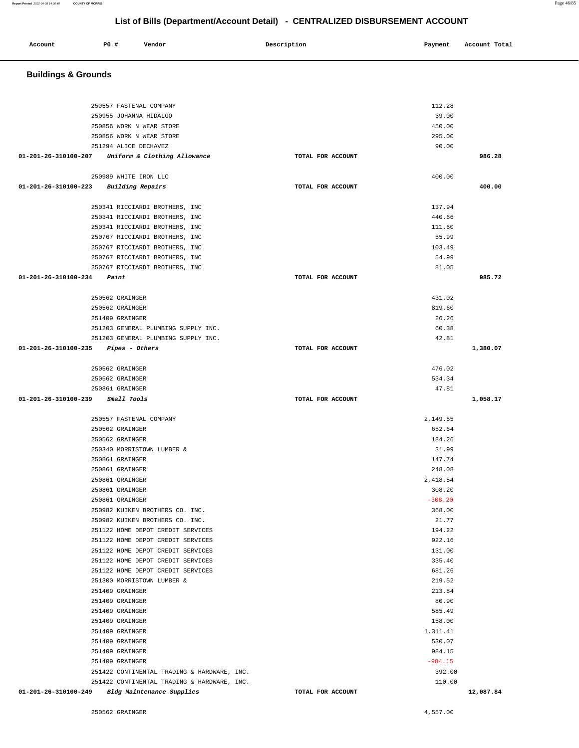**Buildings & Grounds** 

| 250557 FASTENAL COMPANY                             |                   | 112.28    |           |
|-----------------------------------------------------|-------------------|-----------|-----------|
| 250955 JOHANNA HIDALGO                              |                   | 39.00     |           |
| 250856 WORK N WEAR STORE                            |                   | 450.00    |           |
| 250856 WORK N WEAR STORE                            |                   | 295.00    |           |
| 251294 ALICE DECHAVEZ                               |                   | 90.00     |           |
| $01-201-26-310100-207$ Uniform & Clothing Allowance | TOTAL FOR ACCOUNT |           | 986.28    |
|                                                     |                   |           |           |
| 250989 WHITE IRON LLC                               |                   | 400.00    |           |
| 01-201-26-310100-223 Building Repairs               | TOTAL FOR ACCOUNT |           | 400.00    |
|                                                     |                   |           |           |
| 250341 RICCIARDI BROTHERS, INC                      |                   | 137.94    |           |
| 250341 RICCIARDI BROTHERS, INC                      |                   | 440.66    |           |
| 250341 RICCIARDI BROTHERS, INC                      |                   | 111.60    |           |
| 250767 RICCIARDI BROTHERS, INC                      |                   | 55.99     |           |
| 250767 RICCIARDI BROTHERS, INC                      |                   | 103.49    |           |
| 250767 RICCIARDI BROTHERS, INC                      |                   | 54.99     |           |
| 250767 RICCIARDI BROTHERS, INC                      |                   | 81.05     |           |
| $01 - 201 - 26 - 310100 - 234$ Paint                | TOTAL FOR ACCOUNT |           | 985.72    |
| 250562 GRAINGER                                     |                   | 431.02    |           |
| 250562 GRAINGER                                     |                   | 819.60    |           |
| 251409 GRAINGER                                     |                   | 26.26     |           |
| 251203 GENERAL PLUMBING SUPPLY INC.                 |                   | 60.38     |           |
| 251203 GENERAL PLUMBING SUPPLY INC.                 |                   | 42.81     |           |
|                                                     | TOTAL FOR ACCOUNT |           |           |
| $01-201-26-310100-235$ Pipes - Others               |                   |           | 1,380.07  |
| 250562 GRAINGER                                     |                   | 476.02    |           |
| 250562 GRAINGER                                     |                   | 534.34    |           |
| 250861 GRAINGER                                     |                   | 47.81     |           |
| 01-201-26-310100-239 Small Tools                    | TOTAL FOR ACCOUNT |           | 1,058.17  |
|                                                     |                   |           |           |
| 250557 FASTENAL COMPANY                             |                   | 2,149.55  |           |
| 250562 GRAINGER                                     |                   | 652.64    |           |
| 250562 GRAINGER                                     |                   | 184.26    |           |
| 250340 MORRISTOWN LUMBER &                          |                   | 31.99     |           |
| 250861 GRAINGER                                     |                   | 147.74    |           |
| 250861 GRAINGER                                     |                   | 248.08    |           |
| 250861 GRAINGER                                     |                   | 2,418.54  |           |
| 250861 GRAINGER                                     |                   | 308.20    |           |
| 250861 GRAINGER                                     |                   | $-308.20$ |           |
| 250982 KUIKEN BROTHERS CO. INC.                     |                   | 368.00    |           |
| 250982 KUIKEN BROTHERS CO. INC.                     |                   | 21.77     |           |
| 251122 HOME DEPOT CREDIT SERVICES                   |                   | 194.22    |           |
| 251122 HOME DEPOT CREDIT SERVICES                   |                   | 922.16    |           |
| 251122 HOME DEPOT CREDIT SERVICES                   |                   | 131.00    |           |
| 251122 HOME DEPOT CREDIT SERVICES                   |                   | 335.40    |           |
| 251122 HOME DEPOT CREDIT SERVICES                   |                   | 681.26    |           |
| 251300 MORRISTOWN LUMBER &                          |                   | 219.52    |           |
| 251409 GRAINGER                                     |                   | 213.84    |           |
| 251409 GRAINGER                                     |                   | 80.90     |           |
| 251409 GRAINGER                                     |                   | 585.49    |           |
| 251409 GRAINGER                                     |                   | 158.00    |           |
| 251409 GRAINGER                                     |                   | 1,311.41  |           |
| 251409 GRAINGER                                     |                   | 530.07    |           |
| 251409 GRAINGER                                     |                   | 984.15    |           |
| 251409 GRAINGER                                     |                   | $-984.15$ |           |
| 251422 CONTINENTAL TRADING & HARDWARE, INC.         |                   | 392.00    |           |
| 251422 CONTINENTAL TRADING & HARDWARE, INC.         |                   | 110.00    |           |
| 01-201-26-310100-249<br>Bldg Maintenance Supplies   | TOTAL FOR ACCOUNT |           | 12,087.84 |
|                                                     |                   |           |           |
| 250562 GRAINGER                                     |                   | 4,557.00  |           |

**Account** P0 # Vendor Payment Account Total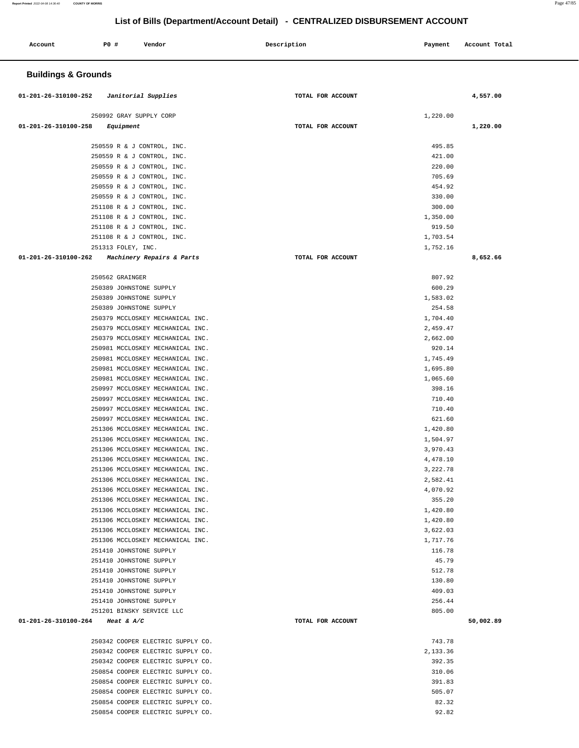**Report Printed** 2022-04-08 14:36:40 **COUNTY OF MORRIS** Page 47/85

# **List of Bills (Department/Account Detail) - CENTRALIZED DISBURSEMENT ACCOUNT**

| Account                         | P0 #                    | Vendor                                                               |  | Description       | Payment              | Account Total |
|---------------------------------|-------------------------|----------------------------------------------------------------------|--|-------------------|----------------------|---------------|
| <b>Buildings &amp; Grounds</b>  |                         |                                                                      |  |                   |                      |               |
| 01-201-26-310100-252            |                         | Janitorial Supplies                                                  |  | TOTAL FOR ACCOUNT |                      | 4,557.00      |
|                                 | 250992 GRAY SUPPLY CORP |                                                                      |  |                   | 1,220.00             |               |
| 01-201-26-310100-258            | Equipment               |                                                                      |  | TOTAL FOR ACCOUNT |                      | 1,220.00      |
|                                 |                         |                                                                      |  |                   |                      |               |
|                                 |                         | 250559 R & J CONTROL, INC.                                           |  |                   | 495.85               |               |
|                                 |                         | 250559 R & J CONTROL, INC.<br>250559 R & J CONTROL, INC.             |  |                   | 421.00<br>220.00     |               |
|                                 |                         | 250559 R & J CONTROL, INC.                                           |  |                   | 705.69               |               |
|                                 |                         | 250559 R & J CONTROL, INC.                                           |  |                   | 454.92               |               |
|                                 |                         | 250559 R & J CONTROL, INC.                                           |  |                   | 330.00               |               |
|                                 |                         | 251108 R & J CONTROL, INC.                                           |  |                   | 300.00               |               |
|                                 |                         | 251108 R & J CONTROL, INC.                                           |  |                   | 1,350.00             |               |
|                                 |                         | 251108 R & J CONTROL, INC.                                           |  |                   | 919.50               |               |
|                                 |                         | 251108 R & J CONTROL, INC.                                           |  |                   | 1,703.54             |               |
| $01 - 201 - 26 - 310100 - 262$  | 251313 FOLEY, INC.      |                                                                      |  |                   | 1,752.16             |               |
|                                 |                         | Machinery Repairs & Parts                                            |  | TOTAL FOR ACCOUNT |                      | 8,652.66      |
|                                 | 250562 GRAINGER         |                                                                      |  |                   | 807.92               |               |
|                                 | 250389 JOHNSTONE SUPPLY |                                                                      |  |                   | 600.29               |               |
|                                 | 250389 JOHNSTONE SUPPLY |                                                                      |  |                   | 1,583.02             |               |
|                                 | 250389 JOHNSTONE SUPPLY |                                                                      |  |                   | 254.58               |               |
|                                 |                         | 250379 MCCLOSKEY MECHANICAL INC.                                     |  |                   | 1,704.40             |               |
|                                 |                         | 250379 MCCLOSKEY MECHANICAL INC.                                     |  |                   | 2,459.47             |               |
|                                 |                         | 250379 MCCLOSKEY MECHANICAL INC.                                     |  |                   | 2,662.00             |               |
|                                 |                         | 250981 MCCLOSKEY MECHANICAL INC.                                     |  |                   | 920.14               |               |
|                                 |                         | 250981 MCCLOSKEY MECHANICAL INC.                                     |  |                   | 1,745.49             |               |
|                                 |                         | 250981 MCCLOSKEY MECHANICAL INC.                                     |  |                   | 1,695.80             |               |
|                                 |                         | 250981 MCCLOSKEY MECHANICAL INC.                                     |  |                   | 1,065.60             |               |
|                                 |                         | 250997 MCCLOSKEY MECHANICAL INC.<br>250997 MCCLOSKEY MECHANICAL INC. |  |                   | 398.16<br>710.40     |               |
|                                 |                         | 250997 MCCLOSKEY MECHANICAL INC.                                     |  |                   | 710.40               |               |
|                                 |                         | 250997 MCCLOSKEY MECHANICAL INC.                                     |  |                   | 621.60               |               |
|                                 |                         | 251306 MCCLOSKEY MECHANICAL INC.                                     |  |                   | 1,420.80             |               |
|                                 |                         | 251306 MCCLOSKEY MECHANICAL INC.                                     |  |                   | 1,504.97             |               |
|                                 |                         | 251306 MCCLOSKEY MECHANICAL INC.                                     |  |                   | 3,970.43             |               |
|                                 |                         | 251306 MCCLOSKEY MECHANICAL INC.                                     |  |                   | 4,478.10             |               |
|                                 |                         | 251306 MCCLOSKEY MECHANICAL INC.                                     |  |                   | 3,222.78             |               |
|                                 |                         | 251306 MCCLOSKEY MECHANICAL INC.                                     |  |                   | 2,582.41             |               |
|                                 |                         | 251306 MCCLOSKEY MECHANICAL INC.                                     |  |                   | 4,070.92             |               |
|                                 |                         | 251306 MCCLOSKEY MECHANICAL INC.                                     |  |                   | 355.20               |               |
|                                 |                         | 251306 MCCLOSKEY MECHANICAL INC.<br>251306 MCCLOSKEY MECHANICAL INC. |  |                   | 1,420.80<br>1,420.80 |               |
|                                 |                         | 251306 MCCLOSKEY MECHANICAL INC.                                     |  |                   | 3,622.03             |               |
|                                 |                         | 251306 MCCLOSKEY MECHANICAL INC.                                     |  |                   | 1,717.76             |               |
|                                 | 251410 JOHNSTONE SUPPLY |                                                                      |  |                   | 116.78               |               |
|                                 | 251410 JOHNSTONE SUPPLY |                                                                      |  |                   | 45.79                |               |
|                                 | 251410 JOHNSTONE SUPPLY |                                                                      |  |                   | 512.78               |               |
|                                 | 251410 JOHNSTONE SUPPLY |                                                                      |  |                   | 130.80               |               |
|                                 | 251410 JOHNSTONE SUPPLY |                                                                      |  |                   | 409.03               |               |
|                                 | 251410 JOHNSTONE SUPPLY |                                                                      |  |                   | 256.44               |               |
|                                 |                         | 251201 BINSKY SERVICE LLC                                            |  |                   | 805.00               |               |
| 01-201-26-310100-264 Heat & A/C |                         |                                                                      |  | TOTAL FOR ACCOUNT |                      | 50,002.89     |
|                                 |                         | 250342 COOPER ELECTRIC SUPPLY CO.                                    |  |                   | 743.78               |               |
|                                 |                         | 250342 COOPER ELECTRIC SUPPLY CO.                                    |  |                   | 2,133.36             |               |
|                                 |                         | 250342 COOPER ELECTRIC SUPPLY CO.                                    |  |                   | 392.35               |               |
|                                 |                         | 250854 COOPER ELECTRIC SUPPLY CO.                                    |  |                   | 310.06               |               |
|                                 |                         | 250854 COOPER ELECTRIC SUPPLY CO.                                    |  |                   | 391.83               |               |
|                                 |                         | 250854 COOPER ELECTRIC SUPPLY CO.                                    |  |                   | 505.07               |               |
|                                 |                         | 250854 COOPER ELECTRIC SUPPLY CO.                                    |  |                   | 82.32                |               |
|                                 |                         | 250854 COOPER ELECTRIC SUPPLY CO.                                    |  |                   | 92.82                |               |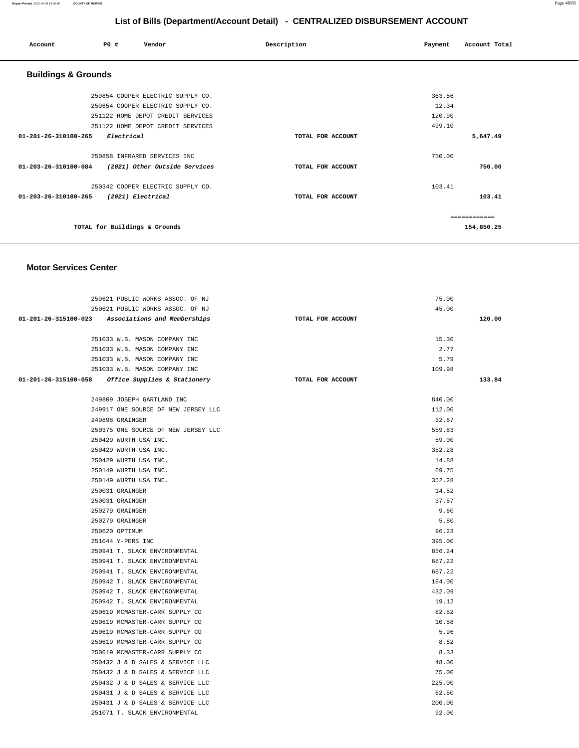#### **Report Printed** 2022-04-08 14:36:40 **COUNTY OF MORRIS** Page 48/85

# **List of Bills (Department/Account Detail) - CENTRALIZED DISBURSEMENT ACCOUNT**

| Account                        | PO#                           | Vendor                            | Description       | Payment | Account Total |
|--------------------------------|-------------------------------|-----------------------------------|-------------------|---------|---------------|
| <b>Buildings &amp; Grounds</b> |                               |                                   |                   |         |               |
|                                |                               | 250854 COOPER ELECTRIC SUPPLY CO. |                   | 363.56  |               |
|                                |                               | 250854 COOPER ELECTRIC SUPPLY CO. |                   | 12.34   |               |
|                                |                               | 251122 HOME DEPOT CREDIT SERVICES |                   | 120.90  |               |
|                                |                               | 251122 HOME DEPOT CREDIT SERVICES |                   | 499.10  |               |
| 01-201-26-310100-265           | Electrical                    |                                   | TOTAL FOR ACCOUNT |         | 5,647.49      |
|                                |                               | 250858 INFRARED SERVICES INC      |                   | 750.00  |               |
| 01-203-26-310100-084           |                               | (2021) Other Outside Services     | TOTAL FOR ACCOUNT |         | 750.00        |
|                                |                               | 250342 COOPER ELECTRIC SUPPLY CO. |                   | 103.41  |               |
| 01-203-26-310100-265           |                               | (2021) Electrical                 | TOTAL FOR ACCOUNT |         | 103.41        |
|                                |                               |                                   |                   |         | ============  |
|                                | TOTAL for Buildings & Grounds |                                   |                   |         | 154,850.25    |
|                                |                               |                                   |                   |         |               |

| 250621 PUBLIC WORKS ASSOC. OF NJ                  |                                     |                   | 75.00  |        |
|---------------------------------------------------|-------------------------------------|-------------------|--------|--------|
| 250621 PUBLIC WORKS ASSOC. OF NJ                  |                                     |                   | 45.00  |        |
| 01-201-26-315100-023 Associations and Memberships |                                     | TOTAL FOR ACCOUNT |        | 120.00 |
|                                                   |                                     |                   |        |        |
| 251033 W.B. MASON COMPANY INC                     |                                     |                   | 15.30  |        |
| 251033 W.B. MASON COMPANY INC                     |                                     |                   | 2.77   |        |
| 251033 W.B. MASON COMPANY INC                     |                                     |                   | 5.79   |        |
| 251033 W.B. MASON COMPANY INC                     |                                     |                   | 109.98 |        |
| 01-201-26-315100-058 Office Supplies & Stationery |                                     | TOTAL FOR ACCOUNT |        | 133.84 |
|                                                   |                                     |                   |        |        |
| 249809 JOSEPH GARTLAND INC                        |                                     |                   | 840.00 |        |
|                                                   | 249917 ONE SOURCE OF NEW JERSEY LLC |                   | 112.00 |        |
| 249898 GRAINGER                                   |                                     |                   | 32.67  |        |
|                                                   | 250375 ONE SOURCE OF NEW JERSEY LLC |                   | 559.83 |        |
| 250429 WURTH USA INC.                             |                                     |                   | 59.00  |        |
| 250429 WURTH USA INC.                             |                                     |                   | 352.28 |        |
| 250429 WURTH USA INC.                             |                                     |                   | 14.88  |        |
| 250149 WURTH USA INC.                             |                                     |                   | 69.75  |        |
| 250149 WURTH USA INC.                             |                                     |                   | 352.28 |        |
| 250031 GRAINGER                                   |                                     |                   | 14.52  |        |
| 250031 GRAINGER                                   |                                     |                   | 37.57  |        |
| 250279 GRAINGER                                   |                                     |                   | 9.60   |        |
| 250279 GRAINGER                                   |                                     |                   | 5.80   |        |
| 250620 OPTIMUM                                    |                                     |                   | 96.23  |        |
| 251044 Y-PERS INC                                 |                                     |                   | 395.00 |        |
| 250941 T. SLACK ENVIRONMENTAL                     |                                     |                   | 856.24 |        |
| 250941 T. SLACK ENVIRONMENTAL                     |                                     |                   | 687.22 |        |
| 250941 T. SLACK ENVIRONMENTAL                     |                                     |                   | 687.22 |        |
| 250942 T. SLACK ENVIRONMENTAL                     |                                     |                   | 184.00 |        |
| 250942 T. SLACK ENVIRONMENTAL                     |                                     |                   | 432.09 |        |
| 250942 T. SLACK ENVIRONMENTAL                     |                                     |                   | 19.12  |        |
| 250619 MCMASTER-CARR SUPPLY CO                    |                                     |                   | 82.52  |        |
| 250619 MCMASTER-CARR SUPPLY CO                    |                                     |                   | 10.58  |        |
| 250619 MCMASTER-CARR SUPPLY CO                    |                                     |                   | 5.96   |        |
| 250619 MCMASTER-CARR SUPPLY CO                    |                                     |                   | 8.62   |        |
| 250619 MCMASTER-CARR SUPPLY CO                    |                                     |                   | 8.33   |        |
| 250432 J & D SALES & SERVICE LLC                  |                                     |                   | 48.00  |        |
| 250432 J & D SALES & SERVICE LLC                  |                                     |                   | 75.00  |        |
| 250432 J & D SALES & SERVICE LLC                  |                                     |                   | 225.00 |        |
| 250431 J & D SALES & SERVICE LLC                  |                                     |                   | 62.50  |        |
| 250431 J & D SALES & SERVICE LLC                  |                                     |                   | 200.00 |        |
| 251071 T. SLACK ENVIRONMENTAL                     |                                     |                   | 92.00  |        |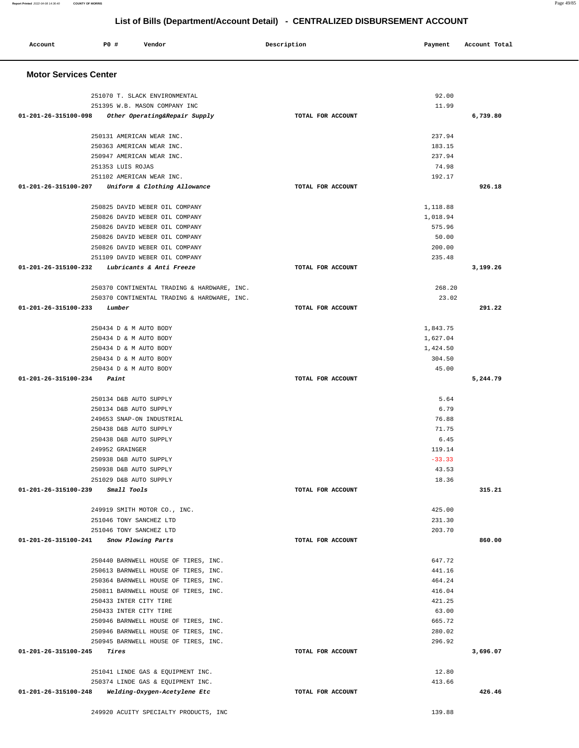| 251070 T. SLACK ENVIRONMENTAL                         |                   | 92.00    |
|-------------------------------------------------------|-------------------|----------|
| 251395 W.B. MASON COMPANY INC                         |                   | 11.99    |
| 01-201-26-315100-098<br>Other Operating&Repair Supply | TOTAL FOR ACCOUNT | 6,739.80 |
| 250131 AMERICAN WEAR INC.                             |                   | 237.94   |
| 250363 AMERICAN WEAR INC.                             |                   | 183.15   |
| 250947 AMERICAN WEAR INC.                             |                   | 237.94   |
| 251353 LUIS ROJAS                                     |                   | 74.98    |
| 251102 AMERICAN WEAR INC.                             |                   | 192.17   |
| 01-201-26-315100-207<br>Uniform & Clothing Allowance  | TOTAL FOR ACCOUNT | 926.18   |
| 250825 DAVID WEBER OIL COMPANY                        |                   | 1,118.88 |
| 250826 DAVID WEBER OIL COMPANY                        |                   | 1,018.94 |
| 250826 DAVID WEBER OIL COMPANY                        |                   | 575.96   |
| 250826 DAVID WEBER OIL COMPANY                        |                   | 50.00    |
| 250826 DAVID WEBER OIL COMPANY                        |                   | 200.00   |
| 251109 DAVID WEBER OIL COMPANY                        |                   | 235.48   |
| 01-201-26-315100-232<br>Lubricants & Anti Freeze      | TOTAL FOR ACCOUNT | 3,199.26 |
| 250370 CONTINENTAL TRADING & HARDWARE, INC.           |                   | 268.20   |
| 250370 CONTINENTAL TRADING & HARDWARE, INC.           |                   | 23.02    |
| 01-201-26-315100-233<br>Lumber                        | TOTAL FOR ACCOUNT | 291.22   |
| 250434 D & M AUTO BODY                                |                   | 1,843.75 |
| 250434 D & M AUTO BODY                                |                   | 1,627.04 |
| 250434 D & M AUTO BODY                                |                   | 1,424.50 |
| 250434 D & M AUTO BODY                                |                   | 304.50   |
| 250434 D & M AUTO BODY                                |                   | 45.00    |
| 01-201-26-315100-234<br>Paint                         | TOTAL FOR ACCOUNT | 5,244.79 |
| 250134 D&B AUTO SUPPLY                                |                   | 5.64     |
| 250134 D&B AUTO SUPPLY                                |                   | 6.79     |
| 249653 SNAP-ON INDUSTRIAL                             |                   | 76.88    |
| 250438 D&B AUTO SUPPLY                                |                   | 71.75    |
| 250438 D&B AUTO SUPPLY                                |                   | 6.45     |
| 249952 GRAINGER                                       |                   | 119.14   |
| 250938 D&B AUTO SUPPLY                                |                   | $-33.33$ |
| 250938 D&B AUTO SUPPLY                                |                   | 43.53    |
| 251029 D&B AUTO SUPPLY                                |                   | 18.36    |
| 01-201-26-315100-239<br><i>Small Tools</i>            | TOTAL FOR ACCOUNT | 315.21   |
| 249919 SMITH MOTOR CO., INC.                          |                   | 425.00   |
| 251046 TONY SANCHEZ LTD                               |                   | 231.30   |
| 251046 TONY SANCHEZ LTD                               |                   | 203.70   |
| 01-201-26-315100-241<br>Snow Plowing Parts            | TOTAL FOR ACCOUNT | 860.00   |
| 250440 BARNWELL HOUSE OF TIRES, INC.                  |                   | 647.72   |
| 250613 BARNWELL HOUSE OF TIRES, INC.                  |                   | 441.16   |
| 250364 BARNWELL HOUSE OF TIRES, INC.                  |                   | 464.24   |
| 250811 BARNWELL HOUSE OF TIRES, INC.                  |                   | 416.04   |
| 250433 INTER CITY TIRE                                |                   | 421.25   |
| 250433 INTER CITY TIRE                                |                   | 63.00    |
| 250946 BARNWELL HOUSE OF TIRES, INC.                  |                   | 665.72   |
| 250946 BARNWELL HOUSE OF TIRES, INC.                  |                   | 280.02   |
| 250945 BARNWELL HOUSE OF TIRES, INC.                  |                   | 296.92   |
| 01-201-26-315100-245<br>Tires                         | TOTAL FOR ACCOUNT | 3,696.07 |
| 251041 LINDE GAS & EQUIPMENT INC.                     |                   | 12.80    |
| 250374 LINDE GAS & EQUIPMENT INC.                     |                   | 413.66   |
| 01-201-26-315100-248<br>Welding-Oxygen-Acetylene Etc  | TOTAL FOR ACCOUNT | 426.46   |
|                                                       |                   |          |
| 249920 ACUITY SPECIALTY PRODUCTS, INC                 |                   | 139.88   |

 **Account P0 # Vendor Description Payment Account Total**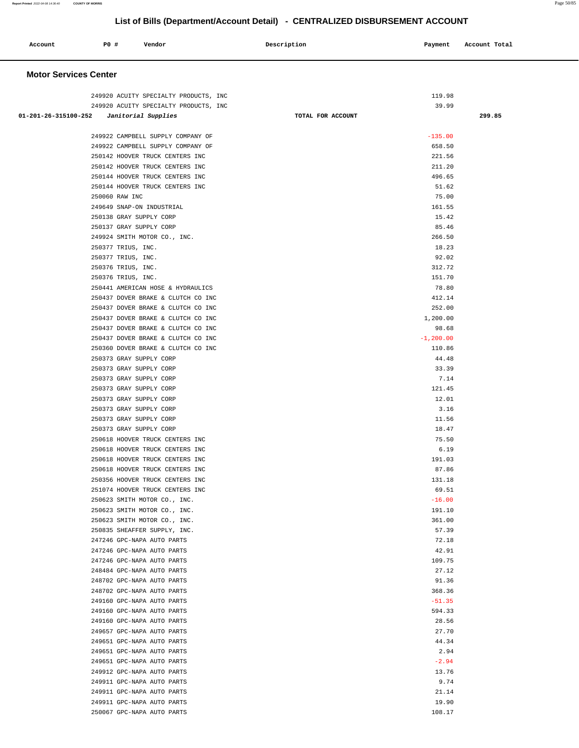| Account<br>. | PO# | Vendor | Description | Payment | Account Total<br>.<br>. |
|--------------|-----|--------|-------------|---------|-------------------------|
|              |     |        |             |         |                         |

|                                            | 249920 ACUITY SPECIALTY PRODUCTS, INC                    | 119.98            |        |
|--------------------------------------------|----------------------------------------------------------|-------------------|--------|
|                                            | 249920 ACUITY SPECIALTY PRODUCTS, INC                    | 39.99             |        |
| $01-201-26-315100-252$ Janitorial Supplies |                                                          | TOTAL FOR ACCOUNT | 299.85 |
|                                            |                                                          |                   |        |
|                                            | 249922 CAMPBELL SUPPLY COMPANY OF                        | $-135.00$         |        |
|                                            | 249922 CAMPBELL SUPPLY COMPANY OF                        | 658.50            |        |
|                                            | 250142 HOOVER TRUCK CENTERS INC                          | 221.56            |        |
|                                            | 250142 HOOVER TRUCK CENTERS INC                          | 211.20            |        |
|                                            | 250144 HOOVER TRUCK CENTERS INC                          | 496.65            |        |
|                                            | 250144 HOOVER TRUCK CENTERS INC                          | 51.62             |        |
|                                            | 250060 RAW INC                                           | 75.00             |        |
|                                            | 249649 SNAP-ON INDUSTRIAL                                | 161.55            |        |
|                                            | 250138 GRAY SUPPLY CORP                                  | 15.42             |        |
|                                            | 250137 GRAY SUPPLY CORP                                  | 85.46             |        |
|                                            | 249924 SMITH MOTOR CO., INC.                             | 266.50            |        |
|                                            | 250377 TRIUS, INC.                                       | 18.23             |        |
|                                            | 250377 TRIUS, INC.                                       | 92.02             |        |
|                                            | 250376 TRIUS, INC.                                       | 312.72            |        |
|                                            | 250376 TRIUS, INC.<br>250441 AMERICAN HOSE & HYDRAULICS  | 151.70<br>78.80   |        |
|                                            | 250437 DOVER BRAKE & CLUTCH CO INC                       | 412.14            |        |
|                                            | 250437 DOVER BRAKE & CLUTCH CO INC                       | 252.00            |        |
|                                            | 250437 DOVER BRAKE & CLUTCH CO INC                       | 1,200.00          |        |
|                                            | 250437 DOVER BRAKE & CLUTCH CO INC                       | 98.68             |        |
|                                            | 250437 DOVER BRAKE & CLUTCH CO INC                       | $-1, 200.00$      |        |
|                                            | 250360 DOVER BRAKE & CLUTCH CO INC                       | 110.86            |        |
|                                            | 250373 GRAY SUPPLY CORP                                  | 44.48             |        |
|                                            | 250373 GRAY SUPPLY CORP                                  | 33.39             |        |
|                                            | 250373 GRAY SUPPLY CORP                                  | 7.14              |        |
|                                            | 250373 GRAY SUPPLY CORP                                  | 121.45            |        |
|                                            | 250373 GRAY SUPPLY CORP                                  | 12.01             |        |
|                                            | 250373 GRAY SUPPLY CORP                                  | 3.16              |        |
|                                            | 250373 GRAY SUPPLY CORP                                  | 11.56             |        |
|                                            | 250373 GRAY SUPPLY CORP                                  | 18.47             |        |
|                                            | 250618 HOOVER TRUCK CENTERS INC                          | 75.50             |        |
|                                            | 250618 HOOVER TRUCK CENTERS INC                          | 6.19              |        |
|                                            | 250618 HOOVER TRUCK CENTERS INC                          | 191.03            |        |
|                                            | 250618 HOOVER TRUCK CENTERS INC                          | 87.86             |        |
|                                            | 250356 HOOVER TRUCK CENTERS INC                          | 131.18            |        |
|                                            | 251074 HOOVER TRUCK CENTERS INC                          | 69.51             |        |
|                                            | 250623 SMITH MOTOR CO., INC.                             | $-16.00$          |        |
|                                            | 250623 SMITH MOTOR CO., INC.                             | 191.10            |        |
|                                            | 250623 SMITH MOTOR CO., INC.                             | 361.00            |        |
|                                            | 250835 SHEAFFER SUPPLY, INC.                             | 57.39             |        |
|                                            | 247246 GPC-NAPA AUTO PARTS                               | 72.18             |        |
|                                            | 247246 GPC-NAPA AUTO PARTS                               | 42.91             |        |
|                                            | 247246 GPC-NAPA AUTO PARTS                               | 109.75            |        |
|                                            | 248484 GPC-NAPA AUTO PARTS                               | 27.12             |        |
|                                            | 248702 GPC-NAPA AUTO PARTS                               | 91.36             |        |
|                                            | 248702 GPC-NAPA AUTO PARTS                               | 368.36            |        |
|                                            | 249160 GPC-NAPA AUTO PARTS                               | $-51.35$          |        |
|                                            | 249160 GPC-NAPA AUTO PARTS                               | 594.33            |        |
|                                            | 249160 GPC-NAPA AUTO PARTS                               | 28.56             |        |
|                                            | 249657 GPC-NAPA AUTO PARTS                               | 27.70             |        |
|                                            | 249651 GPC-NAPA AUTO PARTS                               | 44.34             |        |
|                                            | 249651 GPC-NAPA AUTO PARTS                               | 2.94              |        |
|                                            | 249651 GPC-NAPA AUTO PARTS<br>249912 GPC-NAPA AUTO PARTS | $-2.94$<br>13.76  |        |
|                                            | 249911 GPC-NAPA AUTO PARTS                               | 9.74              |        |
|                                            | 249911 GPC-NAPA AUTO PARTS                               | 21.14             |        |
|                                            | 249911 GPC-NAPA AUTO PARTS                               | 19.90             |        |
|                                            | 250067 GPC-NAPA AUTO PARTS                               | 108.17            |        |
|                                            |                                                          |                   |        |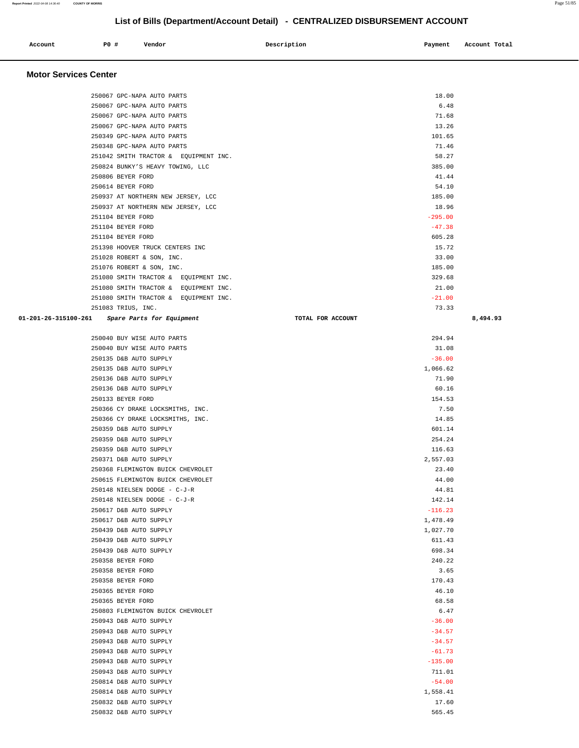| Account | <b>PO #</b> | Vendor | Description | Payment Account Total |
|---------|-------------|--------|-------------|-----------------------|
|         |             |        |             |                       |

| 250067 GPC-NAPA AUTO PARTS                     |                   | 18.00     |          |
|------------------------------------------------|-------------------|-----------|----------|
| 250067 GPC-NAPA AUTO PARTS                     |                   | 6.48      |          |
| 250067 GPC-NAPA AUTO PARTS                     |                   | 71.68     |          |
| 250067 GPC-NAPA AUTO PARTS                     |                   | 13.26     |          |
| 250349 GPC-NAPA AUTO PARTS                     |                   | 101.65    |          |
| 250348 GPC-NAPA AUTO PARTS                     |                   | 71.46     |          |
| 251042 SMITH TRACTOR & EQUIPMENT INC.          |                   | 58.27     |          |
| 250824 BUNKY'S HEAVY TOWING, LLC               |                   | 385.00    |          |
|                                                |                   |           |          |
| 250806 BEYER FORD                              |                   | 41.44     |          |
| 250614 BEYER FORD                              |                   | 54.10     |          |
| 250937 AT NORTHERN NEW JERSEY, LCC             |                   | 185.00    |          |
| 250937 AT NORTHERN NEW JERSEY, LCC             |                   | 18.96     |          |
| 251104 BEYER FORD                              |                   | $-295.00$ |          |
| 251104 BEYER FORD                              |                   | $-47.38$  |          |
| 251104 BEYER FORD                              |                   | 605.28    |          |
| 251398 HOOVER TRUCK CENTERS INC                |                   | 15.72     |          |
| 251028 ROBERT & SON, INC.                      |                   | 33.00     |          |
| 251076 ROBERT & SON, INC.                      |                   | 185.00    |          |
| 251080 SMITH TRACTOR & EQUIPMENT INC.          |                   | 329.68    |          |
| 251080 SMITH TRACTOR & EQUIPMENT INC.          |                   | 21.00     |          |
| 251080 SMITH TRACTOR & EQUIPMENT INC.          |                   | $-21.00$  |          |
| 251083 TRIUS, INC.                             |                   | 73.33     |          |
| 01-201-26-315100-261 Spare Parts for Equipment | TOTAL FOR ACCOUNT |           | 8,494.93 |
|                                                |                   |           |          |
| 250040 BUY WISE AUTO PARTS                     |                   | 294.94    |          |
| 250040 BUY WISE AUTO PARTS                     |                   | 31.08     |          |
| 250135 D&B AUTO SUPPLY                         |                   | $-36.00$  |          |
|                                                |                   |           |          |
| 250135 D&B AUTO SUPPLY                         |                   | 1,066.62  |          |
| 250136 D&B AUTO SUPPLY                         |                   | 71.90     |          |
| 250136 D&B AUTO SUPPLY                         |                   | 60.16     |          |
| 250133 BEYER FORD                              |                   | 154.53    |          |
| 250366 CY DRAKE LOCKSMITHS, INC.               |                   | 7.50      |          |
| 250366 CY DRAKE LOCKSMITHS, INC.               |                   | 14.85     |          |
| 250359 D&B AUTO SUPPLY                         |                   | 601.14    |          |
| 250359 D&B AUTO SUPPLY                         |                   | 254.24    |          |
| 250359 D&B AUTO SUPPLY                         |                   | 116.63    |          |
| 250371 D&B AUTO SUPPLY                         |                   | 2,557.03  |          |
| 250368 FLEMINGTON BUICK CHEVROLET              |                   | 23.40     |          |
| 250615 FLEMINGTON BUICK CHEVROLET              |                   | 44.00     |          |
| 250148 NIELSEN DODGE - C-J-R                   |                   | 44.81     |          |
| 250148 NIELSEN DODGE - C-J-R                   |                   | 142.14    |          |
| 250617 D&B AUTO SUPPLY                         |                   | $-116.23$ |          |
| 250617 D&B AUTO SUPPLY                         |                   | 1,478.49  |          |
| 250439 D&B AUTO SUPPLY                         |                   | 1,027.70  |          |
| 250439 D&B AUTO SUPPLY                         |                   | 611.43    |          |
| 250439 D&B AUTO SUPPLY                         |                   | 698.34    |          |
| 250358 BEYER FORD                              |                   | 240.22    |          |
| 250358 BEYER FORD                              |                   | 3.65      |          |
| 250358 BEYER FORD                              |                   | 170.43    |          |
| 250365 BEYER FORD                              |                   | 46.10     |          |
| 250365 BEYER FORD                              |                   | 68.58     |          |
| 250803 FLEMINGTON BUICK CHEVROLET              |                   | 6.47      |          |
|                                                |                   |           |          |
| 250943 D&B AUTO SUPPLY                         |                   | $-36.00$  |          |
| 250943 D&B AUTO SUPPLY                         |                   | $-34.57$  |          |
| 250943 D&B AUTO SUPPLY                         |                   | $-34.57$  |          |
| 250943 D&B AUTO SUPPLY                         |                   | $-61.73$  |          |
| 250943 D&B AUTO SUPPLY                         |                   | $-135.00$ |          |
| 250943 D&B AUTO SUPPLY                         |                   | 711.01    |          |
| 250814 D&B AUTO SUPPLY                         |                   | $-54.00$  |          |
| 250814 D&B AUTO SUPPLY                         |                   | 1,558.41  |          |
| 250832 D&B AUTO SUPPLY                         |                   | 17.60     |          |
| 250832 D&B AUTO SUPPLY                         |                   | 565.45    |          |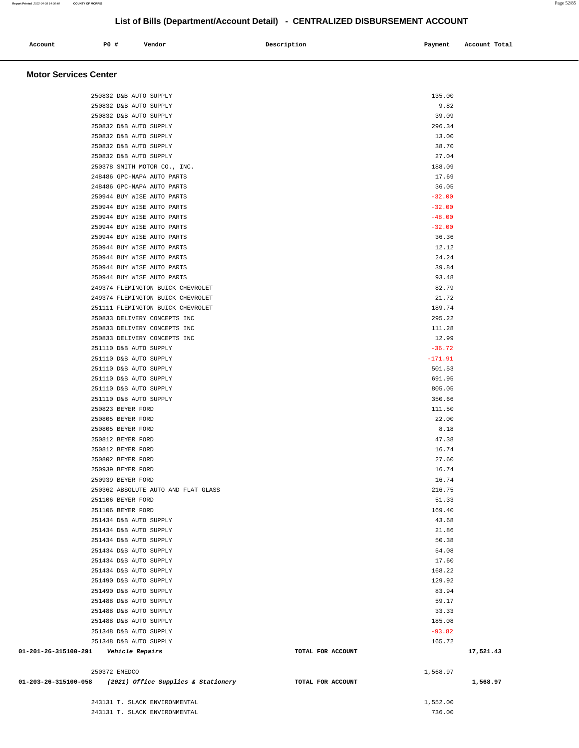| Account<br>. | P0 # | Vendor | Description | Payment | Account Total |
|--------------|------|--------|-------------|---------|---------------|
|              |      |        |             |         |               |

|                                         | 243131 T. SLACK ENVIRONMENTAL<br>243131 T. SLACK ENVIRONMENTAL |                   | 1,552.00<br>736.00   |           |
|-----------------------------------------|----------------------------------------------------------------|-------------------|----------------------|-----------|
|                                         |                                                                |                   |                      |           |
|                                         | 01-203-26-315100-058 (2021) Office Supplies & Stationery       | TOTAL FOR ACCOUNT |                      | 1,568.97  |
|                                         | 250372 EMEDCO                                                  |                   | 1,568.97             |           |
| 01-201-26-315100-291    Vehicle Repairs |                                                                | TOTAL FOR ACCOUNT |                      | 17,521.43 |
|                                         | 251348 D&B AUTO SUPPLY                                         |                   |                      |           |
|                                         | 251348 D&B AUTO SUPPLY                                         |                   | 165.72               |           |
|                                         |                                                                |                   | 185.08<br>$-93.82$   |           |
|                                         | 251488 D&B AUTO SUPPLY<br>251488 D&B AUTO SUPPLY               |                   | 33.33                |           |
|                                         | 251488 D&B AUTO SUPPLY                                         |                   | 59.17                |           |
|                                         | 251490 D&B AUTO SUPPLY                                         |                   | 83.94                |           |
|                                         | 251490 D&B AUTO SUPPLY                                         |                   | 129.92               |           |
|                                         | 251434 D&B AUTO SUPPLY                                         |                   | 168.22               |           |
|                                         | 251434 D&B AUTO SUPPLY                                         |                   | 17.60                |           |
|                                         | 251434 D&B AUTO SUPPLY                                         |                   | 54.08                |           |
|                                         | 251434 D&B AUTO SUPPLY                                         |                   | 50.38                |           |
|                                         | 251434 D&B AUTO SUPPLY                                         |                   | 21.86                |           |
|                                         | 251434 D&B AUTO SUPPLY                                         |                   | 43.68                |           |
|                                         | 251106 BEYER FORD                                              |                   | 169.40               |           |
|                                         | 251106 BEYER FORD                                              |                   | 51.33                |           |
|                                         | 250362 ABSOLUTE AUTO AND FLAT GLASS                            |                   | 216.75               |           |
|                                         | 250939 BEYER FORD<br>250939 BEYER FORD                         |                   | 16.74<br>16.74       |           |
|                                         | 250802 BEYER FORD                                              |                   | 27.60                |           |
|                                         | 250812 BEYER FORD                                              |                   | 16.74                |           |
|                                         | 250812 BEYER FORD                                              |                   | 47.38                |           |
|                                         | 250805 BEYER FORD                                              |                   | 8.18                 |           |
|                                         | 250805 BEYER FORD                                              |                   | 22.00                |           |
|                                         | 250823 BEYER FORD                                              |                   | 111.50               |           |
|                                         | 251110 D&B AUTO SUPPLY                                         |                   | 350.66               |           |
|                                         | 251110 D&B AUTO SUPPLY                                         |                   | 805.05               |           |
|                                         | 251110 D&B AUTO SUPPLY                                         |                   | 691.95               |           |
|                                         | 251110 D&B AUTO SUPPLY                                         |                   | 501.53               |           |
|                                         | 251110 D&B AUTO SUPPLY                                         |                   | $-171.91$            |           |
|                                         | 251110 D&B AUTO SUPPLY                                         |                   | 12.99<br>$-36.72$    |           |
|                                         | 250833 DELIVERY CONCEPTS INC<br>250833 DELIVERY CONCEPTS INC   |                   | 111.28               |           |
|                                         | 250833 DELIVERY CONCEPTS INC                                   |                   | 295.22               |           |
|                                         | 251111 FLEMINGTON BUICK CHEVROLET                              |                   | 189.74               |           |
|                                         | 249374 FLEMINGTON BUICK CHEVROLET                              |                   | 21.72                |           |
|                                         | 249374 FLEMINGTON BUICK CHEVROLET                              |                   | 82.79                |           |
|                                         | 250944 BUY WISE AUTO PARTS                                     |                   | 93.48                |           |
|                                         | 250944 BUY WISE AUTO PARTS                                     |                   | 39.84                |           |
|                                         | 250944 BUY WISE AUTO PARTS                                     |                   | 24.24                |           |
|                                         | 250944 BUY WISE AUTO PARTS                                     |                   | 12.12                |           |
|                                         | 250944 BUY WISE AUTO PARTS                                     |                   | 36.36                |           |
|                                         | 250944 BUY WISE AUTO PARTS<br>250944 BUY WISE AUTO PARTS       |                   | $-48.00$<br>$-32.00$ |           |
|                                         | 250944 BUY WISE AUTO PARTS                                     |                   | $-32.00$             |           |
|                                         | 250944 BUY WISE AUTO PARTS                                     |                   | $-32.00$             |           |
|                                         | 248486 GPC-NAPA AUTO PARTS                                     |                   | 36.05                |           |
|                                         | 248486 GPC-NAPA AUTO PARTS                                     |                   | 17.69                |           |
|                                         | 250378 SMITH MOTOR CO., INC.                                   |                   | 188.09               |           |
|                                         | 250832 D&B AUTO SUPPLY                                         |                   | 27.04                |           |
|                                         | 250832 D&B AUTO SUPPLY                                         |                   | 38.70                |           |
|                                         | 250832 D&B AUTO SUPPLY                                         |                   | 13.00                |           |
|                                         | 250832 D&B AUTO SUPPLY                                         |                   | 296.34               |           |
|                                         | 250832 D&B AUTO SUPPLY<br>250832 D&B AUTO SUPPLY               |                   | 9.82<br>39.09        |           |
|                                         | 250832 D&B AUTO SUPPLY                                         |                   | 135.00               |           |
|                                         |                                                                |                   |                      |           |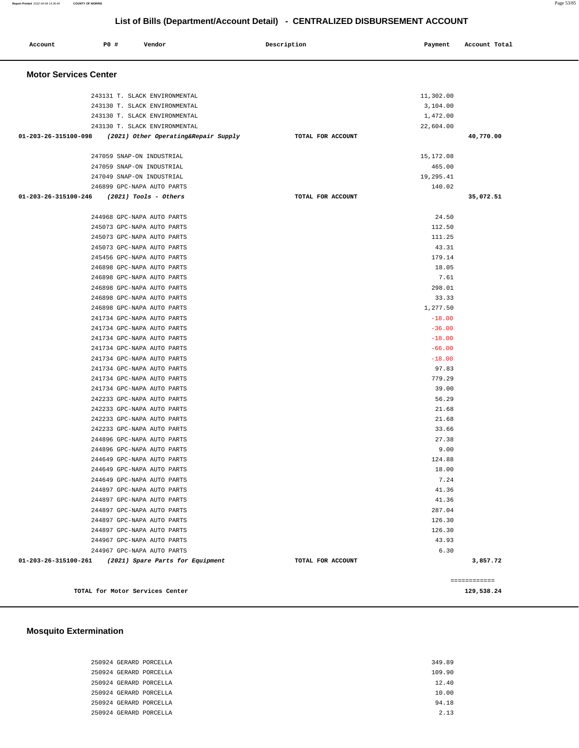| Account                      | P0 # | Vendor                                                         | Description |                   | Payment              | Account Total |
|------------------------------|------|----------------------------------------------------------------|-------------|-------------------|----------------------|---------------|
| <b>Motor Services Center</b> |      |                                                                |             |                   |                      |               |
|                              |      |                                                                |             |                   |                      |               |
|                              |      | 243131 T. SLACK ENVIRONMENTAL                                  |             |                   | 11,302.00            |               |
|                              |      | 243130 T. SLACK ENVIRONMENTAL<br>243130 T. SLACK ENVIRONMENTAL |             |                   | 3,104.00<br>1,472.00 |               |
|                              |      | 243130 T. SLACK ENVIRONMENTAL                                  |             |                   | 22,604.00            |               |
| 01-203-26-315100-098         |      | (2021) Other Operating&Repair Supply                           |             | TOTAL FOR ACCOUNT |                      | 40,770.00     |
|                              |      |                                                                |             |                   |                      |               |
|                              |      | 247059 SNAP-ON INDUSTRIAL                                      |             |                   | 15,172.08            |               |
|                              |      | 247059 SNAP-ON INDUSTRIAL                                      |             |                   | 465.00               |               |
|                              |      | 247049 SNAP-ON INDUSTRIAL                                      |             |                   | 19,295.41            |               |
|                              |      | 246899 GPC-NAPA AUTO PARTS                                     |             |                   | 140.02               |               |
| 01-203-26-315100-246         |      | $(2021)$ Tools - Others                                        |             | TOTAL FOR ACCOUNT |                      | 35,072.51     |
|                              |      | 244968 GPC-NAPA AUTO PARTS                                     |             |                   | 24.50                |               |
|                              |      | 245073 GPC-NAPA AUTO PARTS                                     |             |                   | 112.50               |               |
|                              |      | 245073 GPC-NAPA AUTO PARTS                                     |             |                   | 111.25               |               |
|                              |      | 245073 GPC-NAPA AUTO PARTS                                     |             |                   | 43.31                |               |
|                              |      | 245456 GPC-NAPA AUTO PARTS                                     |             |                   | 179.14               |               |
|                              |      | 246898 GPC-NAPA AUTO PARTS                                     |             |                   | 18.05                |               |
|                              |      | 246898 GPC-NAPA AUTO PARTS                                     |             |                   | 7.61                 |               |
|                              |      | 246898 GPC-NAPA AUTO PARTS                                     |             |                   | 298.01               |               |
|                              |      | 246898 GPC-NAPA AUTO PARTS                                     |             |                   | 33.33                |               |
|                              |      | 246898 GPC-NAPA AUTO PARTS                                     |             |                   | 1,277.50             |               |
|                              |      | 241734 GPC-NAPA AUTO PARTS                                     |             |                   | $-18.00$             |               |
|                              |      | 241734 GPC-NAPA AUTO PARTS                                     |             |                   | $-36.00$             |               |
|                              |      | 241734 GPC-NAPA AUTO PARTS                                     |             |                   | $-18.00$             |               |
|                              |      | 241734 GPC-NAPA AUTO PARTS                                     |             |                   | $-66.00$             |               |
|                              |      | 241734 GPC-NAPA AUTO PARTS                                     |             |                   | $-18.00$             |               |
|                              |      | 241734 GPC-NAPA AUTO PARTS                                     |             |                   | 97.83                |               |
|                              |      | 241734 GPC-NAPA AUTO PARTS                                     |             |                   | 779.29               |               |
|                              |      | 241734 GPC-NAPA AUTO PARTS                                     |             |                   | 39.00                |               |
|                              |      | 242233 GPC-NAPA AUTO PARTS                                     |             |                   | 56.29                |               |
|                              |      | 242233 GPC-NAPA AUTO PARTS                                     |             |                   | 21.68                |               |
|                              |      | 242233 GPC-NAPA AUTO PARTS                                     |             |                   | 21.68                |               |
|                              |      | 242233 GPC-NAPA AUTO PARTS                                     |             |                   | 33.66                |               |
|                              |      | 244896 GPC-NAPA AUTO PARTS                                     |             |                   | 27.38                |               |
|                              |      | 244896 GPC-NAPA AUTO PARTS                                     |             |                   | 9.00                 |               |
|                              |      | 244649 GPC-NAPA AUTO PARTS                                     |             |                   | 124.88               |               |
|                              |      | 244649 GPC-NAPA AUTO PARTS                                     |             |                   | 18.00<br>7.24        |               |
|                              |      | 244649 GPC-NAPA AUTO PARTS                                     |             |                   | 41.36                |               |
|                              |      | 244897 GPC-NAPA AUTO PARTS<br>244897 GPC-NAPA AUTO PARTS       |             |                   | 41.36                |               |
|                              |      | 244897 GPC-NAPA AUTO PARTS                                     |             |                   | 287.04               |               |
|                              |      | 244897 GPC-NAPA AUTO PARTS                                     |             |                   | 126.30               |               |
|                              |      | 244897 GPC-NAPA AUTO PARTS                                     |             |                   | 126.30               |               |
|                              |      | 244967 GPC-NAPA AUTO PARTS                                     |             |                   | 43.93                |               |
|                              |      | 244967 GPC-NAPA AUTO PARTS                                     |             |                   | 6.30                 |               |
| 01-203-26-315100-261         |      | (2021) Spare Parts for Equipment                               |             | TOTAL FOR ACCOUNT |                      | 3,857.72      |
|                              |      |                                                                |             |                   |                      |               |
|                              |      |                                                                |             |                   |                      | ============  |
|                              |      | TOTAL for Motor Services Center                                |             |                   |                      | 129,538.24    |

# **Mosquito Extermination**

| 250924 GERARD PORCELLA | 349.89 |
|------------------------|--------|
| 250924 GERARD PORCELLA | 109.90 |
| 250924 GERARD PORCELLA | 12.40  |
| 250924 GERARD PORCELLA | 10.00  |
| 250924 GERARD PORCELLA | 94.18  |
| 250924 GERARD PORCELLA | 2.13   |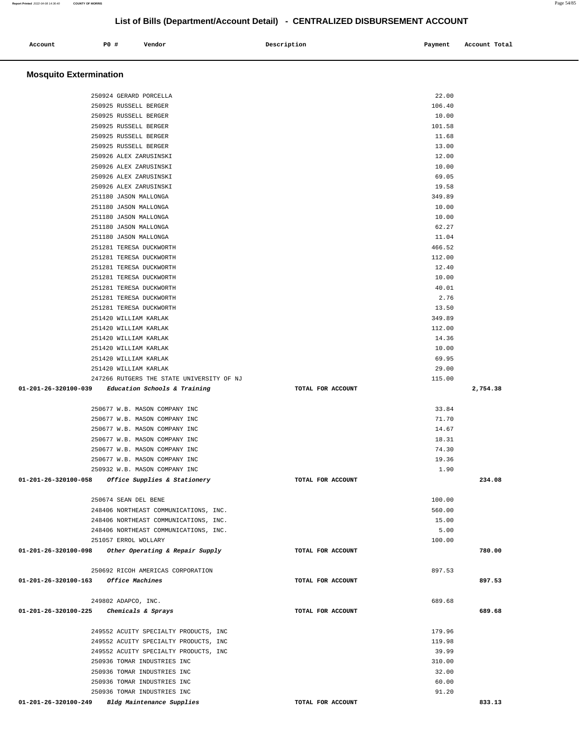| Account<br>. | <b>PO #</b> | Vendor | Description | Payment<br>. | Account Total |
|--------------|-------------|--------|-------------|--------------|---------------|
|              |             |        |             |              |               |

# **Mosquito Extermination**

| 250924 GERARD PORCELLA                                                           | 22.00                      |          |
|----------------------------------------------------------------------------------|----------------------------|----------|
| 250925 RUSSELL BERGER                                                            | 106.40                     |          |
| 250925 RUSSELL BERGER                                                            | 10.00                      |          |
| 250925 RUSSELL BERGER                                                            | 101.58                     |          |
| 250925 RUSSELL BERGER                                                            | 11.68                      |          |
| 250925 RUSSELL BERGER                                                            | 13.00                      |          |
| 250926 ALEX ZARUSINSKI                                                           | 12.00                      |          |
| 250926 ALEX ZARUSINSKI                                                           | 10.00                      |          |
| 250926 ALEX ZARUSINSKI                                                           | 69.05                      |          |
| 250926 ALEX ZARUSINSKI                                                           | 19.58                      |          |
| 251180 JASON MALLONGA                                                            | 349.89                     |          |
| 251180 JASON MALLONGA                                                            | 10.00                      |          |
| 251180 JASON MALLONGA                                                            | 10.00                      |          |
| 251180 JASON MALLONGA                                                            | 62.27                      |          |
|                                                                                  | 11.04                      |          |
| 251180 JASON MALLONGA                                                            | 466.52                     |          |
| 251281 TERESA DUCKWORTH                                                          |                            |          |
| 251281 TERESA DUCKWORTH                                                          | 112.00                     |          |
| 251281 TERESA DUCKWORTH                                                          | 12.40                      |          |
| 251281 TERESA DUCKWORTH                                                          | 10.00                      |          |
| 251281 TERESA DUCKWORTH                                                          | 40.01                      |          |
| 251281 TERESA DUCKWORTH                                                          | 2.76                       |          |
| 251281 TERESA DUCKWORTH                                                          | 13.50                      |          |
| 251420 WILLIAM KARLAK                                                            | 349.89                     |          |
| 251420 WILLIAM KARLAK                                                            | 112.00                     |          |
| 251420 WILLIAM KARLAK                                                            | 14.36                      |          |
| 251420 WILLIAM KARLAK                                                            | 10.00                      |          |
| 251420 WILLIAM KARLAK                                                            | 69.95                      |          |
| 251420 WILLIAM KARLAK                                                            | 29.00                      |          |
| 247266 RUTGERS THE STATE UNIVERSITY OF NJ                                        | 115.00                     |          |
| $01-201-26-320100-039$ Education Schools & Training                              | TOTAL FOR ACCOUNT          | 2,754.38 |
|                                                                                  |                            |          |
| 250677 W.B. MASON COMPANY INC                                                    | 33.84                      |          |
| 250677 W.B. MASON COMPANY INC                                                    | 71.70                      |          |
| 250677 W.B. MASON COMPANY INC                                                    | 14.67                      |          |
| 250677 W.B. MASON COMPANY INC                                                    | 18.31                      |          |
| 250677 W.B. MASON COMPANY INC                                                    | 74.30                      |          |
| 250677 W.B. MASON COMPANY INC                                                    | 19.36                      |          |
| 250932 W.B. MASON COMPANY INC                                                    | 1.90                       |          |
| 01-201-26-320100-058 Office Supplies & Stationery                                |                            |          |
|                                                                                  | TOTAL FOR ACCOUNT          | 234.08   |
|                                                                                  |                            |          |
| 250674 SEAN DEL BENE                                                             | 100.00                     |          |
| 248406 NORTHEAST COMMUNICATIONS, INC.                                            | 560.00                     |          |
| 248406 NORTHEAST COMMUNICATIONS, INC.                                            | 15.00                      |          |
| 248406 NORTHEAST COMMUNICATIONS, INC.                                            | 5.00                       |          |
| 251057 ERROL WOLLARY                                                             | 100.00                     |          |
| 01-201-26-320100-098<br>Other Operating & Repair Supply                          | TOTAL FOR ACCOUNT          | 780.00   |
|                                                                                  |                            |          |
| 250692 RICOH AMERICAS CORPORATION                                                | 897.53                     |          |
| $01 - 201 - 26 - 320100 - 163$<br>Office Machines                                | TOTAL FOR ACCOUNT          | 897.53   |
|                                                                                  |                            |          |
| 249802 ADAPCO, INC.                                                              | 689.68                     |          |
| 01-201-26-320100-225<br>Chemicals & Sprays                                       | TOTAL FOR ACCOUNT          | 689.68   |
|                                                                                  |                            |          |
| 249552 ACUITY SPECIALTY PRODUCTS, INC                                            | 179.96                     |          |
| 249552 ACUITY SPECIALTY PRODUCTS, INC                                            | 119.98                     |          |
| 249552 ACUITY SPECIALTY PRODUCTS, INC                                            | 39.99                      |          |
| 250936 TOMAR INDUSTRIES INC                                                      | 310.00                     |          |
| 250936 TOMAR INDUSTRIES INC                                                      | 32.00                      |          |
| 250936 TOMAR INDUSTRIES INC                                                      | 60.00                      |          |
| 250936 TOMAR INDUSTRIES INC<br>01-201-26-320100-249<br>Bldg Maintenance Supplies | 91.20<br>TOTAL FOR ACCOUNT | 833.13   |

**Report Printed** 2022-04-08 14:36:40 **COUNTY OF MORRIS** Page 54/85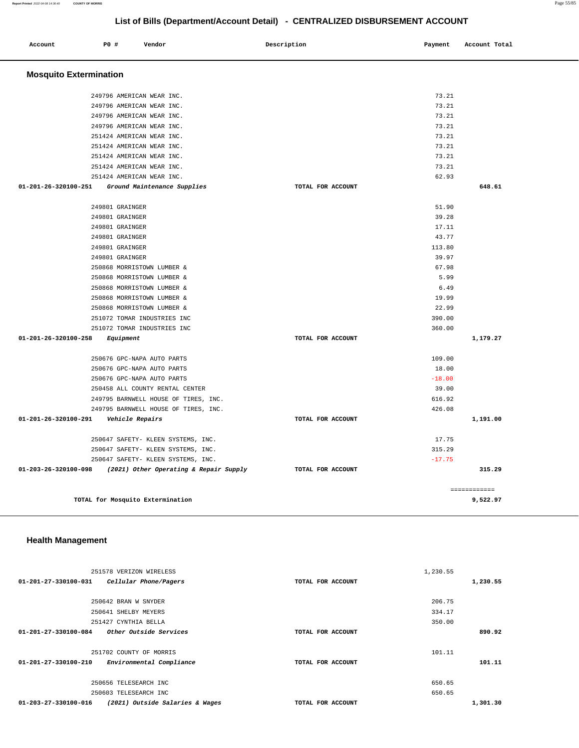| Account                      | P0 #<br>Vendor                         | Description                                 | Payment  | Account Total |
|------------------------------|----------------------------------------|---------------------------------------------|----------|---------------|
|                              | <b>Mosquito Extermination</b>          |                                             |          |               |
|                              | 249796 AMERICAN WEAR INC.              |                                             | 73.21    |               |
|                              | 249796 AMERICAN WEAR INC.              |                                             | 73.21    |               |
|                              | 249796 AMERICAN WEAR INC.              |                                             | 73.21    |               |
|                              | 249796 AMERICAN WEAR INC.              |                                             | 73.21    |               |
|                              | 251424 AMERICAN WEAR INC.              |                                             | 73.21    |               |
|                              | 251424 AMERICAN WEAR INC.              |                                             | 73.21    |               |
|                              | 251424 AMERICAN WEAR INC.              |                                             | 73.21    |               |
|                              | 251424 AMERICAN WEAR INC.              |                                             | 73.21    |               |
|                              | 251424 AMERICAN WEAR INC.              |                                             | 62.93    |               |
| 01-201-26-320100-251         | Ground Maintenance Supplies            | TOTAL FOR ACCOUNT                           |          | 648.61        |
|                              | 249801 GRAINGER                        |                                             | 51.90    |               |
|                              | 249801 GRAINGER                        |                                             | 39.28    |               |
|                              | 249801 GRAINGER                        |                                             | 17.11    |               |
|                              | 249801 GRAINGER                        |                                             | 43.77    |               |
|                              | 249801 GRAINGER                        |                                             | 113.80   |               |
|                              | 249801 GRAINGER                        |                                             | 39.97    |               |
|                              | 250868 MORRISTOWN LUMBER &             |                                             | 67.98    |               |
|                              | 250868 MORRISTOWN LUMBER &             |                                             | 5.99     |               |
|                              | 250868 MORRISTOWN LUMBER &             |                                             | 6.49     |               |
|                              | 250868 MORRISTOWN LUMBER &             |                                             | 19.99    |               |
|                              | 250868 MORRISTOWN LUMBER &             |                                             | 22.99    |               |
|                              | 251072 TOMAR INDUSTRIES INC            |                                             | 390.00   |               |
|                              | 251072 TOMAR INDUSTRIES INC            |                                             | 360.00   |               |
| 01-201-26-320100-258         | Equipment                              | TOTAL FOR ACCOUNT                           |          | 1,179.27      |
|                              | 250676 GPC-NAPA AUTO PARTS             |                                             | 109.00   |               |
|                              | 250676 GPC-NAPA AUTO PARTS             |                                             | 18.00    |               |
|                              | 250676 GPC-NAPA AUTO PARTS             |                                             | $-18.00$ |               |
|                              | 250458 ALL COUNTY RENTAL CENTER        |                                             | 39.00    |               |
|                              | 249795 BARNWELL HOUSE OF TIRES, INC.   |                                             | 616.92   |               |
|                              | 249795 BARNWELL HOUSE OF TIRES, INC.   |                                             | 426.08   |               |
| 01-201-26-320100-291         | Vehicle Repairs                        | TOTAL FOR ACCOUNT                           |          | 1,191.00      |
|                              | 250647 SAFETY- KLEEN SYSTEMS, INC.     |                                             | 17.75    |               |
|                              | 250647 SAFETY- KLEEN SYSTEMS, INC.     |                                             | 315.29   |               |
|                              | 250647 SAFETY- KLEEN SYSTEMS, INC.     |                                             | $-17.75$ |               |
| 01-203-26-320100-098         | (2021) Other Operating & Repair Supply | TOTAL FOR ACCOUNT                           |          | 315.29        |
|                              |                                        |                                             |          |               |
|                              |                                        |                                             |          | ============  |
|                              | TOTAL for Mosquito Extermination       |                                             |          | 9,522.97      |
|                              |                                        |                                             |          |               |
| <b>Health Management</b>     |                                        |                                             |          |               |
|                              |                                        |                                             |          |               |
|                              |                                        |                                             |          |               |
|                              | 251578 VERIZON WIRELESS                |                                             | 1,230.55 | 1.222E        |
| 0.01<br><b>00 000100 001</b> | $m_{1}$ $m_{2}$ $m_{3}$<br>7.717       | $m \wedge m \wedge r$<br>$T^{\sim}$<br>3000 |          |               |

| 01-201-27-330100-031<br>Cellular Phone/Pagers           | TOTAL FOR ACCOUNT | 1,230.55 |
|---------------------------------------------------------|-------------------|----------|
| 250642 BRAN W SNYDER                                    |                   | 206.75   |
| 250641 SHELBY MEYERS                                    |                   | 334.17   |
| 251427 CYNTHIA BELLA                                    |                   | 350.00   |
| Other Outside Services<br>01-201-27-330100-084          | TOTAL FOR ACCOUNT | 890.92   |
| 251702 COUNTY OF MORRIS                                 |                   | 101.11   |
| 01-201-27-330100-210<br>Environmental Compliance        | TOTAL FOR ACCOUNT | 101.11   |
| 250656 TELESEARCH INC                                   |                   | 650.65   |
| 250603 TELESEARCH INC                                   |                   | 650.65   |
| 01-203-27-330100-016<br>(2021) Outside Salaries & Wages | TOTAL FOR ACCOUNT | 1,301.30 |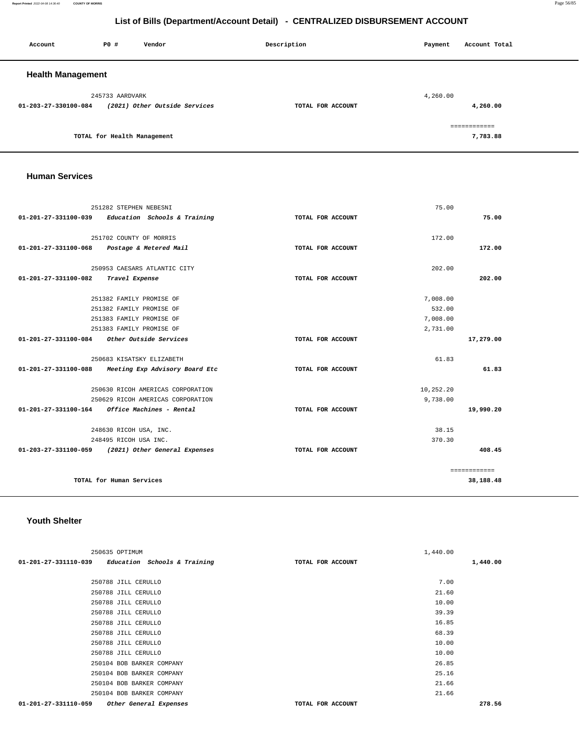**Report Printed** 2022-04-08 14:36:40 **COUNTY OF MORRIS** Page 56/85

# **List of Bills (Department/Account Detail) - CENTRALIZED DISBURSEMENT ACCOUNT**

| Account                  | <b>PO #</b>                 | Vendor                        | Description       | Payment  | Account Total |  |
|--------------------------|-----------------------------|-------------------------------|-------------------|----------|---------------|--|
| <b>Health Management</b> |                             |                               |                   |          |               |  |
|                          | 245733 AARDVARK             |                               |                   | 4,260.00 |               |  |
| 01-203-27-330100-084     |                             | (2021) Other Outside Services | TOTAL FOR ACCOUNT |          | 4,260.00      |  |
|                          |                             |                               |                   |          | ------------- |  |
|                          | TOTAL for Health Management |                               |                   |          | 7,783.88      |  |

#### **Human Services**

|                      | 251282 STEPHEN NEBESNI                             | 75.00             |              |
|----------------------|----------------------------------------------------|-------------------|--------------|
| 01-201-27-331100-039 | Education Schools & Training                       | TOTAL FOR ACCOUNT | 75.00        |
|                      |                                                    |                   |              |
|                      | 251702 COUNTY OF MORRIS                            | 172.00            |              |
|                      | 01-201-27-331100-068 Postage & Metered Mail        | TOTAL FOR ACCOUNT | 172.00       |
|                      | 250953 CAESARS ATLANTIC CITY                       | 202.00            |              |
| 01-201-27-331100-082 | Travel Expense                                     | TOTAL FOR ACCOUNT | 202.00       |
|                      | 251382 FAMILY PROMISE OF                           | 7,008.00          |              |
|                      | 251382 FAMILY PROMISE OF                           | 532.00            |              |
|                      | 251383 FAMILY PROMISE OF                           | 7,008.00          |              |
|                      | 251383 FAMILY PROMISE OF                           | 2,731.00          |              |
| 01-201-27-331100-084 | Other Outside Services                             | TOTAL FOR ACCOUNT | 17,279.00    |
|                      | 250683 KISATSKY ELIZABETH                          | 61.83             |              |
| 01-201-27-331100-088 | Meeting Exp Advisory Board Etc                     | TOTAL FOR ACCOUNT | 61.83        |
|                      | 250630 RICOH AMERICAS CORPORATION                  | 10,252.20         |              |
|                      | 250629 RICOH AMERICAS CORPORATION                  | 9,738.00          |              |
|                      | $01-201-27-331100-164$ Office Machines - Rental    | TOTAL FOR ACCOUNT | 19,990.20    |
|                      | 248630 RICOH USA, INC.                             | 38.15             |              |
|                      | 248495 RICOH USA INC.                              | 370.30            |              |
|                      | 01-203-27-331100-059 (2021) Other General Expenses | TOTAL FOR ACCOUNT | 408.45       |
|                      |                                                    |                   | ============ |
|                      | TOTAL for Human Services                           |                   | 38,188.48    |

# **Youth Shelter**

| 250635 OPTIMUM                                      |                   | 1,440.00 |          |
|-----------------------------------------------------|-------------------|----------|----------|
| $01-201-27-331110-039$ Education Schools & Training | TOTAL FOR ACCOUNT |          | 1,440.00 |
|                                                     |                   |          |          |
| 250788 JILL CERULLO                                 |                   | 7.00     |          |
| 250788 JILL CERULLO                                 |                   | 21.60    |          |
| 250788 JILL CERULLO                                 |                   | 10.00    |          |
| 250788 JILL CERULLO                                 |                   | 39.39    |          |
| 250788 JILL CERULLO                                 |                   | 16.85    |          |
| 250788 JILL CERULLO                                 |                   | 68.39    |          |
| 250788 JILL CERULLO                                 |                   | 10.00    |          |
| 250788 JILL CERULLO                                 |                   | 10.00    |          |
| 250104 BOB BARKER COMPANY                           |                   | 26.85    |          |
| 250104 BOB BARKER COMPANY                           |                   | 25.16    |          |
| 250104 BOB BARKER COMPANY                           |                   | 21.66    |          |
| 250104 BOB BARKER COMPANY                           |                   | 21.66    |          |
| 01-201-27-331110-059<br>Other General Expenses      | TOTAL FOR ACCOUNT |          | 278.56   |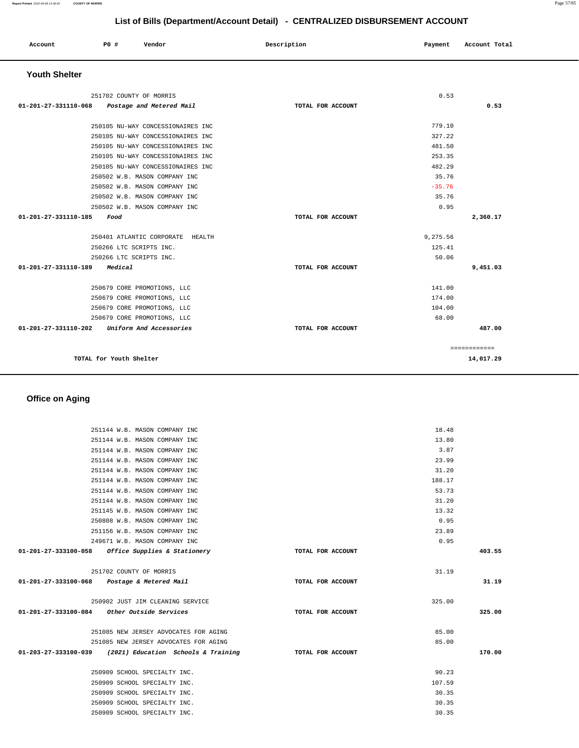| Account | P0 # | Vendor | Description | Payment | Account Total |
|---------|------|--------|-------------|---------|---------------|
| .       |      |        |             | .       |               |
|         |      |        |             |         |               |

### **Youth Shelter**

|                              | 251702 COUNTY OF MORRIS           |                   | 0.53     |              |  |
|------------------------------|-----------------------------------|-------------------|----------|--------------|--|
| 01-201-27-331110-068         | Postage and Metered Mail          | TOTAL FOR ACCOUNT |          | 0.53         |  |
|                              |                                   |                   |          |              |  |
|                              | 250105 NU-WAY CONCESSIONAIRES INC |                   | 779.10   |              |  |
|                              | 250105 NU-WAY CONCESSIONAIRES INC |                   | 327.22   |              |  |
|                              | 250105 NU-WAY CONCESSIONAIRES INC |                   | 481.50   |              |  |
|                              | 250105 NU-WAY CONCESSIONAIRES INC |                   | 253.35   |              |  |
|                              | 250105 NU-WAY CONCESSIONAIRES INC |                   | 482.29   |              |  |
|                              | 250502 W.B. MASON COMPANY INC     |                   | 35.76    |              |  |
|                              | 250502 W.B. MASON COMPANY INC     |                   | $-35.76$ |              |  |
|                              | 250502 W.B. MASON COMPANY INC     |                   | 35.76    |              |  |
|                              | 250502 W.B. MASON COMPANY INC     |                   | 0.95     |              |  |
| 01-201-27-331110-185<br>Food |                                   | TOTAL FOR ACCOUNT |          | 2,360.17     |  |
|                              | 250401 ATLANTIC CORPORATE HEALTH  |                   | 9,275.56 |              |  |
|                              | 250266 LTC SCRIPTS INC.           |                   | 125.41   |              |  |
|                              | 250266 LTC SCRIPTS INC.           |                   | 50.06    |              |  |
| 01-201-27-331110-189         | Medical                           | TOTAL FOR ACCOUNT |          | 9,451.03     |  |
|                              | 250679 CORE PROMOTIONS, LLC       |                   | 141.00   |              |  |
|                              | 250679 CORE PROMOTIONS, LLC       |                   | 174.00   |              |  |
|                              | 250679 CORE PROMOTIONS, LLC       |                   | 104.00   |              |  |
|                              | 250679 CORE PROMOTIONS, LLC       |                   | 68.00    |              |  |
| 01-201-27-331110-202         | Uniform And Accessories           | TOTAL FOR ACCOUNT |          | 487.00       |  |
|                              |                                   |                   |          | ============ |  |
|                              | TOTAL for Youth Shelter           |                   |          | 14,017.29    |  |

# **Office on Aging**

| 251144 W.B. MASON COMPANY INC                            |                   | 18.48  |        |
|----------------------------------------------------------|-------------------|--------|--------|
| 251144 W.B. MASON COMPANY INC                            |                   | 13.80  |        |
| 251144 W.B. MASON COMPANY INC                            |                   | 3.87   |        |
| 251144 W.B. MASON COMPANY INC                            |                   | 23.99  |        |
| 251144 W.B. MASON COMPANY INC                            |                   | 31.20  |        |
| 251144 W.B. MASON COMPANY INC                            |                   | 188.17 |        |
| 251144 W.B. MASON COMPANY INC                            |                   | 53.73  |        |
| 251144 W.B. MASON COMPANY INC                            |                   | 31.20  |        |
| 251145 W.B. MASON COMPANY INC                            |                   | 13.32  |        |
| 250808 W.B. MASON COMPANY INC                            |                   | 0.95   |        |
| 251156 W.B. MASON COMPANY INC                            |                   | 23.89  |        |
| 249671 W.B. MASON COMPANY INC                            |                   | 0.95   |        |
| 01-201-27-333100-058 Office Supplies & Stationery        | TOTAL FOR ACCOUNT |        | 403.55 |
| 251702 COUNTY OF MORRIS                                  |                   | 31.19  |        |
| 01-201-27-333100-068 Postage & Metered Mail              | TOTAL FOR ACCOUNT |        | 31.19  |
| 250902 JUST JIM CLEANING SERVICE                         |                   | 325.00 |        |
| 01-201-27-333100-084 Other Outside Services              | TOTAL FOR ACCOUNT |        | 325.00 |
| 251085 NEW JERSEY ADVOCATES FOR AGING                    |                   | 85.00  |        |
| 251085 NEW JERSEY ADVOCATES FOR AGING                    |                   | 85.00  |        |
| 01-203-27-333100-039 (2021) Education Schools & Training | TOTAL FOR ACCOUNT |        | 170.00 |
| 250909 SCHOOL SPECIALTY INC.                             |                   | 90.23  |        |
| 250909 SCHOOL SPECIALTY INC.                             |                   | 107.59 |        |
| 250909 SCHOOL SPECIALTY INC.                             |                   | 30.35  |        |
| 250909 SCHOOL SPECIALTY INC.                             |                   | 30.35  |        |
| 250909 SCHOOL SPECIALTY INC.                             |                   | 30.35  |        |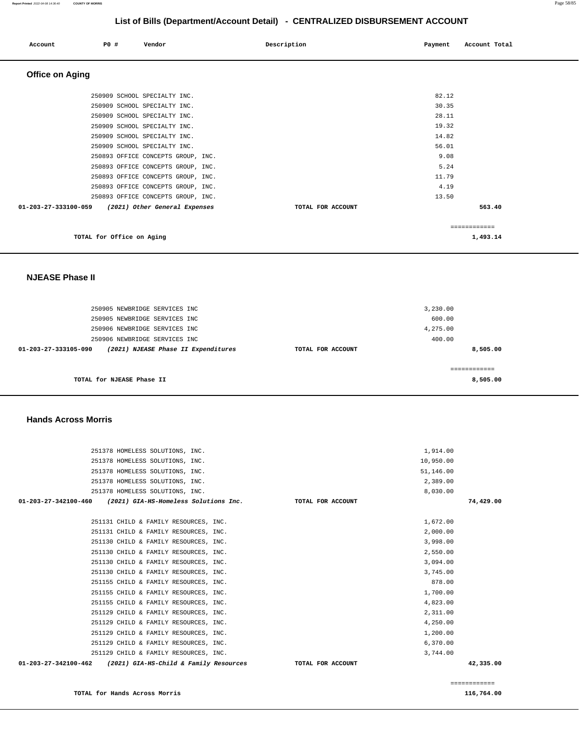| Account                | <b>PO #</b> | Vendor                    |                                    | Description       | Payment | Account Total |
|------------------------|-------------|---------------------------|------------------------------------|-------------------|---------|---------------|
| <b>Office on Aging</b> |             |                           |                                    |                   |         |               |
|                        |             |                           | 250909 SCHOOL SPECIALTY INC.       |                   | 82.12   |               |
|                        |             |                           | 250909 SCHOOL SPECIALTY INC.       |                   | 30.35   |               |
|                        |             |                           | 250909 SCHOOL SPECIALTY INC.       |                   | 28.11   |               |
|                        |             |                           | 250909 SCHOOL SPECIALTY INC.       |                   | 19.32   |               |
|                        |             |                           | 250909 SCHOOL SPECIALTY INC.       |                   | 14.82   |               |
|                        |             |                           | 250909 SCHOOL SPECIALTY INC.       |                   | 56.01   |               |
|                        |             |                           | 250893 OFFICE CONCEPTS GROUP, INC. |                   | 9.08    |               |
|                        |             |                           | 250893 OFFICE CONCEPTS GROUP, INC. |                   | 5.24    |               |
|                        |             |                           | 250893 OFFICE CONCEPTS GROUP, INC. |                   | 11.79   |               |
|                        |             |                           | 250893 OFFICE CONCEPTS GROUP, INC. |                   | 4.19    |               |
|                        |             |                           | 250893 OFFICE CONCEPTS GROUP, INC. |                   | 13.50   |               |
| 01-203-27-333100-059   |             |                           | (2021) Other General Expenses      | TOTAL FOR ACCOUNT |         | 563.40        |
|                        |             |                           |                                    |                   |         | ============  |
|                        |             | TOTAL for Office on Aging |                                    |                   |         | 1,493.14      |

#### **NJEASE Phase II**

|                   | 3,230.00 |
|-------------------|----------|
|                   | 600.00   |
|                   | 4,275.00 |
|                   | 400.00   |
| TOTAL FOR ACCOUNT | 8,505.00 |
|                   | 8,505.00 |
|                   |          |

#### **Hands Across Morris**

| 251378 HOMELESS SOLUTIONS, INC.                                | 1,914.00          |           |
|----------------------------------------------------------------|-------------------|-----------|
| 251378 HOMELESS SOLUTIONS, INC.                                | 10,950.00         |           |
| 251378 HOMELESS SOLUTIONS, INC.                                | 51,146.00         |           |
| 251378 HOMELESS SOLUTIONS, INC.                                | 2,389.00          |           |
| 251378 HOMELESS SOLUTIONS, INC.                                | 8,030.00          |           |
| $01-203-27-342100-460$ (2021) GIA-HS-Homeless Solutions Inc.   | TOTAL FOR ACCOUNT | 74,429.00 |
|                                                                |                   |           |
| 251131 CHILD & FAMILY RESOURCES, INC.                          | 1,672.00          |           |
| 251131 CHILD & FAMILY RESOURCES, INC.                          | 2,000.00          |           |
| 251130 CHILD & FAMILY RESOURCES, INC.                          | 3,998.00          |           |
| 251130 CHILD & FAMILY RESOURCES, INC.                          | 2,550.00          |           |
| 251130 CHILD & FAMILY RESOURCES, INC.                          | 3,094.00          |           |
| 251130 CHILD & FAMILY RESOURCES, INC.                          | 3,745.00          |           |
| 251155 CHILD & FAMILY RESOURCES, INC.                          | 878.00            |           |
| 251155 CHILD & FAMILY RESOURCES, INC.                          | 1,700.00          |           |
| 251155 CHILD & FAMILY RESOURCES, INC.                          | 4,823.00          |           |
| 251129 CHILD & FAMILY RESOURCES, INC.                          | 2,311.00          |           |
| 251129 CHILD & FAMILY RESOURCES, INC.                          | 4,250.00          |           |
| 251129 CHILD & FAMILY RESOURCES, INC.                          | 1,200.00          |           |
|                                                                |                   |           |
| 251129 CHILD & FAMILY RESOURCES, INC.                          | 6,370.00          |           |
| 251129 CHILD & FAMILY RESOURCES, INC.                          | 3,744.00          |           |
| 01-203-27-342100-462<br>(2021) GIA-HS-Child & Family Resources | TOTAL FOR ACCOUNT | 42,335.00 |
|                                                                |                   |           |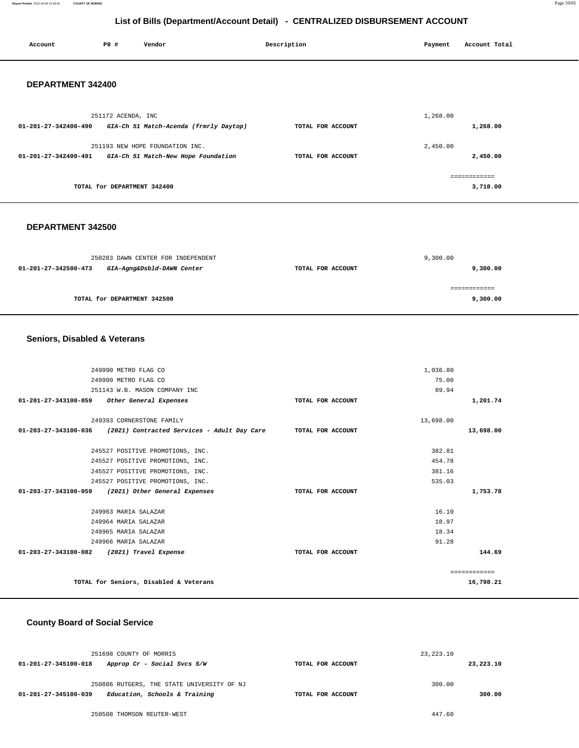**Report Printed** 2022-04-08 14:36:40 **COUNTY OF MORRIS** Page 59/85

### **List of Bills (Department/Account Detail) - CENTRALIZED DISBURSEMENT ACCOUNT**

| Account              | P0 #                        | Vendor                                 | Description       | Payment  | Account Total |
|----------------------|-----------------------------|----------------------------------------|-------------------|----------|---------------|
| DEPARTMENT 342400    |                             |                                        |                   |          |               |
|                      | 251172 ACENDA, INC          |                                        |                   | 1,268.00 |               |
| 01-201-27-342400-490 |                             | GIA-Ch 51 Match-Acenda (frmrly Daytop) | TOTAL FOR ACCOUNT |          | 1,268.00      |
|                      |                             | 251193 NEW HOPE FOUNDATION INC.        |                   | 2,450.00 |               |
| 01-201-27-342400-491 |                             | GIA-Ch 51 Match-New Hope Foundation    | TOTAL FOR ACCOUNT |          | 2,450.00      |
|                      |                             |                                        |                   |          | ============  |
|                      | TOTAL for DEPARTMENT 342400 |                                        |                   |          | 3,718.00      |
|                      |                             |                                        |                   |          |               |

#### **DEPARTMENT 342500**

| 250283 DAWN CENTER FOR INDEPENDENT                 |                   | 9,300.00 |
|----------------------------------------------------|-------------------|----------|
| GIA-Agng&Dsbld-DAWN Center<br>01-201-27-342500-473 | TOTAL FOR ACCOUNT | 9,300.00 |
|                                                    |                   |          |
| TOTAL for DEPARTMENT 342500                        |                   | 9,300.00 |

#### **Seniors, Disabled & Veterans**

|                      |                      | 249990 METRO FLAG CO                        |                   |           |              |
|----------------------|----------------------|---------------------------------------------|-------------------|-----------|--------------|
|                      |                      | 1,036.80                                    |                   |           |              |
| 249990 METRO FLAG CO |                      |                                             |                   | 75.00     |              |
|                      |                      | 251143 W.B. MASON COMPANY INC               |                   | 89.94     |              |
|                      | 01-201-27-343100-059 | Other General Expenses                      | TOTAL FOR ACCOUNT |           | 1,201.74     |
|                      |                      |                                             |                   |           |              |
|                      |                      | 249393 CORNERSTONE FAMILY                   |                   | 13,698.00 |              |
|                      | 01-203-27-343100-036 | (2021) Contracted Services - Adult Day Care | TOTAL FOR ACCOUNT |           | 13,698.00    |
|                      |                      |                                             |                   |           |              |
|                      |                      | 245527 POSITIVE PROMOTIONS, INC.            |                   | 382.81    |              |
|                      |                      | 245527 POSITIVE PROMOTIONS, INC.            |                   | 454.78    |              |
|                      |                      | 245527 POSITIVE PROMOTIONS, INC.            |                   | 381.16    |              |
|                      |                      | 245527 POSITIVE PROMOTIONS, INC.            |                   | 535.03    |              |
| 01-203-27-343100-059 |                      | (2021) Other General Expenses               | TOTAL FOR ACCOUNT |           | 1,753.78     |
|                      |                      |                                             |                   |           |              |
|                      |                      | 249963 MARIA SALAZAR                        |                   | 16.10     |              |
|                      |                      | 249964 MARIA SALAZAR                        |                   | 18.97     |              |
|                      |                      | 249965 MARIA SALAZAR                        |                   | 18.34     |              |
|                      |                      | 249966 MARIA SALAZAR                        |                   | 91.28     |              |
|                      | 01-203-27-343100-082 | (2021) Travel Expense                       | TOTAL FOR ACCOUNT |           | 144.69       |
|                      |                      |                                             |                   |           |              |
|                      |                      |                                             |                   |           | ============ |
|                      |                      | TOTAL for Seniors, Disabled & Veterans      |                   |           | 16,798.21    |
|                      |                      |                                             |                   |           |              |

#### **County Board of Social Service**

| 251698 COUNTY OF MORRIS                               |                   | 23, 223. 10 |           |
|-------------------------------------------------------|-------------------|-------------|-----------|
| Approp Cr - Social Svcs S/W<br>01-201-27-345100-018   | TOTAL FOR ACCOUNT |             | 23,223.10 |
| 250886 RUTGERS, THE STATE UNIVERSITY OF NJ            |                   | 300.00      |           |
| Education, Schools & Training<br>01-201-27-345100-039 | TOTAL FOR ACCOUNT |             | 300.00    |
| 250508 THOMSON REUTER-WEST                            |                   | 447.60      |           |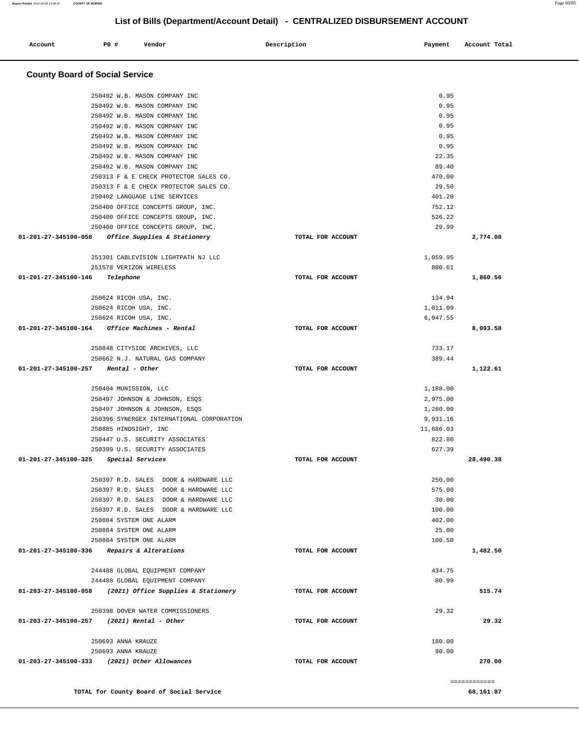| Account              | PO#<br>Vendor                                                           | Description       | Payment         | Account Total |
|----------------------|-------------------------------------------------------------------------|-------------------|-----------------|---------------|
|                      | <b>County Board of Social Service</b>                                   |                   |                 |               |
|                      | 250492 W.B. MASON COMPANY INC                                           |                   | 0.95            |               |
|                      | 250492 W.B. MASON COMPANY INC                                           |                   | 0.95            |               |
|                      | 250492 W.B. MASON COMPANY INC                                           |                   | 0.95            |               |
|                      | 250492 W.B. MASON COMPANY INC                                           |                   | 0.95            |               |
|                      | 250492 W.B. MASON COMPANY INC                                           |                   | 0.95            |               |
|                      | 250492 W.B. MASON COMPANY INC                                           |                   | 0.95            |               |
|                      | 250492 W.B. MASON COMPANY INC                                           |                   | 22.35           |               |
|                      | 250492 W.B. MASON COMPANY INC                                           |                   | 89.40           |               |
|                      | 250313 F & E CHECK PROTECTOR SALES CO.                                  |                   | 470.00<br>29.50 |               |
|                      | 250313 F & E CHECK PROTECTOR SALES CO.<br>250402 LANGUAGE LINE SERVICES |                   | 401.20          |               |
|                      | 250400 OFFICE CONCEPTS GROUP, INC.                                      |                   | 752.12          |               |
|                      | 250400 OFFICE CONCEPTS GROUP, INC.                                      |                   | 526.22          |               |
|                      | 250400 OFFICE CONCEPTS GROUP, INC.                                      |                   | 29.99           |               |
| 01-201-27-345100-058 | Office Supplies & Stationery                                            | TOTAL FOR ACCOUNT |                 | 2,774.08      |
|                      |                                                                         |                   |                 |               |
|                      | 251301 CABLEVISION LIGHTPATH NJ LLC                                     |                   | 1,059.95        |               |
|                      | 251578 VERIZON WIRELESS                                                 |                   | 800.61          |               |
| 01-201-27-345100-146 | Telephone                                                               | TOTAL FOR ACCOUNT |                 | 1,860.56      |
|                      | 250624 RICOH USA, INC.                                                  |                   | 134.94          |               |
|                      | 250624 RICOH USA, INC.                                                  |                   | 1,011.09        |               |
|                      | 250624 RICOH USA, INC.                                                  |                   | 6,947.55        |               |
| 01-201-27-345100-164 | Office Machines - Rental                                                | TOTAL FOR ACCOUNT |                 | 8,093.58      |
|                      | 250848 CITYSIDE ARCHIVES, LLC                                           |                   | 733.17          |               |
|                      | 250662 N.J. NATURAL GAS COMPANY                                         |                   | 389.44          |               |
| 01-201-27-345100-257 | Rental - Other                                                          | TOTAL FOR ACCOUNT |                 | 1,122.61      |
|                      | 250404 MUNISSION, LLC                                                   |                   | 1,188.00        |               |
|                      | 250497 JOHNSON & JOHNSON, ESQS                                          |                   | 2,975.00        |               |
|                      | 250497 JOHNSON & JOHNSON, ESQS                                          |                   | 1,260.00        |               |
|                      | 250396 SYNERGEX INTERNATIONAL CORPORATION                               |                   | 9,931.16        |               |
|                      | 250885 HINDSIGHT, INC                                                   |                   | 11,686.03       |               |
|                      | 250447 U.S. SECURITY ASSOCIATES                                         |                   | 822.80          |               |
|                      | 250399 U.S. SECURITY ASSOCIATES                                         |                   | 627.39          |               |
|                      | 01-201-27-345100-325 Special Services                                   | TOTAL FOR ACCOUNT |                 | 28,490.38     |
|                      | 250397 R.D. SALES DOOR & HARDWARE LLC                                   |                   | 250.00          |               |
|                      | 250397 R.D. SALES DOOR & HARDWARE LLC                                   |                   | 575.00          |               |
|                      | 250397 R.D. SALES DOOR & HARDWARE LLC                                   |                   | 30.00           |               |
|                      | 250397 R.D. SALES DOOR & HARDWARE LLC                                   |                   | 100.00          |               |
|                      | 250884 SYSTEM ONE ALARM                                                 |                   | 402.00          |               |
|                      | 250884 SYSTEM ONE ALARM                                                 |                   | 25.00           |               |
|                      | 250884 SYSTEM ONE ALARM<br>01-201-27-345100-336 Repairs & Alterations   | TOTAL FOR ACCOUNT | 100.50          | 1,482.50      |
|                      | 244488 GLOBAL EQUIPMENT COMPANY                                         |                   | 434.75          |               |
|                      | 244488 GLOBAL EQUIPMENT COMPANY                                         |                   | 80.99           |               |
|                      | 01-203-27-345100-058 (2021) Office Supplies & Stationery                | TOTAL FOR ACCOUNT |                 | 515.74        |
|                      | 250398 DOVER WATER COMMISSIONERS                                        |                   | 29.32           |               |
|                      | 01-203-27-345100-257 (2021) Rental - Other                              | TOTAL FOR ACCOUNT |                 | 29.32         |
|                      |                                                                         |                   |                 |               |
|                      | 250693 ANNA KRAUZE                                                      |                   | 180.00          |               |
|                      | 250693 ANNA KRAUZE<br>01-203-27-345100-333 (2021) Other Allowances      | TOTAL FOR ACCOUNT | 90.00           | 270.00        |
|                      |                                                                         |                   |                 |               |
|                      |                                                                         |                   |                 | ============  |
|                      | TOTAL for County Board of Social Service                                |                   |                 | 68,161.87     |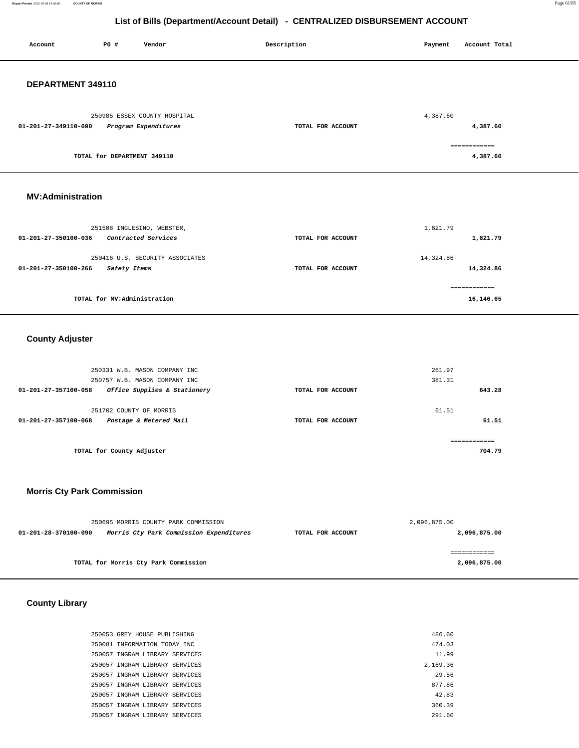**Report Printed** 2022-04-08 14:36:40 **COUNTY OF MORRIS** Page 61/85

**16,146.65**

# **List of Bills (Department/Account Detail) - CENTRALIZED DISBURSEMENT ACCOUNT**

| Account                  | P0 #                        | Vendor                                               | Description       | Payment   | Account Total            |
|--------------------------|-----------------------------|------------------------------------------------------|-------------------|-----------|--------------------------|
| DEPARTMENT 349110        |                             |                                                      |                   |           |                          |
| 01-201-27-349110-090     |                             | 250985 ESSEX COUNTY HOSPITAL<br>Program Expenditures | TOTAL FOR ACCOUNT | 4,387.60  | 4,387.60                 |
|                          | TOTAL for DEPARTMENT 349110 |                                                      |                   |           | ============<br>4,387.60 |
| <b>MV:Administration</b> |                             |                                                      |                   |           |                          |
|                          |                             | 251508 INGLESINO, WEBSTER,                           |                   | 1,821.79  |                          |
| 01-201-27-350100-036     |                             | Contracted Services                                  | TOTAL FOR ACCOUNT |           | 1,821.79                 |
|                          |                             | 250416 U.S. SECURITY ASSOCIATES                      |                   | 14,324.86 |                          |
| 01-201-27-350100-266     | Safety Items                |                                                      | TOTAL FOR ACCOUNT |           | 14,324.86                |
|                          |                             |                                                      |                   |           | ============             |

**TOTAL for MV:Administration** 

### **County Adjuster**

|                                | 250331 W.B. MASON COMPANY INC<br>250757 W.B. MASON COMPANY INC |                   | 261.97<br>381.31 |        |
|--------------------------------|----------------------------------------------------------------|-------------------|------------------|--------|
| 01-201-27-357100-058           | Office Supplies & Stationery                                   | TOTAL FOR ACCOUNT |                  | 643.28 |
| $01 - 201 - 27 - 357100 - 068$ | 251702 COUNTY OF MORRIS<br>Postage & Metered Mail              | TOTAL FOR ACCOUNT | 61.51            | 61.51  |
|                                | TOTAL for County Adjuster                                      |                   |                  | 704.79 |

### **Morris Cty Park Commission**

|                      | 250695 MORRIS COUNTY PARK COMMISSION    | 2,096,875.00      |              |  |
|----------------------|-----------------------------------------|-------------------|--------------|--|
| 01-201-28-370100-090 | Morris Cty Park Commission Expenditures | TOTAL FOR ACCOUNT | 2,096,875.00 |  |
|                      |                                         |                   |              |  |
|                      |                                         |                   |              |  |
|                      | TOTAL for Morris Cty Park Commission    |                   | 2,096,875.00 |  |
|                      |                                         |                   |              |  |

 **County Library** 

| 250053 GREY HOUSE PUBLISHING   | 486.60   |
|--------------------------------|----------|
| 250081 INFORMATION TODAY INC.  | 474.03   |
| 250057 INGRAM LIBRARY SERVICES | 11.99    |
| 250057 INGRAM LIBRARY SERVICES | 2,169.36 |
| 250057 INGRAM LIBRARY SERVICES | 29.56    |
| 250057 INGRAM LIBRARY SERVICES | 877.86   |
| 250057 INGRAM LIBRARY SERVICES | 42.83    |
| 250057 INGRAM LIBRARY SERVICES | 360.39   |
| 250057 INGRAM LIBRARY SERVICES | 291.60   |
|                                |          |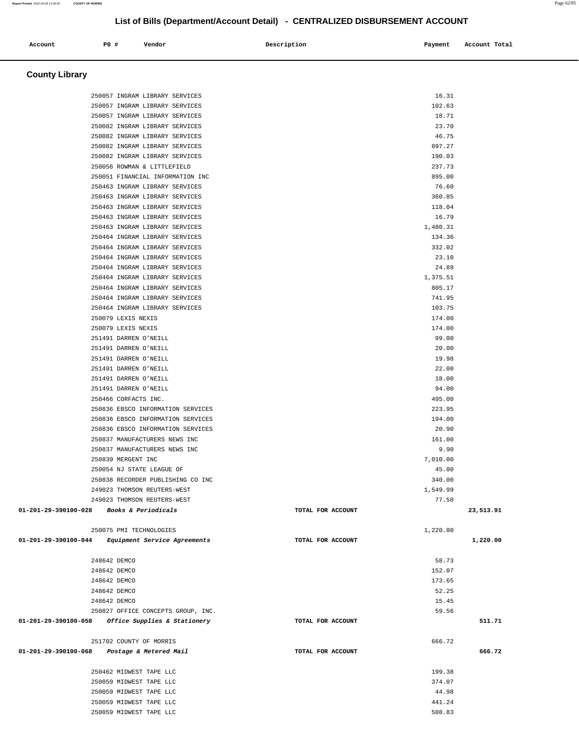**County Library**  250057 INGRAM LIBRARY SERVICES 16.31 250057 INGRAM LIBRARY SERVICES 102.63 250057 INGRAM LIBRARY SERVICES 18.71 250082 INGRAM LIBRARY SERVICES 23.70 250082 INGRAM LIBRARY SERVICES 46.75 250082 INGRAM LIBRARY SERVICES 897.27 250082 INGRAM LIBRARY SERVICES 190.03 250056 ROWMAN & LITTLEFIELD 237.73 250051 FINANCIAL INFORMATION INC 895.00 250463 INGRAM LIBRARY SERVICES 76.60 250463 INGRAM LIBRARY SERVICES 360.85 250463 INGRAM LIBRARY SERVICES 118.04 250463 INGRAM LIBRARY SERVICES 16.79 250463 INGRAM LIBRARY SERVICES 1,480.31 250464 INGRAM LIBRARY SERVICES 134.36 250464 INGRAM LIBRARY SERVICES 332.02 250464 INGRAM LIBRARY SERVICES 23.10 250464 INGRAM LIBRARY SERVICES 24.89 250464 INGRAM LIBRARY SERVICES 1,375.51 250464 INGRAM LIBRARY SERVICES 805.17 250464 INGRAM LIBRARY SERVICES 741.95 250464 INGRAM LIBRARY SERVICES 103.75 250079 LEXIS NEXIS 174.00 250079 LEXIS NEXIS 174.00 251491 DARREN O'NEILL 99.00 251491 DARREN O'NEILL 20.00 251491 DARREN O'NEILL 19.98 251491 DARREN O'NEILL 22.00 251491 DARREN O'NEILL 18.00 251491 DARREN O'NEILL 94.00 250466 CORFACTS INC. 495.00 250836 EBSCO INFORMATION SERVICES 223.95 250836 EBSCO INFORMATION SERVICES 194.00 250836 EBSCO INFORMATION SERVICES 20.90 250837 MANUFACTURERS NEWS INC 161.00 250837 MANUFACTURERS NEWS INC 9.90 250839 MERGENT INC 7,010.00 250054 NJ STATE LEAGUE OF 45.00 250838 RECORDER PUBLISHING CO INC 340.00 249023 THOMSON REUTERS-WEST 1,549.99 249023 THOMSON REUTERS-WEST 77.50  **01-201-29-390100-028 Books & Periodicals TOTAL FOR ACCOUNT 23,513.91** 250075 PMI TECHNOLOGIES 1,220.00  **01-201-29-390100-044 Equipment Service Agreements TOTAL FOR ACCOUNT 1,220.00** 248642 DEMCO 58.73 248642 DEMCO 152.07 248642 DEMCO 173.65 248642 DEMCO 52.25 248642 DEMCO 15.45 250827 OFFICE CONCEPTS GROUP, INC. 59.56  **01-201-29-390100-058 Office Supplies & Stationery TOTAL FOR ACCOUNT 511.71** 251702 COUNTY OF MORRIS 666.72  **01-201-29-390100-068 Postage & Metered Mail TOTAL FOR ACCOUNT 666.72** 250462 MIDWEST TAPE LLC 199.38 250059 MIDWEST TAPE LLC 374.07

> 250059 MIDWEST TAPE LLC 44.98 250059 MIDWEST TAPE LLC 441.24 250059 MIDWEST TAPE LLC 508.83

**Report Printed** 2022-04-08 14:36:40 **COUNTY OF MORRIS** Page 62/85

#### **List of Bills (Department/Account Detail) - CENTRALIZED DISBURSEMENT ACCOUNT**

 **Account P0 # Vendor Description Payment Account Total**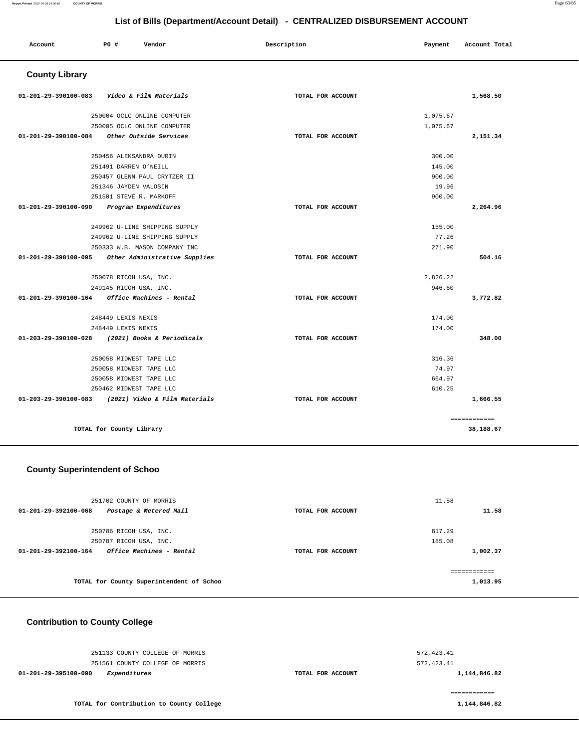| Account                        | P0 #                     | Vendor                        | Description       | Payment  | Account Total |
|--------------------------------|--------------------------|-------------------------------|-------------------|----------|---------------|
| <b>County Library</b>          |                          |                               |                   |          |               |
| $01 - 201 - 29 - 390100 - 083$ |                          | Video & Film Materials        | TOTAL FOR ACCOUNT |          | 1,568.50      |
|                                |                          | 250004 OCLC ONLINE COMPUTER   |                   | 1,075.67 |               |
|                                |                          | 250005 OCLC ONLINE COMPUTER   |                   | 1,075.67 |               |
| 01-201-29-390100-084           |                          | Other Outside Services        | TOTAL FOR ACCOUNT |          | 2,151.34      |
|                                | 250456 ALEKSANDRA DURIN  |                               |                   | 300.00   |               |
|                                | 251491 DARREN O'NEILL    |                               |                   | 145.00   |               |
|                                |                          | 250457 GLENN PAUL CRYTZER II  |                   | 900.00   |               |
|                                | 251346 JAYDEN VALOSIN    |                               |                   | 19.96    |               |
|                                | 251501 STEVE R. MARKOFF  |                               |                   | 900.00   |               |
| 01-201-29-390100-090           |                          | Program Expenditures          | TOTAL FOR ACCOUNT |          | 2,264.96      |
|                                |                          | 249962 U-LINE SHIPPING SUPPLY |                   | 155.00   |               |
|                                |                          | 249962 U-LINE SHIPPING SUPPLY |                   | 77.26    |               |
|                                |                          | 250333 W.B. MASON COMPANY INC |                   | 271.90   |               |
| 01-201-29-390100-095           |                          | Other Administrative Supplies | TOTAL FOR ACCOUNT |          | 504.16        |
|                                | 250078 RICOH USA, INC.   |                               |                   | 2,826.22 |               |
|                                | 249145 RICOH USA, INC.   |                               |                   | 946.60   |               |
| $01 - 201 - 29 - 390100 - 164$ |                          | Office Machines - Rental      | TOTAL FOR ACCOUNT |          | 3,772.82      |
|                                | 248449 LEXIS NEXIS       |                               |                   | 174.00   |               |
|                                | 248449 LEXIS NEXIS       |                               |                   | 174.00   |               |
| 01-203-29-390100-028           |                          | (2021) Books & Periodicals    | TOTAL FOR ACCOUNT |          | 348.00        |
|                                | 250058 MIDWEST TAPE LLC  |                               |                   | 316.36   |               |
|                                | 250058 MIDWEST TAPE LLC  |                               |                   | 74.97    |               |
|                                | 250058 MIDWEST TAPE LLC  |                               |                   | 664.97   |               |
|                                | 250462 MIDWEST TAPE LLC  |                               |                   | 610.25   |               |
| 01-203-29-390100-083           |                          | (2021) Video & Film Materials | TOTAL FOR ACCOUNT |          | 1,666.55      |
|                                |                          |                               |                   |          | ============  |
|                                | TOTAL for County Library |                               |                   |          | 38,188.67     |

### **County Superintendent of Schoo**

| 251702 COUNTY OF MORRIS<br>01-201-29-392100-068<br>Postage & Metered Mail | TOTAL FOR ACCOUNT | 11.58<br>11.58 |  |
|---------------------------------------------------------------------------|-------------------|----------------|--|
|                                                                           |                   |                |  |
| 250786 RICOH USA, INC.                                                    |                   | 817.29         |  |
| 250787 RICOH USA, INC.                                                    |                   | 185.08         |  |
| Office Machines - Rental<br>$01 - 201 - 29 - 392100 - 164$                | TOTAL FOR ACCOUNT | 1,002.37       |  |
|                                                                           |                   | -------------  |  |
| TOTAL for County Superintendent of Schoo                                  |                   | 1,013.95       |  |

#### **Contribution to County College**

 251133 COUNTY COLLEGE OF MORRIS 251561 COUNTY COLLEGE OF MORRIS **01-201-29-395100-090 Expenditures TOTAL FOR ACCOUNT** 

572,423.41 572,423.41 **1,144,846.82**

**TOTAL for Contribution to County College** 

============ **1,144,846.82**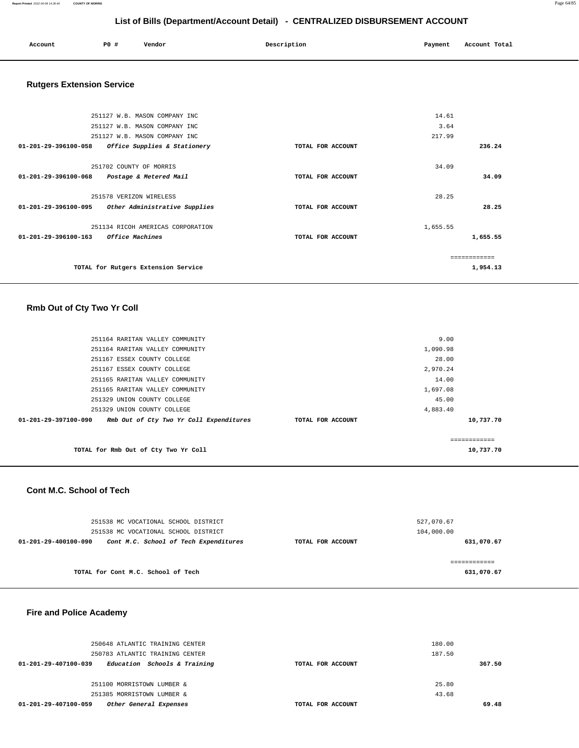| Account | P0# | Vendor | Description | Payment | Account Total |
|---------|-----|--------|-------------|---------|---------------|
|         |     |        |             |         |               |

### **Rutgers Extension Service**

|                                | 251127 W.B. MASON COMPANY INC       |                   | 14.61    |               |
|--------------------------------|-------------------------------------|-------------------|----------|---------------|
|                                | 251127 W.B. MASON COMPANY INC       |                   | 3.64     |               |
|                                | 251127 W.B. MASON COMPANY INC       |                   | 217.99   |               |
| $01 - 201 - 29 - 396100 - 058$ | Office Supplies & Stationery        | TOTAL FOR ACCOUNT |          | 236.24        |
|                                | 251702 COUNTY OF MORRIS             |                   | 34.09    |               |
| 01-201-29-396100-068           | Postage & Metered Mail              | TOTAL FOR ACCOUNT |          | 34.09         |
|                                | 251578 VERIZON WIRELESS             |                   | 28.25    |               |
| 01-201-29-396100-095           | Other Administrative Supplies       | TOTAL FOR ACCOUNT |          | 28.25         |
|                                | 251134 RICOH AMERICAS CORPORATION   |                   | 1,655.55 |               |
| $01 - 201 - 29 - 396100 - 163$ | <i>Office Machines</i>              | TOTAL FOR ACCOUNT |          | 1,655.55      |
|                                |                                     |                   |          | ------------- |
|                                | TOTAL for Rutgers Extension Service |                   |          | 1,954.13      |

### **Rmb Out of Cty Two Yr Coll**

| 251164 RARITAN VALLEY COMMUNITY                                           |                   | 9.00     |           |
|---------------------------------------------------------------------------|-------------------|----------|-----------|
| 251164 RARITAN VALLEY COMMUNITY                                           |                   | 1,090.98 |           |
| 251167 ESSEX COUNTY COLLEGE                                               |                   | 28.00    |           |
| 251167 ESSEX COUNTY COLLEGE                                               |                   | 2,970.24 |           |
| 251165 RARITAN VALLEY COMMUNITY                                           |                   | 14.00    |           |
| 251165 RARITAN VALLEY COMMUNITY                                           |                   | 1,697.08 |           |
| 251329 UNION COUNTY COLLEGE                                               |                   | 45.00    |           |
| 251329 UNION COUNTY COLLEGE                                               |                   | 4,883.40 |           |
| Rmb Out of Cty Two Yr Coll Expenditures<br>$01 - 201 - 29 - 397100 - 090$ | TOTAL FOR ACCOUNT |          | 10,737.70 |
|                                                                           |                   |          |           |
|                                                                           |                   |          |           |
| TOTAL for Rmb Out of Cty Two Yr Coll                                      |                   |          | 10,737.70 |

#### **Cont M.C. School of Tech**

| 251538 MC VOCATIONAL SCHOOL DISTRICT                          |                   | 527,070.67 |
|---------------------------------------------------------------|-------------------|------------|
| 251538 MC VOCATIONAL SCHOOL DISTRICT                          |                   | 104,000.00 |
| Cont M.C. School of Tech Expenditures<br>01-201-29-400100-090 | TOTAL FOR ACCOUNT | 631,070.67 |
|                                                               |                   |            |
|                                                               |                   |            |
| TOTAL for Cont M.C. School of Tech                            |                   | 631,070.67 |

#### **Fire and Police Academy**

| 250648 ATLANTIC TRAINING CENTER                      |                   | 180.00 |
|------------------------------------------------------|-------------------|--------|
| 250783 ATLANTIC TRAINING CENTER                      |                   | 187.50 |
| Education Schools & Training<br>01-201-29-407100-039 | TOTAL FOR ACCOUNT | 367.50 |
|                                                      |                   |        |
| 251100 MORRISTOWN LUMBER &                           |                   | 25.80  |
| 251385 MORRISTOWN LUMBER &                           |                   | 43.68  |
| Other General Expenses<br>01-201-29-407100-059       | TOTAL FOR ACCOUNT | 69.48  |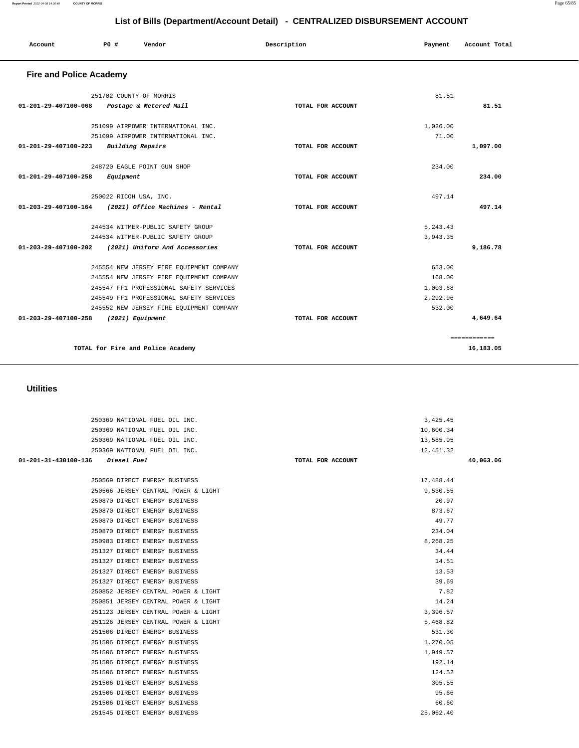| 245547 FF1 PROFESSIONAL SAFETY SERVICES  |                   | 1,003.68     |
|------------------------------------------|-------------------|--------------|
| 245549 FF1 PROFESSIONAL SAFETY SERVICES  |                   | 2,292.96     |
| 245552 NEW JERSEY FIRE EQUIPMENT COMPANY |                   | 532.00       |
| 01-203-29-407100-258<br>(2021) Equipment | TOTAL FOR ACCOUNT | 4,649.64     |
|                                          |                   | ------------ |
| TOTAL for Fire and Police Academy        |                   | 16,183.05    |
|                                          |                   |              |
| <b>Utilities</b>                         |                   |              |
| 250369 NATIONAL FUEL OIL INC.            |                   | 3,425.45     |
| 250369 NATIONAL FUEL OIL INC.            |                   | 10,600.34    |
| 250369 NATIONAL FUEL OIL INC.            |                   | 13,585.95    |
| 250369 NATIONAL FUEL OIL INC.            |                   | 12,451.32    |
| 01-201-31-430100-136<br>Diesel Fuel      | TOTAL FOR ACCOUNT | 40,063.06    |
| 250569 DIRECT ENERGY BUSINESS            |                   | 17,488.44    |

 250566 JERSEY CENTRAL POWER & LIGHT 9,530.55 250870 DIRECT ENERGY BUSINESS 20.97 250870 DIRECT ENERGY BUSINESS 873.67 250870 DIRECT ENERGY BUSINESS 49.77 250870 DIRECT ENERGY BUSINESS 234.04 250983 DIRECT ENERGY BUSINESS 8,268.25 251327 DIRECT ENERGY BUSINESS 34.44 251327 DIRECT ENERGY BUSINESS 14.51 251327 DIRECT ENERGY BUSINESS 13.53 251327 DIRECT ENERGY BUSINESS 39.69 250852 JERSEY CENTRAL POWER & LIGHT 7.82 250851 JERSEY CENTRAL POWER & LIGHT 14.24 251123 JERSEY CENTRAL POWER & LIGHT 3,396.57 251126 JERSEY CENTRAL POWER & LIGHT 5,468.82 251506 DIRECT ENERGY BUSINESS 531.30 251506 DIRECT ENERGY BUSINESS 1,270.05 251506 DIRECT ENERGY BUSINESS 1,949.57 251506 DIRECT ENERGY BUSINESS 192.14 251506 DIRECT ENERGY BUSINESS 124.52 251506 DIRECT ENERGY BUSINESS 305.55 251506 DIRECT ENERGY BUSINESS 95.66 251506 DIRECT ENERGY BUSINESS 60.60 251545 DIRECT ENERGY BUSINESS 25,062.40

#### **Util**

| <b>Fire and Police Academy</b>                          |                   |           |              |
|---------------------------------------------------------|-------------------|-----------|--------------|
| 251702 COUNTY OF MORRIS                                 |                   | 81.51     |              |
| 01-201-29-407100-068<br>Postage & Metered Mail          | TOTAL FOR ACCOUNT |           | 81.51        |
| 251099 AIRPOWER INTERNATIONAL INC.                      |                   | 1,026.00  |              |
| 251099 AIRPOWER INTERNATIONAL INC.                      |                   | 71.00     |              |
| Building Repairs<br>01-201-29-407100-223                | TOTAL FOR ACCOUNT |           | 1,097.00     |
| 248720 EAGLE POINT GUN SHOP                             |                   | 234.00    |              |
| 01-201-29-407100-258<br>Equipment                       | TOTAL FOR ACCOUNT |           | 234.00       |
| 250022 RICOH USA, INC.                                  |                   | 497.14    |              |
| (2021) Office Machines - Rental<br>01-203-29-407100-164 | TOTAL FOR ACCOUNT |           | 497.14       |
| 244534 WITMER-PUBLIC SAFETY GROUP                       |                   | 5, 243.43 |              |
| 244534 WITMER-PUBLIC SAFETY GROUP                       |                   | 3,943.35  |              |
| 01-203-29-407100-202<br>(2021) Uniform And Accessories  | TOTAL FOR ACCOUNT |           | 9,186.78     |
| 245554 NEW JERSEY FIRE EQUIPMENT COMPANY                |                   | 653.00    |              |
| 245554 NEW JERSEY FIRE EQUIPMENT COMPANY                |                   | 168.00    |              |
| 245547 FF1 PROFESSIONAL SAFETY SERVICES                 |                   | 1,003.68  |              |
| 245549 FF1 PROFESSIONAL SAFETY SERVICES                 |                   | 2,292.96  |              |
| 245552 NEW JERSEY FIRE EQUIPMENT COMPANY                |                   | 532.00    |              |
| 01-203-29-407100-258<br>(2021) Equipment                | TOTAL FOR ACCOUNT |           | 4,649.64     |
|                                                         |                   |           | ============ |
| TOTAL for Fire and Police Academy                       |                   |           | 16.183.05    |

# **List of Bills (Department/Account Detail) - CENTRALIZED DISBURSEMENT ACCOUNT**

 **Account P0 # Vendor Description Payment Account Total**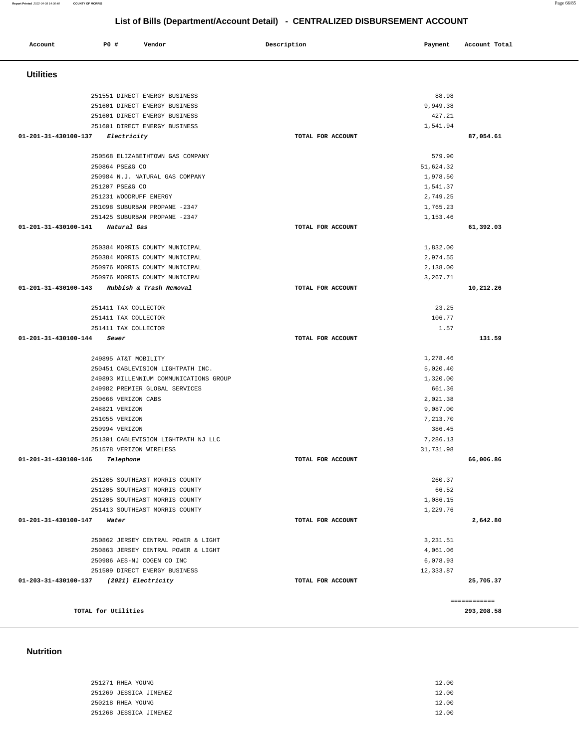| 251271 RHEA YOUNG      | 12.00 |
|------------------------|-------|
| 251269 JESSICA JIMENEZ | 12.00 |
| 250218 RHEA YOUNG      | 12.00 |
| 251268 JESSICA JIMENEZ | 12.00 |

#### **Nutrition**

| <b>Utilities</b>                                |                   |           |              |
|-------------------------------------------------|-------------------|-----------|--------------|
| 251551 DIRECT ENERGY BUSINESS                   |                   | 88.98     |              |
| 251601 DIRECT ENERGY BUSINESS                   |                   | 9,949.38  |              |
| 251601 DIRECT ENERGY BUSINESS                   |                   | 427.21    |              |
| 251601 DIRECT ENERGY BUSINESS                   |                   | 1,541.94  |              |
| 01-201-31-430100-137<br>Electricity             | TOTAL FOR ACCOUNT |           | 87.054.61    |
| 250568 ELIZABETHTOWN GAS COMPANY                |                   | 579.90    |              |
| 250864 PSE&G CO                                 |                   | 51,624.32 |              |
| 250984 N.J. NATURAL GAS COMPANY                 |                   | 1,978.50  |              |
| 251207 PSE&G CO                                 |                   | 1,541.37  |              |
| 251231 WOODRUFF ENERGY                          |                   | 2,749.25  |              |
| 251098 SUBURBAN PROPANE -2347                   |                   | 1,765.23  |              |
| 251425 SUBURBAN PROPANE -2347                   |                   | 1,153.46  |              |
| 01-201-31-430100-141<br>Natural Gas             | TOTAL FOR ACCOUNT |           | 61,392.03    |
| 250384 MORRIS COUNTY MUNICIPAL                  |                   | 1,832.00  |              |
| 250384 MORRIS COUNTY MUNICIPAL                  |                   | 2,974.55  |              |
| 250976 MORRIS COUNTY MUNICIPAL                  |                   | 2,138.00  |              |
| 250976 MORRIS COUNTY MUNICIPAL                  |                   | 3,267.71  |              |
| 01-201-31-430100-143<br>Rubbish & Trash Removal | TOTAL FOR ACCOUNT |           | 10,212.26    |
|                                                 |                   |           |              |
| 251411 TAX COLLECTOR                            |                   | 23.25     |              |
| 251411 TAX COLLECTOR                            |                   | 106.77    |              |
| 251411 TAX COLLECTOR                            |                   | 1.57      |              |
| 01-201-31-430100-144<br>Sewer                   | TOTAL FOR ACCOUNT |           | 131.59       |
| 249895 AT&T MOBILITY                            |                   | 1,278.46  |              |
| 250451 CABLEVISION LIGHTPATH INC.               |                   | 5,020.40  |              |
| 249893 MILLENNIUM COMMUNICATIONS GROUP          |                   | 1,320.00  |              |
| 249982 PREMIER GLOBAL SERVICES                  |                   | 661.36    |              |
| 250666 VERIZON CABS                             |                   | 2,021.38  |              |
| 248821 VERIZON                                  |                   | 9,087.00  |              |
| 251055 VERIZON                                  |                   | 7,213.70  |              |
| 250994 VERIZON                                  |                   | 386.45    |              |
| 251301 CABLEVISION LIGHTPATH NJ LLC             |                   | 7,286.13  |              |
| 251578 VERIZON WIRELESS                         |                   | 31,731.98 |              |
| 01-201-31-430100-146<br>Telephone               | TOTAL FOR ACCOUNT |           | 66,006.86    |
| 251205 SOUTHEAST MORRIS COUNTY                  |                   | 260.37    |              |
| 251205 SOUTHEAST MORRIS COUNTY                  |                   | 66.52     |              |
| 251205 SOUTHEAST MORRIS COUNTY                  |                   | 1,086.15  |              |
| 251413 SOUTHEAST MORRIS COUNTY                  |                   | 1,229.76  |              |
| 01-201-31-430100-147<br>Water                   | TOTAL FOR ACCOUNT |           | 2,642.80     |
| 250862 JERSEY CENTRAL POWER & LIGHT             |                   | 3,231.51  |              |
| 250863 JERSEY CENTRAL POWER & LIGHT             |                   | 4,061.06  |              |
| 250986 AES-NJ COGEN CO INC                      |                   | 6,078.93  |              |
| 251509 DIRECT ENERGY BUSINESS                   |                   | 12,333.87 |              |
| 01-203-31-430100-137 (2021) Electricity         | TOTAL FOR ACCOUNT |           | 25,705.37    |
|                                                 |                   |           | ============ |
| TOTAL for Utilities                             |                   |           | 293,208.58   |

**List of Bills (Department/Account Detail) - CENTRALIZED DISBURSEMENT ACCOUNT Account** P0 # Vendor Payment Account Total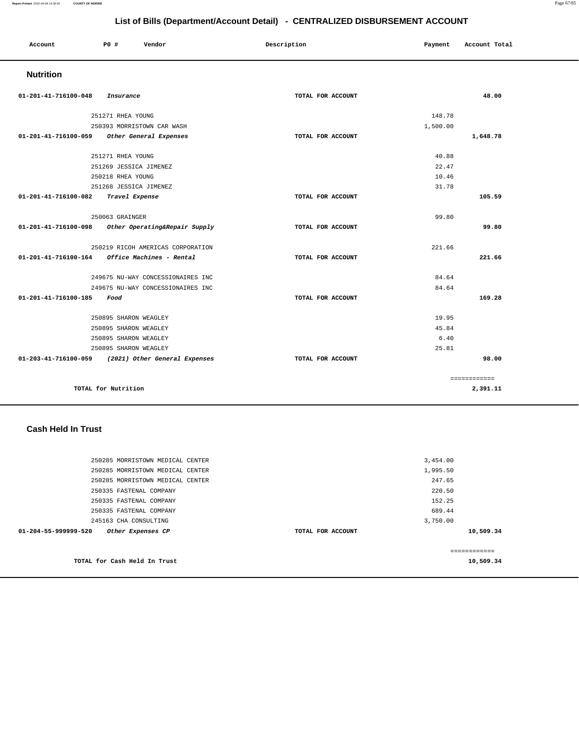| Account              | PO#       | Description<br>Vendor |  | Payment           | Account Total |       |
|----------------------|-----------|-----------------------|--|-------------------|---------------|-------|
| <b>Nutrition</b>     |           |                       |  |                   |               |       |
| 01-201-41-716100-048 | Insurance |                       |  | TOTAL FOR ACCOUNT |               | 48.00 |

|                      | 251271 RHEA YOUNG                                       |                   | 148.78   |              |
|----------------------|---------------------------------------------------------|-------------------|----------|--------------|
|                      | 250393 MORRISTOWN CAR WASH                              |                   | 1,500.00 |              |
| 01-201-41-716100-059 | Other General Expenses                                  | TOTAL FOR ACCOUNT |          | 1,648.78     |
|                      |                                                         |                   |          |              |
|                      | 251271 RHEA YOUNG                                       |                   | 40.88    |              |
|                      | 251269 JESSICA JIMENEZ                                  |                   | 22.47    |              |
|                      | 250218 RHEA YOUNG                                       |                   | 10.46    |              |
|                      | 251268 JESSICA JIMENEZ                                  |                   | 31.78    |              |
| 01-201-41-716100-082 | Travel Expense                                          | TOTAL FOR ACCOUNT |          | 105.59       |
|                      |                                                         |                   |          |              |
|                      | 250063 GRAINGER                                         |                   | 99.80    |              |
| 01-201-41-716100-098 | Other Operating&Repair Supply                           | TOTAL FOR ACCOUNT |          | 99.80        |
|                      |                                                         |                   |          |              |
|                      | 250219 RICOH AMERICAS CORPORATION                       |                   | 221.66   |              |
|                      | $01 - 201 - 41 - 716100 - 164$ Office Machines - Rental | TOTAL FOR ACCOUNT |          | 221.66       |
|                      |                                                         |                   |          |              |
|                      | 249675 NU-WAY CONCESSIONAIRES INC                       |                   | 84.64    |              |
|                      | 249675 NU-WAY CONCESSIONAIRES INC                       |                   | 84.64    |              |
| 01-201-41-716100-185 | Food                                                    | TOTAL FOR ACCOUNT |          | 169.28       |
|                      | 250895 SHARON WEAGLEY                                   |                   | 19.95    |              |
|                      | 250895 SHARON WEAGLEY                                   |                   | 45.84    |              |
|                      | 250895 SHARON WEAGLEY                                   |                   | 6.40     |              |
|                      | 250895 SHARON WEAGLEY                                   |                   | 25.81    |              |
|                      | 01-203-41-716100-059 (2021) Other General Expenses      | TOTAL FOR ACCOUNT |          | 98.00        |
|                      |                                                         |                   |          |              |
|                      |                                                         |                   |          | ============ |
|                      | TOTAL for Nutrition                                     |                   |          | 2,391.11     |
|                      |                                                         |                   |          |              |

### **Cash Held In Trust**

| 250285 MORRISTOWN MEDICAL CENTER          | 3,454.00          |               |
|-------------------------------------------|-------------------|---------------|
| 250285 MORRISTOWN MEDICAL CENTER          | 1,995.50          |               |
| 250285 MORRISTOWN MEDICAL CENTER          | 247.65            |               |
| 250335 FASTENAL COMPANY                   | 220.50            |               |
| 250335 FASTENAL COMPANY                   | 152.25            |               |
| 250335 FASTENAL COMPANY                   | 689.44            |               |
| 245163 CHA CONSULTING                     | 3,750.00          |               |
| 01-204-55-999999-520<br>Other Expenses CP | TOTAL FOR ACCOUNT | 10,509.34     |
|                                           |                   |               |
|                                           |                   | ------------- |
| TOTAL for Cash Held In Trust              |                   | 10,509.34     |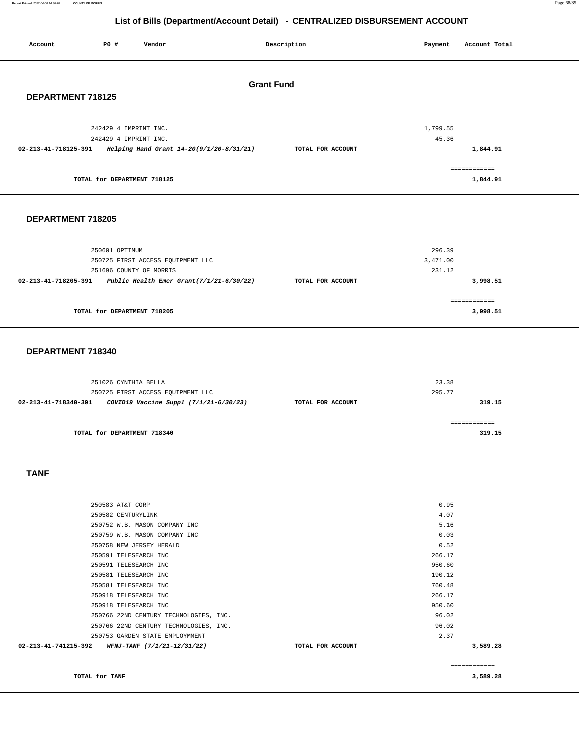**Report Printed** 2022-04-08 14:36:40 **COUNTY OF MORRIS** Page 68/85

# **List of Bills (Department/Account Detail) - CENTRALIZED DISBURSEMENT ACCOUNT**

| Account              | P0 #                                           | Vendor                                                                      |                                          | Description       | Payment                      | Account Total            |
|----------------------|------------------------------------------------|-----------------------------------------------------------------------------|------------------------------------------|-------------------|------------------------------|--------------------------|
| DEPARTMENT 718125    |                                                |                                                                             | <b>Grant Fund</b>                        |                   |                              |                          |
| 02-213-41-718125-391 | 242429 4 IMPRINT INC.<br>242429 4 IMPRINT INC. |                                                                             | Helping Hand Grant 14-20(9/1/20-8/31/21) | TOTAL FOR ACCOUNT | 1,799.55<br>45.36            | 1,844.91                 |
|                      | TOTAL for DEPARTMENT 718125                    |                                                                             |                                          |                   |                              | ============<br>1,844.91 |
| DEPARTMENT 718205    |                                                |                                                                             |                                          |                   |                              |                          |
| 02-213-41-718205-391 | 250601 OPTIMUM                                 | 250725 FIRST ACCESS EQUIPMENT LLC<br>251696 COUNTY OF MORRIS                | Public Health Emer Grant(7/1/21-6/30/22) | TOTAL FOR ACCOUNT | 296.39<br>3,471.00<br>231.12 | 3,998.51                 |
|                      | TOTAL for DEPARTMENT 718205                    |                                                                             |                                          |                   |                              | ============<br>3,998.51 |
| DEPARTMENT 718340    |                                                |                                                                             |                                          |                   |                              |                          |
| 02-213-41-718340-391 | 251026 CYNTHIA BELLA                           | 250725 FIRST ACCESS EQUIPMENT LLC<br>COVID19 Vaccine Suppl (7/1/21-6/30/23) |                                          | TOTAL FOR ACCOUNT | 23.38<br>295.77              | 319.15                   |
|                      |                                                |                                                                             |                                          |                   |                              | ============             |

**TOTAL for DEPARTMENT 718340** 

 **TANF** 

|                                                  |                                        |                   |        | ------------- |
|--------------------------------------------------|----------------------------------------|-------------------|--------|---------------|
| 02-213-41-741215-392 WFNJ-TANF (7/1/21-12/31/22) |                                        | TOTAL FOR ACCOUNT |        | 3,589.28      |
|                                                  | 250753 GARDEN STATE EMPLOYMMENT        |                   | 2.37   |               |
|                                                  | 250766 22ND CENTURY TECHNOLOGIES, INC. |                   | 96.02  |               |
|                                                  | 250766 22ND CENTURY TECHNOLOGIES, INC. |                   | 96.02  |               |
|                                                  | 250918 TELESEARCH INC                  |                   | 950.60 |               |
|                                                  | 250918 TELESEARCH INC                  |                   | 266.17 |               |
|                                                  | 250581 TELESEARCH INC                  |                   | 760.48 |               |
|                                                  | 250581 TELESEARCH INC                  |                   | 190.12 |               |
|                                                  | 250591 TELESEARCH INC                  |                   | 950.60 |               |
|                                                  | 250591 TELESEARCH INC                  |                   | 266.17 |               |
|                                                  | 250758 NEW JERSEY HERALD               |                   | 0.52   |               |
|                                                  | 250759 W.B. MASON COMPANY INC          |                   | 0.03   |               |
|                                                  | 250752 W.B. MASON COMPANY INC          |                   | 5.16   |               |
|                                                  | 250582 CENTURYLINK                     |                   | 4.07   |               |
|                                                  | 250583 AT&T CORP                       |                   | 0.95   |               |
|                                                  |                                        |                   |        |               |

**TOTAL for TANF 3,589.28** 

**319.15**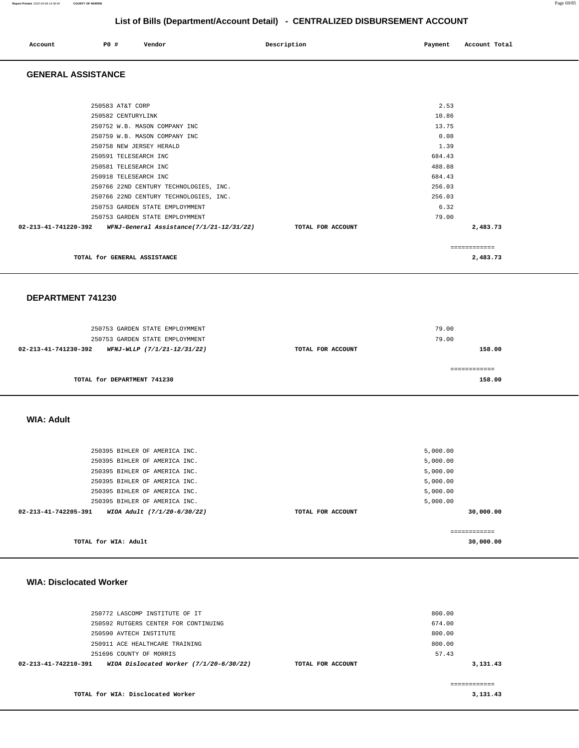| Account | <b>PO #</b> | Vendor | Description | Payment | Account Total<br>. |
|---------|-------------|--------|-------------|---------|--------------------|
|         |             |        |             |         |                    |

#### **GENERAL ASSISTANCE**

| 250583 AT&T CORP                                                                  | 2.53          |  |
|-----------------------------------------------------------------------------------|---------------|--|
| 250582 CENTURYLINK                                                                | 10.86         |  |
| 250752 W.B. MASON COMPANY INC                                                     | 13.75         |  |
| 250759 W.B. MASON COMPANY INC                                                     | 0.08          |  |
| 250758 NEW JERSEY HERALD                                                          | 1.39          |  |
| 250591 TELESEARCH INC                                                             | 684.43        |  |
| 250581 TELESEARCH INC                                                             | 488.88        |  |
| 250918 TELESEARCH INC                                                             | 684.43        |  |
| 250766 22ND CENTURY TECHNOLOGIES, INC.                                            | 256.03        |  |
| 250766 22ND CENTURY TECHNOLOGIES, INC.                                            | 256.03        |  |
| 250753 GARDEN STATE EMPLOYMMENT                                                   | 6.32          |  |
| 250753 GARDEN STATE EMPLOYMMENT                                                   | 79.00         |  |
| $02-213-41-741220-392$ WFNJ-General Assistance(7/1/21-12/31/22) TOTAL FOR ACCOUNT | 2,483.73      |  |
|                                                                                   | ------------- |  |
| TOTAL for GENERAL ASSISTANCE                                                      | 2,483.73      |  |

#### **DEPARTMENT 741230**

| 250753 GARDEN STATE EMPLOYMMENT<br>250753 GARDEN STATE EMPLOYMMENT |                   | 79.00<br>79.00 |
|--------------------------------------------------------------------|-------------------|----------------|
| 02-213-41-741230-392<br>WFNJ-WLLP (7/1/21-12/31/22)                | TOTAL FOR ACCOUNT | 158.00         |
| TOTAL for DEPARTMENT 741230                                        |                   | 158.00         |

#### **WIA: Adult**

| 250395 BIHLER OF AMERICA INC.                                  |                   | 5,000.00             |
|----------------------------------------------------------------|-------------------|----------------------|
| 250395 BIHLER OF AMERICA INC.<br>250395 BIHLER OF AMERICA INC. |                   | 5,000.00<br>5,000.00 |
| 250395 BIHLER OF AMERICA INC.                                  |                   | 5,000.00             |
| 250395 BIHLER OF AMERICA INC.                                  |                   | 5,000.00             |
| 250395 BIHLER OF AMERICA INC.                                  |                   | 5,000.00             |
| $02 - 213 - 41 - 742205 - 391$<br>WIOA Adult (7/1/20-6/30/22)  | TOTAL FOR ACCOUNT | 30,000.00            |
|                                                                |                   |                      |
|                                                                |                   |                      |
| TOTAL for WIA: Adult                                           |                   | 30,000,00            |

#### **WIA: Disclocated Worker**

| TOTAL for WIA: Disclocated Worker                                           |                   | 3,131.43 |
|-----------------------------------------------------------------------------|-------------------|----------|
| WIOA Dislocated Worker $(7/1/20-6/30/22)$<br>$02 - 213 - 41 - 742210 - 391$ | TOTAL FOR ACCOUNT | 3,131.43 |
| 251696 COUNTY OF MORRIS                                                     |                   | 57.43    |
| 250911 ACE HEALTHCARE TRAINING                                              |                   | 800.00   |
| 250590 AVTECH INSTITUTE                                                     |                   | 800.00   |
| 250592 RUTGERS CENTER FOR CONTINUING                                        |                   | 674.00   |
| 250772 LASCOMP INSTITUTE OF IT                                              |                   | 800.00   |
|                                                                             |                   |          |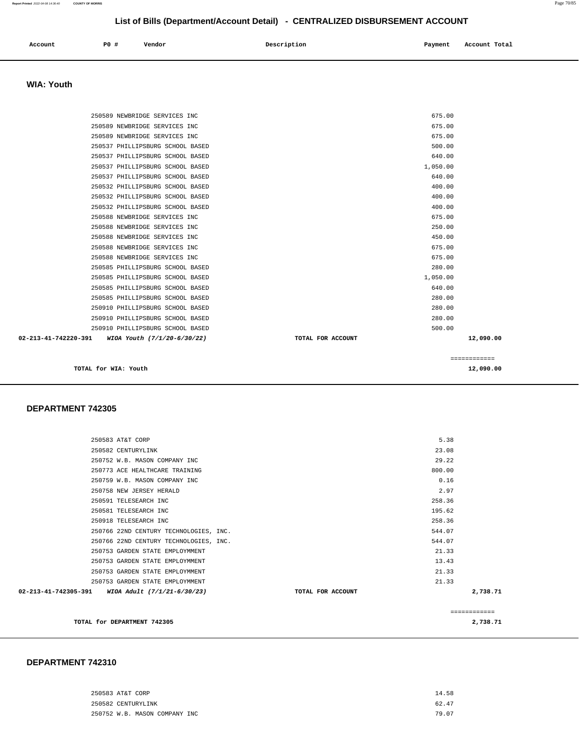| 250583 AT&T CORP              | 14.58 |
|-------------------------------|-------|
| 250582 CENTURYLINK            | 62.47 |
| 250752 W.B. MASON COMPANY INC | 79.07 |

#### **DEPARTMENT 742310**

| 250583 AT&T CORP                                 |                   | 5.38   |          |
|--------------------------------------------------|-------------------|--------|----------|
| 250582 CENTURYLINK                               |                   | 23.08  |          |
| 250752 W.B. MASON COMPANY INC                    |                   | 29.22  |          |
| 250773 ACE HEALTHCARE TRAINING                   |                   | 800.00 |          |
| 250759 W.B. MASON COMPANY INC                    |                   | 0.16   |          |
| 250758 NEW JERSEY HERALD                         |                   | 2.97   |          |
| 250591 TELESEARCH INC                            |                   | 258.36 |          |
| 250581 TELESEARCH INC                            |                   | 195.62 |          |
| 250918 TELESEARCH INC                            |                   | 258.36 |          |
| 250766 22ND CENTURY TECHNOLOGIES, INC.           |                   | 544.07 |          |
| 250766 22ND CENTURY TECHNOLOGIES, INC.           |                   | 544.07 |          |
| 250753 GARDEN STATE EMPLOYMMENT                  |                   | 21.33  |          |
| 250753 GARDEN STATE EMPLOYMMENT                  |                   | 13.43  |          |
| 250753 GARDEN STATE EMPLOYMMENT                  |                   | 21.33  |          |
| 250753 GARDEN STATE EMPLOYMMENT                  |                   | 21.33  |          |
| 02-213-41-742305-391 WIOA Adult (7/1/21-6/30/23) | TOTAL FOR ACCOUNT |        | 2,738.71 |
|                                                  |                   |        |          |
| TOTAL for DEPARTMENT 742305                      |                   |        | 2,738.71 |

#### **DEPARTMENT 742305**

| <b>WIA: Youth</b>                                   |                   |              |
|-----------------------------------------------------|-------------------|--------------|
|                                                     |                   |              |
| 250589 NEWBRIDGE SERVICES INC                       |                   | 675.00       |
| 250589 NEWBRIDGE SERVICES INC                       |                   | 675.00       |
| 250589 NEWBRIDGE SERVICES INC                       |                   | 675.00       |
| 250537 PHILLIPSBURG SCHOOL BASED                    |                   | 500.00       |
| 250537 PHILLIPSBURG SCHOOL BASED                    |                   | 640.00       |
| 250537 PHILLIPSBURG SCHOOL BASED                    |                   | 1,050.00     |
| 250537 PHILLIPSBURG SCHOOL BASED                    |                   | 640.00       |
| 250532 PHILLIPSBURG SCHOOL BASED                    |                   | 400.00       |
| 250532 PHILLIPSBURG SCHOOL BASED                    |                   | 400.00       |
| 250532 PHILLIPSBURG SCHOOL BASED                    |                   | 400.00       |
| 250588 NEWBRIDGE SERVICES INC                       |                   | 675.00       |
| 250588 NEWBRIDGE SERVICES INC                       |                   | 250.00       |
| 250588 NEWBRIDGE SERVICES INC                       |                   | 450.00       |
| 250588 NEWBRIDGE SERVICES INC                       |                   | 675.00       |
| 250588 NEWBRIDGE SERVICES INC                       |                   | 675.00       |
| 250585 PHILLIPSBURG SCHOOL BASED                    |                   | 280.00       |
| 250585 PHILLIPSBURG SCHOOL BASED                    |                   | 1,050.00     |
| 250585 PHILLIPSBURG SCHOOL BASED                    |                   | 640.00       |
| 250585 PHILLIPSBURG SCHOOL BASED                    |                   | 280.00       |
| 250910 PHILLIPSBURG SCHOOL BASED                    |                   | 280.00       |
| 250910 PHILLIPSBURG SCHOOL BASED                    |                   | 280.00       |
| 250910 PHILLIPSBURG SCHOOL BASED                    |                   | 500.00       |
| 02-213-41-742220-391<br>WIOA Youth (7/1/20-6/30/22) | TOTAL FOR ACCOUNT | 12,090.00    |
|                                                     |                   | ============ |
| TOTAL for WIA: Youth                                |                   | 12,090.00    |

 **Account P0 # Vendor Description Payment Account Total**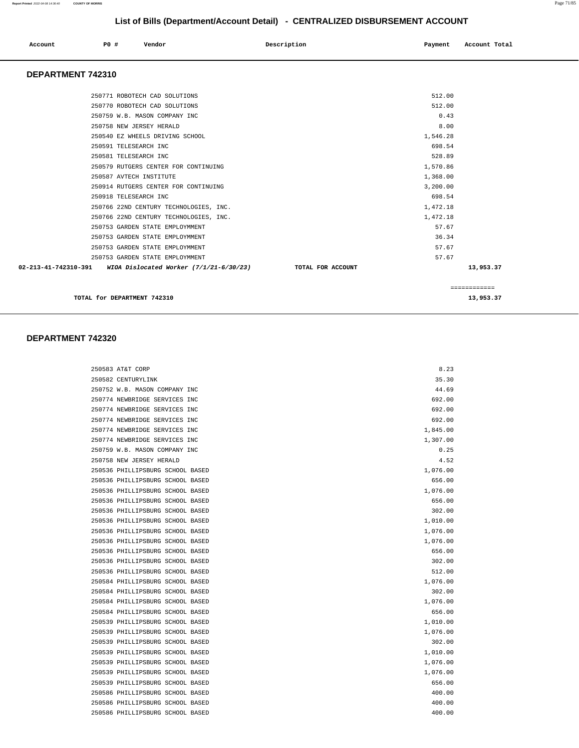|  | P0 #<br>Account | Vendor | Description | Payment | Account Total |
|--|-----------------|--------|-------------|---------|---------------|
|--|-----------------|--------|-------------|---------|---------------|

#### **DEPARTMENT 742310**

| 250771 ROBOTECH CAD SOLUTIONS                                                  | 512.00       |
|--------------------------------------------------------------------------------|--------------|
| 250770 ROBOTECH CAD SOLUTIONS                                                  | 512.00       |
| 250759 W.B. MASON COMPANY INC                                                  | 0.43         |
| 250758 NEW JERSEY HERALD                                                       | 8.00         |
| 250540 EZ WHEELS DRIVING SCHOOL                                                | 1,546.28     |
| 250591 TELESEARCH INC                                                          | 698.54       |
| 250581 TELESEARCH INC                                                          | 528.89       |
| 250579 RUTGERS CENTER FOR CONTINUING                                           | 1,570.86     |
| 250587 AVTECH INSTITUTE                                                        | 1,368.00     |
| 250914 RUTGERS CENTER FOR CONTINUING                                           | 3.200.00     |
| 250918 TELESEARCH INC                                                          | 698.54       |
| 250766 22ND CENTURY TECHNOLOGIES, INC.                                         | 1,472.18     |
| 250766 22ND CENTURY TECHNOLOGIES, INC.                                         | 1,472.18     |
| 250753 GARDEN STATE EMPLOYMMENT                                                | 57.67        |
| 250753 GARDEN STATE EMPLOYMMENT                                                | 36.34        |
| 250753 GARDEN STATE EMPLOYMMENT                                                | 57.67        |
| 250753 GARDEN STATE EMPLOYMMENT                                                | 57.67        |
| 02-213-41-742310-391 WIOA Dislocated Worker (7/1/21-6/30/23) TOTAL FOR ACCOUNT | 13,953.37    |
|                                                                                | ============ |

**TOTAL for DEPARTMENT 742310** 13,953.37

#### **DEPARTMENT 742320**

| 250583 AT&T CORP                 | 8.23     |
|----------------------------------|----------|
| 250582 CENTURYLINK               | 35.30    |
| 250752 W.B. MASON COMPANY INC    | 44.69    |
| 250774 NEWBRIDGE SERVICES INC    | 692.00   |
| 250774 NEWBRIDGE SERVICES INC    | 692.00   |
| 250774 NEWBRIDGE SERVICES INC    | 692.00   |
| 250774 NEWBRIDGE SERVICES INC    | 1,845.00 |
| 250774 NEWBRIDGE SERVICES INC    | 1,307.00 |
| 250759 W.B. MASON COMPANY INC    | 0.25     |
| 250758 NEW JERSEY HERALD         | 4.52     |
| 250536 PHILLIPSBURG SCHOOL BASED | 1,076.00 |
| 250536 PHILLIPSBURG SCHOOL BASED | 656.00   |
| 250536 PHILLIPSBURG SCHOOL BASED | 1,076.00 |
| 250536 PHILLIPSBURG SCHOOL BASED | 656.00   |
| 250536 PHILLIPSBURG SCHOOL BASED | 302.00   |
| 250536 PHILLIPSBURG SCHOOL BASED | 1,010.00 |
| 250536 PHILLIPSBURG SCHOOL BASED | 1,076.00 |
| 250536 PHILLIPSBURG SCHOOL BASED | 1,076.00 |
| 250536 PHILLIPSBURG SCHOOL BASED | 656.00   |
| 250536 PHILLIPSBURG SCHOOL BASED | 302.00   |
| 250536 PHILLIPSBURG SCHOOL BASED | 512.00   |
| 250584 PHILLIPSBURG SCHOOL BASED | 1,076.00 |
| 250584 PHILLIPSBURG SCHOOL BASED | 302.00   |
| 250584 PHILLIPSBURG SCHOOL BASED | 1,076.00 |
| 250584 PHILLIPSBURG SCHOOL BASED | 656.00   |
| 250539 PHILLIPSBURG SCHOOL BASED | 1,010.00 |
| 250539 PHILLIPSBURG SCHOOL BASED | 1,076.00 |
| 250539 PHILLIPSBURG SCHOOL BASED | 302.00   |
| 250539 PHILLIPSBURG SCHOOL BASED | 1,010.00 |
| 250539 PHILLIPSBURG SCHOOL BASED | 1,076.00 |
| 250539 PHILLIPSBURG SCHOOL BASED | 1,076.00 |
| 250539 PHILLIPSBURG SCHOOL BASED | 656.00   |
| 250586 PHILLIPSBURG SCHOOL BASED | 400.00   |
| 250586 PHILLIPSBURG SCHOOL BASED | 400.00   |
| 250586 PHILLIPSBURG SCHOOL BASED | 400.00   |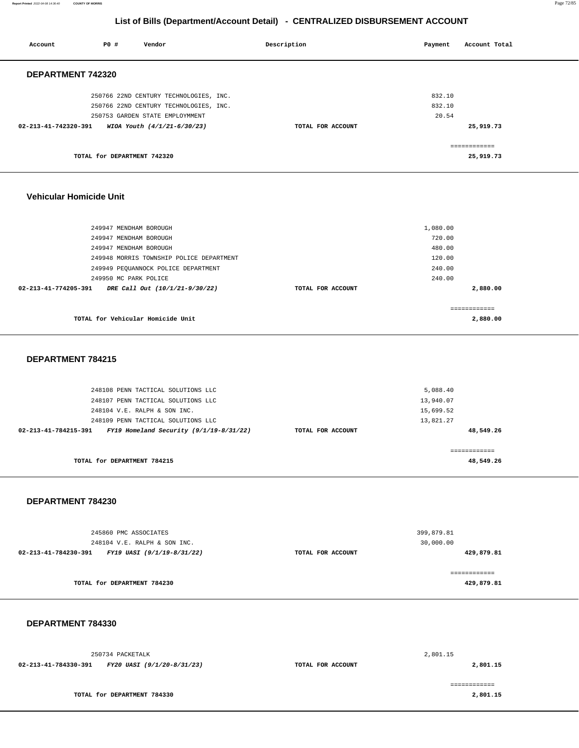**Report Printed** 2022-04-08 14:36:40 **COUNTY OF MORRIS** Page 72/85

# **List of Bills (Department/Account Detail) - CENTRALIZED DISBURSEMENT ACCOUNT**

| Account              | PO#                         | Vendor                                 | Description       | Payment | Account Total |  |
|----------------------|-----------------------------|----------------------------------------|-------------------|---------|---------------|--|
| DEPARTMENT 742320    |                             |                                        |                   |         |               |  |
|                      |                             | 250766 22ND CENTURY TECHNOLOGIES, INC. |                   | 832.10  |               |  |
|                      |                             | 250766 22ND CENTURY TECHNOLOGIES, INC. |                   | 832.10  |               |  |
|                      |                             | 250753 GARDEN STATE EMPLOYMMENT        |                   | 20.54   |               |  |
| 02-213-41-742320-391 |                             | WIOA Youth (4/1/21-6/30/23)            | TOTAL FOR ACCOUNT |         | 25,919.73     |  |
|                      |                             |                                        |                   |         | ============  |  |
|                      | TOTAL for DEPARTMENT 742320 |                                        |                   |         | 25,919.73     |  |
|                      |                             |                                        |                   |         |               |  |
|                      |                             |                                        |                   |         |               |  |

#### **Vehicular Homicide Unit**

| 249947 MENDHAM BOROUGH                                 |                   | 1,080.00      |  |
|--------------------------------------------------------|-------------------|---------------|--|
| 249947 MENDHAM BOROUGH                                 |                   | 720.00        |  |
| 249947 MENDHAM BOROUGH                                 |                   | 480.00        |  |
| 249948 MORRIS TOWNSHIP POLICE DEPARTMENT               |                   | 120.00        |  |
| 249949 PEQUANNOCK POLICE DEPARTMENT                    |                   | 240.00        |  |
| 249950 MC PARK POLICE                                  |                   | 240.00        |  |
| 02-213-41-774205-391<br>DRE Call Out (10/1/21-9/30/22) | TOTAL FOR ACCOUNT | 2,880.00      |  |
|                                                        |                   | ------------- |  |
| TOTAL for Vehicular Homicide Unit                      |                   | 2,880.00      |  |
|                                                        |                   |               |  |

#### **DEPARTMENT 784215**

| 248108 PENN TACTICAL SOLUTIONS LLC<br>248107 PENN TACTICAL SOLUTIONS LLC |                   | 5,088.40<br>13,940.07    |
|--------------------------------------------------------------------------|-------------------|--------------------------|
| 248104 V.E. RALPH & SON INC.                                             |                   | 15,699.52                |
| 248109 PENN TACTICAL SOLUTIONS LLC                                       |                   | 13,821.27                |
| FY19 Homeland Security $(9/1/19-8/31/22)$<br>02-213-41-784215-391        | TOTAL FOR ACCOUNT | 48,549.26                |
| TOTAL for DEPARTMENT 784215                                              |                   | -----------<br>48,549.26 |

#### **DEPARTMENT 784230**

| 245860 PMC ASSOCIATES<br>248104 V.E. RALPH & SON INC. |                   | 399,879.81<br>30,000.00    |
|-------------------------------------------------------|-------------------|----------------------------|
| 02-213-41-784230-391<br>FY19 UASI (9/1/19-8/31/22)    | TOTAL FOR ACCOUNT | 429,879.81                 |
| TOTAL for DEPARTMENT 784230                           |                   | :===========<br>429,879.81 |

#### **DEPARTMENT 784330**

|                      | 250734 PACKETALK            |                   | 2,801.15 |
|----------------------|-----------------------------|-------------------|----------|
| 02-213-41-784330-391 | FY20 UASI (9/1/20-8/31/23)  | TOTAL FOR ACCOUNT | 2,801.15 |
|                      | TOTAL for DEPARTMENT 784330 |                   | 2,801.15 |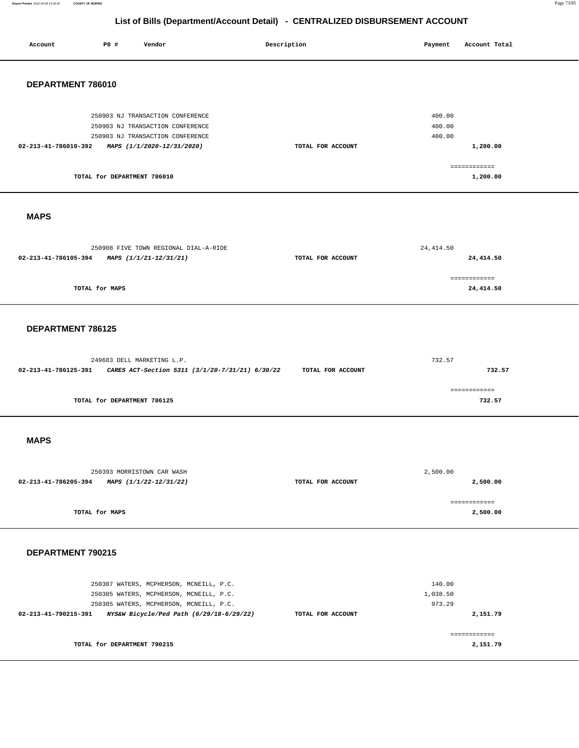**Report Printed** 2022-04-08 14:36:40 **COUNTY OF MORRIS** Page 73/85

| P0 #<br>Account<br>Vendor                                                              | Description       | Payment<br>Account Total   |
|----------------------------------------------------------------------------------------|-------------------|----------------------------|
|                                                                                        |                   |                            |
|                                                                                        |                   |                            |
| DEPARTMENT 786010                                                                      |                   |                            |
|                                                                                        |                   |                            |
| 250903 NJ TRANSACTION CONFERENCE                                                       |                   | 400.00                     |
| 250903 NJ TRANSACTION CONFERENCE                                                       |                   | 400.00                     |
| 250903 NJ TRANSACTION CONFERENCE<br>02-213-41-786010-392<br>MAPS (1/1/2020-12/31/2020) | TOTAL FOR ACCOUNT | 400.00                     |
|                                                                                        |                   | 1,200.00                   |
|                                                                                        |                   | ------------               |
| TOTAL for DEPARTMENT 786010                                                            |                   | 1,200.00                   |
|                                                                                        |                   |                            |
|                                                                                        |                   |                            |
| <b>MAPS</b>                                                                            |                   |                            |
|                                                                                        |                   |                            |
| 250908 FIVE TOWN REGIONAL DIAL-A-RIDE                                                  |                   | 24, 414.50                 |
| 02-213-41-786105-394<br>MAPS (1/1/21-12/31/21)                                         | TOTAL FOR ACCOUNT | 24,414.50                  |
|                                                                                        |                   |                            |
| TOTAL for MAPS                                                                         |                   | ============<br>24, 414.50 |
|                                                                                        |                   |                            |
|                                                                                        |                   |                            |
| DEPARTMENT 786125                                                                      |                   |                            |
|                                                                                        |                   |                            |
|                                                                                        |                   |                            |
| 249683 DELL MARKETING L.P.                                                             |                   | 732.57                     |
| 02-213-41-786125-391<br>CARES ACT-Section 5311 (3/1/20-7/31/21) 6/30/22                | TOTAL FOR ACCOUNT | 732.57                     |
|                                                                                        |                   | ============               |
| TOTAL for DEPARTMENT 786125                                                            |                   | 732.57                     |
|                                                                                        |                   |                            |
|                                                                                        |                   |                            |
| <b>MAPS</b>                                                                            |                   |                            |
|                                                                                        |                   |                            |
|                                                                                        |                   |                            |
| 250393 MORRISTOWN CAR WASH<br>02-213-41-786205-394<br>MAPS (1/1/22-12/31/22)           | TOTAL FOR ACCOUNT | 2,500.00<br>2,500.00       |
|                                                                                        |                   |                            |
|                                                                                        |                   | ------------               |
| TOTAL for MAPS                                                                         |                   | 2,500.00                   |
|                                                                                        |                   |                            |
|                                                                                        |                   |                            |
| DEPARTMENT 790215                                                                      |                   |                            |
|                                                                                        |                   |                            |
| 250307 WATERS, MCPHERSON, MCNEILL, P.C.                                                |                   | 140.00                     |
| 250305 WATERS, MCPHERSON, MCNEILL, P.C.                                                |                   | 1,038.50                   |
| 250305 WATERS, MCPHERSON, MCNEILL, P.C.                                                |                   | 973.29                     |
| 02-213-41-790215-391<br>NYS&W Bicycle/Ped Path (6/29/18-6/29/22)                       | TOTAL FOR ACCOUNT | 2,151.79                   |
|                                                                                        |                   | ============               |
| TOTAL for DEPARTMENT 790215                                                            |                   | 2,151.79                   |
|                                                                                        |                   |                            |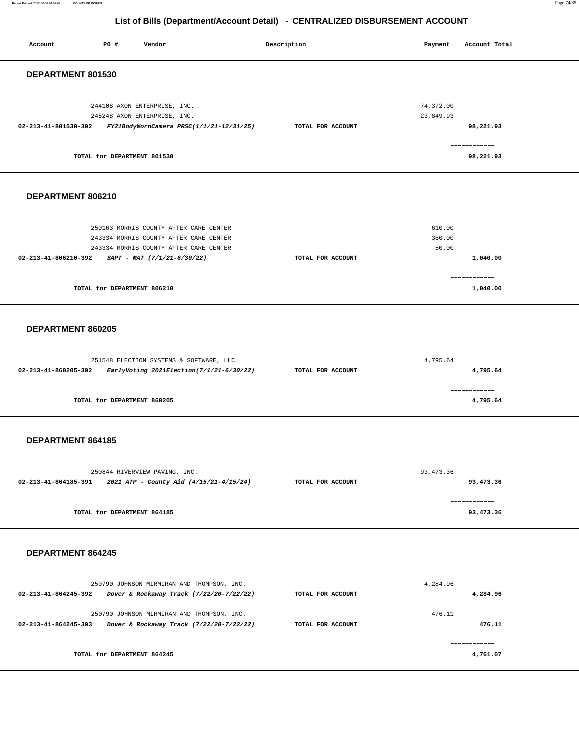**Report Printed** 2022-04-08 14:36:40 **COUNTY OF MORRIS** Page 74/85

| Account              | P0 #                        | Vendor                                                                                                                                                    | Description |                   | Payment                   | Account Total                        |
|----------------------|-----------------------------|-----------------------------------------------------------------------------------------------------------------------------------------------------------|-------------|-------------------|---------------------------|--------------------------------------|
| DEPARTMENT 801530    |                             |                                                                                                                                                           |             |                   |                           |                                      |
| 02-213-41-801530-392 |                             | 244108 AXON ENTERPRISE, INC.<br>245248 AXON ENTERPRISE, INC.<br>FY21BodyWornCamera PRSC(1/1/21-12/31/25)                                                  |             | TOTAL FOR ACCOUNT | 74,372.00<br>23,849.93    | 98,221.93<br>============            |
|                      | TOTAL for DEPARTMENT 801530 |                                                                                                                                                           |             |                   |                           | 98,221.93                            |
| DEPARTMENT 806210    |                             |                                                                                                                                                           |             |                   |                           |                                      |
| 02-213-41-806210-392 | TOTAL for DEPARTMENT 806210 | 250163 MORRIS COUNTY AFTER CARE CENTER<br>243334 MORRIS COUNTY AFTER CARE CENTER<br>243334 MORRIS COUNTY AFTER CARE CENTER<br>SAPT - MAT (7/1/21-6/30/22) |             | TOTAL FOR ACCOUNT | 610.00<br>380.00<br>50.00 | 1,040.00<br>============<br>1,040.00 |
|                      |                             |                                                                                                                                                           |             |                   |                           |                                      |
| DEPARTMENT 860205    |                             |                                                                                                                                                           |             |                   |                           |                                      |
| 02-213-41-860205-392 |                             | 251548 ELECTION SYSTEMS & SOFTWARE, LLC<br>EarlyVoting 2021Election(7/1/21-6/30/22)                                                                       |             | TOTAL FOR ACCOUNT | 4,795.64                  | 4,795.64                             |
|                      | TOTAL for DEPARTMENT 860205 |                                                                                                                                                           |             |                   |                           | ============<br>4,795.64             |
| DEPARTMENT 864185    |                             |                                                                                                                                                           |             |                   |                           |                                      |
| 02-213-41-864185-391 |                             | 250844 RIVERVIEW PAVING, INC.<br>2021 ATP - County Aid (4/15/21-4/15/24)                                                                                  |             | TOTAL FOR ACCOUNT | 93, 473.36                | 93,473.36                            |
|                      | TOTAL for DEPARTMENT 864185 |                                                                                                                                                           |             |                   |                           | ============<br>93,473.36            |
| DEPARTMENT 864245    |                             |                                                                                                                                                           |             |                   |                           |                                      |
|                      |                             | 250790 JOHNSON MIRMIRAN AND THOMPSON, INC.<br>02-213-41-864245-392  Dover & Rockaway Track (7/22/20-7/22/22)                                              |             | TOTAL FOR ACCOUNT | 4,284.96                  | 4,284.96                             |
| 02-213-41-864245-393 |                             | 250790 JOHNSON MIRMIRAN AND THOMPSON, INC.<br>Dover & Rockaway Track (7/22/20-7/22/22)                                                                    |             | TOTAL FOR ACCOUNT | 476.11                    | 476.11                               |
|                      | TOTAL for DEPARTMENT 864245 |                                                                                                                                                           |             |                   |                           | ============<br>4,761.07             |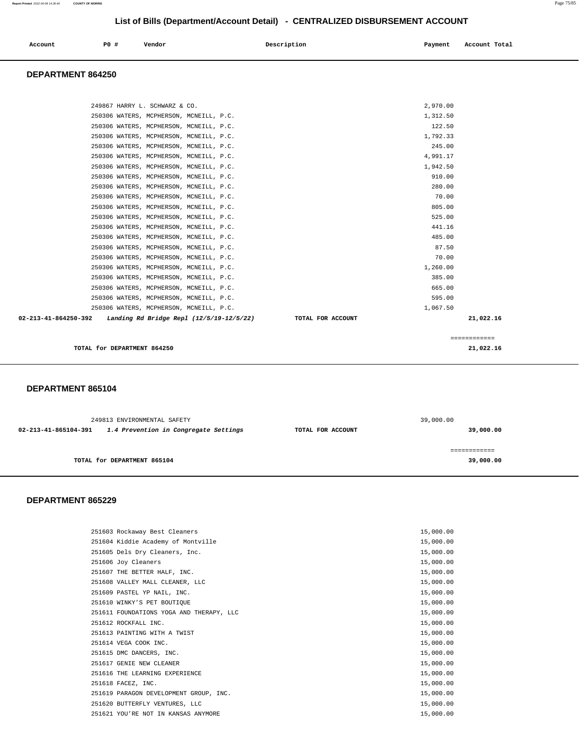## **List of Bills (Department/Account Detail) - CENTRALIZED DISBURSEMENT ACCOUNT**

| Account | P0 # | Vendor | Description | Payment | Account Total |
|---------|------|--------|-------------|---------|---------------|
|         |      |        |             |         |               |

#### **DEPARTMENT 864250**

| 249867 HARRY L. SCHWARZ & CO.                                    | 2,970.00                       |
|------------------------------------------------------------------|--------------------------------|
| 250306 WATERS, MCPHERSON, MCNEILL, P.C.                          | 1,312.50                       |
| 250306 WATERS, MCPHERSON, MCNEILL, P.C.                          | 122.50                         |
| 250306 WATERS, MCPHERSON, MCNEILL, P.C.                          | 1,792.33                       |
| 250306 WATERS, MCPHERSON, MCNEILL, P.C.                          | 245.00                         |
| 250306 WATERS, MCPHERSON, MCNEILL, P.C.                          | 4,991.17                       |
| 250306 WATERS, MCPHERSON, MCNEILL, P.C.                          | 1,942.50                       |
| 250306 WATERS, MCPHERSON, MCNEILL, P.C.                          | 910.00                         |
| 250306 WATERS, MCPHERSON, MCNEILL, P.C.                          | 280.00                         |
| 250306 WATERS, MCPHERSON, MCNEILL, P.C.                          | 70.00                          |
| 250306 WATERS, MCPHERSON, MCNEILL, P.C.                          | 805.00                         |
| 250306 WATERS, MCPHERSON, MCNEILL, P.C.                          | 525.00                         |
| 250306 WATERS, MCPHERSON, MCNEILL, P.C.                          | 441.16                         |
| 250306 WATERS, MCPHERSON, MCNEILL, P.C.                          | 485.00                         |
| 250306 WATERS, MCPHERSON, MCNEILL, P.C.                          | 87.50                          |
| 250306 WATERS, MCPHERSON, MCNEILL, P.C.                          | 70.00                          |
| 250306 WATERS, MCPHERSON, MCNEILL, P.C.                          | 1,260.00                       |
| 250306 WATERS, MCPHERSON, MCNEILL, P.C.                          | 385.00                         |
| 250306 WATERS, MCPHERSON, MCNEILL, P.C.                          | 665.00                         |
| 250306 WATERS, MCPHERSON, MCNEILL, P.C.                          | 595.00                         |
| 250306 WATERS, MCPHERSON, MCNEILL, P.C.                          | 1,067.50                       |
| 02-213-41-864250-392<br>Landing Rd Bridge Repl (12/5/19-12/5/22) | TOTAL FOR ACCOUNT<br>21,022.16 |
|                                                                  |                                |
|                                                                  | ============                   |
| TOTAL for DEPARTMENT 864250                                      | 21,022.16                      |

#### **DEPARTMENT 865104**

| 249813 ENVIRONMENTAL SAFETY |                                       | 39,000.00         |              |
|-----------------------------|---------------------------------------|-------------------|--------------|
| 02-213-41-865104-391        | 1.4 Prevention in Congregate Settings | TOTAL FOR ACCOUNT | 39,000.00    |
|                             |                                       |                   | ============ |
|                             | TOTAL for DEPARTMENT 865104           |                   | 39,000.00    |

| 251603 Rockaway Best Cleaners            | 15,000.00 |
|------------------------------------------|-----------|
| 251604 Kiddie Academy of Montville       | 15,000.00 |
| 251605 Dels Dry Cleaners, Inc.           | 15,000.00 |
| 251606 Joy Cleaners                      | 15,000.00 |
| 251607 THE BETTER HALF, INC.             | 15,000.00 |
| 251608 VALLEY MALL CLEANER, LLC          | 15,000.00 |
| 251609 PASTEL YP NAIL, INC.              | 15,000.00 |
| 251610 WINKY'S PET BOUTIOUE              | 15,000.00 |
| 251611 FOUNDATIONS YOGA AND THERAPY, LLC | 15,000.00 |
| 251612 ROCKFALL INC.                     | 15,000.00 |
| 251613 PAINTING WITH A TWIST             | 15,000.00 |
| 251614 VEGA COOK INC.                    | 15,000.00 |
| 251615 DMC DANCERS, INC.                 | 15,000.00 |
| 251617 GENIE NEW CLEANER                 | 15,000.00 |
| 251616 THE LEARNING EXPERIENCE           | 15,000.00 |
| 251618 FACEZ, INC.                       | 15,000.00 |
| 251619 PARAGON DEVELOPMENT GROUP, INC.   | 15,000.00 |
| 251620 BUTTERFLY VENTURES, LLC           | 15,000.00 |
| 251621 YOU'RE NOT IN KANSAS ANYMORE      | 15,000.00 |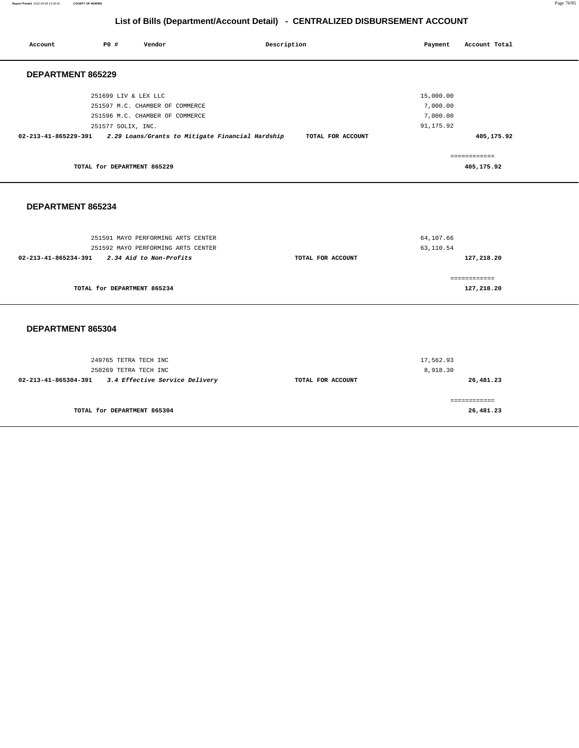**Report Printed** 2022-04-08 14:36:40 **COUNTY OF MORRIS** Page 76/85

| Account              | P0#                         | Vendor                             | Description                                      |                   | Payment    | Account Total |
|----------------------|-----------------------------|------------------------------------|--------------------------------------------------|-------------------|------------|---------------|
| DEPARTMENT 865229    |                             |                                    |                                                  |                   |            |               |
|                      | 251699 LIV & LEX LLC        |                                    |                                                  |                   | 15,000.00  |               |
|                      |                             | 251597 M.C. CHAMBER OF COMMERCE    |                                                  |                   | 7,000.00   |               |
|                      |                             | 251596 M.C. CHAMBER OF COMMERCE    |                                                  |                   | 7,000.00   |               |
|                      | 251577 SOLIX, INC.          |                                    |                                                  |                   | 91, 175.92 |               |
| 02-213-41-865229-391 |                             |                                    | 2.29 Loans/Grants to Mitigate Financial Hardship | TOTAL FOR ACCOUNT |            | 405,175.92    |
|                      |                             |                                    |                                                  |                   |            | ============  |
|                      | TOTAL for DEPARTMENT 865229 |                                    |                                                  |                   |            | 405,175.92    |
| DEPARTMENT 865234    |                             |                                    |                                                  |                   |            |               |
|                      |                             | 251591 MAYO PERFORMING ARTS CENTER |                                                  |                   | 64,107.66  |               |
|                      |                             | 251592 MAYO PERFORMING ARTS CENTER |                                                  |                   | 63,110.54  |               |
| 02-213-41-865234-391 |                             | 2.34 Aid to Non-Profits            |                                                  | TOTAL FOR ACCOUNT |            | 127,218.20    |
|                      |                             |                                    |                                                  |                   |            | ============  |
|                      | TOTAL for DEPARTMENT 865234 |                                    |                                                  |                   |            | 127,218.20    |
| DEPARTMENT 865304    |                             |                                    |                                                  |                   |            |               |
|                      | 249765 TETRA TECH INC       |                                    |                                                  |                   | 17,562.93  |               |
|                      | 250269 TETRA TECH INC       |                                    |                                                  |                   | 8,918.30   |               |
| 02-213-41-865304-391 |                             | 3.4 Effective Service Delivery     |                                                  | TOTAL FOR ACCOUNT |            | 26,481.23     |
|                      |                             |                                    |                                                  |                   |            | ============  |
|                      | TOTAL for DEPARTMENT 865304 |                                    |                                                  |                   |            | 26,481.23     |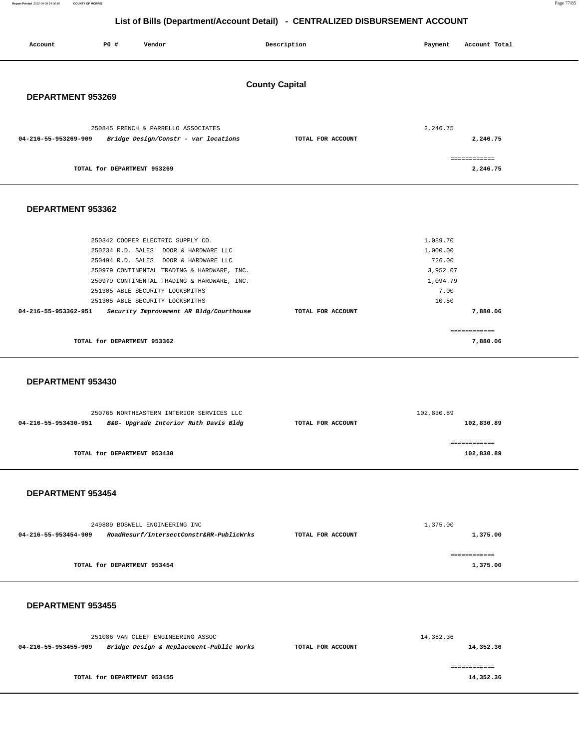Report Printed 2022-04-08 14:36:40 **Report Printed** 2022-04-08 14:36:40 **COUNTY OF MORRIS** Page 77/85

| Account<br>P0 #<br>Vendor                                                                                                                                                                                                                                                                                                                                  | Description       | Account Total<br>Payment                                                                            |  |  |  |  |
|------------------------------------------------------------------------------------------------------------------------------------------------------------------------------------------------------------------------------------------------------------------------------------------------------------------------------------------------------------|-------------------|-----------------------------------------------------------------------------------------------------|--|--|--|--|
| <b>County Capital</b><br>DEPARTMENT 953269                                                                                                                                                                                                                                                                                                                 |                   |                                                                                                     |  |  |  |  |
| 250845 FRENCH & PARRELLO ASSOCIATES<br>04-216-55-953269-909<br>Bridge Design/Constr - var locations                                                                                                                                                                                                                                                        | TOTAL FOR ACCOUNT | 2,246.75<br>2,246.75                                                                                |  |  |  |  |
| TOTAL for DEPARTMENT 953269                                                                                                                                                                                                                                                                                                                                |                   | ============<br>2,246.75                                                                            |  |  |  |  |
| DEPARTMENT 953362                                                                                                                                                                                                                                                                                                                                          |                   |                                                                                                     |  |  |  |  |
| 250342 COOPER ELECTRIC SUPPLY CO.<br>250234 R.D. SALES DOOR & HARDWARE LLC<br>250494 R.D. SALES DOOR & HARDWARE LLC<br>250979 CONTINENTAL TRADING & HARDWARE, INC.<br>250979 CONTINENTAL TRADING & HARDWARE, INC.<br>251305 ABLE SECURITY LOCKSMITHS<br>251305 ABLE SECURITY LOCKSMITHS<br>04-216-55-953362-951<br>Security Improvement AR Bldg/Courthouse | TOTAL FOR ACCOUNT | 1,089.70<br>1,000.00<br>726.00<br>3,952.07<br>1,094.79<br>7.00<br>10.50<br>7,880.06<br>============ |  |  |  |  |
| TOTAL for DEPARTMENT 953362                                                                                                                                                                                                                                                                                                                                |                   | 7,880.06                                                                                            |  |  |  |  |
| DEPARTMENT 953430                                                                                                                                                                                                                                                                                                                                          |                   |                                                                                                     |  |  |  |  |
| 250765 NORTHEASTERN INTERIOR SERVICES LLC<br>04-216-55-953430-951<br>B&G- Upgrade Interior Ruth Davis Bldg                                                                                                                                                                                                                                                 | TOTAL FOR ACCOUNT | 102,830.89<br>102,830.89                                                                            |  |  |  |  |
| TOTAL for DEPARTMENT 953430                                                                                                                                                                                                                                                                                                                                |                   | ============<br>102,830.89                                                                          |  |  |  |  |
| DEPARTMENT 953454                                                                                                                                                                                                                                                                                                                                          |                   |                                                                                                     |  |  |  |  |
| 249889 BOSWELL ENGINEERING INC<br>04-216-55-953454-909<br>RoadResurf/IntersectConstr&RR-PublicWrks                                                                                                                                                                                                                                                         | TOTAL FOR ACCOUNT | 1,375.00<br>1,375.00                                                                                |  |  |  |  |
| TOTAL for DEPARTMENT 953454                                                                                                                                                                                                                                                                                                                                |                   | ============<br>1,375.00                                                                            |  |  |  |  |
| DEPARTMENT 953455                                                                                                                                                                                                                                                                                                                                          |                   |                                                                                                     |  |  |  |  |
| 251086 VAN CLEEF ENGINEERING ASSOC<br>04-216-55-953455-909<br>Bridge Design & Replacement-Public Works                                                                                                                                                                                                                                                     | TOTAL FOR ACCOUNT | 14,352.36<br>14,352.36                                                                              |  |  |  |  |
| TOTAL for DEPARTMENT 953455                                                                                                                                                                                                                                                                                                                                |                   | ============<br>14,352.36                                                                           |  |  |  |  |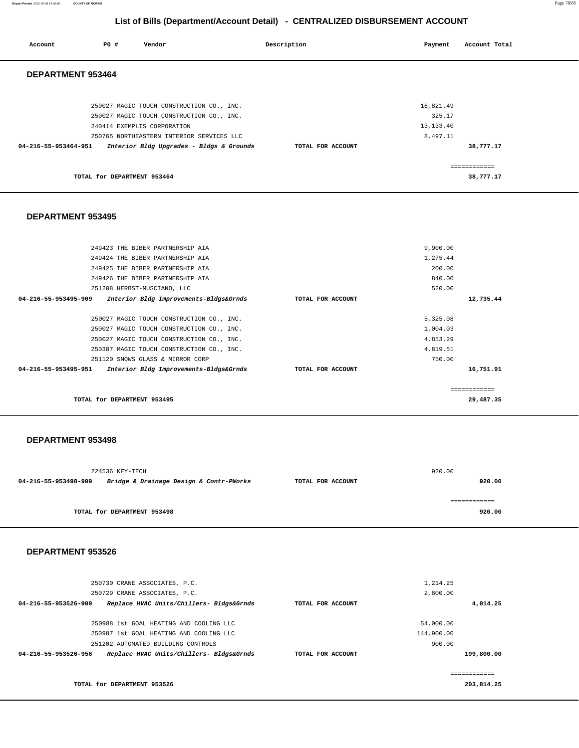**Report Printed** 2022-04-08 14:36:40 **COUNTY OF MORRIS** Page 78/85

## **List of Bills (Department/Account Detail) - CENTRALIZED DISBURSEMENT ACCOUNT**

| Account              | <b>PO #</b>                 | Vendor                                    | Description       | Payment     | Account Total |
|----------------------|-----------------------------|-------------------------------------------|-------------------|-------------|---------------|
| DEPARTMENT 953464    |                             |                                           |                   |             |               |
|                      |                             | 250027 MAGIC TOUCH CONSTRUCTION CO., INC. |                   | 16,821.49   |               |
|                      |                             | 250027 MAGIC TOUCH CONSTRUCTION CO., INC. |                   | 325.17      |               |
|                      |                             | 240414 EXEMPLIS CORPORATION               |                   | 13, 133. 40 |               |
|                      |                             | 250765 NORTHEASTERN INTERIOR SERVICES LLC |                   | 8,497.11    |               |
| 04-216-55-953464-951 |                             | Interior Bldg Upgrades - Bldgs & Grounds  | TOTAL FOR ACCOUNT |             | 38,777.17     |
|                      |                             |                                           |                   |             | .             |
|                      | TOTAL for DEPARTMENT 953464 |                                           |                   |             | 38,777.17     |

#### **DEPARTMENT 953495**

| 249423 THE BIBER PARTNERSHIP AIA                               |                   | 9,900.00     |
|----------------------------------------------------------------|-------------------|--------------|
| 249424 THE BIBER PARTNERSHIP AIA                               |                   | 1,275.44     |
| 249425 THE BIBER PARTNERSHIP AIA                               |                   | 200.00       |
| 249426 THE BIBER PARTNERSHIP AIA                               |                   | 840.00       |
| 251208 HERBST-MUSCIANO, LLC                                    |                   | 520.00       |
| 04-216-55-953495-909<br>Interior Bldg Improvements-Bldgs&Grnds | TOTAL FOR ACCOUNT | 12,735.44    |
|                                                                |                   |              |
| 250027 MAGIC TOUCH CONSTRUCTION CO., INC.                      |                   | 5,325.08     |
| 250027 MAGIC TOUCH CONSTRUCTION CO., INC.                      |                   | 1,004.03     |
| 250027 MAGIC TOUCH CONSTRUCTION CO., INC.                      |                   | 4,853.29     |
| 250387 MAGIC TOUCH CONSTRUCTION CO., INC.                      |                   | 4,819.51     |
| 251120 SNOWS GLASS & MIRROR CORP                               |                   | 750.00       |
| 04-216-55-953495-951<br>Interior Bldg Improvements-Bldgs&Grnds | TOTAL FOR ACCOUNT | 16,751.91    |
|                                                                |                   |              |
|                                                                |                   | ------------ |
| TOTAL for DEPARTMENT 953495                                    |                   | 29,487.35    |
|                                                                |                   |              |

#### **DEPARTMENT 953498**

|                      | 224536 KEY-TECH                         |                   | 920.00 |
|----------------------|-----------------------------------------|-------------------|--------|
| 04-216-55-953498-909 | Bridge & Drainage Design & Contr-PWorks | TOTAL FOR ACCOUNT | 920.00 |
|                      |                                         |                   |        |
|                      |                                         |                   |        |
|                      | TOTAL for DEPARTMENT 953498             |                   | 920.00 |
|                      |                                         |                   |        |

## **DEPARTMENT 953526**

**TOTAL for DEPARTMENT 953526** 

| 250730 CRANE ASSOCIATES, P.C.                                    |                   | 1,214.25   |            |
|------------------------------------------------------------------|-------------------|------------|------------|
| 250729 CRANE ASSOCIATES, P.C.                                    |                   | 2,800.00   |            |
| Replace HVAC Units/Chillers- Bldgs&Grnds<br>04-216-55-953526-909 | TOTAL FOR ACCOUNT |            | 4,014.25   |
|                                                                  |                   |            |            |
| 250988 1st GOAL HEATING AND COOLING LLC                          |                   | 54,000.00  |            |
| 250987 1st GOAL HEATING AND COOLING LLC                          |                   | 144,900.00 |            |
| 251202 AUTOMATED BUILDING CONTROLS                               |                   | 900.00     |            |
| Replace HVAC Units/Chillers- Bldgs&Grnds<br>04-216-55-953526-956 | TOTAL FOR ACCOUNT |            | 199,800.00 |
|                                                                  |                   |            |            |
|                                                                  |                   |            |            |

**203,814.25**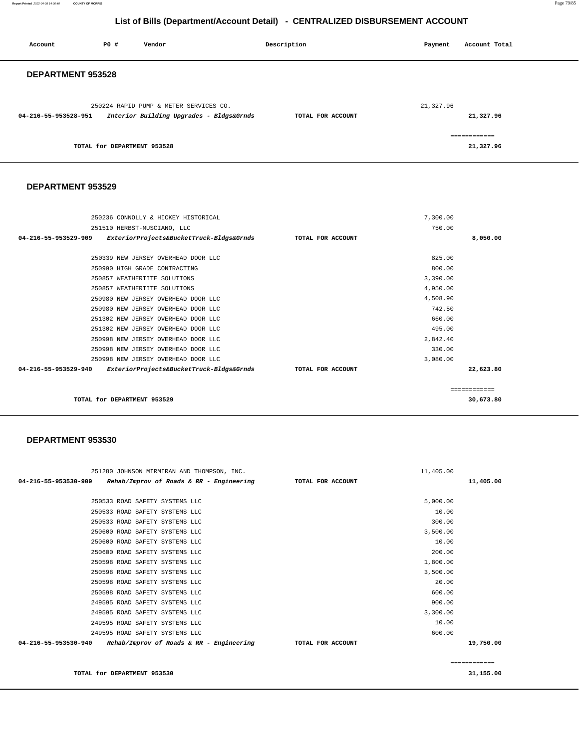**Report Printed** 2022-04-08 14:36:40 **COUNTY OF MORRIS** Page 79/85

## **List of Bills (Department/Account Detail) - CENTRALIZED DISBURSEMENT ACCOUNT**

| Account              | PO#                         | Vendor                                                                             | Description       | Payment   | Account Total             |
|----------------------|-----------------------------|------------------------------------------------------------------------------------|-------------------|-----------|---------------------------|
| DEPARTMENT 953528    |                             |                                                                                    |                   |           |                           |
| 04-216-55-953528-951 |                             | 250224 RAPID PUMP & METER SERVICES CO.<br>Interior Building Upgrades - Bldgs&Grnds | TOTAL FOR ACCOUNT | 21,327.96 | 21,327.96                 |
|                      | TOTAL for DEPARTMENT 953528 |                                                                                    |                   |           | ============<br>21,327.96 |

#### **DEPARTMENT 953529**

| 250236 CONNOLLY & HICKEY HISTORICAL                              |                   | 7,300.00 |               |
|------------------------------------------------------------------|-------------------|----------|---------------|
| 251510 HERBST-MUSCIANO, LLC                                      |                   | 750.00   |               |
| 04-216-55-953529-909<br>ExteriorProjects&BucketTruck-Bldgs&Grnds | TOTAL FOR ACCOUNT |          | 8,050.00      |
|                                                                  |                   |          |               |
| 250339 NEW JERSEY OVERHEAD DOOR LLC                              |                   | 825.00   |               |
| 250990 HIGH GRADE CONTRACTING                                    |                   | 800.00   |               |
| 250857 WEATHERTITE SOLUTIONS                                     |                   | 3,390.00 |               |
| 250857 WEATHERTITE SOLUTIONS                                     |                   | 4,950.00 |               |
| 250980 NEW JERSEY OVERHEAD DOOR LLC                              |                   | 4,508.90 |               |
| 250980 NEW JERSEY OVERHEAD DOOR LLC                              |                   | 742.50   |               |
| 251302 NEW JERSEY OVERHEAD DOOR LLC                              |                   | 660.00   |               |
| 251302 NEW JERSEY OVERHEAD DOOR LLC                              |                   | 495.00   |               |
| 250998 NEW JERSEY OVERHEAD DOOR LLC                              |                   | 2,842.40 |               |
| 250998 NEW JERSEY OVERHEAD DOOR LLC                              |                   | 330.00   |               |
| 250998 NEW JERSEY OVERHEAD DOOR LLC                              |                   | 3,080.00 |               |
| 04-216-55-953529-940<br>ExteriorProjects&BucketTruck-Bldgs&Grnds | TOTAL FOR ACCOUNT |          | 22,623.80     |
|                                                                  |                   |          |               |
|                                                                  |                   |          | ------------- |
| TOTAL for DEPARTMENT 953529                                      |                   |          | 30,673.80     |
|                                                                  |                   |          |               |

#### **DEPARTMENT 953530**

| 251280 JOHNSON MIRMIRAN AND THOMPSON, INC.                                         |                   | 11,405.00 |               |
|------------------------------------------------------------------------------------|-------------------|-----------|---------------|
| 04-216-55-953530-909<br>Rehab/Improv of Roads & RR - Engineering TOTAL FOR ACCOUNT |                   |           | 11,405.00     |
|                                                                                    |                   |           |               |
| 250533 ROAD SAFETY SYSTEMS LLC                                                     |                   | 5,000.00  |               |
| 250533 ROAD SAFETY SYSTEMS LLC                                                     |                   | 10.00     |               |
| 250533 ROAD SAFETY SYSTEMS LLC                                                     |                   | 300.00    |               |
| 250600 ROAD SAFETY SYSTEMS LLC                                                     |                   | 3,500.00  |               |
| 250600 ROAD SAFETY SYSTEMS LLC                                                     |                   | 10.00     |               |
| 250600 ROAD SAFETY SYSTEMS LLC                                                     |                   | 200.00    |               |
| 250598 ROAD SAFETY SYSTEMS LLC                                                     |                   | 1,800.00  |               |
| 250598 ROAD SAFETY SYSTEMS LLC                                                     |                   | 3,500.00  |               |
| 250598 ROAD SAFETY SYSTEMS LLC                                                     |                   | 20.00     |               |
| 250598 ROAD SAFETY SYSTEMS LLC                                                     |                   | 600.00    |               |
| 249595 ROAD SAFETY SYSTEMS LLC                                                     |                   | 900.00    |               |
| 249595 ROAD SAFETY SYSTEMS LLC                                                     |                   | 3,300.00  |               |
| 249595 ROAD SAFETY SYSTEMS LLC                                                     |                   | 10.00     |               |
| 249595 ROAD SAFETY SYSTEMS LLC                                                     |                   | 600.00    |               |
| 04-216-55-953530-940<br>Rehab/Improv of Roads & RR - Engineering                   | TOTAL FOR ACCOUNT |           | 19,750.00     |
|                                                                                    |                   |           |               |
|                                                                                    |                   |           | ------------- |

**TOTAL for DEPARTMENT 953530** 

**31,155.00**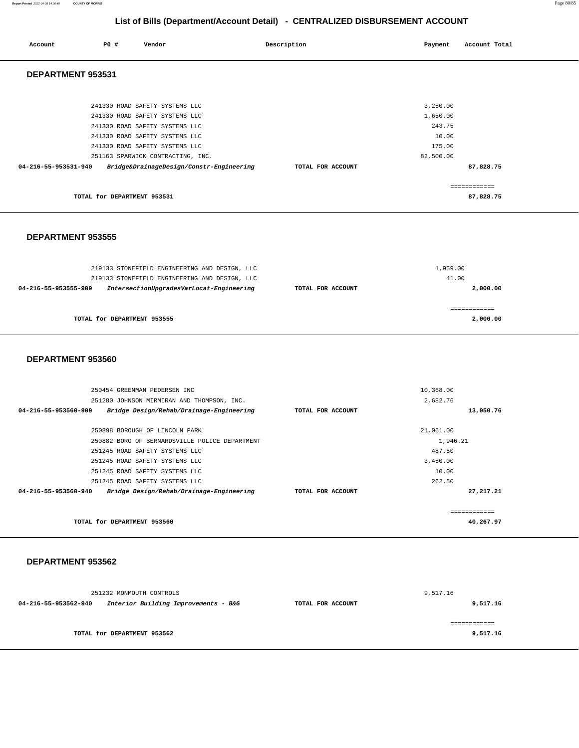**Report Printed** 2022-04-08 14:36:40 **COUNTY OF MORRIS** Page 80/85

## **List of Bills (Department/Account Detail) - CENTRALIZED DISBURSEMENT ACCOUNT**

| Account              | P0 #                        | Vendor                                                                                                                                                                                                                                                  | Description | Payment                        | Account Total                                                  |  |
|----------------------|-----------------------------|---------------------------------------------------------------------------------------------------------------------------------------------------------------------------------------------------------------------------------------------------------|-------------|--------------------------------|----------------------------------------------------------------|--|
| DEPARTMENT 953531    |                             |                                                                                                                                                                                                                                                         |             |                                |                                                                |  |
| 04-216-55-953531-940 |                             | 241330 ROAD SAFETY SYSTEMS LLC<br>241330 ROAD SAFETY SYSTEMS LLC<br>241330 ROAD SAFETY SYSTEMS LLC<br>241330 ROAD SAFETY SYSTEMS LLC<br>241330 ROAD SAFETY SYSTEMS LLC<br>251163 SPARWICK CONTRACTING, INC.<br>Bridge&DrainageDesign/Constr-Engineering |             | 82,500.00<br>TOTAL FOR ACCOUNT | 3,250.00<br>1,650.00<br>243.75<br>10.00<br>175.00<br>87,828.75 |  |
|                      | TOTAL for DEPARTMENT 953531 |                                                                                                                                                                                                                                                         |             |                                | ============<br>87,828.75                                      |  |

#### **DEPARTMENT 953555**

| 219133 STONEFIELD ENGINEERING AND DESIGN, LLC                    |                   | 1,959.00 |
|------------------------------------------------------------------|-------------------|----------|
| 219133 STONEFIELD ENGINEERING AND DESIGN, LLC                    |                   | 41.00    |
| IntersectionUpgradesVarLocat-Engineering<br>04-216-55-953555-909 | TOTAL FOR ACCOUNT | 2,000.00 |
|                                                                  |                   |          |
|                                                                  |                   |          |
| TOTAL for DEPARTMENT 953555                                      |                   | 2,000.00 |
|                                                                  |                   |          |

#### **DEPARTMENT 953560**

| 250454 GREENMAN PEDERSEN INC                                     |                   | 10,368.00   |
|------------------------------------------------------------------|-------------------|-------------|
| 251280 JOHNSON MIRMIRAN AND THOMPSON, INC.                       |                   | 2,682.76    |
| Bridge Design/Rehab/Drainage-Engineering<br>04-216-55-953560-909 | TOTAL FOR ACCOUNT | 13,050.76   |
| 250898 BOROUGH OF LINCOLN PARK                                   |                   | 21,061.00   |
| 250882 BORO OF BERNARDSVILLE POLICE DEPARTMENT                   |                   | 1,946.21    |
| 251245 ROAD SAFETY SYSTEMS LLC                                   |                   | 487.50      |
| 251245 ROAD SAFETY SYSTEMS LLC                                   |                   | 3,450.00    |
| 251245 ROAD SAFETY SYSTEMS LLC                                   |                   | 10.00       |
| 251245 ROAD SAFETY SYSTEMS LLC                                   |                   | 262.50      |
| Bridge Design/Rehab/Drainage-Engineering<br>04-216-55-953560-940 | TOTAL FOR ACCOUNT | 27, 217. 21 |
|                                                                  |                   | ----------- |
| TOTAL for DEPARTMENT 953560                                      |                   | 40,267.97   |

|                      | 251232 MONMOUTH CONTROLS             |                   | 9,517.16 |
|----------------------|--------------------------------------|-------------------|----------|
| 04-216-55-953562-940 | Interior Building Improvements - B&G | TOTAL FOR ACCOUNT | 9,517.16 |
|                      |                                      |                   |          |
|                      |                                      |                   |          |
|                      | TOTAL for DEPARTMENT 953562          |                   | 9,517.16 |
|                      |                                      |                   |          |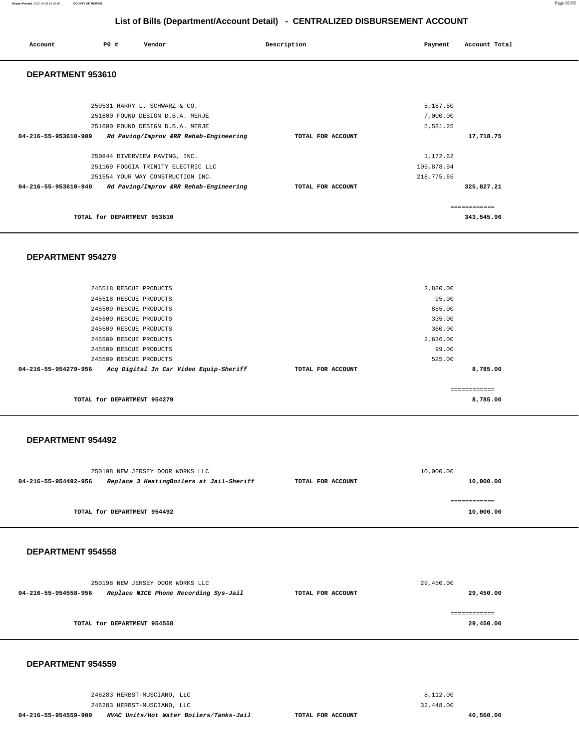## **List of Bills (Department/Account Detail) - CENTRALIZED DISBURSEMENT ACCOUNT**

| Account              | PO# | Vendor                                 | Description |                   | Payment    | Account Total |
|----------------------|-----|----------------------------------------|-------------|-------------------|------------|---------------|
| DEPARTMENT 953610    |     |                                        |             |                   |            |               |
|                      |     |                                        |             |                   |            |               |
|                      |     | 250531 HARRY L. SCHWARZ & CO.          |             |                   | 5,187.50   |               |
|                      |     | 251600 FOUND DESIGN D.B.A. MERJE       |             |                   | 7,000.00   |               |
|                      |     | 251600 FOUND DESIGN D.B.A. MERJE       |             |                   | 5,531.25   |               |
| 04-216-55-953610-909 |     | Rd Paving/Improv &RR Rehab-Engineering |             | TOTAL FOR ACCOUNT |            | 17,718.75     |
|                      |     | 250844 RIVERVIEW PAVING, INC.          |             |                   | 1,172.62   |               |
|                      |     | 251169 FOGGIA TRINITY ELECTRIC LLC     |             |                   | 105,878.94 |               |
|                      |     | 251554 YOUR WAY CONSTRUCTION INC.      |             |                   | 218,775.65 |               |
| 04-216-55-953610-940 |     | Rd Paving/Improv &RR Rehab-Engineering |             | TOTAL FOR ACCOUNT |            | 325,827.21    |
|                      |     |                                        |             |                   |            | ------------- |
|                      |     | TOTAL for DEPARTMENT 953610            |             |                   |            | 343,545.96    |

#### **DEPARTMENT 954279**

|                             | 245518 RESCUE PRODUCTS                 |                   | 3,880.00 |              |
|-----------------------------|----------------------------------------|-------------------|----------|--------------|
| 245518 RESCUE PRODUCTS      |                                        |                   | 95.00    |              |
|                             | 245509 RESCUE PRODUCTS                 |                   | 855.00   |              |
| 245509 RESCUE PRODUCTS      |                                        |                   | 335.00   |              |
| 245509 RESCUE PRODUCTS      |                                        |                   | 360.00   |              |
| 245509 RESCUE PRODUCTS      |                                        |                   | 2,636.00 |              |
| 245509 RESCUE PRODUCTS      |                                        |                   | 99.00    |              |
| 245509 RESCUE PRODUCTS      |                                        |                   | 525.00   |              |
| 04-216-55-954279-956        | Acq Digital In Car Video Equip-Sheriff | TOTAL FOR ACCOUNT |          | 8,785.00     |
|                             |                                        |                   |          |              |
|                             |                                        |                   |          | ------------ |
| TOTAL for DEPARTMENT 954279 |                                        |                   |          | 8,785.00     |
|                             |                                        |                   |          |              |

#### **DEPARTMENT 954492**

| 250198 NEW JERSEY DOOR WORKS LLC                                 |                   | 10,000.00 |
|------------------------------------------------------------------|-------------------|-----------|
| Replace 3 HeatingBoilers at Jail-Sheriff<br>04-216-55-954492-956 | TOTAL FOR ACCOUNT | 10,000.00 |
|                                                                  |                   |           |
| TOTAL for DEPARTMENT 954492                                      |                   | 10,000.00 |

### **DEPARTMENT 954558**

|                      | 250198 NEW JERSEY DOOR WORKS LLC |                                       |                   | 29,450.00 |
|----------------------|----------------------------------|---------------------------------------|-------------------|-----------|
| 04-216-55-954558-956 |                                  | Replace NICE Phone Recording Sys-Jail | TOTAL FOR ACCOUNT | 29,450.00 |
|                      |                                  |                                       |                   |           |
|                      | TOTAL for DEPARTMENT 954558      |                                       |                   | 29,450.00 |
|                      |                                  |                                       |                   |           |

#### **DEPARTMENT 954559**

**40,560.00** 

246283 HERBST-MUSCIANO, LLC 246283 HERBST-MUSCIANO, LLC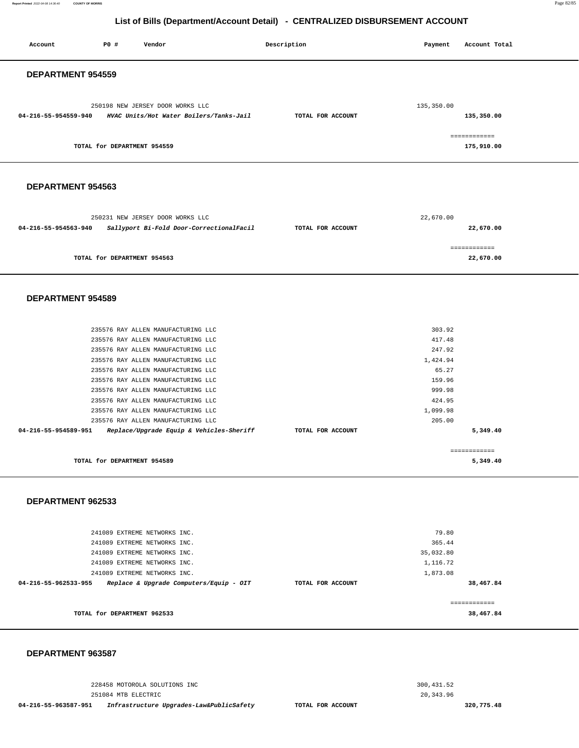**Report Printed** 2022-04-08 14:36:40 **COUNTY OF MORRIS** Page 82/85

#### **List of Bills (Department/Account Detail) - CENTRALIZED DISBURSEMENT ACCOUNT**

| Account              | P0 #                        | Vendor                                                                                                                                                                                                                                                                                                                                                                                                                               | Description       | Payment                                                                                             | Account Total              |
|----------------------|-----------------------------|--------------------------------------------------------------------------------------------------------------------------------------------------------------------------------------------------------------------------------------------------------------------------------------------------------------------------------------------------------------------------------------------------------------------------------------|-------------------|-----------------------------------------------------------------------------------------------------|----------------------------|
| DEPARTMENT 954559    |                             |                                                                                                                                                                                                                                                                                                                                                                                                                                      |                   |                                                                                                     |                            |
| 04-216-55-954559-940 |                             | 250198 NEW JERSEY DOOR WORKS LLC<br>HVAC Units/Hot Water Boilers/Tanks-Jail                                                                                                                                                                                                                                                                                                                                                          | TOTAL FOR ACCOUNT | 135,350.00                                                                                          | 135,350.00                 |
|                      | TOTAL for DEPARTMENT 954559 |                                                                                                                                                                                                                                                                                                                                                                                                                                      |                   |                                                                                                     | ============<br>175,910.00 |
| DEPARTMENT 954563    |                             |                                                                                                                                                                                                                                                                                                                                                                                                                                      |                   |                                                                                                     |                            |
| 04-216-55-954563-940 |                             | 250231 NEW JERSEY DOOR WORKS LLC<br>Sallyport Bi-Fold Door-CorrectionalFacil                                                                                                                                                                                                                                                                                                                                                         | TOTAL FOR ACCOUNT | 22,670.00                                                                                           | 22,670.00                  |
|                      | TOTAL for DEPARTMENT 954563 |                                                                                                                                                                                                                                                                                                                                                                                                                                      |                   |                                                                                                     | ============<br>22,670.00  |
| DEPARTMENT 954589    |                             |                                                                                                                                                                                                                                                                                                                                                                                                                                      |                   |                                                                                                     |                            |
| 04-216-55-954589-951 |                             | 235576 RAY ALLEN MANUFACTURING LLC<br>235576 RAY ALLEN MANUFACTURING LLC<br>235576 RAY ALLEN MANUFACTURING LLC<br>235576 RAY ALLEN MANUFACTURING LLC<br>235576 RAY ALLEN MANUFACTURING LLC<br>235576 RAY ALLEN MANUFACTURING LLC<br>235576 RAY ALLEN MANUFACTURING LLC<br>235576 RAY ALLEN MANUFACTURING LLC<br>235576 RAY ALLEN MANUFACTURING LLC<br>235576 RAY ALLEN MANUFACTURING LLC<br>Replace/Upgrade Equip & Vehicles-Sheriff | TOTAL FOR ACCOUNT | 303.92<br>417.48<br>247.92<br>1,424.94<br>65.27<br>159.96<br>999.98<br>424.95<br>1,099.98<br>205.00 | 5,349.40<br>============   |
| DEPARTMENT 962533    | TOTAL for DEPARTMENT 954589 |                                                                                                                                                                                                                                                                                                                                                                                                                                      |                   |                                                                                                     | 5,349.40                   |
| 04-216-55-962533-955 |                             | 241089 EXTREME NETWORKS INC.<br>241089 EXTREME NETWORKS INC.<br>241089 EXTREME NETWORKS INC.<br>241089 EXTREME NETWORKS INC.<br>241089 EXTREME NETWORKS INC.<br>Replace & Upgrade Computers/Equip - OIT                                                                                                                                                                                                                              | TOTAL FOR ACCOUNT | 79.80<br>365.44<br>35,032.80<br>1,116.72<br>1,873.08                                                | 38,467.84                  |
|                      | TOTAL for DEPARTMENT 962533 |                                                                                                                                                                                                                                                                                                                                                                                                                                      |                   |                                                                                                     | ------------<br>38,467.84  |

#### **DEPARTMENT 963587**

228458 MOTOROLA SOLUTIONS INC 251084 MTB ELECTRIC

**04-216-55-963587-951 Infrastructure Upgrades-Law&PublicSafety TOTAL FOR ACCOUNT** 

300,431.52 20,343.96

**320,775.48**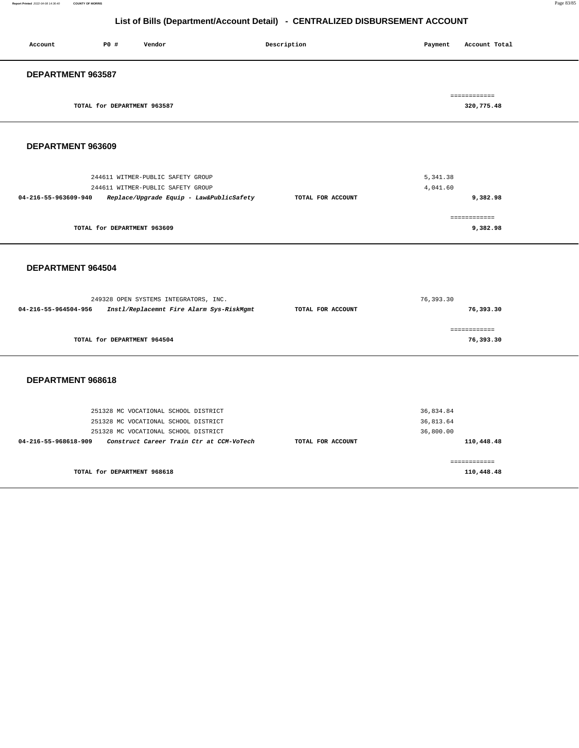#### **Report Printed** 2022-04-08 14:36:40 **COUNTY OF MORRIS** Page 83/85

## **List of Bills (Department/Account Detail) - CENTRALIZED DISBURSEMENT ACCOUNT**

| Account           | <b>PO #</b>                 | Vendor | Description | Payment | Account Total |
|-------------------|-----------------------------|--------|-------------|---------|---------------|
| DEPARTMENT 963587 |                             |        |             |         |               |
|                   |                             |        |             |         | ============  |
|                   | TOTAL for DEPARTMENT 963587 |        |             |         | 320,775.48    |

### **DEPARTMENT 963609**

| 244611 WITMER-PUBLIC SAFETY GROUP                                | 5,341.38                      |  |
|------------------------------------------------------------------|-------------------------------|--|
| 244611 WITMER-PUBLIC SAFETY GROUP                                | 4,041.60                      |  |
| Replace/Upgrade Equip - Law&PublicSafety<br>04-216-55-963609-940 | 9,382.98<br>TOTAL FOR ACCOUNT |  |
|                                                                  |                               |  |
|                                                                  |                               |  |
| TOTAL for DEPARTMENT 963609                                      | 9,382.98                      |  |

#### **DEPARTMENT 964504**

|                      | 249328 OPEN SYSTEMS INTEGRATORS, INC.    | 76,393.30         |           |  |
|----------------------|------------------------------------------|-------------------|-----------|--|
| 04-216-55-964504-956 | Instl/Replacemnt Fire Alarm Sys-RiskMgmt | TOTAL FOR ACCOUNT | 76,393.30 |  |
|                      |                                          |                   |           |  |
|                      |                                          |                   |           |  |
|                      | TOTAL for DEPARTMENT 964504              |                   | 76,393.30 |  |
|                      |                                          |                   |           |  |

| 251328 MC VOCATIONAL SCHOOL DISTRICT<br>251328 MC VOCATIONAL SCHOOL DISTRICT<br>251328 MC VOCATIONAL SCHOOL DISTRICT |                   | 36,834.84<br>36,813.64<br>36,800.00 |
|----------------------------------------------------------------------------------------------------------------------|-------------------|-------------------------------------|
| Construct Career Train Ctr at CCM-VoTech<br>04-216-55-968618-909                                                     | TOTAL FOR ACCOUNT | 110,448.48                          |
| TOTAL for DEPARTMENT 968618                                                                                          |                   | 110,448.48                          |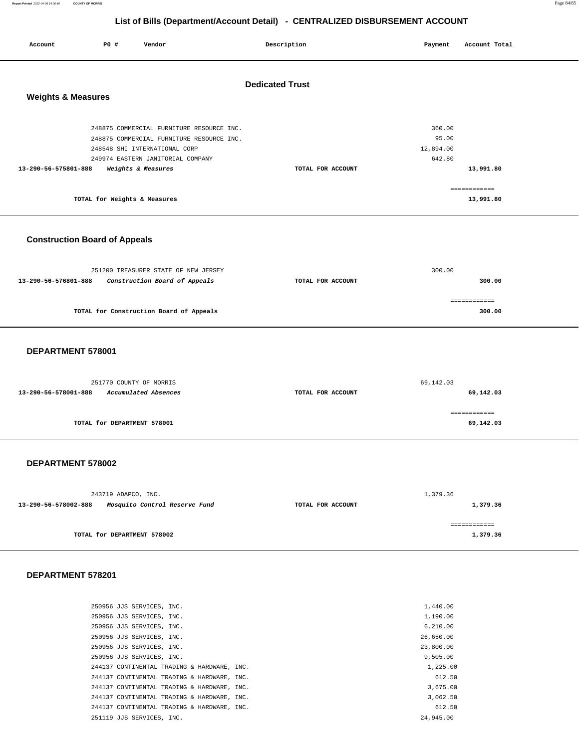**Report Printed** 2022-04-08 14:36:40 **COUNTY OF MORRIS** Page 84/85

## **List of Bills (Department/Account Detail) - CENTRALIZED DISBURSEMENT ACCOUNT**

| Account                       | P0 #                         | Vendor                                                                                 | Description            | Payment             | Account Total |
|-------------------------------|------------------------------|----------------------------------------------------------------------------------------|------------------------|---------------------|---------------|
| <b>Weights &amp; Measures</b> |                              |                                                                                        | <b>Dedicated Trust</b> |                     |               |
|                               |                              | 248875 COMMERCIAL FURNITURE RESOURCE INC.<br>248875 COMMERCIAL FURNITURE RESOURCE INC. |                        | 360.00<br>95.00     |               |
|                               |                              | 248548 SHI INTERNATIONAL CORP<br>249974 EASTERN JANITORIAL COMPANY                     |                        | 12,894.00<br>642.80 |               |
| 13-290-56-575801-888          |                              | Weights & Measures                                                                     | TOTAL FOR ACCOUNT      |                     | 13,991.80     |
|                               |                              |                                                                                        |                        |                     | ------------- |
|                               | TOTAL for Weights & Measures |                                                                                        |                        |                     | 13,991.80     |

## **Construction Board of Appeals**

| 251200 TREASURER STATE OF NEW JERSEY                  |                   | 300.00 |
|-------------------------------------------------------|-------------------|--------|
| Construction Board of Appeals<br>13-290-56-576801-888 | TOTAL FOR ACCOUNT | 300.00 |
|                                                       |                   |        |
|                                                       |                   |        |
| TOTAL for Construction Board of Appeals               |                   | 300.00 |
|                                                       |                   |        |

#### **DEPARTMENT 578001**

| 251770 COUNTY OF MORRIS                      | 69,142.03         |           |  |
|----------------------------------------------|-------------------|-----------|--|
| 13-290-56-578001-888<br>Accumulated Absences | TOTAL FOR ACCOUNT | 69,142.03 |  |
|                                              |                   |           |  |
| TOTAL for DEPARTMENT 578001                  |                   | 69,142.03 |  |

## **DEPARTMENT 578002**

|                      | 243719 ADAPCO, INC.           |                   | 1,379.36 |
|----------------------|-------------------------------|-------------------|----------|
| 13-290-56-578002-888 | Mosquito Control Reserve Fund | TOTAL FOR ACCOUNT | 1,379.36 |
|                      |                               |                   |          |
|                      | TOTAL for DEPARTMENT 578002   |                   | 1,379.36 |

| 250956 JJS SERVICES, INC.                   |  | 1,440.00  |
|---------------------------------------------|--|-----------|
| 250956 JJS SERVICES, INC.                   |  | 1,190.00  |
| 250956 JJS SERVICES, INC.                   |  | 6.210.00  |
| 250956 JJS SERVICES, INC.                   |  | 26,650.00 |
| 250956 JJS SERVICES, INC.                   |  | 23,800,00 |
| 250956 JJS SERVICES, INC.                   |  | 9.505.00  |
| 244137 CONTINENTAL TRADING & HARDWARE, INC. |  | 1,225.00  |
| 244137 CONTINENTAL TRADING & HARDWARE, INC. |  | 612.50    |
| 244137 CONTINENTAL TRADING & HARDWARE, INC. |  | 3,675,00  |
| 244137 CONTINENTAL TRADING & HARDWARE, INC. |  | 3,062.50  |
| 244137 CONTINENTAL TRADING & HARDWARE, INC. |  | 612.50    |
| 251119 JJS SERVICES, INC.                   |  | 24,945,00 |
|                                             |  |           |